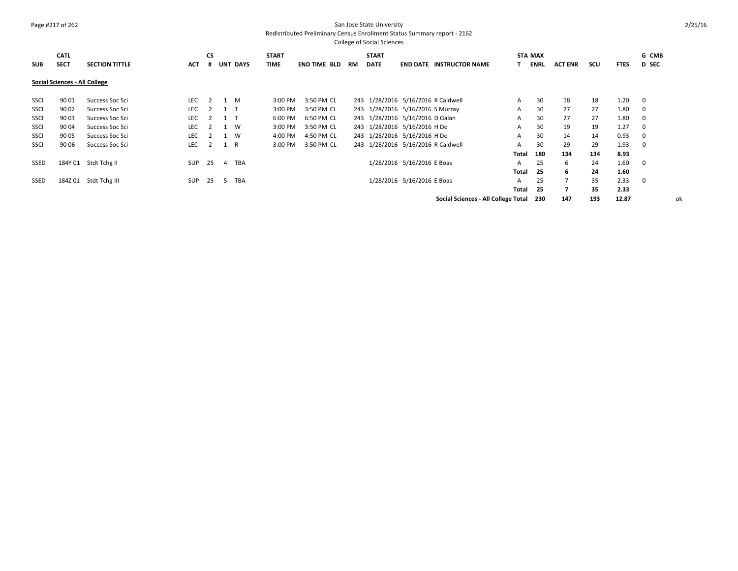#### Page #217 of 262 San Jose State University Redistributed Preliminary Census Enrollment Status Summary report - 2162

| <b>SUB</b> | <b>CATL</b><br><b>SECT</b>    | <b>SECTION TITTLE</b> | <b>ACT</b> | <b>CS</b><br># |     | <b>UNT DAYS</b> | <b>START</b><br><b>TIME</b> | <b>END TIME BLD</b> | RM | <b>START</b><br><b>DATE</b>      |                            | <b>END DATE INSTRUCTOR NAME</b>     |              | <b>STA MAX</b><br>ENRL | <b>ACT ENR</b> | scu | <b>FTES</b> | G CMB<br><b>D</b> SEC |
|------------|-------------------------------|-----------------------|------------|----------------|-----|-----------------|-----------------------------|---------------------|----|----------------------------------|----------------------------|-------------------------------------|--------------|------------------------|----------------|-----|-------------|-----------------------|
|            | Social Sciences - All College |                       |            |                |     |                 |                             |                     |    |                                  |                            |                                     |              |                        |                |     |             |                       |
| SSCI       | 90 01                         | Success Soc Sci       | LEC.       | $\overline{2}$ | 1 M |                 | 3:00 PM                     | 3:50 PM CL          |    |                                  |                            | 243 1/28/2016 5/16/2016 R Caldwell  | A            | 30                     | 18             | 18  | 1.20        | - 0                   |
| SSCI       | 90 02                         | Success Soc Sci       | <b>LEC</b> |                | 1 T |                 | 3:00 PM                     | 3:50 PM CL          |    | 243 1/28/2016 5/16/2016 S Murray |                            |                                     | A            | 30                     | 27             | 27  | 1.80        | - 0                   |
| SSCI       | 90 03                         | Success Soc Sci       | <b>LEC</b> | $\overline{2}$ | 1 T |                 | 6:00 PM                     | 6:50 PM CL          |    | 243 1/28/2016 5/16/2016 D Galan  |                            |                                     | A            | 30                     | 27             | 27  | 1.80        | 0                     |
| SSCI       | 90 04                         | Success Soc Sci       | <b>LEC</b> | 2              | 1 W |                 | 3:00 PM                     | 3:50 PM CL          |    | 243 1/28/2016 5/16/2016 H Do     |                            |                                     | A            | 30                     | 19             | 19  | 1.27        | 0                     |
| SSCI       | 90 05                         | Success Soc Sci       | <b>LEC</b> |                | 1 W |                 | 4:00 PM                     | 4:50 PM CL          |    | 243 1/28/2016 5/16/2016 H Do     |                            |                                     | A            | 30                     | 14             | 14  | 0.93        | - 0                   |
| SSCI       | 90 06                         | Success Soc Sci       | <b>LEC</b> | $\overline{2}$ | 1 R |                 | 3:00 PM                     | 3:50 PM CL          |    |                                  |                            | 243 1/28/2016 5/16/2016 R Caldwell  | A            | 30                     | 29             | 29  | 1.93        | - 0                   |
|            |                               |                       |            |                |     |                 |                             |                     |    |                                  |                            |                                     | Total        | 180                    | 134            | 134 | 8.93        |                       |
| SSED       |                               | 184Y 01 Stdt Tchg II  | SUP        | 25             | 4   | TBA             |                             |                     |    |                                  | 1/28/2016 5/16/2016 E Boas |                                     | A            | 25                     | 6              | 24  | 1.60        | $\mathbf{0}$          |
|            |                               |                       |            |                |     |                 |                             |                     |    |                                  |                            |                                     | <b>Total</b> | 25                     | 6              | 24  | 1.60        |                       |
| SSED       |                               | 184Z 01 Stdt Tchg III | <b>SUP</b> | -25            | .5. | TBA             |                             |                     |    |                                  | 1/28/2016 5/16/2016 E Boas |                                     | A            | 25                     |                | 35  | 2.33        | $\overline{0}$        |
|            |                               |                       |            |                |     |                 |                             |                     |    |                                  |                            |                                     | Total        | 25                     |                | 35  | 2.33        |                       |
|            |                               |                       |            |                |     |                 |                             |                     |    |                                  |                            | Social Sciences - All College Total |              | 230                    | 147            | 193 | 12.87       | ok                    |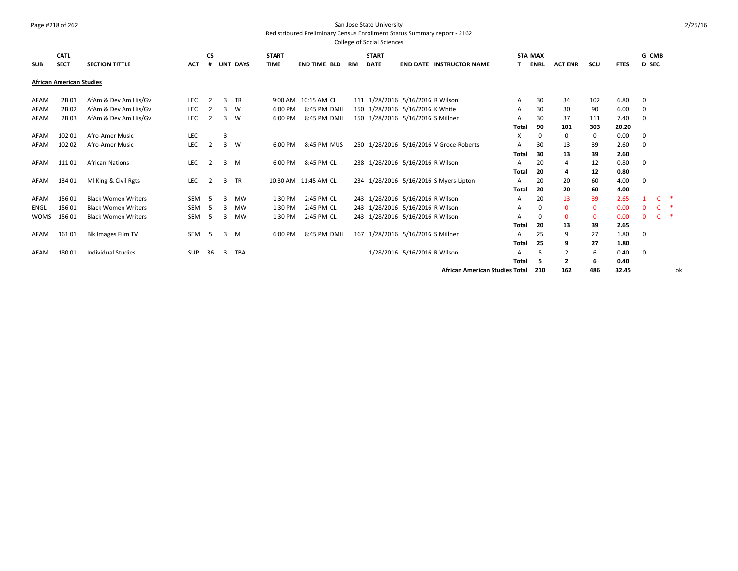## Page #218 of 262 San Jose State University

Redistributed Preliminary Census Enrollment Status Summary report - 2162

|             | <b>CATL</b>                     |                            |            | <b>CS</b>      |   |                 | <b>START</b> |                      |           | <b>START</b> |                                         |                                       | <b>STA MAX</b> |                |              |             | G CMB        |    |
|-------------|---------------------------------|----------------------------|------------|----------------|---|-----------------|--------------|----------------------|-----------|--------------|-----------------------------------------|---------------------------------------|----------------|----------------|--------------|-------------|--------------|----|
| <b>SUB</b>  | <b>SECT</b>                     | <b>SECTION TITTLE</b>      | <b>ACT</b> | #              |   | <b>UNT DAYS</b> | <b>TIME</b>  | <b>END TIME BLD</b>  | <b>RM</b> | <b>DATE</b>  | <b>END DATE INSTRUCTOR NAME</b>         |                                       | <b>ENRL</b>    | <b>ACT ENR</b> | scu          | <b>FTES</b> | <b>D</b> SEC |    |
|             | <b>African American Studies</b> |                            |            |                |   |                 |              |                      |           |              |                                         |                                       |                |                |              |             |              |    |
| AFAM        | 2B 01                           | AfAm & Dev Am His/Gv       | LEC        | 2              | з | <b>TR</b>       |              | 9:00 AM 10:15 AM CL  |           |              | 111 1/28/2016 5/16/2016 R Wilson        | A                                     | 30             | 34             | 102          | 6.80        | 0            |    |
| AFAM        | 2B 02                           | AfAm & Dev Am His/Gv       | LEC        |                | 3 | W               | 6:00 PM      | 8:45 PM DMH          |           |              | 150 1/28/2016 5/16/2016 K White         | A                                     | 30             | 30             | 90           | 6.00        | 0            |    |
| AFAM        | 2B 03                           | AfAm & Dev Am His/Gv       | LEC        |                | 3 | W               | 6:00 PM      | 8:45 PM DMH          |           |              | 150 1/28/2016 5/16/2016 S Millner       | А                                     | 30             | 37             | 111          | 7.40        | 0            |    |
|             |                                 |                            |            |                |   |                 |              |                      |           |              |                                         | <b>Total</b>                          | 90             | 101            | 303          | 20.20       |              |    |
| AFAM        | 102 01                          | Afro-Amer Music            | LEC        |                | 3 |                 |              |                      |           |              |                                         | X                                     | 0              | 0              | 0            | 0.00        | 0            |    |
| AFAM        | 102 02                          | Afro-Amer Music            | LEC        | $\overline{2}$ | 3 | <b>W</b>        | 6:00 PM      | 8:45 PM MUS          |           |              | 250 1/28/2016 5/16/2016 V Groce-Roberts | A                                     | 30             | 13             | 39           | 2.60        | $\mathbf 0$  |    |
|             |                                 |                            |            |                |   |                 |              |                      |           |              |                                         | Total                                 | 30             | 13             | 39           | 2.60        |              |    |
| AFAM        | 11101                           | <b>African Nations</b>     | LEC        | 2              | 3 | M               | 6:00 PM      | 8:45 PM CL           |           |              | 238 1/28/2016 5/16/2016 R Wilson        | А                                     | 20             | 4              | 12           | 0.80        | 0            |    |
|             |                                 |                            |            |                |   |                 |              |                      |           |              |                                         | Total                                 | 20             | 4              | 12           | 0.80        |              |    |
| AFAM        | 134 01                          | MI King & Civil Rgts       | LEC        | 2              | 3 | <b>TR</b>       |              | 10:30 AM 11:45 AM CL |           |              | 234 1/28/2016 5/16/2016 S Myers-Lipton  | A                                     | 20             | 20             | 60           | 4.00        | $\mathbf 0$  |    |
|             |                                 |                            |            |                |   |                 |              |                      |           |              |                                         | Total                                 | 20             | 20             | 60           | 4.00        |              |    |
| AFAM        | 156 01                          | <b>Black Women Writers</b> | SEM        | -5             | з | <b>MW</b>       | 1:30 PM      | 2:45 PM CL           |           |              | 243 1/28/2016 5/16/2016 R Wilson        | A                                     | 20             | 13             | 39           | 2.65        |              | ∗  |
| ENGL        | 156 01                          | <b>Black Women Writers</b> | SEM        | -5             |   | <b>MW</b>       | 1:30 PM      | 2:45 PM CL           |           |              | 243 1/28/2016 5/16/2016 R Wilson        | А                                     | 0              | $\mathbf{0}$   | $\mathbf{0}$ | 0.00        | $\Omega$     | ∗  |
| <b>WOMS</b> | 156 01                          | <b>Black Women Writers</b> | SEM        | -5             |   | MW              | 1:30 PM      | 2:45 PM CL           | 243       |              | 1/28/2016 5/16/2016 R Wilson            | А                                     | 0              | $\mathbf{0}$   | 0            | 0.00        | $\mathbf{0}$ | 米  |
|             |                                 |                            |            |                |   |                 |              |                      |           |              |                                         | Total                                 | 20             | 13             | 39           | 2.65        |              |    |
| AFAM        | 161 01                          | <b>Blk Images Film TV</b>  | SEM        | - 5            | 3 | M               | 6:00 PM      | 8:45 PM DMH          | 167       |              | 1/28/2016 5/16/2016 S Millner           | A                                     | 25             | 9              | 27           | 1.80        | 0            |    |
|             |                                 |                            |            |                |   |                 |              |                      |           |              |                                         | Total                                 | 25             | 9              | 27           | 1.80        |              |    |
| AFAM        | 180 01                          | <b>Individual Studies</b>  | <b>SUP</b> | 36             | 3 | <b>TBA</b>      |              |                      |           |              | 1/28/2016 5/16/2016 R Wilson            | А                                     | 5              | $\overline{2}$ | 6            | 0.40        | $\mathbf 0$  |    |
|             |                                 |                            |            |                |   |                 |              |                      |           |              |                                         | Total                                 | 5              | 2              | 6            | 0.40        |              |    |
|             |                                 |                            |            |                |   |                 |              |                      |           |              |                                         | <b>African American Studies Total</b> | 210            | 162            | 486          | 32.45       |              | ok |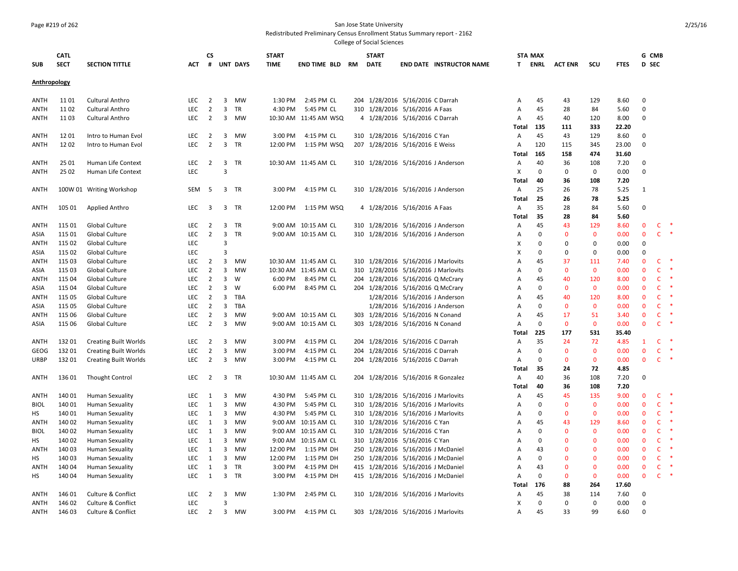#### Page #219 of 262 San Jose State University

Redistributed Preliminary Census Enrollment Status Summary report - 2162

|              | <b>CATL</b> |                               |            | СS                      |                         |                 | <b>START</b> |                        | <b>START</b>                     |                                     |                | <b>STA MAX</b> |                |              |             | G CMB        |              |               |
|--------------|-------------|-------------------------------|------------|-------------------------|-------------------------|-----------------|--------------|------------------------|----------------------------------|-------------------------------------|----------------|----------------|----------------|--------------|-------------|--------------|--------------|---------------|
| <b>SUB</b>   | <b>SECT</b> | <b>SECTION TITTLE</b>         | ACT.       | #                       |                         | <b>UNT DAYS</b> | <b>TIME</b>  | <b>END TIME BLD RM</b> | <b>DATE</b>                      | <b>END DATE INSTRUCTOR NAME</b>     |                | <b>T ENRL</b>  | <b>ACT ENR</b> | scu          | <b>FTES</b> | <b>D</b> SEC |              |               |
| Anthropology |             |                               |            |                         |                         |                 |              |                        |                                  |                                     |                |                |                |              |             |              |              |               |
|              |             |                               |            |                         |                         |                 |              |                        |                                  |                                     |                |                |                |              |             |              |              |               |
| ANTH         | 11 01       | <b>Cultural Anthro</b>        | LEC        | $\overline{2}$          | 3                       | MW              | 1:30 PM      | 2:45 PM CL             | 204 1/28/2016 5/16/2016 C Darrah |                                     | Α              | 45             | 43             | 129          | 8.60        | $\Omega$     |              |               |
| ANTH         | 1102        | <b>Cultural Anthro</b>        | LEC        | $\overline{2}$          | $\overline{3}$          | TR              | 4:30 PM      | 5:45 PM CL             | 310 1/28/2016 5/16/2016 A Faas   |                                     | Α              | 45             | 28             | 84           | 5.60        | $\mathbf 0$  |              |               |
| ANTH         | 1103        | <b>Cultural Anthro</b>        | <b>LEC</b> | $\overline{2}$          |                         | 3 MW            |              | 10:30 AM 11:45 AM WSQ  | 4 1/28/2016 5/16/2016 C Darrah   |                                     | Α              | 45             | 40             | 120          | 8.00        | $\mathbf 0$  |              |               |
|              |             |                               |            |                         |                         |                 |              |                        |                                  |                                     | Total          | 135            | 111            | 333          | 22.20       |              |              |               |
| <b>ANTH</b>  | 1201        | Intro to Human Evol           | LEC        | $\overline{2}$          | $\overline{\mathbf{3}}$ | MW              | 3:00 PM      | 4:15 PM CL             | 310 1/28/2016 5/16/2016 C Yan    |                                     | Α              | 45             | 43             | 129          | 8.60        | $\Omega$     |              |               |
| ANTH         | 1202        | Intro to Human Evol           | LEC        | $\overline{2}$          | $\overline{3}$          | TR              | 12:00 PM     | 1:15 PM WSQ            | 207 1/28/2016 5/16/2016 E Weiss  |                                     | A              | 120            | 115            | 345          | 23.00       | $\mathbf 0$  |              |               |
|              |             |                               |            |                         |                         |                 |              |                        |                                  |                                     | <b>Total</b>   | 165            | 158            | 474          | 31.60       |              |              |               |
| <b>ANTH</b>  | 25 01       | Human Life Context            | LEC        | $\overline{2}$          | $\overline{\mathbf{3}}$ | TR              |              | 10:30 AM 11:45 AM CL   |                                  | 310 1/28/2016 5/16/2016 J Anderson  | Α              | 40             | 36             | 108          | 7.20        | $\Omega$     |              |               |
| <b>ANTH</b>  | 25 02       | Human Life Context            | <b>LEC</b> |                         | $\overline{\mathbf{3}}$ |                 |              |                        |                                  |                                     | X              | $\mathbf 0$    | $\mathbf 0$    | $\mathbf 0$  | 0.00        | $\Omega$     |              |               |
|              |             |                               |            |                         |                         |                 |              |                        |                                  |                                     | Total          | 40             | 36             | 108          | 7.20        |              |              |               |
| ANTH         |             | 100W 01 Writing Workshop      | SEM        | -5                      |                         | 3 TR            | 3:00 PM      | 4:15 PM CL             |                                  | 310 1/28/2016 5/16/2016 J Anderson  | Α              | 25             | 26             | 78           | 5.25        | 1            |              |               |
|              |             |                               |            |                         |                         |                 |              |                        |                                  |                                     | Total          | 25             | 26             | 78           | 5.25        |              |              |               |
| <b>ANTH</b>  | 105 01      | <b>Applied Anthro</b>         | <b>LEC</b> | 3                       | 3                       | TR              | 12:00 PM     | 1:15 PM WSQ            | 4 1/28/2016 5/16/2016 A Faas     |                                     | Α              | 35             | 28             | 84           | 5.60        | $\Omega$     |              |               |
|              |             |                               |            |                         |                         |                 |              |                        |                                  |                                     | Total          | 35             | 28             | 84           | 5.60        |              |              |               |
| <b>ANTH</b>  | 115 01      | Global Culture                | LEC        | $\overline{2}$          | 3                       | TR              |              | 9:00 AM 10:15 AM CL    |                                  | 310 1/28/2016 5/16/2016 J Anderson  | А              | 45             | 43             | 129          | 8.60        | $\mathbf 0$  | C            |               |
| ASIA         | 115 01      | Global Culture                | LEC        | $\overline{2}$          | $\overline{3}$          | <b>TR</b>       |              | 9:00 AM 10:15 AM CL    |                                  | 310 1/28/2016 5/16/2016 J Anderson  | A              | $\mathbf 0$    | $\mathbf{0}$   | $\mathbf 0$  | 0.00        | $\mathbf{0}$ | $\mathsf{C}$ | $\ast$        |
| <b>ANTH</b>  | 115 02      | Global Culture                | <b>LEC</b> |                         | $\overline{3}$          |                 |              |                        |                                  |                                     | х              | $\Omega$       | $\mathbf 0$    | $\mathbf 0$  | 0.00        | $\Omega$     |              |               |
| ASIA         | 115 02      | Global Culture                | <b>LEC</b> |                         | $\overline{3}$          |                 |              |                        |                                  |                                     | X              | $\Omega$       | $\mathbf 0$    | 0            | 0.00        | $\Omega$     |              |               |
| <b>ANTH</b>  | 115 03      | <b>Global Culture</b>         | LEC        | $\overline{2}$          | 3                       | MW              |              | 10:30 AM 11:45 AM CL   |                                  | 310 1/28/2016 5/16/2016 J Marlovits | A              | 45             | 37             | 111          | 7.40        | $\mathbf{0}$ | $\mathsf{C}$ |               |
| ASIA         | 115 03      | Global Culture                | LEC        | $\overline{2}$          | 3                       | MW              |              | 10:30 AM 11:45 AM CL   |                                  | 310 1/28/2016 5/16/2016 J Marlovits | A              | $\Omega$       | $\mathbf 0$    | $\mathbf{0}$ | 0.00        | $\mathbf{0}$ | C            | $\ast$        |
| <b>ANTH</b>  | 115 04      | Global Culture                | LEC        | $\overline{2}$          | 3                       | W               | 6:00 PM      | 8:45 PM CL             |                                  | 204 1/28/2016 5/16/2016 Q McCrary   | A              | 45             | 40             | 120          | 8.00        | $\mathbf 0$  | C            |               |
| ASIA         | 115 04      | Global Culture                | LEC        | $\overline{2}$          | $\mathbf{3}$            | W               |              | 6:00 PM 8:45 PM CL     |                                  | 204 1/28/2016 5/16/2016 Q McCrary   | А              | 0              | $\mathbf 0$    | $\mathbf 0$  | 0.00        | $\mathbf 0$  | C            |               |
| <b>ANTH</b>  | 115 05      | <b>Global Culture</b>         | <b>LEC</b> | $\overline{2}$          | 3                       | TBA             |              |                        |                                  | 1/28/2016 5/16/2016 J Anderson      | А              | 45             | 40             | 120          | 8.00        | $\mathbf{0}$ | C            |               |
| ASIA         | 115 05      | Global Culture                | <b>LEC</b> | $\overline{2}$          | 3                       | TBA             |              |                        |                                  | 1/28/2016 5/16/2016 J Anderson      | A              | $\mathbf 0$    | $\mathbf{0}$   | $\mathbf{0}$ | 0.00        | $\mathbf{0}$ | C            | $\ast$        |
| <b>ANTH</b>  | 115 06      | Global Culture                | LEC        | $\overline{2}$          | 3                       | MW              |              | 9:00 AM 10:15 AM CL    | 303 1/28/2016 5/16/2016 N Conand |                                     | $\overline{A}$ | 45             | 17             | 51           | 3.40        | $\mathbf 0$  | $\mathsf{C}$ |               |
| ASIA         | 115 06      | Global Culture                | LEC        | $\overline{2}$          | $\overline{\mathbf{3}}$ | MW              |              | 9:00 AM 10:15 AM CL    | 303 1/28/2016 5/16/2016 N Conand |                                     | A              | 0              | $\mathbf 0$    | $\mathbf 0$  | 0.00        | $\mathbf 0$  | $\mathsf{C}$ |               |
|              |             |                               |            |                         |                         |                 |              |                        |                                  |                                     | <b>Total</b>   | 225            | 177            | 531          | 35.40       |              |              |               |
| ANTH         | 13201       | <b>Creating Built Worlds</b>  | LEC        | 2                       | 3                       | MW              | 3:00 PM      | 4:15 PM CL             | 204 1/28/2016 5/16/2016 C Darrah |                                     | Α              | 35             | 24             | 72           | 4.85        | 1            | C            | $\rightarrow$ |
| GEOG         | 13201       | <b>Creating Built Worlds</b>  | LEC        | $\overline{2}$          | $\overline{3}$          | MW              | 3:00 PM      | 4:15 PM CL             | 204 1/28/2016 5/16/2016 C Darrah |                                     | $\overline{A}$ | $\mathbf 0$    | $\mathbf 0$    | $\mathbf 0$  | 0.00        | $\mathbf{0}$ | $\mathsf{C}$ |               |
| URBP         | 13201       | <b>Creating Built Worlds</b>  | LEC        | $\overline{2}$          | 3                       | MW              | 3:00 PM      | 4:15 PM CL             | 204 1/28/2016 5/16/2016 C Darrah |                                     | Α              | $\mathbf 0$    | $\mathbf{0}$   | $\mathbf 0$  | 0.00        | $\mathbf 0$  | $\mathsf{C}$ | $\;$ $\;$     |
|              |             |                               |            |                         |                         |                 |              |                        |                                  |                                     | Total          | 35             | 24             | 72           | 4.85        |              |              |               |
| ANTH         | 136 01      | <b>Thought Control</b>        | LEC        | $\overline{2}$          | 3                       | TR              |              | 10:30 AM 11:45 AM CL   |                                  | 204 1/28/2016 5/16/2016 R Gonzalez  | Α              | 40             | 36             | 108          | 7.20        | $\Omega$     |              |               |
|              |             |                               |            |                         |                         |                 |              |                        |                                  |                                     | Total          | 40             | 36             | 108          | 7.20        |              |              |               |
| <b>ANTH</b>  | 140 01      | <b>Human Sexuality</b>        | LEC        | 1                       | 3                       | MW              | 4:30 PM      | 5:45 PM CL             |                                  | 310 1/28/2016 5/16/2016 J Marlovits | Α              | 45             | 45             | 135          | 9.00        | $\mathbf{0}$ | C            | $\ast$        |
| <b>BIOL</b>  | 140 01      | <b>Human Sexuality</b>        | LEC        | 1                       | 3                       | MW              | 4:30 PM      | 5:45 PM CL             |                                  | 310 1/28/2016 5/16/2016 J Marlovits | Α              | 0              | $\mathbf 0$    | $\mathbf 0$  | 0.00        | $\mathbf 0$  | C            |               |
| HS           | 140 01      | <b>Human Sexuality</b>        | <b>LEC</b> | 1                       | 3                       | MW              | 4:30 PM      | 5:45 PM CL             |                                  | 310 1/28/2016 5/16/2016 J Marlovits | Α              | $\mathbf 0$    | $\mathbf{0}$   | $\mathbf{0}$ | 0.00        | $\mathbf{0}$ | C            | 米             |
| ANTH         | 140 02      | <b>Human Sexuality</b>        | <b>LEC</b> | 1                       | 3                       | MW              |              | 9:00 AM 10:15 AM CL    | 310 1/28/2016 5/16/2016 C Yan    |                                     | Α              | 45             | 43             | 129          | 8.60        | $\mathbf{0}$ | C            |               |
| <b>BIOL</b>  | 140 02      | <b>Human Sexuality</b>        | LEC        | 1                       | 3                       | MW              |              | 9:00 AM 10:15 AM CL    | 310 1/28/2016 5/16/2016 C Yan    |                                     | Α              | $\Omega$       | $\mathbf 0$    | $\mathbf 0$  | 0.00        | $\mathbf{0}$ | C            | $\ast$        |
| НS           | 140 02      | <b>Human Sexuality</b>        | LEC        | 1                       | 3                       | MW              |              | 9:00 AM 10:15 AM CL    | 310 1/28/2016 5/16/2016 C Yan    |                                     | А              | $\mathbf 0$    | $\mathbf 0$    | $\mathbf 0$  | 0.00        | $\mathbf 0$  | C            |               |
| <b>ANTH</b>  | 140 03      | <b>Human Sexuality</b>        | <b>LEC</b> | 1                       | 3                       | MW              | 12:00 PM     | 1:15 PM DH             |                                  | 250 1/28/2016 5/16/2016 J McDaniel  | Α              | 43             | $\mathbf{0}$   | $\mathbf{0}$ | 0.00        | $\mathbf{0}$ | $\mathsf{C}$ | 咪             |
| НS           | 140 03      | <b>Human Sexuality</b>        | <b>LEC</b> | 1                       | 3                       | <b>MW</b>       | 12:00 PM     | 1:15 PM DH             |                                  | 250 1/28/2016 5/16/2016 J McDaniel  | $\overline{A}$ | $\Omega$       | $\mathbf{0}$   | $\Omega$     | 0.00        | $\mathbf{0}$ | C            | $\ast$        |
| ANTH         | 140 04      | Human Sexuality               | LEC        | 1                       | 3                       | TR              | 3:00 PM      | 4:15 PM DH             |                                  | 415 1/28/2016 5/16/2016 J McDaniel  | А              | 43             | $\mathbf 0$    | $\mathbf 0$  | 0.00        | $\mathbf{0}$ | $\mathsf{C}$ | $\ast$        |
| HS           | 140 04      | <b>Human Sexuality</b>        | LEC        | 1                       | $\overline{3}$          | TR              | 3:00 PM      | 4:15 PM DH             |                                  | 415 1/28/2016 5/16/2016 J McDaniel  | Α              | $\mathbf 0$    | $\mathbf 0$    | $\mathbf{0}$ | 0.00        | $\mathbf{0}$ | $\mathsf{C}$ | $\ast$        |
|              |             |                               |            |                         |                         |                 |              |                        |                                  |                                     | Total          | 176            | 88             | 264          | 17.60       |              |              |               |
| ANTH         | 146 01      | <b>Culture &amp; Conflict</b> | LEC        | $\overline{2}$          | 3                       | MW              | 1:30 PM      | 2:45 PM CL             |                                  | 310 1/28/2016 5/16/2016 J Marlovits | А              | 45             | 38             | 114          | 7.60        | $\Omega$     |              |               |
| ANTH         | 146 02      | <b>Culture &amp; Conflict</b> | <b>LEC</b> |                         | $\overline{3}$          |                 |              |                        |                                  |                                     | X              | $\mathbf 0$    | $\mathbf 0$    | $\mathbf 0$  | 0.00        | $\Omega$     |              |               |
| <b>ANTH</b>  | 146 03      | <b>Culture &amp; Conflict</b> | LEC        | $\overline{\mathbf{2}}$ |                         | 3 MW            |              | 3:00 PM 4:15 PM CL     |                                  | 303 1/28/2016 5/16/2016 J Marlovits | $\overline{A}$ | 45             | 33             | 99           | 6.60        | $\Omega$     |              |               |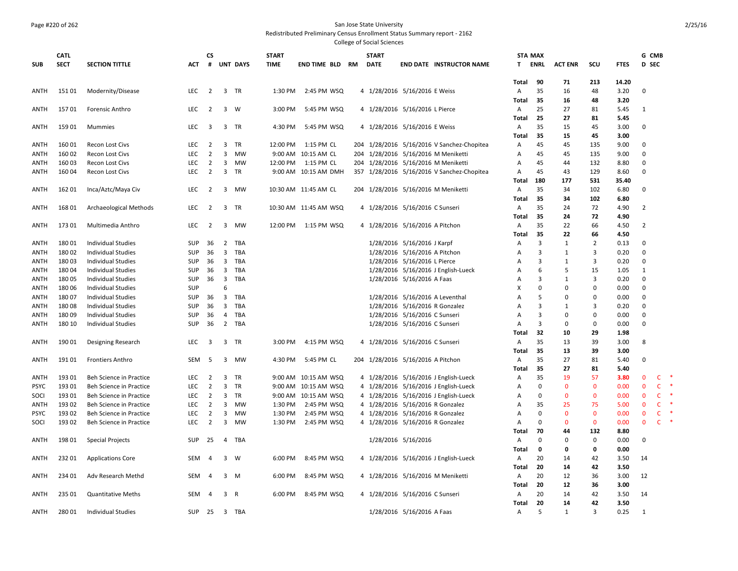#### Page #220 of 262 San Jose State University

Redistributed Preliminary Census Enrollment Status Summary report - 2162

|             | <b>CATL</b> |                                |            | <b>CS</b>               |                         |             | <b>START</b> |                        |     | <b>START</b>                      |                               |                                            |                | <b>STA MAX</b> |                |                |             | G CMB          |              |        |
|-------------|-------------|--------------------------------|------------|-------------------------|-------------------------|-------------|--------------|------------------------|-----|-----------------------------------|-------------------------------|--------------------------------------------|----------------|----------------|----------------|----------------|-------------|----------------|--------------|--------|
| <b>SUB</b>  | <b>SECT</b> | <b>SECTION TITTLE</b>          | <b>ACT</b> |                         |                         | # UNT DAYS  | <b>TIME</b>  | <b>END TIME BLD RM</b> |     | <b>DATE</b>                       |                               | <b>END DATE INSTRUCTOR NAME</b>            | T.             | ENRL           | <b>ACT ENR</b> | scu            | <b>FTES</b> | D SEC          |              |        |
|             |             |                                |            |                         |                         |             |              |                        |     |                                   |                               |                                            |                |                |                |                |             |                |              |        |
|             |             |                                |            |                         |                         |             |              |                        |     |                                   |                               |                                            | Total          | 90             | 71             | 213            | 14.20       |                |              |        |
| ANTH        | 15101       | Modernity/Disease              | <b>LEC</b> | $\overline{2}$          | 3                       | <b>TR</b>   | 1:30 PM      | 2:45 PM WSQ            |     | 4 1/28/2016 5/16/2016 E Weiss     |                               |                                            | Α              | 35             | 16             | 48             | 3.20        | $\mathbf 0$    |              |        |
|             |             |                                |            |                         |                         |             |              |                        |     |                                   |                               |                                            | Total          | 35             | 16             | 48             | 3.20        |                |              |        |
| ANTH        | 15701       | Forensic Anthro                | <b>LEC</b> | $\overline{2}$          |                         | $3 \quad W$ | 3:00 PM      | 5:45 PM WSQ            |     | 4 1/28/2016 5/16/2016 L Pierce    |                               |                                            | Α              | 25             | 27             | 81             | 5.45        | 1              |              |        |
|             |             |                                |            |                         |                         |             |              |                        |     |                                   |                               |                                            | Total          | 25             | 27             | 81             | 5.45        |                |              |        |
| ANTH        | 159 01      | Mummies                        | <b>LEC</b> | $\overline{\mathbf{3}}$ |                         | 3 TR        | 4:30 PM      | 5:45 PM WSQ            |     | 4 1/28/2016 5/16/2016 E Weiss     |                               |                                            | Α              | 35             | 15             | 45             | 3.00        | $\Omega$       |              |        |
|             |             |                                |            |                         |                         |             |              |                        |     |                                   |                               |                                            | Total          | 35             | 15             | 45             | 3.00        |                |              |        |
| ANTH        | 160 01      | Recon Lost Civs                | LEC        | $\overline{2}$          | 3                       | TR          | 12:00 PM     | 1:15 PM CL             |     |                                   |                               | 204 1/28/2016 5/16/2016 V Sanchez-Chopitea | Α              | 45             | 45             | 135            | 9.00        | $\mathbf 0$    |              |        |
| ANTH        | 160 02      | Recon Lost Civs                | LEC        | $\overline{2}$          | 3                       | MW          | 9:00 AM      | 10:15 AM CL            | 204 |                                   |                               | 1/28/2016 5/16/2016 M Meniketti            | Α              | 45             | 45             | 135            | 9.00        | $\Omega$       |              |        |
| ANTH        | 160 03      | Recon Lost Civs                | LEC        | $\overline{2}$          | 3                       | MW          | 12:00 PM     | 1:15 PM CL             |     |                                   |                               | 204 1/28/2016 5/16/2016 M Meniketti        | Α              | 45             | 44             | 132            | 8.80        | $\mathbf 0$    |              |        |
| ANTH        | 160 04      | Recon Lost Civs                | LEC        | $\overline{2}$          | 3                       | TR          |              | 9:00 AM 10:15 AM DMH   |     |                                   |                               | 357 1/28/2016 5/16/2016 V Sanchez-Chopitea | Α              | 45             | 43             | 129            | 8.60        | $\Omega$       |              |        |
|             |             |                                |            |                         |                         |             |              |                        |     |                                   |                               |                                            | Total          | 180            | 177            | 531            | 35.40       |                |              |        |
| ANTH        | 162 01      | Inca/Aztc/Maya Civ             | LEC        | $\overline{2}$          |                         | 3 MW        |              | 10:30 AM 11:45 AM CL   |     |                                   |                               | 204 1/28/2016 5/16/2016 M Meniketti        | Α              | 35             | 34             | 102            | 6.80        | $\Omega$       |              |        |
|             |             |                                |            |                         |                         |             |              |                        |     |                                   |                               |                                            | Total          | 35             | 34             | 102            | 6.80        |                |              |        |
| ANTH        | 168 01      | Archaeological Methods         | LEC        | $\overline{2}$          |                         | 3 TR        |              | 10:30 AM 11:45 AM WSQ  |     | 4 1/28/2016 5/16/2016 C Sunseri   |                               |                                            | Α              | 35             | 24             | 72             | 4.90        | $\overline{2}$ |              |        |
|             |             |                                |            |                         |                         |             |              |                        |     |                                   |                               |                                            | Total          | 35             | 24             | 72             | 4.90        |                |              |        |
| ANTH        | 17301       | Multimedia Anthro              | <b>LEC</b> | $\overline{2}$          |                         | 3 MW        | 12:00 PM     | 1:15 PM WSQ            |     | 4 1/28/2016 5/16/2016 A Pitchon   |                               |                                            | Α              | 35             | 22             | 66             | 4.50        | $\overline{2}$ |              |        |
|             |             |                                |            |                         |                         |             |              |                        |     |                                   |                               |                                            | Total          | 35             | 22             | 66             | 4.50        |                |              |        |
| ANTH        | 180 01      | <b>Individual Studies</b>      | <b>SUP</b> | 36                      | $\overline{2}$          | TBA         |              |                        |     |                                   | 1/28/2016 5/16/2016 J Karpf   |                                            | A              | 3              | 1              | 2              | 0.13        | $\Omega$       |              |        |
| ANTH        | 18002       | <b>Individual Studies</b>      | <b>SUP</b> | 36                      | $\overline{\mathbf{3}}$ | TBA         |              |                        |     |                                   | 1/28/2016 5/16/2016 A Pitchon |                                            | Α              | 3              | 1              | $\overline{3}$ | 0.20        | $\Omega$       |              |        |
| <b>ANTH</b> | 18003       | <b>Individual Studies</b>      | <b>SUP</b> | 36                      | $\overline{\mathbf{3}}$ | TBA         |              |                        |     |                                   | 1/28/2016 5/16/2016 L Pierce  |                                            | A              | $\overline{3}$ | 1              | 3              | 0.20        | $\Omega$       |              |        |
| ANTH        | 18004       | <b>Individual Studies</b>      | <b>SUP</b> | 36                      | $\overline{\mathbf{3}}$ | TBA         |              |                        |     |                                   |                               | 1/28/2016 5/16/2016 J English-Lueck        | Α              | 6              | 5              | 15             | 1.05        | 1              |              |        |
| ANTH        | 180 05      | <b>Individual Studies</b>      | SUP        | 36                      | $\overline{\mathbf{3}}$ | TBA         |              |                        |     |                                   | 1/28/2016 5/16/2016 A Faas    |                                            | А              | $\overline{3}$ | $\mathbf{1}$   | $\overline{3}$ | 0.20        | $\mathbf 0$    |              |        |
| ANTH        | 180 06      | <b>Individual Studies</b>      | SUP        |                         | 6                       |             |              |                        |     |                                   |                               |                                            | X              | $\Omega$       | $\mathbf 0$    | $\Omega$       | 0.00        | $\Omega$       |              |        |
| <b>ANTH</b> | 18007       | <b>Individual Studies</b>      | SUP        | 36                      | $\overline{\mathbf{3}}$ | TBA         |              |                        |     |                                   |                               | 1/28/2016 5/16/2016 A Leventhal            | $\overline{A}$ | 5              | $\Omega$       | $\Omega$       | 0.00        | $\Omega$       |              |        |
| ANTH        | 18008       | <b>Individual Studies</b>      | SUP        | 36                      | $\overline{3}$          | TBA         |              |                        |     |                                   |                               | 1/28/2016 5/16/2016 R Gonzalez             | A              | $\overline{3}$ | 1              | 3              | 0.20        | $\Omega$       |              |        |
| ANTH        | 18009       | <b>Individual Studies</b>      | <b>SUP</b> | 36                      | $\overline{4}$          | TBA         |              |                        |     |                                   | 1/28/2016 5/16/2016 C Sunseri |                                            | Α              | $\overline{3}$ | $\mathbf 0$    | $\Omega$       | 0.00        | $\Omega$       |              |        |
| ANTH        | 180 10      | <b>Individual Studies</b>      | <b>SUP</b> | 36                      |                         | 2 TBA       |              |                        |     |                                   | 1/28/2016 5/16/2016 C Sunseri |                                            | $\overline{A}$ | 3              | 0              | $\Omega$       | 0.00        | $\Omega$       |              |        |
|             |             |                                |            |                         |                         |             |              |                        |     |                                   |                               |                                            | Total          | 32             | 10             | 29             | 1.98        |                |              |        |
| ANTH        | 190 01      | Designing Research             | LEC        | 3                       | 3                       | TR          | 3:00 PM      | 4:15 PM WSQ            |     | 4 1/28/2016 5/16/2016 C Sunseri   |                               |                                            | Α              | 35             | 13             | 39             | 3.00        | 8              |              |        |
|             |             |                                |            |                         |                         |             |              |                        |     |                                   |                               |                                            | Total          | 35             | 13             | 39             | 3.00        |                |              |        |
| ANTH        | 19101       | <b>Frontiers Anthro</b>        | <b>SEM</b> | 5                       | 3                       | MW          | 4:30 PM      | 5:45 PM CL             |     | 204 1/28/2016 5/16/2016 A Pitchon |                               |                                            | A              | 35             | 27             | 81             | 5.40        | $\Omega$       |              |        |
|             |             |                                |            |                         |                         |             |              |                        |     |                                   |                               |                                            | Total          | 35             | 27             | 81             | 5.40        |                |              |        |
| <b>ANTH</b> | 193 01      | Beh Science in Practice        | LEC        | $\overline{2}$          | 3                       | TR          | 9:00 AM      | 10:15 AM WSQ           |     |                                   |                               | 4 1/28/2016 5/16/2016 J English-Lueck      | Α              | 35             | 19             | 57             | 3.80        | $\mathbf 0$    | C            |        |
| <b>PSYC</b> | 193 01      | Beh Science in Practice        | <b>LEC</b> | $\overline{2}$          | 3                       | TR          | 9:00 AM      | 10:15 AM WSQ           |     |                                   |                               | 4 1/28/2016 5/16/2016 J English-Lueck      | A              | $\Omega$       | $\mathbf{0}$   | $\mathbf{0}$   | 0.00        | $\Omega$       | C            |        |
| SOCI        | 193 01      | <b>Beh Science in Practice</b> | LEC        | 2                       | $\overline{\mathbf{3}}$ | TR          |              | 9:00 AM 10:15 AM WSQ   |     |                                   |                               | 4 1/28/2016 5/16/2016 J English-Lueck      | A              | $\Omega$       | $\mathbf{0}$   | $\mathbf{0}$   | 0.00        | $\Omega$       | $\mathsf{C}$ |        |
| ANTH        | 193 02      | Beh Science in Practice        | LEC        | $\overline{2}$          | 3                       | MW          | 1:30 PM      | 2:45 PM WSQ            |     |                                   |                               | 4 1/28/2016 5/16/2016 R Gonzalez           | Α              | 35             | 25             | 75             | 5.00        | $\mathbf 0$    | $\mathsf{C}$ |        |
| <b>PSYC</b> | 193 02      | Beh Science in Practice        | LEC        | $\overline{2}$          | 3                       | MW          | 1:30 PM      | 2:45 PM WSQ            |     |                                   |                               | 4 1/28/2016 5/16/2016 R Gonzalez           | Α              | $\Omega$       | $\mathbf 0$    | $\mathbf 0$    | 0.00        | $\mathbf 0$    | c            | ∗      |
| SOCI        | 193 02      | <b>Beh Science in Practice</b> | <b>LEC</b> | $\overline{2}$          | 3                       | MW          | 1:30 PM      | 2:45 PM WSQ            |     |                                   |                               | 4 1/28/2016 5/16/2016 R Gonzalez           | Α              | $\Omega$       | $\mathbf{0}$   | $\Omega$       | 0.00        | $\mathbf{0}$   | C            | $\ast$ |
|             |             |                                |            |                         |                         |             |              |                        |     |                                   |                               |                                            | Total          | 70             | 44             | 132            | 8.80        |                |              |        |
| <b>ANTH</b> | 198 01      | <b>Special Projects</b>        | SUP        | 25                      |                         | 4 TBA       |              |                        |     |                                   | 1/28/2016 5/16/2016           |                                            | A              | $\Omega$       | 0              | $\mathbf 0$    | 0.00        | $\mathbf 0$    |              |        |
|             |             |                                |            |                         |                         |             |              |                        |     |                                   |                               |                                            | Total          | $\mathbf 0$    | 0              | 0              | 0.00        |                |              |        |
| <b>ANTH</b> | 23201       | <b>Applications Core</b>       | <b>SEM</b> | 4                       |                         | 3 W         | 6:00 PM      | 8:45 PM WSQ            |     |                                   |                               | 4 1/28/2016 5/16/2016 J English-Lueck      | $\overline{A}$ | 20             | 14             | 42             | 3.50        | 14             |              |        |
|             |             |                                |            |                         |                         |             |              |                        |     |                                   |                               |                                            | Total          | 20             | 14             | 42             | 3.50        |                |              |        |
| ANTH        | 234 01      | Adv Research Methd             | SEM        | $\overline{4}$          |                         | $3 \quad M$ | 6:00 PM      | 8:45 PM WSQ            |     |                                   |                               | 4 1/28/2016 5/16/2016 M Meniketti          | Α              | 20             | 12             | 36             | 3.00        | 12             |              |        |
|             |             |                                |            |                         |                         |             |              |                        |     |                                   |                               |                                            | Total          | 20             | 12             | 36             | 3.00        |                |              |        |
| ANTH        | 235 01      | <b>Quantitative Meths</b>      | SEM        | 4                       |                         | 3 R         | 6:00 PM      | 8:45 PM WSQ            |     | 4 1/28/2016 5/16/2016 C Sunseri   |                               |                                            | Α              | 20             | 14             | 42             | 3.50        | 14             |              |        |
|             |             |                                |            |                         |                         |             |              |                        |     |                                   |                               |                                            | Total          | 20             | 14             | 42             | 3.50        |                |              |        |
| ANTH        | 280 01      | <b>Individual Studies</b>      | SUP        | 25                      |                         | 3 TBA       |              |                        |     |                                   | 1/28/2016 5/16/2016 A Faas    |                                            | Α              | 5              | $\mathbf{1}$   | $\mathbf{a}$   | 0.25        | 1              |              |        |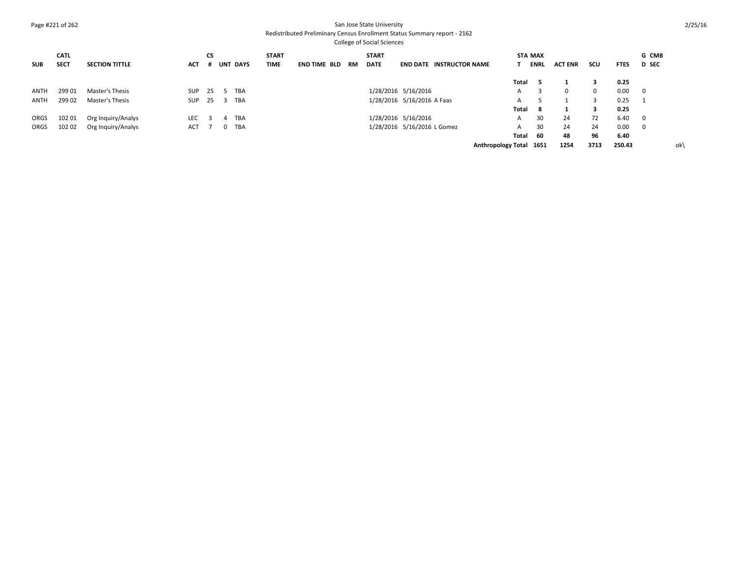## Page #221 of 262 San Jose State University

Redistributed Preliminary Census Enrollment Status Summary report - 2162

| <b>SUB</b>  | <b>CATL</b><br><b>SECT</b> | <b>SECTION TITTLE</b> | ACT | <b>CS</b> |    | # UNT DAYS | <b>START</b><br><b>TIME</b> | <b>END TIME BLD</b> | RM | <b>START</b><br><b>DATE</b> |                             | <b>END DATE INSTRUCTOR NAME</b> |                         |       | <b>STA MAX</b><br><b>ENRL</b> | <b>ACT ENR</b> | scu         | <b>FTES</b> | G CMB<br><b>D</b> SEC   |
|-------------|----------------------------|-----------------------|-----|-----------|----|------------|-----------------------------|---------------------|----|-----------------------------|-----------------------------|---------------------------------|-------------------------|-------|-------------------------------|----------------|-------------|-------------|-------------------------|
|             |                            |                       |     |           |    |            |                             |                     |    |                             |                             |                                 |                         | Total |                               |                | з           | 0.25        |                         |
| <b>ANTH</b> | 299 01                     | Master's Thesis       | SUP | - 25      |    | <b>TBA</b> |                             |                     |    |                             | 1/28/2016 5/16/2016         |                                 |                         | A     |                               | $\Omega$       | $\mathbf 0$ | 0.00        | $\overline{\mathbf{0}}$ |
| ANTH        | 299 02                     | Master's Thesis       | SUP | - 25      | -3 | <b>TBA</b> |                             |                     |    |                             | 1/28/2016 5/16/2016 A Faas  |                                 |                         | A     |                               |                |             | 0.25        |                         |
|             |                            |                       |     |           |    |            |                             |                     |    |                             |                             |                                 |                         | Total | -8                            |                | 3           | 0.25        |                         |
| ORGS        | 102 01                     | Org Inquiry/Analys    | LEC |           |    | <b>TBA</b> |                             |                     |    |                             | 1/28/2016 5/16/2016         |                                 |                         | A     | 30                            | 24             | 72          | 6.40        | $\overline{\mathbf{0}}$ |
| ORGS        | 102 02                     | Org Inquiry/Analys    | ACT |           |    | <b>TBA</b> |                             |                     |    |                             | 1/28/2016 5/16/2016 L Gomez |                                 |                         | A     | 30                            | 24             | 24          | 0.00        | $\overline{\mathbf{0}}$ |
|             |                            |                       |     |           |    |            |                             |                     |    |                             |                             |                                 |                         | Total | 60                            | 48             | 96          | 6.40        |                         |
|             |                            |                       |     |           |    |            |                             |                     |    |                             |                             |                                 | Anthropology Total 1651 |       |                               | 1254           | 3713        | 250.43      | ok\                     |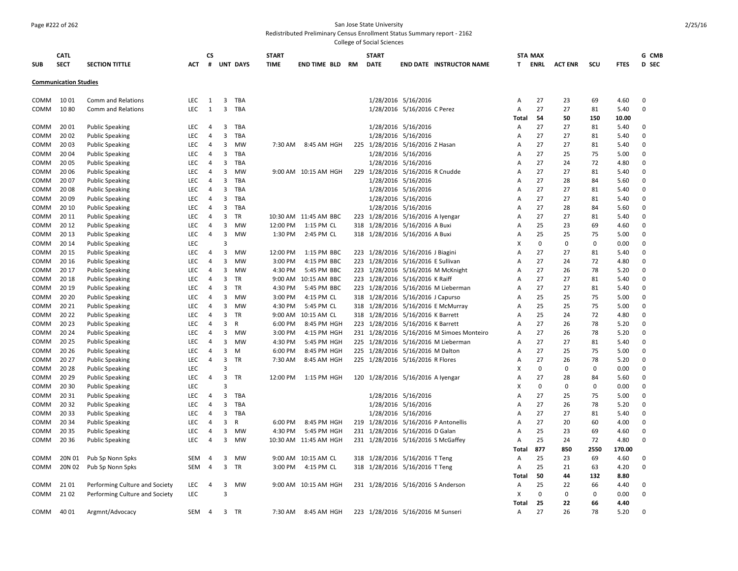#### Page #222 of 262 San Jose State University

Redistributed Preliminary Census Enrollment Status Summary report - 2162

| <b>SUB</b>  | <b>CATL</b><br><b>SECT</b>   | <b>SECTION TITTLE</b>          | <b>ACT</b> | CS<br># |                | <b>UNT DAYS</b> | <b>START</b><br><b>TIME</b> | <b>END TIME BLD</b>   | RM | <b>START</b><br><b>DATE</b> | <b>END DATE INSTRUCTOR NAME</b>           | STA MAX<br>T. | ENRL        | <b>ACT ENR</b> | SCU         | <b>FTES</b> | G CMB<br>D SEC |
|-------------|------------------------------|--------------------------------|------------|---------|----------------|-----------------|-----------------------------|-----------------------|----|-----------------------------|-------------------------------------------|---------------|-------------|----------------|-------------|-------------|----------------|
|             | <b>Communication Studies</b> |                                |            |         |                |                 |                             |                       |    |                             |                                           |               |             |                |             |             |                |
| COMM        | 1001                         | Comm and Relations             | LEC        | 1       | 3              | TBA             |                             |                       |    |                             | 1/28/2016 5/16/2016                       | Α             | 27          | 23             | 69          | 4.60        | 0              |
| COMM        | 1080                         | Comm and Relations             | <b>LEC</b> | 1       | 3              | TBA             |                             |                       |    |                             | 1/28/2016 5/16/2016 C Perez               | A             | 27          | 27             | 81          | 5.40        | 0              |
|             |                              |                                |            |         |                |                 |                             |                       |    |                             |                                           | Total         | 54          | 50             | 150         | 10.00       |                |
| COMM        | 20 01                        | <b>Public Speaking</b>         | LEC        | 4       | 3              | TBA             |                             |                       |    |                             | 1/28/2016 5/16/2016                       | A             | 27          | 27             | 81          | 5.40        | 0              |
| COMM        | 20 02                        | <b>Public Speaking</b>         | <b>LEC</b> | 4       | 3              | TBA             |                             |                       |    |                             | 1/28/2016 5/16/2016                       | A             | 27          | 27             | 81          | 5.40        | $\Omega$       |
| <b>COMM</b> | 2003                         | <b>Public Speaking</b>         | LEC        | 4       | 3              | <b>MW</b>       | 7:30 AM                     | 8:45 AM HGH           |    |                             | 225 1/28/2016 5/16/2016 Z Hasan           | A             | 27          | 27             | 81          | 5.40        | $\Omega$       |
| COMM        | 2004                         | <b>Public Speaking</b>         | <b>LEC</b> | 4       | 3              | TBA             |                             |                       |    |                             | 1/28/2016 5/16/2016                       | A             | 27          | 25             | 75          | 5.00        | $\Omega$       |
| <b>COMM</b> | 20 05                        | <b>Public Speaking</b>         | <b>LEC</b> | 4       | 3              | TBA             |                             |                       |    |                             | 1/28/2016 5/16/2016                       | A             | 27          | 24             | 72          | 4.80        | 0              |
| COMM        | 2006                         | <b>Public Speaking</b>         | <b>LEC</b> | 4       | 3              | <b>MW</b>       |                             | 9:00 AM 10:15 AM HGH  |    |                             | 229 1/28/2016 5/16/2016 R Cnudde          | A             | 27          | 27             | 81          | 5.40        | 0              |
| COMM        | 20 07                        | <b>Public Speaking</b>         | <b>LEC</b> | 4       | 3              | TBA             |                             |                       |    |                             | 1/28/2016 5/16/2016                       | A             | 27          | 28             | 84          | 5.60        | 0              |
| COMM        | 2008                         | <b>Public Speaking</b>         | LEC        | 4       | 3              | TBA             |                             |                       |    |                             | 1/28/2016 5/16/2016                       | A             | 27          | 27             | 81          | 5.40        | 0              |
| COMM        | 20 09                        | <b>Public Speaking</b>         | <b>LEC</b> | 4       | 3              | TBA             |                             |                       |    |                             | 1/28/2016 5/16/2016                       | A             | 27          | 27             | 81          | 5.40        | 0              |
| <b>COMM</b> | 20 10                        | <b>Public Speaking</b>         | LEC        | 4       | 3              | TBA             |                             |                       |    |                             | 1/28/2016 5/16/2016                       | A             | 27          | 28             | 84          | 5.60        | $\Omega$       |
| COMM        | 20 11                        | <b>Public Speaking</b>         | <b>LEC</b> | 4       | 3              | TR              |                             | 10:30 AM 11:45 AM BBC |    |                             | 223 1/28/2016 5/16/2016 A Iyengar         | А             | 27          | 27             | 81          | 5.40        | $\Omega$       |
| <b>COMM</b> | 20 12                        | <b>Public Speaking</b>         | <b>LEC</b> | 4       | 3              | <b>MW</b>       | 12:00 PM                    | 1:15 PM CL            |    |                             | 318 1/28/2016 5/16/2016 A Buxi            | A             | 25          | 23             | 69          | 4.60        | 0              |
| COMM        | 20 13                        | <b>Public Speaking</b>         | <b>LEC</b> | 4       | 3              | <b>MW</b>       | 1:30 PM                     | 2:45 PM CL            |    |                             | 318 1/28/2016 5/16/2016 A Buxi            | A             | 25          | 25             | 75          | 5.00        | 0              |
| COMM        | 20 14                        | <b>Public Speaking</b>         | <b>LEC</b> |         | $\overline{3}$ |                 |                             |                       |    |                             |                                           | x             | $\mathbf 0$ | $\mathbf 0$    | $\mathbf 0$ | 0.00        | 0              |
| COMM        | 20 15                        | <b>Public Speaking</b>         | LEC        | 4       | 3              | <b>MW</b>       | 12:00 PM                    | 1:15 PM BBC           |    |                             | 223 1/28/2016 5/16/2016 J Biagini         | A             | 27          | 27             | 81          | 5.40        | 0              |
| COMM        | 20 16                        | <b>Public Speaking</b>         | <b>LEC</b> | 4       | 3              | <b>MW</b>       | 3:00 PM                     | 4:15 PM BBC           |    |                             | 223 1/28/2016 5/16/2016 E Sullivan        | A             | 27          | 24             | 72          | 4.80        | 0              |
| <b>COMM</b> | 20 17                        | <b>Public Speaking</b>         | LEC        | 4       | 3              | MW              | 4:30 PM                     | 5:45 PM BBC           |    |                             | 223 1/28/2016 5/16/2016 M McKnight        | A             | 27          | 26             | 78          | 5.20        | 0              |
| COMM        | 20 18                        | <b>Public Speaking</b>         | <b>LEC</b> | 4       | 3              | TR              |                             | 9:00 AM 10:15 AM BBC  |    |                             | 223 1/28/2016 5/16/2016 K Raiff           | A             | 27          | 27             | 81          | 5.40        | $\Omega$       |
| <b>COMM</b> | 20 19                        | <b>Public Speaking</b>         | LEC        | 4       | 3              | <b>TR</b>       | 4:30 PM                     | 5:45 PM BBC           |    |                             | 223 1/28/2016 5/16/2016 M Lieberman       | A             | 27          | 27             | 81          | 5.40        | 0              |
| COMM        | 20 20                        | <b>Public Speaking</b>         | <b>LEC</b> | 4       | 3              | <b>MW</b>       | 3:00 PM                     | 4:15 PM CL            |    |                             | 318 1/28/2016 5/16/2016 J Capurso         | A             | 25          | 25             | 75          | 5.00        | 0              |
| COMM        | 20 21                        | <b>Public Speaking</b>         | <b>LEC</b> | 4       | 3              | <b>MW</b>       | 4:30 PM                     | 5:45 PM CL            |    |                             | 318 1/28/2016 5/16/2016 E McMurray        | А             | 25          | 25             | 75          | 5.00        | 0              |
| COMM        | 20 22                        | <b>Public Speaking</b>         | LEC        | 4       | 3              | TR              |                             | 9:00 AM 10:15 AM CL   |    |                             | 318 1/28/2016 5/16/2016 K Barrett         | A             | 25          | 24             | 72          | 4.80        | 0              |
| COMM        | 20 23                        | <b>Public Speaking</b>         | LEC        | 4       | 3              | R               | 6:00 PM                     | 8:45 PM HGH           |    |                             | 223 1/28/2016 5/16/2016 K Barrett         | A             | 27          | 26             | 78          | 5.20        | 0              |
| COMM        | 20 24                        | <b>Public Speaking</b>         | LEC        | 4       | 3              | <b>MW</b>       | 3:00 PM                     | 4:15 PM HGH           |    |                             | 231 1/28/2016 5/16/2016 M Simoes Monteiro | A             | 27          | 26             | 78          | 5.20        | 0              |
| COMM        | 20 25                        | <b>Public Speaking</b>         | <b>LEC</b> | 4       | 3              | <b>MW</b>       | 4:30 PM                     | 5:45 PM HGH           |    |                             | 225 1/28/2016 5/16/2016 M Lieberman       | A             | 27          | 27             | 81          | 5.40        | $\mathbf{0}$   |
| <b>COMM</b> | 20 26                        | <b>Public Speaking</b>         | LEC        | 4       | 3              | M               | 6:00 PM                     | 8:45 PM HGH           |    |                             | 225 1/28/2016 5/16/2016 M Dalton          | A             | 27          | 25             | 75          | 5.00        | 0              |
| COMM        | 20 27                        | <b>Public Speaking</b>         | <b>LEC</b> | 4       | 3              | TR              | 7:30 AM                     | 8:45 AM HGH           |    |                             | 225 1/28/2016 5/16/2016 R Flores          | A             | 27          | 26             | 78          | 5.20        | 0              |
| COMM        | 20 28                        | <b>Public Speaking</b>         | <b>LEC</b> |         | 3              |                 |                             |                       |    |                             |                                           | x             | $\mathbf 0$ | $\mathbf 0$    | $\mathbf 0$ | 0.00        | 0              |
| COMM        | 20 29                        | <b>Public Speaking</b>         | LEC        | 4       | 3              | TR              | 12:00 PM                    | 1:15 PM HGH           |    |                             | 120 1/28/2016 5/16/2016 A Iyengar         | A             | 27          | 28             | 84          | 5.60        | $\Omega$       |
| COMM        | 20 30                        | <b>Public Speaking</b>         | <b>LEC</b> |         | 3              |                 |                             |                       |    |                             |                                           | X             | 0           | $\mathbf 0$    | 0           | 0.00        | 0              |
| COMM        | 20 31                        | <b>Public Speaking</b>         | LEC        | 4       | 3              | TBA             |                             |                       |    |                             | 1/28/2016 5/16/2016                       | A             | 27          | 25             | 75          | 5.00        | $\mathbf 0$    |
| COMM        | 20 32                        | <b>Public Speaking</b>         | <b>LEC</b> | 4       | 3              | TBA             |                             |                       |    |                             | 1/28/2016 5/16/2016                       | A             | 27          | 26             | 78          | 5.20        | 0              |
| COMM        | 20 33                        | <b>Public Speaking</b>         | LEC        | 4       | 3              | TBA             |                             |                       |    |                             | 1/28/2016 5/16/2016                       | A             | 27          | 27             | 81          | 5.40        | 0              |
| COMM        | 20 34                        | <b>Public Speaking</b>         | <b>LEC</b> | 4       | 3              | R               | 6:00 PM                     | 8:45 PM HGH           |    |                             | 219 1/28/2016 5/16/2016 P Antonellis      | A             | 27          | 20             | 60          | 4.00        | 0              |
| COMM        | 20 35                        | <b>Public Speaking</b>         | <b>LEC</b> | 4       | 3              | <b>MW</b>       | 4:30 PM                     | 5:45 PM HGH           |    |                             | 231 1/28/2016 5/16/2016 D Galan           | А             | 25          | 23             | 69          | 4.60        | 0              |
| <b>COMM</b> | 20 36                        | <b>Public Speaking</b>         | <b>LEC</b> | 4       | 3              | <b>MW</b>       |                             | 10:30 AM 11:45 AM HGH |    |                             | 231 1/28/2016 5/16/2016 S McGaffey        | A             | 25          | 24             | 72          | 4.80        | $\Omega$       |
|             |                              |                                |            |         |                |                 |                             |                       |    |                             |                                           | Total         | 877         | 850            | 2550        | 170.00      |                |
| COMM        | 20N 01                       | Pub Sp Nonn Spks               | SEM        | 4       | 3              | <b>MW</b>       |                             | 9:00 AM 10:15 AM CL   |    |                             | 318 1/28/2016 5/16/2016 T Teng            | А             | 25          | 23             | 69          | 4.60        | 0              |
| COMM        | 20N 02                       | Pub Sp Nonn Spks               | SEM        | 4       | 3              | TR              | 3:00 PM                     | 4:15 PM CL            |    |                             | 318 1/28/2016 5/16/2016 T Teng            | Α             | 25          | 21             | 63          | 4.20        | 0              |
|             |                              |                                |            |         |                |                 |                             |                       |    |                             |                                           | Total         | 50          | 44             | 132         | 8.80        |                |
| COMM        | 21 01                        | Performing Culture and Society | LEC        | 4       | 3              | MW              |                             | 9:00 AM 10:15 AM HGH  |    |                             | 231 1/28/2016 5/16/2016 S Anderson        | A             | 25          | 22             | 66          | 4.40        | 0              |
| COMM        | 21 02                        | Performing Culture and Society | <b>LEC</b> |         | $\mathbf{a}$   |                 |                             |                       |    |                             |                                           | X             | $\mathbf 0$ | $\mathbf 0$    | 0           | 0.00        | 0              |
|             |                              |                                |            |         |                |                 |                             |                       |    |                             |                                           | Total         | 25          | 22             | 66          | 4.40        |                |
| COMM        | 40 01                        | Argmnt/Advocacy                | <b>SEM</b> | 4       |                | 3 TR            | 7:30 AM                     | 8:45 AM HGH           |    |                             | 223 1/28/2016 5/16/2016 M Sunseri         | Α             | 27          | 26             | 78          | 5.20        | $\Omega$       |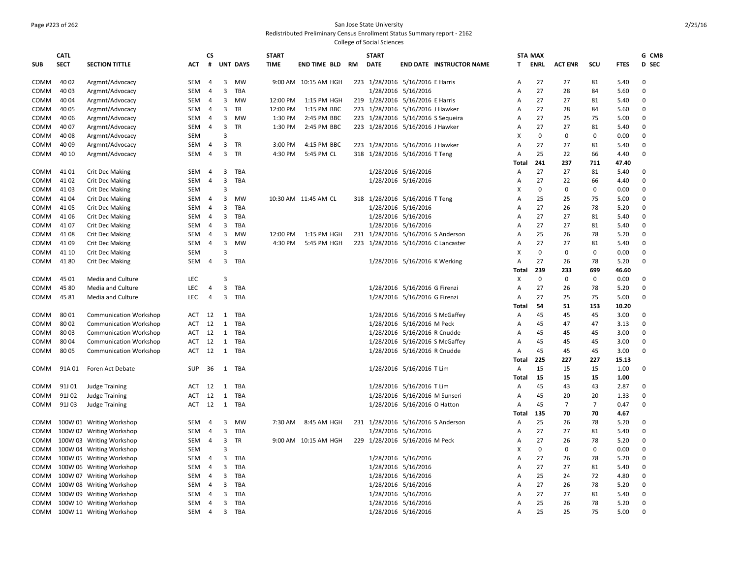## Page #223 of 262 San Jose State University

Redistributed Preliminary Census Enrollment Status Summary report - 2162

|             | <b>CATL</b> |                               |            | <b>CS</b>      |                         |                 | <b>START</b> |                      |    | <b>START</b>                        |                               |                                 |              | <b>STA MAX</b> |                |                |             | G CMB        |
|-------------|-------------|-------------------------------|------------|----------------|-------------------------|-----------------|--------------|----------------------|----|-------------------------------------|-------------------------------|---------------------------------|--------------|----------------|----------------|----------------|-------------|--------------|
| <b>SUB</b>  | <b>SECT</b> | <b>SECTION TITTLE</b>         | ACT        | #              |                         | <b>UNT DAYS</b> | <b>TIME</b>  | <b>END TIME BLD</b>  | RM | <b>DATE</b>                         |                               | <b>END DATE INSTRUCTOR NAME</b> | T.           | ENRL           | <b>ACT ENR</b> | scu            | <b>FTES</b> | <b>D</b> SEC |
|             |             |                               |            |                |                         |                 |              |                      |    |                                     |                               |                                 |              |                |                |                |             |              |
| COMM        | 40 02       | Argmnt/Advocacy               | <b>SEM</b> | 4              | 3                       | <b>MW</b>       |              | 9:00 AM 10:15 AM HGH |    | 223 1/28/2016 5/16/2016 E Harris    |                               |                                 | Α            | 27             | 27             | 81             | 5.40        | 0            |
| COMM        | 40 03       | Argmnt/Advocacy               | SEM        | 4              | 3                       | TBA             |              |                      |    |                                     | 1/28/2016 5/16/2016           |                                 | A            | 27             | 28             | 84             | 5.60        | 0            |
| <b>COMM</b> | 40 04       | Argmnt/Advocacy               | <b>SEM</b> | $\overline{4}$ | 3                       | <b>MW</b>       | 12:00 PM     | 1:15 PM HGH          |    | 219 1/28/2016 5/16/2016 E Harris    |                               |                                 | A            | 27             | 27             | 81             | 5.40        | 0            |
| <b>COMM</b> | 40 05       | Argmnt/Advocacy               | <b>SEM</b> | 4              | 3                       | TR              | 12:00 PM     | 1:15 PM BBC          |    | 223 1/28/2016 5/16/2016 J Hawker    |                               |                                 | A            | 27             | 28             | 84             | 5.60        | 0            |
| COMM        | 40 06       | Argmnt/Advocacy               | SEM        | 4              | 3                       | MW              | 1:30 PM      | 2:45 PM BBC          |    | 223 1/28/2016 5/16/2016 S Sequeira  |                               |                                 | A            | 27             | 25             | 75             | 5.00        | 0            |
| COMM        | 40 07       | Argmnt/Advocacy               | SEM        | 4              | 3                       | TR              | 1:30 PM      | 2:45 PM BBC          |    | 223 1/28/2016 5/16/2016 J Hawker    |                               |                                 | A            | 27             | 27             | 81             | 5.40        | 0            |
| <b>COMM</b> | 40 08       | Argmnt/Advocacy               | <b>SEM</b> |                | 3                       |                 |              |                      |    |                                     |                               |                                 | X            | $\mathbf 0$    | $\mathbf 0$    | $\mathbf 0$    | 0.00        | 0            |
| COMM        | 40 09       | Argmnt/Advocacy               | SEM        | $\overline{4}$ | 3                       | TR              | 3:00 PM      | 4:15 PM BBC          |    | 223 1/28/2016 5/16/2016 J Hawker    |                               |                                 | A            | 27             | 27             | 81             | 5.40        | 0            |
| <b>COMM</b> | 40 10       | Argmnt/Advocacy               | <b>SEM</b> | 4              | $\overline{\mathbf{3}}$ | <b>TR</b>       | 4:30 PM      | 5:45 PM CL           |    | 318 1/28/2016 5/16/2016 T Teng      |                               |                                 | A            | 25             | 22             | 66             | 4.40        | 0            |
|             |             |                               |            |                |                         |                 |              |                      |    |                                     |                               |                                 | Total        | 241            | 237            | 711            | 47.40       |              |
| COMM        | 41 01       | <b>Crit Dec Making</b>        | SEM        | $\overline{4}$ | 3                       | TBA             |              |                      |    |                                     | 1/28/2016 5/16/2016           |                                 | А            | 27             | 27             | 81             | 5.40        | 0            |
| COMM        | 41 02       | <b>Crit Dec Making</b>        | <b>SEM</b> | 4              | 3                       | <b>TBA</b>      |              |                      |    |                                     | 1/28/2016 5/16/2016           |                                 | А            | 27             | 22             | 66             | 4.40        | 0            |
| COMM        | 4103        | <b>Crit Dec Making</b>        | SEM        |                | $\overline{3}$          |                 |              |                      |    |                                     |                               |                                 | X            | $\pmb{0}$      | $\mathbf 0$    | $\mathbf 0$    | 0.00        | 0            |
| <b>COMM</b> | 41 04       | <b>Crit Dec Making</b>        | SEM        | $\overline{4}$ | 3                       | <b>MW</b>       |              | 10:30 AM 11:45 AM CL |    | 318 1/28/2016 5/16/2016 T Teng      |                               |                                 | A            | 25             | 25             | 75             | 5.00        | 0            |
| COMM        | 41 05       | <b>Crit Dec Making</b>        | SEM        | -4             | 3                       | TBA             |              |                      |    |                                     | 1/28/2016 5/16/2016           |                                 | A            | 27             | 26             | 78             | 5.20        | 0            |
| COMM        | 41 06       | <b>Crit Dec Making</b>        | <b>SEM</b> | 4              | 3                       | TBA             |              |                      |    |                                     | 1/28/2016 5/16/2016           |                                 | A            | 27             | 27             | 81             | 5.40        | $\mathbf{0}$ |
| COMM        | 41 07       | <b>Crit Dec Making</b>        | SEM        | 4              | 3                       | TBA             |              |                      |    |                                     | 1/28/2016 5/16/2016           |                                 | A            | 27             | 27             | 81             | 5.40        | 0            |
| COMM        | 41 08       | <b>Crit Dec Making</b>        | SEM        | 4              | 3                       | <b>MW</b>       | 12:00 PM     | 1:15 PM HGH          |    | 231 1/28/2016 5/16/2016 S Anderson  |                               |                                 | A            | 25             | 26             | 78             | 5.20        | $\mathbf 0$  |
| COMM        | 41 09       | <b>Crit Dec Making</b>        | SEM        | $\overline{4}$ | 3                       | <b>MW</b>       | 4:30 PM      | 5:45 PM HGH          |    | 223 1/28/2016 5/16/2016 C Lancaster |                               |                                 | A            | 27             | 27             | 81             | 5.40        | 0            |
| COMM        | 41 10       | <b>Crit Dec Making</b>        | <b>SEM</b> |                | 3                       |                 |              |                      |    |                                     |                               |                                 | X            | $\mathbf 0$    | $\mathbf 0$    | 0              | 0.00        | 0            |
| COMM        | 4180        | <b>Crit Dec Making</b>        | SEM        | 4              | 3                       | TBA             |              |                      |    |                                     | 1/28/2016 5/16/2016 K Werking |                                 | A            | 27             | 26             | 78             | 5.20        | 0            |
|             |             |                               |            |                |                         |                 |              |                      |    |                                     |                               |                                 | <b>Total</b> | 239            | 233            | 699            | 46.60       |              |
| <b>COMM</b> | 45 01       | Media and Culture             | <b>LEC</b> |                | 3                       |                 |              |                      |    |                                     |                               |                                 | X            | $\pmb{0}$      | $\mathbf 0$    | $\mathbf 0$    | 0.00        | 0            |
| COMM        | 45 80       | Media and Culture             | <b>LEC</b> | 4              | 3                       | TBA             |              |                      |    |                                     | 1/28/2016 5/16/2016 G Firenzi |                                 | A            | 27             | 26             | 78             | 5.20        | $\Omega$     |
| COMM        | 4581        | Media and Culture             | <b>LEC</b> | 4              | $\overline{3}$          | TBA             |              |                      |    |                                     | 1/28/2016 5/16/2016 G Firenzi |                                 | Α            | 27             | 25             | 75             | 5.00        | 0            |
|             |             |                               |            |                |                         |                 |              |                      |    |                                     |                               |                                 | Total        | 54             | 51             | 153            | 10.20       |              |
| <b>COMM</b> | 8001        | <b>Communication Workshop</b> | ACT        | 12             | 1                       | TBA             |              |                      |    |                                     |                               | 1/28/2016 5/16/2016 S McGaffey  | Α            | 45             | 45             | 45             | 3.00        | 0            |
| COMM        | 8002        | <b>Communication Workshop</b> | ACT        | 12             | 1                       | TBA             |              |                      |    |                                     | 1/28/2016 5/16/2016 M Peck    |                                 | А            | 45             | 47             | 47             | 3.13        | $\mathbf 0$  |
| <b>COMM</b> | 80 03       | <b>Communication Workshop</b> | ACT        | 12             | $\mathbf{1}$            | TBA             |              |                      |    |                                     | 1/28/2016 5/16/2016 R Cnudde  |                                 | A            | 45             | 45             | 45             | 3.00        | 0            |
| COMM        | 8004        | <b>Communication Workshop</b> | ACT        | 12             | 1                       | TBA             |              |                      |    |                                     |                               | 1/28/2016 5/16/2016 S McGaffey  | A            | 45             | 45             | 45             | 3.00        | $\mathbf 0$  |
| COMM        | 8005        | <b>Communication Workshop</b> | ACT        | 12             |                         | 1 TBA           |              |                      |    |                                     | 1/28/2016 5/16/2016 R Cnudde  |                                 | A            | 45             | 45             | 45             | 3.00        | $\Omega$     |
|             |             |                               |            |                |                         |                 |              |                      |    |                                     |                               |                                 | Total        | 225            | 227            | 227            | 15.13       |              |
| COMM        | 91A 01      | Foren Act Debate              | <b>SUP</b> | 36             |                         | 1 TBA           |              |                      |    |                                     | 1/28/2016 5/16/2016 T Lim     |                                 | Α            | 15             | 15             | 15             | 1.00        | 0            |
|             |             |                               |            |                |                         |                 |              |                      |    |                                     |                               |                                 | Total        | 15             | 15             | 15             | 1.00        |              |
| COMM        | 91J 01      | <b>Judge Training</b>         | ACT        | 12             | 1                       | TBA             |              |                      |    |                                     | 1/28/2016 5/16/2016 T Lim     |                                 | A            | 45             | 43             | 43             | 2.87        | $\Omega$     |
| COMM        | 91J 02      | <b>Judge Training</b>         | ACT        | 12             | $\mathbf{1}$            | TBA             |              |                      |    |                                     | 1/28/2016 5/16/2016 M Sunseri |                                 | Α            | 45             | 20             | 20             | 1.33        | $\mathbf 0$  |
| COMM        | 91J03       | <b>Judge Training</b>         | ACT        | 12             | 1                       | TBA             |              |                      |    |                                     | 1/28/2016 5/16/2016 O Hatton  |                                 | Α            | 45             | $\overline{7}$ | $\overline{7}$ | 0.47        | 0            |
|             |             |                               |            |                |                         |                 |              |                      |    |                                     |                               |                                 | Total        | 135            | 70             | 70             | 4.67        |              |
| COMM        |             | 100W 01 Writing Workshop      | SEM        | 4              | 3                       | MW              | 7:30 AM      | 8:45 AM HGH          |    | 231 1/28/2016 5/16/2016 S Anderson  |                               |                                 | Α            | 25             | 26             | 78             | 5.20        | 0            |
| COMM        |             | 100W 02 Writing Workshop      | <b>SEM</b> | -4             | 3                       | TBA             |              |                      |    |                                     | 1/28/2016 5/16/2016           |                                 | Α            | 27             | 27             | 81             | 5.40        | 0            |
| COMM        |             | 100W 03 Writing Workshop      | SEM        | $\overline{4}$ | $\overline{3}$          | TR              |              | 9:00 AM 10:15 AM HGH |    | 229 1/28/2016 5/16/2016 M Peck      |                               |                                 | А            | 27             | 26             | 78             | 5.20        | 0            |
| <b>COMM</b> |             | 100W 04 Writing Workshop      | <b>SEM</b> |                | 3                       |                 |              |                      |    |                                     |                               |                                 | X            | $\mathbf 0$    | $\Omega$       | $\mathbf 0$    | 0.00        | 0            |
| COMM        |             | 100W 05 Writing Workshop      | SEM        | $\overline{4}$ | 3                       | TBA             |              |                      |    |                                     | 1/28/2016 5/16/2016           |                                 | A            | 27             | 26             | 78             | 5.20        | 0            |
| COMM        |             | 100W 06 Writing Workshop      | SEM        | 4              | 3                       | <b>TBA</b>      |              |                      |    |                                     | 1/28/2016 5/16/2016           |                                 | A            | 27             | 27             | 81             | 5.40        | 0            |
| COMM        |             | 100W 07 Writing Workshop      | SEM        | 4              | 3                       | TBA             |              |                      |    |                                     | 1/28/2016 5/16/2016           |                                 | A            | 25             | 24             | 72             | 4.80        | 0            |
| COMM        |             | 100W 08 Writing Workshop      | SEM        | 4              | 3                       | TBA             |              |                      |    |                                     | 1/28/2016 5/16/2016           |                                 | A            | 27             | 26             | 78             | 5.20        | 0            |
| <b>COMM</b> |             | 100W 09 Writing Workshop      | <b>SEM</b> | -4             | 3                       | TBA             |              |                      |    |                                     | 1/28/2016 5/16/2016           |                                 | A            | 27             | 27             | 81             | 5.40        | 0            |
| COMM        |             | 100W 10 Writing Workshop      | <b>SEM</b> | 4              | 3                       | TBA             |              |                      |    |                                     | 1/28/2016 5/16/2016           |                                 | A            | 25             | 26             | 78             | 5.20        | 0            |
| COMM        |             | 100W 11 Writing Workshop      | SEM        | $\overline{4}$ | $\mathbf{3}$            | TBA             |              |                      |    |                                     | 1/28/2016 5/16/2016           |                                 | Α            | 25             | 25             | 75             | 5.00        | $\mathbf 0$  |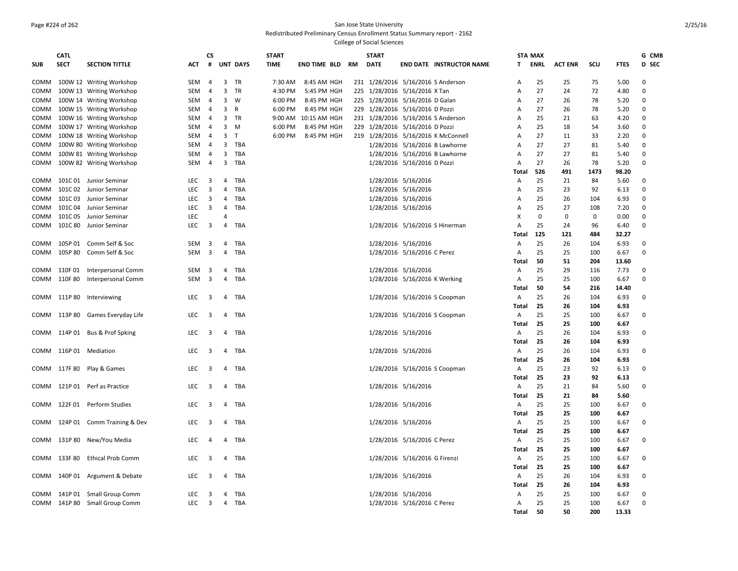#### Page #224 of 262 San Jose State University Redistributed Preliminary Census Enrollment Status Summary report - 2162

|             | <b>CATL</b> |                                  |            | <b>CS</b>               |                         |                 | <b>START</b> |                      |    | <b>START</b>                    |                               |                                     |            | <b>STA MAX</b> |                |             |              | G CMB        |
|-------------|-------------|----------------------------------|------------|-------------------------|-------------------------|-----------------|--------------|----------------------|----|---------------------------------|-------------------------------|-------------------------------------|------------|----------------|----------------|-------------|--------------|--------------|
| <b>SUB</b>  | <b>SECT</b> | <b>SECTION TITTLE</b>            | ACT        | #                       |                         | <b>UNT DAYS</b> | <b>TIME</b>  | <b>END TIME BLD</b>  | RM | <b>DATE</b>                     |                               | <b>END DATE INSTRUCTOR NAME</b>     | Τ          | ENRL           | <b>ACT ENR</b> | scu         | <b>FTES</b>  | <b>D</b> SEC |
|             |             | COMM 100W 12 Writing Workshop    | SEM        | $\overline{4}$          | $\overline{\mathbf{3}}$ | <b>TR</b>       | 7:30 AM      | 8:45 AM HGH          |    |                                 |                               | 231 1/28/2016 5/16/2016 S Anderson  | Α          | 25             | 25             | 75          | 5.00         | 0            |
| COMM        |             | 100W 13 Writing Workshop         | SEM        | $\overline{4}$          | 3                       | TR              | 4:30 PM      | 5:45 PM HGH          |    | 225 1/28/2016 5/16/2016 X Tan   |                               |                                     | Α          | 27             | 24             | 72          | 4.80         | 0            |
| COMM        |             | 100W 14 Writing Workshop         | <b>SEM</b> | 4                       | 3                       | W               | 6:00 PM      | 8:45 PM HGH          |    | 225 1/28/2016 5/16/2016 D Galan |                               |                                     | A          | 27             | 26             | 78          | 5.20         | 0            |
| COMM        |             | 100W 15 Writing Workshop         | SEM        | $\overline{4}$          | 3                       | R               | 6:00 PM      | 8:45 PM HGH          |    | 229 1/28/2016 5/16/2016 D Pozzi |                               |                                     | Α          | 27             | 26             | 78          | 5.20         | 0            |
| COMM        |             | 100W 16 Writing Workshop         | SEM        | 4                       | 3                       | TR              |              | 9:00 AM 10:15 AM HGH |    |                                 |                               | 231 1/28/2016 5/16/2016 S Anderson  | A          | 25             | 21             | 63          | 4.20         | 0            |
| <b>COMM</b> |             | 100W 17 Writing Workshop         | SEM        | $\overline{4}$          | 3                       | M               | 6:00 PM      | 8:45 PM HGH          |    | 229 1/28/2016 5/16/2016 D Pozzi |                               |                                     | Α          | 25             | 18             | 54          | 3.60         | 0            |
| COMM        |             | 100W 18 Writing Workshop         | <b>SEM</b> | 4                       | 3                       | $\top$          | 6:00 PM      | 8:45 PM HGH          |    |                                 |                               | 219 1/28/2016 5/16/2016 K McConnell | A          | 27             | 11             | 33          | 2.20         | 0            |
| COMM        |             | 100W 80 Writing Workshop         | SEM        | $\overline{4}$          | 3                       | TBA             |              |                      |    |                                 |                               | 1/28/2016 5/16/2016 B Lawhorne      | Α          | 27             | 27             | 81          | 5.40         | 0            |
| сомм        |             | 100W 81 Writing Workshop         | <b>SEM</b> | 4                       | $\overline{3}$          | TBA             |              |                      |    |                                 |                               | 1/28/2016 5/16/2016 B Lawhorne      | Α          | 27             | 27             | 81          | 5.40         | 0            |
| COMM        |             | 100W 82 Writing Workshop         | SEM        | $\overline{4}$          | $\overline{\mathbf{3}}$ | TBA             |              |                      |    |                                 | 1/28/2016 5/16/2016 D Pozzi   |                                     | Α          | 27             | 26             | 78          | 5.20         | 0            |
|             |             |                                  |            |                         |                         |                 |              |                      |    |                                 |                               |                                     | Total      | 526            | 491            | 1473        | 98.20        |              |
| COMM        |             | 101C 01 Junior Seminar           | LEC        | 3                       | 4                       | TBA             |              |                      |    |                                 | 1/28/2016 5/16/2016           |                                     | Α          | 25             | 21             | 84          | 5.60         | 0            |
| COMM        | 101C 02     | Junior Seminar                   | LEC        | $\overline{3}$          | 4                       | TBA             |              |                      |    |                                 | 1/28/2016 5/16/2016           |                                     | Α          | 25             | 23             | 92          | 6.13         | 0            |
| COMM        | 101C 03     | Junior Seminar                   | <b>LEC</b> | 3                       | 4                       | TBA             |              |                      |    |                                 | 1/28/2016 5/16/2016           |                                     | A          | 25             | 26             | 104         | 6.93         | 0            |
|             |             | COMM 101C 04 Junior Seminar      | <b>LEC</b> | 3                       | 4                       | TBA             |              |                      |    |                                 | 1/28/2016 5/16/2016           |                                     | A          | 25             | 27             | 108         | 7.20         | $\mathbf 0$  |
| сомм        |             | 101C 05 Junior Seminar           | <b>LEC</b> |                         | 4                       |                 |              |                      |    |                                 |                               |                                     | X          | $\mathbf 0$    | $\mathbf 0$    | $\mathbf 0$ | 0.00         | $\Omega$     |
| сомм        |             | 101C 80 Junior Seminar           | <b>LEC</b> | $\overline{3}$          | $\overline{4}$          | TBA             |              |                      |    |                                 |                               | 1/28/2016 5/16/2016 S Hinerman      | A          | 25             | 24             | 96          | 6.40         | 0            |
|             |             |                                  |            |                         |                         |                 |              |                      |    |                                 |                               |                                     | Total      | 125            | 121            | 484         | 32.27        |              |
|             |             | COMM 105P 01 Comm Self & Soc     | SEM        | $\overline{\mathbf{3}}$ | 4                       | TBA             |              |                      |    |                                 | 1/28/2016 5/16/2016           |                                     | Α          | 25             | 26             | 104         | 6.93         | 0            |
| COMM        | 105P 80     | Comm Self & Soc                  | <b>SEM</b> | $\overline{\mathbf{3}}$ | 4                       | TBA             |              |                      |    |                                 | 1/28/2016 5/16/2016 C Perez   |                                     | A          | 25             | 25             | 100         | 6.67         | 0            |
|             |             |                                  |            |                         |                         |                 |              |                      |    |                                 |                               |                                     | Total      | 50             | 51             | 204         | 13.60        |              |
| COMM        | 110F 01     | Interpersonal Comm               | SEM        | $\overline{\mathbf{3}}$ | 4                       | TBA             |              |                      |    |                                 | 1/28/2016 5/16/2016           |                                     | Α          | 25             | 29             | 116         | 7.73         | 0            |
| COMM        | 110F 80     | Interpersonal Comm               | SEM        | $\overline{3}$          | $\overline{4}$          | TBA             |              |                      |    |                                 | 1/28/2016 5/16/2016 K Werking |                                     | Α          | 25             | 25             | 100         | 6.67         | $\Omega$     |
|             |             |                                  |            |                         |                         |                 |              |                      |    |                                 |                               |                                     | Total      | 50             | 54             | 216         | 14.40        |              |
|             |             | COMM 111P 80 Interviewing        | <b>LEC</b> | 3                       | 4                       | TBA             |              |                      |    |                                 |                               | 1/28/2016 5/16/2016 S Coopman       | Α          | 25             | 26             | 104         | 6.93         | 0            |
|             |             |                                  | LEC        |                         |                         |                 |              |                      |    |                                 |                               |                                     | Total      | 25             | 26<br>25       | 104         | 6.93         |              |
|             |             | COMM 113P 80 Games Everyday Life |            | 3                       |                         | 4 TBA           |              |                      |    |                                 |                               | 1/28/2016 5/16/2016 S Coopman       | Α<br>Total | 25<br>25       | 25             | 100         | 6.67         | 0            |
|             |             | COMM 114P 01 Bus & Prof Spking   | <b>LEC</b> | 3                       |                         | 4 TBA           |              |                      |    |                                 | 1/28/2016 5/16/2016           |                                     | Α          | 25             | 26             | 100<br>104  | 6.67<br>6.93 | 0            |
|             |             |                                  |            |                         |                         |                 |              |                      |    |                                 |                               |                                     | Total      | 25             | 26             | 104         | 6.93         |              |
| COMM        |             | 116P 01 Mediation                | LEC        | 3                       | 4                       | TBA             |              |                      |    |                                 | 1/28/2016 5/16/2016           |                                     | Α          | 25             | 26             | 104         | 6.93         | 0            |
|             |             |                                  |            |                         |                         |                 |              |                      |    |                                 |                               |                                     | Total      | 25             | 26             | 104         | 6.93         |              |
|             |             | COMM 117F 80 Play & Games        | <b>LEC</b> | $\overline{\mathbf{3}}$ | 4                       | TBA             |              |                      |    |                                 |                               | 1/28/2016 5/16/2016 S Coopman       | Α          | 25             | 23             | 92          | 6.13         | $\Omega$     |
|             |             |                                  |            |                         |                         |                 |              |                      |    |                                 |                               |                                     | Total      | 25             | 23             | 92          | 6.13         |              |
| COMM        |             | 121P 01 Perf as Practice         | LEC        | 3                       | 4                       | TBA             |              |                      |    |                                 | 1/28/2016 5/16/2016           |                                     | A          | 25             | 21             | 84          | 5.60         | 0            |
|             |             |                                  |            |                         |                         |                 |              |                      |    |                                 |                               |                                     | Total      | 25             | 21             | 84          | 5.60         |              |
|             |             | COMM 122F 01 Perform Studies     | LEC        | $\overline{3}$          | 4                       | TBA             |              |                      |    |                                 | 1/28/2016 5/16/2016           |                                     | A          | 25             | 25             | 100         | 6.67         | 0            |
|             |             |                                  |            |                         |                         |                 |              |                      |    |                                 |                               |                                     | Total      | 25             | 25             | 100         | 6.67         |              |
| COMM        | 124P 01     | Comm Training & Dev              | LEC        | 3                       | 4                       | TBA             |              |                      |    |                                 | 1/28/2016 5/16/2016           |                                     | Α          | 25             | 25             | 100         | 6.67         | $\Omega$     |
|             |             |                                  |            |                         |                         |                 |              |                      |    |                                 |                               |                                     | Total      | 25             | 25             | 100         | 6.67         |              |
|             | COMM 131P80 | New/You Media                    | <b>LEC</b> | 4                       | 4                       | TBA             |              |                      |    |                                 | 1/28/2016 5/16/2016 C Perez   |                                     | Α          | 25             | 25             | 100         | 6.67         | 0            |
|             |             |                                  |            |                         |                         |                 |              |                      |    |                                 |                               |                                     | Total      | 25             | 25             | 100         | 6.67         |              |
| COMM        | 133F 80     | <b>Ethical Prob Comm</b>         | <b>LEC</b> | 3                       | 4                       | TBA             |              |                      |    |                                 | 1/28/2016 5/16/2016 G Firenzi |                                     | A          | 25             | 25             | 100         | 6.67         | 0            |
|             |             |                                  |            |                         |                         |                 |              |                      |    |                                 |                               |                                     | Total      | 25             | 25             | 100         | 6.67         |              |
|             |             | COMM 140P 01 Argument & Debate   | <b>LEC</b> | 3                       | 4                       | TBA             |              |                      |    |                                 | 1/28/2016 5/16/2016           |                                     | A          | 25             | 26             | 104         | 6.93         | 0            |
|             |             |                                  |            |                         |                         |                 |              |                      |    |                                 |                               |                                     | Total      | 25             | 26             | 104         | 6.93         |              |
| COMM        |             | 141P 01 Small Group Comm         | LEC        | 3                       | 4                       | TBA             |              |                      |    |                                 | 1/28/2016 5/16/2016           |                                     | Α          | 25             | 25             | 100         | 6.67         | $\Omega$     |
|             |             | COMM 141P 80 Small Group Comm    | LEC        | $\overline{\mathbf{3}}$ | 4                       | TBA             |              |                      |    |                                 | 1/28/2016 5/16/2016 C Perez   |                                     | Α          | 25             | 25             | 100         | 6.67         | 0            |
|             |             |                                  |            |                         |                         |                 |              |                      |    |                                 |                               |                                     | Total      | 50             | 50             | 200         | 13.33        |              |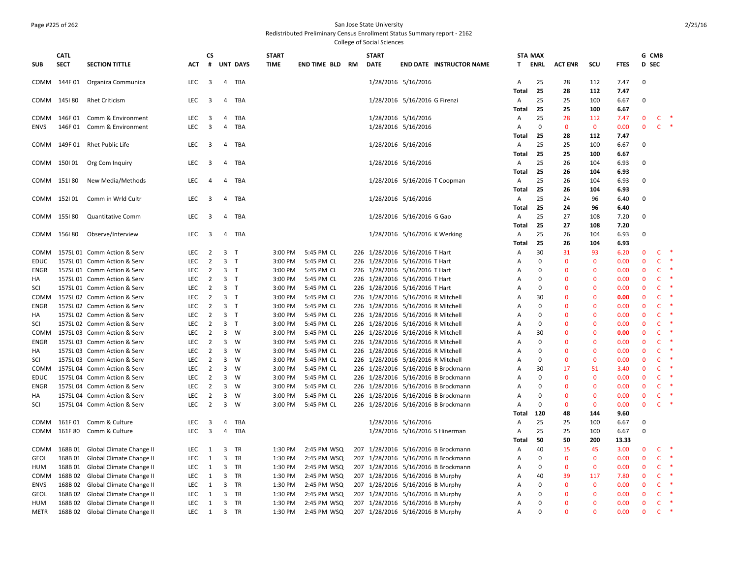## Page #225 of 262 San Jose State University

Redistributed Preliminary Census Enrollment Status Summary report - 2162

|                            | CATL        |                                                                      |                          | CS                      |                                  |                 | <b>START</b>       |                            | <b>START</b>                                                         |                               |                                     |              | <b>STA MAX</b> |                             |                              |              | G CMB                       |                              |        |
|----------------------------|-------------|----------------------------------------------------------------------|--------------------------|-------------------------|----------------------------------|-----------------|--------------------|----------------------------|----------------------------------------------------------------------|-------------------------------|-------------------------------------|--------------|----------------|-----------------------------|------------------------------|--------------|-----------------------------|------------------------------|--------|
| <b>SUB</b>                 | <b>SECT</b> | <b>SECTION TITTLE</b>                                                | <b>ACT</b>               | #                       |                                  | <b>UNT DAYS</b> | <b>TIME</b>        | <b>END TIME BLD RM</b>     | <b>DATE</b>                                                          |                               | <b>END DATE INSTRUCTOR NAME</b>     |              | T ENRL         | <b>ACT ENR</b>              | scu                          | <b>FTES</b>  | D SEC                       |                              |        |
|                            |             | COMM 144F 01 Organiza Communica                                      | LEC                      | $\overline{\mathbf{3}}$ | $\overline{4}$                   | TBA             |                    |                            |                                                                      | 1/28/2016 5/16/2016           |                                     | Α            | 25             | 28                          | 112                          | 7.47         | $\mathbf 0$                 |                              |        |
|                            |             |                                                                      |                          |                         |                                  |                 |                    |                            |                                                                      |                               |                                     | Total        | 25             | 28                          | 112                          | 7.47         |                             |                              |        |
| COMM                       | 145180      | <b>Rhet Criticism</b>                                                | LEC                      | 3                       | 4                                | TBA             |                    |                            |                                                                      | 1/28/2016 5/16/2016 G Firenzi |                                     | Α            | 25             | 25<br>25                    | 100                          | 6.67         | 0                           |                              |        |
| COMM                       | 146F 01     | Comm & Environment                                                   | LEC                      | $\overline{\mathbf{3}}$ | 4                                | TBA             |                    |                            |                                                                      | 1/28/2016 5/16/2016           |                                     | Total<br>Α   | 25<br>25       | 28                          | 100<br>112                   | 6.67<br>7.47 | $\mathbf 0$                 | $\mathsf{C}$                 |        |
| ENVS                       | 146F01      | Comm & Environment                                                   | LEC                      | $\overline{3}$          | 4                                | TBA             |                    |                            |                                                                      | 1/28/2016 5/16/2016           |                                     | Α            | 0              | $\mathbf 0$                 | $\mathbf 0$                  | 0.00         | $\mathbf{0}$                | $\mathsf{C}$                 | $\ast$ |
|                            |             |                                                                      |                          |                         |                                  |                 |                    |                            |                                                                      |                               |                                     | Total        | 25             | 28                          | 112                          | 7.47         |                             |                              |        |
| COMM                       |             | 149F 01 Rhet Public Life                                             | LEC                      | $\overline{\mathbf{3}}$ | 4                                | TBA             |                    |                            |                                                                      | 1/28/2016 5/16/2016           |                                     | A            | 25             | 25                          | 100                          | 6.67         | 0                           |                              |        |
|                            |             |                                                                      |                          |                         |                                  |                 |                    |                            |                                                                      |                               |                                     | Total        | 25             | 25                          | 100                          | 6.67         |                             |                              |        |
|                            | COMM 150101 | Org Com Inquiry                                                      | LEC                      | 3                       | $\overline{4}$                   | TBA             |                    |                            |                                                                      | 1/28/2016 5/16/2016           |                                     | A            | 25             | 26                          | 104                          | 6.93         | $\Omega$                    |                              |        |
|                            |             |                                                                      |                          |                         |                                  |                 |                    |                            |                                                                      |                               |                                     | Total        | 25             | 26                          | 104                          | 6.93         |                             |                              |        |
| COMM                       | 151180      | New Media/Methods                                                    | LEC                      | $\overline{4}$          | 4                                | TBA             |                    |                            |                                                                      | 1/28/2016 5/16/2016 T Coopman |                                     | Α            | 25             | 26                          | 104                          | 6.93         | 0                           |                              |        |
|                            |             |                                                                      |                          |                         |                                  |                 |                    |                            |                                                                      |                               |                                     | Total        | 25             | 26                          | 104                          | 6.93         |                             |                              |        |
| COMM                       | 152101      | Comm in Wrld Cultr                                                   | LEC                      | 3                       | 4                                | TBA             |                    |                            |                                                                      | 1/28/2016 5/16/2016           |                                     | Α            | 25             | 24                          | 96                           | 6.40         | 0                           |                              |        |
|                            |             |                                                                      |                          |                         |                                  |                 |                    |                            |                                                                      |                               |                                     | Total        | 25             | 24                          | 96                           | 6.40         |                             |                              |        |
| COMM                       | 155I 80     | <b>Quantitative Comm</b>                                             | LEC                      | $\overline{\mathbf{3}}$ |                                  | 4 TBA           |                    |                            |                                                                      | 1/28/2016 5/16/2016 G Gao     |                                     | Α            | 25             | 27                          | 108                          | 7.20         | $\Omega$                    |                              |        |
|                            |             |                                                                      |                          |                         |                                  |                 |                    |                            |                                                                      |                               |                                     | <b>Total</b> | 25             | 27                          | 108                          | 7.20         |                             |                              |        |
|                            | COMM 156180 | Observe/Interview                                                    | LEC                      | $\overline{\mathbf{3}}$ |                                  | 4 TBA           |                    |                            |                                                                      | 1/28/2016 5/16/2016 K Werking |                                     | Α            | 25             | 26                          | 104                          | 6.93         | $\Omega$                    |                              |        |
|                            |             |                                                                      |                          |                         |                                  |                 |                    |                            |                                                                      |                               |                                     | <b>Total</b> | 25             | 26                          | 104                          | 6.93         |                             |                              |        |
| COMM                       |             | 157SL 01 Comm Action & Serv                                          | LEC                      | $\overline{2}$          | 3 <sub>T</sub>                   |                 | 3:00 PM            | 5:45 PM CL                 | 226 1/28/2016 5/16/2016 T Hart                                       |                               |                                     | Α            | 30             | 31                          | 93                           | 6.20         | $\mathbf 0$                 | $\mathsf{C}$                 |        |
| <b>EDUC</b>                |             | 157SL 01 Comm Action & Serv                                          | LEC                      | $\overline{2}$          | $\overline{3}$                   | T               | 3:00 PM            | 5:45 PM CL                 | 226 1/28/2016 5/16/2016 T Hart                                       |                               |                                     | Α            | 0              | $\mathbf 0$                 | $\mathbf 0$                  | 0.00         | $\mathbf 0$                 | $\mathsf{C}$                 |        |
| ENGR                       |             | 157SL 01 Comm Action & Serv                                          | LEC                      | $\overline{2}$          | 3 <sub>T</sub><br>3 <sub>T</sub> |                 | 3:00 PM            | 5:45 PM CL                 | 226 1/28/2016 5/16/2016 T Hart                                       |                               |                                     | Α            | 0<br>0         | $\Omega$<br>$\Omega$        | $\mathbf{0}$<br>$\mathbf{0}$ | 0.00         | $\mathbf{0}$                | $\mathsf{C}$<br>$\mathsf{C}$ |        |
| HA<br>SCI                  |             | 157SL 01 Comm Action & Serv                                          | <b>LEC</b><br><b>LEC</b> | $\overline{2}$<br>2     | 3 <sub>T</sub>                   |                 | 3:00 PM<br>3:00 PM | 5:45 PM CL<br>5:45 PM CL   | 226 1/28/2016 5/16/2016 T Hart<br>226 1/28/2016 5/16/2016 T Hart     |                               |                                     | Α            | 0              | $\Omega$                    | $\Omega$                     | 0.00<br>0.00 | $\mathbf 0$<br>$\mathbf{0}$ | $\mathsf{C}$                 |        |
| COMM                       |             | 157SL 01 Comm Action & Serv<br>157SL 02 Comm Action & Serv           | LEC                      | $\overline{2}$          | 3 <sub>T</sub>                   |                 | 3:00 PM            | 5:45 PM CL                 | 226 1/28/2016 5/16/2016 R Mitchell                                   |                               |                                     | Α<br>Α       | 30             | $\Omega$                    | $\Omega$                     | 0.00         | $\mathbf{0}$                | $\mathsf{C}$                 |        |
| <b>ENGR</b>                |             | 157SL 02 Comm Action & Serv                                          | LEC                      | $\overline{2}$          | 3 <sub>T</sub>                   |                 | 3:00 PM            | 5:45 PM CL                 | 226 1/28/2016 5/16/2016 R Mitchell                                   |                               |                                     | Α            | 0              | $\Omega$                    | $\Omega$                     | 0.00         | $\mathbf{0}$                | $\mathsf{C}$                 |        |
| HA                         |             | 157SL 02 Comm Action & Serv                                          | LEC                      | $\overline{2}$          | 3 <sub>T</sub>                   |                 | 3:00 PM            | 5:45 PM CL                 | 226 1/28/2016 5/16/2016 R Mitchell                                   |                               |                                     | Α            | 0              | $\Omega$                    | $\Omega$                     | 0.00         | $\mathbf{0}$                | $\mathsf{C}$                 |        |
| SCI                        |             | 157SL 02 Comm Action & Serv                                          | LEC                      | $\overline{2}$          | $\overline{\mathbf{3}}$          | $\top$          | 3:00 PM            | 5:45 PM CL                 | 226 1/28/2016 5/16/2016 R Mitchell                                   |                               |                                     | Α            | 0              | $\overline{0}$              | $\mathbf{0}$                 | 0.00         | $\mathbf 0$                 | $\mathsf{C}$                 |        |
| COMM                       |             | 157SL 03 Comm Action & Serv                                          | LEC                      | $\overline{2}$          |                                  | $3 \quad W$     | 3:00 PM            | 5:45 PM CL                 | 226 1/28/2016 5/16/2016 R Mitchell                                   |                               |                                     | Α            | 30             | $\mathbf{0}$                | $\mathbf{0}$                 | 0.00         | $\mathbf 0$                 | $\mathsf{C}$                 |        |
| ENGR                       |             | 157SL 03 Comm Action & Serv                                          | <b>LEC</b>               | $\overline{2}$          | 3                                | W               | 3:00 PM            | 5:45 PM CL                 | 226 1/28/2016 5/16/2016 R Mitchell                                   |                               |                                     | Α            | $\Omega$       | $\Omega$                    | $\Omega$                     | 0.00         | $\mathbf{0}$                | $\mathsf{C}$                 |        |
| HA                         |             | 157SL 03 Comm Action & Serv                                          | LEC                      | $\overline{2}$          | 3                                | W               | 3:00 PM            | 5:45 PM CL                 | 226 1/28/2016 5/16/2016 R Mitchell                                   |                               |                                     | Α            | $\mathbf 0$    | $\Omega$                    | $\mathbf{0}$                 | 0.00         | $\mathbf{0}$                | $\mathsf{C}$                 |        |
| SCI                        |             | 157SL 03 Comm Action & Serv                                          | LEC                      | $\overline{2}$          | $\overline{3}$                   | W               | 3:00 PM            | 5:45 PM CL                 | 226 1/28/2016 5/16/2016 R Mitchell                                   |                               |                                     | Α            | $\Omega$       | $\mathbf 0$                 | $\Omega$                     | 0.00         | $\mathbf 0$                 | $\mathsf{C}$                 |        |
| COMM                       |             | 157SL 04 Comm Action & Serv                                          | LEC                      | $\overline{2}$          | 3                                | W               | 3:00 PM            | 5:45 PM CL                 |                                                                      |                               | 226 1/28/2016 5/16/2016 B Brockmann | Α            | 30             | 17                          | 51                           | 3.40         | $\mathbf{0}$                | $\mathsf{C}$                 |        |
| <b>EDUC</b>                |             | 157SL 04 Comm Action & Serv                                          | LEC                      | $\overline{2}$          | $\overline{\mathbf{3}}$          | W               | 3:00 PM            | 5:45 PM CL                 |                                                                      |                               | 226 1/28/2016 5/16/2016 B Brockmann | Α            | 0              | $\Omega$                    | $\mathbf{0}$                 | 0.00         | $\mathbf{0}$                | $\mathsf{C}$                 |        |
| ENGR                       |             | 157SL 04 Comm Action & Serv                                          | LEC                      | $\overline{2}$          | $\overline{3}$                   | W               | 3:00 PM            | 5:45 PM CL                 |                                                                      |                               | 226 1/28/2016 5/16/2016 B Brockmann | Α            | 0              | $\Omega$                    | $\mathbf{0}$                 | 0.00         | $\mathbf{0}$                | $\mathsf{C}$                 |        |
| HA                         |             | 157SL 04 Comm Action & Serv                                          | LEC                      | $\overline{2}$          | 3                                | W               | 3:00 PM            | 5:45 PM CL                 |                                                                      |                               | 226 1/28/2016 5/16/2016 B Brockmann | Α            | 0              | $\mathbf{0}$                | $\mathbf{0}$                 | 0.00         | $\mathbf 0$                 | $\mathsf{C}$                 |        |
| SCI                        |             | 157SL 04 Comm Action & Serv                                          | LEC                      | $\overline{2}$          | 3                                | W               | 3:00 PM            | 5:45 PM CL                 |                                                                      |                               | 226 1/28/2016 5/16/2016 B Brockmann | Α            | 0              | $\mathbf 0$                 | $\mathbf{0}$                 | 0.00         | $\mathbf 0$                 | $\mathsf{C}$                 | $\ast$ |
|                            |             |                                                                      |                          |                         |                                  |                 |                    |                            |                                                                      |                               |                                     | Total        | 120            | 48                          | 144                          | 9.60         |                             |                              |        |
| COMM                       |             | 161F 01 Comm & Culture                                               | LEC                      | 3                       | 4                                | TBA             |                    |                            |                                                                      | 1/28/2016 5/16/2016           |                                     | Α            | 25             | 25                          | 100                          | 6.67         | 0                           |                              |        |
| COMM                       | 161F 80     | Comm & Culture                                                       | LEC                      | $\overline{3}$          | $\overline{4}$                   | TBA             |                    |                            |                                                                      |                               | 1/28/2016 5/16/2016 S Hinerman      | Α            | 25             | 25                          | 100                          | 6.67         | 0                           |                              |        |
|                            |             |                                                                      |                          |                         |                                  |                 |                    |                            |                                                                      |                               |                                     | Total        | 50             | 50                          | 200                          | 13.33        |                             |                              |        |
| COMM                       | 168B 01     | Global Climate Change II                                             | LEC                      | 1                       | 3                                | TR              | 1:30 PM            | 2:45 PM WSQ                |                                                                      |                               | 207 1/28/2016 5/16/2016 B Brockmann | Α            | 40             | 15                          | 45                           | 3.00         | $\mathbf 0$                 | $\mathsf{C}$                 |        |
| <b>GEOL</b>                | 168B01      | Global Climate Change II                                             | LEC                      | 1                       | $\overline{3}$                   | TR              | 1:30 PM            | 2:45 PM WSQ                |                                                                      |                               | 207 1/28/2016 5/16/2016 B Brockmann | Α            | 0              | $\mathbf 0$                 | $\mathbf 0$                  | 0.00         | $\mathbf 0$                 | $\mathsf{C}$                 |        |
| <b>HUM</b>                 | 168B01      | Global Climate Change II                                             | LEC                      | 1                       | $\overline{3}$                   | TR              | 1:30 PM            | 2:45 PM WSQ                |                                                                      |                               | 207 1/28/2016 5/16/2016 B Brockmann | Α            | 0              | $\mathbf 0$                 | $\mathbf{0}$                 | 0.00         | $\mathbf{0}$                | $\mathsf{C}$                 |        |
| COMM                       |             | 168B 02 Global Climate Change II                                     | LEC                      | 1                       | $\overline{\mathbf{3}}$          | TR              | 1:30 PM            | 2:45 PM WSQ                | 207 1/28/2016 5/16/2016 B Murphy                                     |                               |                                     | Α            | 40             | 39                          | 117                          | 7.80         | $\mathbf 0$                 | $\mathsf{C}$                 |        |
| <b>ENVS</b><br><b>GEOL</b> |             | 168B 02 Global Climate Change II<br>168B 02 Global Climate Change II | LEC<br>LEC               | $\mathbf{1}$<br>1       | 3<br>3                           | TR<br>TR        | 1:30 PM<br>1:30 PM | 2:45 PM WSQ<br>2:45 PM WSQ | 207 1/28/2016 5/16/2016 B Murphy<br>207 1/28/2016 5/16/2016 B Murphy |                               |                                     | Α<br>A       | $\Omega$<br>0  | $\mathbf 0$<br>$\mathbf{0}$ | $\mathbf 0$<br>$\mathbf{0}$  | 0.00<br>0.00 | $\mathbf 0$<br>$\mathbf{0}$ | $\mathsf{C}$<br>$\mathsf{C}$ |        |
| <b>HUM</b>                 |             | 168B 02 Global Climate Change II                                     | LEC                      | 1                       |                                  | 3 TR            | 1:30 PM            | 2:45 PM WSQ                | 207 1/28/2016 5/16/2016 B Murphy                                     |                               |                                     | Α            | 0              | $\Omega$                    | $\mathbf{0}$                 | 0.00         | $\mathbf{0}$                | $\mathsf{C}$                 |        |
| <b>METR</b>                |             | 168B 02 Global Climate Change II                                     | LEC                      | $\overline{1}$          |                                  | 3 TR            | 1:30 PM            | 2:45 PM WSQ                | 207 1/28/2016 5/16/2016 B Murphy                                     |                               |                                     | A            | $\Omega$       | $\Omega$                    | $\Omega$                     | 0.00         | $\mathbf{0}$                | $\mathsf{C}$                 | $\ast$ |
|                            |             |                                                                      |                          |                         |                                  |                 |                    |                            |                                                                      |                               |                                     |              |                |                             |                              |              |                             |                              |        |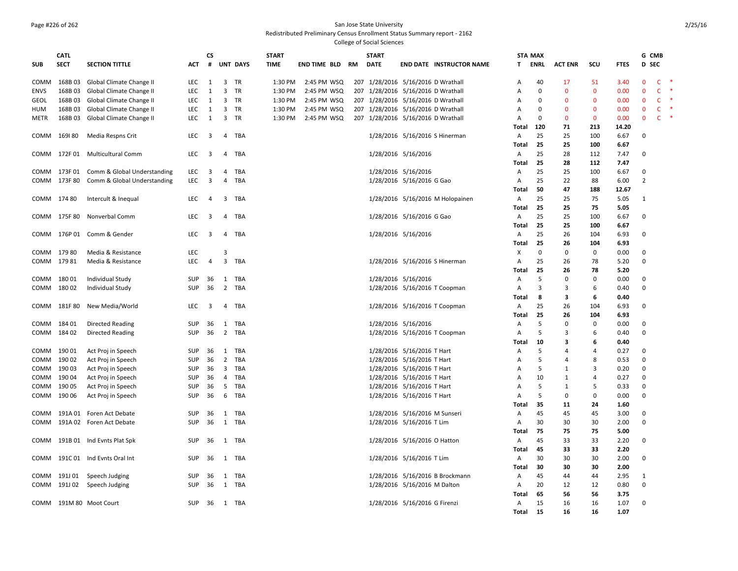#### Page #226 of 262 San Jose State University Redistributed Preliminary Census Enrollment Status Summary report - 2162

|             | <b>CATL</b>  |                             |            | <b>CS</b>               |                         |                 | <b>START</b> |              |    | <b>START</b> |                                    |                                  |                         | <b>STA MAX</b> |                |              |              | G CMB          |              |        |
|-------------|--------------|-----------------------------|------------|-------------------------|-------------------------|-----------------|--------------|--------------|----|--------------|------------------------------------|----------------------------------|-------------------------|----------------|----------------|--------------|--------------|----------------|--------------|--------|
| <b>SUB</b>  | <b>SECT</b>  | <b>SECTION TITTLE</b>       | ACT        | #                       |                         | <b>UNT DAYS</b> | <b>TIME</b>  | END TIME BLD | RM | <b>DATE</b>  |                                    | <b>END DATE INSTRUCTOR NAME</b>  | T.                      | ENRL           | <b>ACT ENR</b> | scu          | <b>FTES</b>  | D SEC          |              |        |
|             |              |                             |            |                         |                         |                 |              |              |    |              |                                    |                                  |                         |                |                |              |              |                |              |        |
| COMM        | 168B03       | Global Climate Change II    | <b>LEC</b> | 1                       | 3                       | - TR            | 1:30 PM      | 2:45 PM WSQ  |    |              | 207 1/28/2016 5/16/2016 D Wrathall |                                  | $\overline{A}$          | 40             | 17             | 51           | 3.40         | $\mathbf{0}$   | $\mathsf{C}$ | -*     |
| <b>ENVS</b> | 168B03       | Global Climate Change II    | LEC        | 1                       | $\overline{3}$          | TR              | 1:30 PM      | 2:45 PM WSQ  |    |              | 207 1/28/2016 5/16/2016 D Wrathall |                                  | A                       | $\mathbf 0$    | $\mathbf 0$    | $\mathbf 0$  | 0.00         | $\mathbf 0$    | $\mathsf{C}$ | $\ast$ |
| GEOL        | 168B03       | Global Climate Change II    | <b>LEC</b> | 1                       | 3                       | - TR            | 1:30 PM      | 2:45 PM WSQ  |    |              | 207 1/28/2016 5/16/2016 D Wrathall |                                  | A                       | $\Omega$       | $\mathbf{0}$   | $\mathbf{0}$ | 0.00         | $\mathbf{0}$   | $\mathsf{C}$ |        |
| HUM         | 168B03       | Global Climate Change II    | LEC        | 1                       | 3                       | TR              | 1:30 PM      | 2:45 PM WSQ  |    |              | 207 1/28/2016 5/16/2016 D Wrathall |                                  | A                       | $\Omega$       | $\mathbf{0}$   | $\mathbf 0$  | 0.00         | $\mathbf{0}$   | $\mathsf{C}$ |        |
| METR        | 168B03       | Global Climate Change II    | LEC        | 1                       | 3                       | TR              | 1:30 PM      | 2:45 PM WSQ  |    |              | 207 1/28/2016 5/16/2016 D Wrathall |                                  | A                       | $\Omega$       | $\mathbf 0$    | $\mathbf 0$  | 0.00         | $\mathbf 0$    | $\mathsf{C}$ |        |
|             |              |                             |            |                         |                         |                 |              |              |    |              |                                    |                                  | Total                   | 120            | 71             | 213          | 14.20        |                |              |        |
| COMM        | 169180       | Media Respns Crit           | LEC        | 3                       | 4                       | TBA             |              |              |    |              |                                    | 1/28/2016 5/16/2016 S Hinerman   | $\overline{A}$          | 25             | 25             | 100          | 6.67         | 0              |              |        |
|             | COMM 172F 01 |                             |            |                         |                         | TBA             |              |              |    |              |                                    |                                  | Total                   | 25<br>25       | 25<br>28       | 100          | 6.67         | 0              |              |        |
|             |              | <b>Multicultural Comm</b>   | LEC        | $\overline{\mathbf{3}}$ | 4                       |                 |              |              |    |              | 1/28/2016 5/16/2016                |                                  | $\overline{A}$<br>Total | 25             | 28             | 112<br>112   | 7.47<br>7.47 |                |              |        |
| COMM        | 173F01       | Comm & Global Understanding | LEC        | 3                       | 4                       | TBA             |              |              |    |              | 1/28/2016 5/16/2016                |                                  |                         | 25             | 25             | 100          | 6.67         | $\mathbf 0$    |              |        |
|             | COMM 173F 80 | Comm & Global Understanding | <b>LEC</b> | 3                       | $\overline{4}$          | TBA             |              |              |    |              | 1/28/2016 5/16/2016 G Gao          |                                  | A<br>A                  | 25             | 22             | 88           | 6.00         | $\overline{2}$ |              |        |
|             |              |                             |            |                         |                         |                 |              |              |    |              |                                    |                                  | Total                   | 50             | 47             | 188          | 12.67        |                |              |        |
| COMM 174 80 |              | Intercult & Inequal         | <b>LEC</b> | 4                       | 3                       | TBA             |              |              |    |              |                                    | 1/28/2016 5/16/2016 M Holopainen | $\mathsf{A}$            | 25             | 25             | 75           | 5.05         | $\mathbf{1}$   |              |        |
|             |              |                             |            |                         |                         |                 |              |              |    |              |                                    |                                  | Total                   | 25             | 25             | 75           | 5.05         |                |              |        |
|             | COMM 175F 80 | Nonverbal Comm              | LEC        | 3                       | $\overline{4}$          | TBA             |              |              |    |              | 1/28/2016 5/16/2016 G Gao          |                                  | A                       | 25             | 25             | 100          | 6.67         | 0              |              |        |
|             |              |                             |            |                         |                         |                 |              |              |    |              |                                    |                                  | Total                   | 25             | 25             | 100          | 6.67         |                |              |        |
| COMM        | 176P 01      | Comm & Gender               | LEC        | 3                       | 4                       | TBA             |              |              |    |              | 1/28/2016 5/16/2016                |                                  | A                       | 25             | 26             | 104          | 6.93         | 0              |              |        |
|             |              |                             |            |                         |                         |                 |              |              |    |              |                                    |                                  | Total                   | 25             | 26             | 104          | 6.93         |                |              |        |
| COMM 179 80 |              | Media & Resistance          | LEC        |                         | 3                       |                 |              |              |    |              |                                    |                                  | X                       | $\Omega$       | 0              | 0            | 0.00         | $\Omega$       |              |        |
| COMM 17981  |              | Media & Resistance          | <b>LEC</b> | $\overline{4}$          | $\overline{3}$          | TBA             |              |              |    |              | 1/28/2016 5/16/2016 S Hinerman     |                                  | $\mathsf{A}$            | 25             | 26             | 78           | 5.20         | 0              |              |        |
|             |              |                             |            |                         |                         |                 |              |              |    |              |                                    |                                  | Total                   | 25             | 26             | 78           | 5.20         |                |              |        |
| COMM        | 18001        | <b>Individual Study</b>     | SUP        | 36                      | 1                       | TBA             |              |              |    |              | 1/28/2016 5/16/2016                |                                  | A                       | 5              | 0              | 0            | 0.00         | $\Omega$       |              |        |
| COMM        | 18002        | <b>Individual Study</b>     | <b>SUP</b> | 36                      | $\overline{2}$          | TBA             |              |              |    |              | 1/28/2016 5/16/2016 T Coopman      |                                  | A                       | 3              | 3              | 6            | 0.40         | $\mathbf 0$    |              |        |
|             |              |                             |            |                         |                         |                 |              |              |    |              |                                    |                                  | Total                   | 8              | 3              | 6            | 0.40         |                |              |        |
|             | COMM 181F80  | New Media/World             | LEC        | 3                       |                         | 4 TBA           |              |              |    |              | 1/28/2016 5/16/2016 T Coopman      |                                  | A                       | 25             | 26             | 104          | 6.93         | $\Omega$       |              |        |
|             |              |                             |            |                         |                         |                 |              |              |    |              |                                    |                                  | Total                   | 25             | 26             | 104          | 6.93         |                |              |        |
| COMM 184 01 |              | Directed Reading            | SUP        | 36                      | 1                       | TBA             |              |              |    |              | 1/28/2016 5/16/2016                |                                  | A                       | -5             | 0              | 0            | 0.00         | $\mathbf 0$    |              |        |
| COMM 184 02 |              | <b>Directed Reading</b>     | SUP        | 36                      |                         | 2 TBA           |              |              |    |              | 1/28/2016 5/16/2016 T Coopman      |                                  | Α                       | -5             | 3              | 6            | 0.40         | $\mathbf 0$    |              |        |
|             |              |                             |            |                         |                         |                 |              |              |    |              |                                    |                                  | Total                   | 10             | 3              | 6            | 0.40         |                |              |        |
| COMM        | 19001        | Act Proj in Speech          | SUP        | 36                      | 1                       | TBA             |              |              |    |              | 1/28/2016 5/16/2016 T Hart         |                                  | Α                       | 5              | 4              | 4            | 0.27         | $\Omega$       |              |        |
| COMM        | 190 02       | Act Proj in Speech          | SUP        | 36                      | $\overline{2}$          | TBA             |              |              |    |              | 1/28/2016 5/16/2016 T Hart         |                                  | А                       | 5              | 4              | 8            | 0.53         | 0              |              |        |
| COMM        | 190 03       | Act Proj in Speech          | SUP        | 36                      | $\overline{\mathbf{3}}$ | TBA             |              |              |    |              | 1/28/2016 5/16/2016 T Hart         |                                  | Α                       | 5              | $\mathbf{1}$   | 3            | 0.20         | $\mathbf 0$    |              |        |
| COMM        | 19004        | Act Proj in Speech          | SUP        | 36                      | 4                       | TBA             |              |              |    |              | 1/28/2016 5/16/2016 T Hart         |                                  | A                       | 10             | 1              | 4            | 0.27         | $\Omega$       |              |        |
| COMM        | 190 05       | Act Proj in Speech          | SUP        | 36                      | 5                       | TBA             |              |              |    |              | 1/28/2016 5/16/2016 T Hart         |                                  | Α                       | 5              | $\mathbf{1}$   | 5            | 0.33         | $\mathbf 0$    |              |        |
| COMM        | 190 06       | Act Proj in Speech          | <b>SUP</b> | 36                      | 6                       | TBA             |              |              |    |              | 1/28/2016 5/16/2016 T Hart         |                                  | A                       | 5              | 0              | 0            | 0.00         | $\Omega$       |              |        |
|             |              |                             |            |                         |                         |                 |              |              |    |              |                                    |                                  | Total                   | 35             | 11             | 24           | 1.60         |                |              |        |
| COMM        | 191A 01      | Foren Act Debate            | SUP        | 36                      |                         | 1 TBA           |              |              |    |              | 1/28/2016 5/16/2016 M Sunseri      |                                  | A                       | 45             | 45             | 45           | 3.00         | $\Omega$       |              |        |
| COMM        |              | 191A 02 Foren Act Debate    | SUP        | 36                      |                         | 1 TBA           |              |              |    |              | 1/28/2016 5/16/2016 T Lim          |                                  | $\mathsf{A}$            | 30             | 30             | 30           | 2.00         | $\Omega$       |              |        |
|             |              |                             |            |                         |                         |                 |              |              |    |              |                                    |                                  | Total                   | 75             | 75             | 75           | 5.00         |                |              |        |
| COMM        | 191B 01      | Ind Evnts Plat Spk          | SUP        | 36                      | 1                       | TBA             |              |              |    |              | 1/28/2016 5/16/2016 O Hatton       |                                  | A                       | 45             | 33             | 33           | 2.20         | 0              |              |        |
|             |              |                             |            |                         |                         |                 |              |              |    |              |                                    |                                  | Total                   | 45             | 33             | 33           | 2.20         |                |              |        |
| COMM        | 191C 01      | Ind Evnts Oral Int          | SUP        | 36                      | 1                       | TBA             |              |              |    |              | 1/28/2016 5/16/2016 T Lim          |                                  | A                       | 30             | 30             | 30           | 2.00         | $\mathbf 0$    |              |        |
|             |              |                             |            |                         |                         |                 |              |              |    |              |                                    |                                  | Total                   | 30             | 30             | 30           | 2.00         |                |              |        |
| COMM        | 191J 01      | Speech Judging              | SUP        | 36                      | 1                       | TBA             |              |              |    |              |                                    | 1/28/2016 5/16/2016 B Brockmann  | A                       | 45             | 44             | 44           | 2.95         | 1              |              |        |
| COMM        | 191J 02      | Speech Judging              | <b>SUP</b> | 36                      | 1                       | TBA             |              |              |    |              | 1/28/2016 5/16/2016 M Dalton       |                                  | A                       | 20             | 12             | 12           | 0.80         | $\mathbf 0$    |              |        |
|             |              |                             |            |                         |                         |                 |              |              |    |              |                                    |                                  | Total                   | 65             | 56             | 56           | 3.75         |                |              |        |
|             |              | COMM 191M 80 Moot Court     | SUP        | 36                      |                         | 1 TBA           |              |              |    |              | 1/28/2016 5/16/2016 G Firenzi      |                                  | A                       | 15             | 16             | 16           | 1.07         | $\mathbf 0$    |              |        |
|             |              |                             |            |                         |                         |                 |              |              |    |              |                                    |                                  | Total                   | 15             | 16             | 16           | 1.07         |                |              |        |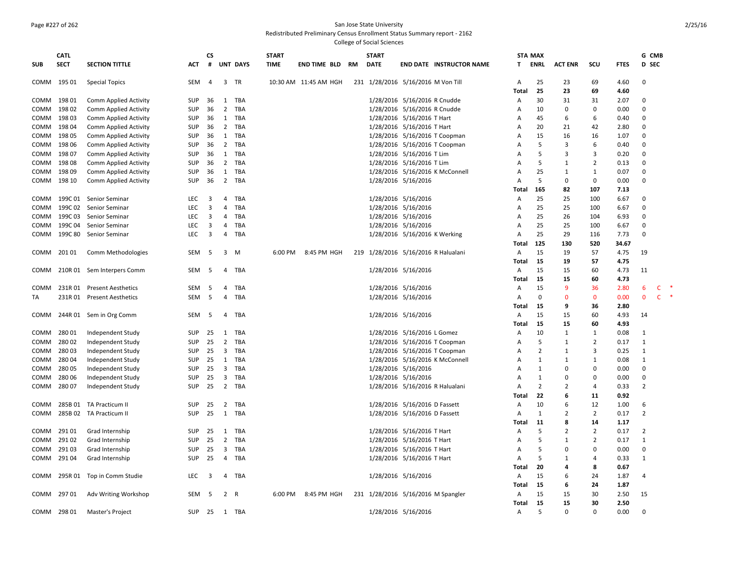# Page #227 of 262 San Jose State University

Redistributed Preliminary Census Enrollment Status Summary report - 2162

|            | <b>CATL</b> |                            |            | <b>CS</b>               |                         |                 | <b>START</b> |                       |    | <b>START</b> |                                     |                                 |                | <b>STA MAX</b> |                |                |             |                | G CMB        |           |
|------------|-------------|----------------------------|------------|-------------------------|-------------------------|-----------------|--------------|-----------------------|----|--------------|-------------------------------------|---------------------------------|----------------|----------------|----------------|----------------|-------------|----------------|--------------|-----------|
| <b>SUB</b> | <b>SECT</b> | <b>SECTION TITTLE</b>      | <b>ACT</b> | #                       |                         | <b>UNT DAYS</b> | <b>TIME</b>  | END TIME BLD          | RM | <b>DATE</b>  |                                     | <b>END DATE INSTRUCTOR NAME</b> | T.             | ENRL           | <b>ACT ENR</b> | scu            | <b>FTES</b> | D SEC          |              |           |
|            | COMM 195 01 | <b>Special Topics</b>      | SEM        | 4                       |                         | 3 TR            |              | 10:30 AM 11:45 AM HGH |    |              | 231 1/28/2016 5/16/2016 M Von Till  |                                 | Α              | 25             | 23             | 69             | 4.60        | $\Omega$       |              |           |
|            |             |                            |            |                         |                         |                 |              |                       |    |              |                                     |                                 | Total          | 25             | 23             | 69             | 4.60        |                |              |           |
| COMM       | 198 01      | Comm Applied Activity      | <b>SUP</b> | 36                      |                         | 1 TBA           |              |                       |    |              | 1/28/2016 5/16/2016 R Cnudde        |                                 | Α              | 30             | 31             | 31             | 2.07        | $\Omega$       |              |           |
| COMM       | 198 02      | Comm Applied Activity      | <b>SUP</b> | 36                      | $\overline{2}$          | TBA             |              |                       |    |              | 1/28/2016 5/16/2016 R Cnudde        |                                 | А              | 10             | 0              | 0              | 0.00        | $\Omega$       |              |           |
| COMM       | 198 03      | Comm Applied Activity      | SUP        | 36                      |                         | 1 TBA           |              |                       |    |              | 1/28/2016 5/16/2016 T Hart          |                                 | Α              | 45             | 6              | 6              | 0.40        | $\mathbf 0$    |              |           |
| COMM       | 19804       | Comm Applied Activity      | SUP        | 36                      | $\overline{2}$          | TBA             |              |                       |    |              | 1/28/2016 5/16/2016 T Hart          |                                 | Α              | 20             | 21             | 42             | 2.80        | $\Omega$       |              |           |
| COMM       | 198 05      | Comm Applied Activity      | SUP        | 36                      | 1                       | TBA             |              |                       |    |              | 1/28/2016 5/16/2016 T Coopman       |                                 | А              | 15             | 16             | 16             | 1.07        | $\Omega$       |              |           |
| COMM       | 198 06      | Comm Applied Activity      | <b>SUP</b> | 36                      | $\overline{2}$          | TBA             |              |                       |    |              | 1/28/2016 5/16/2016 T Coopman       |                                 | A              | 5              | 3              | 6              | 0.40        | $\Omega$       |              |           |
| COMM       | 198 07      | Comm Applied Activity      | SUP        | 36                      | 1                       | TBA             |              |                       |    |              | 1/28/2016 5/16/2016 T Lim           |                                 | А              | 5              | 3              | 3              | 0.20        | $\Omega$       |              |           |
| COMM       | 19808       | Comm Applied Activity      | <b>SUP</b> | 36                      | $\overline{2}$          | TBA             |              |                       |    |              | 1/28/2016 5/16/2016 T Lim           |                                 | A              | .5             | 1              | $\overline{2}$ | 0.13        | $\Omega$       |              |           |
| COMM       | 198 09      | Comm Applied Activity      | <b>SUP</b> | 36                      | 1                       | TBA             |              |                       |    |              |                                     | 1/28/2016 5/16/2016 K McConnell | А              | 25             | 1              | 1              | 0.07        | $\Omega$       |              |           |
| COMM       | 198 10      | Comm Applied Activity      | SUP        | 36                      |                         | 2 TBA           |              |                       |    |              | 1/28/2016 5/16/2016                 |                                 | A              | 5              | 0              | $\mathbf 0$    | 0.00        | $\mathbf 0$    |              |           |
|            |             |                            |            |                         |                         |                 |              |                       |    |              |                                     |                                 | Total          | 165            | 82             | 107            | 7.13        |                |              |           |
| COMM       | 199C 01     | Senior Seminar             | LEC        | $\overline{\mathbf{3}}$ | 4                       | TBA             |              |                       |    |              | 1/28/2016 5/16/2016                 |                                 | А              | 25             | 25             | 100            | 6.67        | $\Omega$       |              |           |
| COMM       |             | 199C 02 Senior Seminar     | LEC        | $\overline{3}$          | $\overline{4}$          | TBA             |              |                       |    |              | 1/28/2016 5/16/2016                 |                                 | A              | 25             | 25             | 100            | 6.67        | $\Omega$       |              |           |
| COMM       | 199C03      | Senior Seminar             | LEC        | 3                       | 4                       | TBA             |              |                       |    |              | 1/28/2016 5/16/2016                 |                                 | А              | 25             | 26             | 104            | 6.93        | $\Omega$       |              |           |
| COMM       | 199C 04     | Senior Seminar             | <b>LEC</b> | $\overline{\mathbf{3}}$ | $\overline{4}$          | TBA             |              |                       |    |              | 1/28/2016 5/16/2016                 |                                 | $\overline{A}$ | 25             | 25             | 100            | 6.67        | $\Omega$       |              |           |
| COMM       | 199C 80     | Senior Seminar             | LEC        | 3                       | 4                       | TBA             |              |                       |    |              | 1/28/2016 5/16/2016 K Werking       |                                 | А              | 25             | 29             | 116            | 7.73        | $\Omega$       |              |           |
|            |             |                            |            |                         |                         |                 |              |                       |    |              |                                     |                                 | Total          | 125            | 130            | 520            | 34.67       |                |              |           |
| COMM       | 20101       | Comm Methodologies         | SEM        | 5                       | 3                       | <b>M</b>        | 6:00 PM      | 8:45 PM HGH           |    |              | 219 1/28/2016 5/16/2016 R Halualani |                                 | Α              | 15             | 19             | 57             | 4.75        | 19             |              |           |
|            |             |                            |            |                         |                         |                 |              |                       |    |              |                                     |                                 | Total          | 15             | 19             | 57             | 4.75        |                |              |           |
| COMM       |             | 210R 01 Sem Interpers Comm | SEM        | - 5                     |                         | 4 TBA           |              |                       |    |              | 1/28/2016 5/16/2016                 |                                 | А              | 15             | 15             | 60             | 4.73        | 11             |              |           |
|            |             |                            |            |                         |                         |                 |              |                       |    |              |                                     |                                 | Total          | 15             | 15             | 60             | 4.73        |                |              |           |
| COMM       | 231R01      | <b>Present Aesthetics</b>  | <b>SEM</b> | - 5                     | $\overline{4}$          | TBA             |              |                       |    |              | 1/28/2016 5/16/2016                 |                                 | Α              | 15             | 9              | 36             | 2.80        | 6              | C            |           |
| TA         | 231R01      | <b>Present Aesthetics</b>  | SEM        | 5                       | 4                       | TBA             |              |                       |    |              | 1/28/2016 5/16/2016                 |                                 | А              | $\Omega$       | $\mathbf{0}$   | $\mathbf{0}$   | 0.00        | $\mathbf{0}$   | $\mathsf{C}$ | $\;$ $\;$ |
|            |             |                            |            |                         |                         |                 |              |                       |    |              |                                     |                                 | Total          | 15             | 9              | 36             | 2.80        |                |              |           |
| COMM       |             | 244R 01 Sem in Org Comm    | SEM        | - 5                     | $\overline{4}$          | TBA             |              |                       |    |              | 1/28/2016 5/16/2016                 |                                 | Α              | 15             | 15             | 60             | 4.93        | 14             |              |           |
|            |             |                            |            |                         |                         |                 |              |                       |    |              |                                     |                                 | Total          | 15             | 15             | 60             | 4.93        |                |              |           |
| COMM       | 28001       | Independent Study          | <b>SUP</b> | 25                      | 1                       | TBA             |              |                       |    |              | 1/28/2016 5/16/2016 L Gomez         |                                 | A              | 10             | 1              | 1              | 0.08        | 1              |              |           |
| COMM       | 28002       | Independent Study          | SUP        | 25                      | $\overline{2}$          | TBA             |              |                       |    |              | 1/28/2016 5/16/2016 T Coopman       |                                 | Α              | 5              | 1              | $\overline{2}$ | 0.17        | 1              |              |           |
| COMM       | 28003       | Independent Study          | <b>SUP</b> | 25                      | $\overline{3}$          | TBA             |              |                       |    |              | 1/28/2016 5/16/2016 T Coopman       |                                 | Α              | $\overline{2}$ | 1              | 3              | 0.25        | 1              |              |           |
| COMM       | 280 04      | Independent Study          | <b>SUP</b> | 25                      | 1                       | TBA             |              |                       |    |              |                                     | 1/28/2016 5/16/2016 K McConnell | A              | $\mathbf{1}$   | 1              | $\mathbf{1}$   | 0.08        | 1              |              |           |
| COMM       | 280 05      | Independent Study          | SUP        | 25                      | $\overline{\mathbf{3}}$ | TBA             |              |                       |    |              | 1/28/2016 5/16/2016                 |                                 | А              | $\mathbf{1}$   | $\Omega$       | $\Omega$       | 0.00        | $\Omega$       |              |           |
| COMM       | 280 06      | Independent Study          | <b>SUP</b> | 25                      | $\overline{3}$          | TBA             |              |                       |    |              | 1/28/2016 5/16/2016                 |                                 | A              | $\mathbf{1}$   | $\Omega$       | $\Omega$       | 0.00        | $\mathbf 0$    |              |           |
| COMM       | 28007       | Independent Study          | SUP        | 25                      |                         | 2 TBA           |              |                       |    |              | 1/28/2016 5/16/2016 R Halualani     |                                 | A              | $\overline{2}$ | $\overline{2}$ | 4              | 0.33        | $\overline{2}$ |              |           |
|            |             |                            |            |                         |                         |                 |              |                       |    |              |                                     |                                 | Total          | 22             | 6              | 11             | 0.92        |                |              |           |
| COMM       |             | 285B 01 TA Practicum II    | <b>SUP</b> | 25                      | $\overline{2}$          | TBA             |              |                       |    |              | 1/28/2016 5/16/2016 D Fassett       |                                 | Α              | 10             | 6              | 12             | 1.00        | 6              |              |           |
| COMM       |             | 285B 02 TA Practicum II    | <b>SUP</b> | 25                      |                         | 1 TBA           |              |                       |    |              | 1/28/2016 5/16/2016 D Fassett       |                                 | Α              | 1              | $\overline{2}$ | $\overline{2}$ | 0.17        | $\overline{2}$ |              |           |
|            |             |                            |            |                         |                         |                 |              |                       |    |              |                                     |                                 | Total          | 11             | 8              | 14             | 1.17        |                |              |           |
| COMM       | 291 01      | Grad Internship            | SUP        | 25                      |                         | 1 TBA           |              |                       |    |              | 1/28/2016 5/16/2016 T Hart          |                                 | Α              | 5              | $\overline{2}$ | $\overline{2}$ | 0.17        | $\overline{2}$ |              |           |
| COMM       | 291 02      | Grad Internship            | <b>SUP</b> | 25                      | $\overline{2}$          | TBA             |              |                       |    |              | 1/28/2016 5/16/2016 T Hart          |                                 | А              | 5              | 1              | $\overline{2}$ | 0.17        | 1              |              |           |
| COMM       | 29103       | Grad Internship            | SUP        | 25                      | $\overline{\mathbf{3}}$ | TBA             |              |                       |    |              | 1/28/2016 5/16/2016 T Hart          |                                 | A              | 5              | 0              | $\Omega$       | 0.00        | $\Omega$       |              |           |
| COMM       | 291 04      | Grad Internship            | <b>SUP</b> | 25                      | 4                       | TBA             |              |                       |    |              | 1/28/2016 5/16/2016 T Hart          |                                 | A              | 5              | 1              | 4              | 0.33        | 1              |              |           |
|            |             |                            |            |                         |                         |                 |              |                       |    |              |                                     |                                 | Total          | 20             | 4              | 8              | 0.67        |                |              |           |
| COMM       |             | 295R 01 Top in Comm Studie | LEC        | $\overline{\mathbf{3}}$ |                         | 4 TBA           |              |                       |    |              | 1/28/2016 5/16/2016                 |                                 | Α              | 15             | 6              | 24             | 1.87        | 4              |              |           |
|            |             |                            |            |                         |                         |                 |              |                       |    |              |                                     |                                 | Total          | 15             | 6              | 24             | 1.87        |                |              |           |
| COMM       | 29701       | Adv Writing Workshop       | SEM        | - 5                     | 2 R                     |                 | 6:00 PM      | 8:45 PM HGH           |    |              | 231 1/28/2016 5/16/2016 M Spangler  |                                 | Α              | 15<br>15       | 15             | 30             | 2.50        | 15             |              |           |
|            |             |                            |            |                         |                         |                 |              |                       |    |              |                                     |                                 | Total          | 5              | 15             | 30             | 2.50        | $\Omega$       |              |           |
|            | COMM 298 01 | Master's Project           | SUP        | 25                      |                         | 1 TBA           |              |                       |    |              | 1/28/2016 5/16/2016                 |                                 | $\overline{A}$ |                | $\Omega$       | $\Omega$       | 0.00        |                |              |           |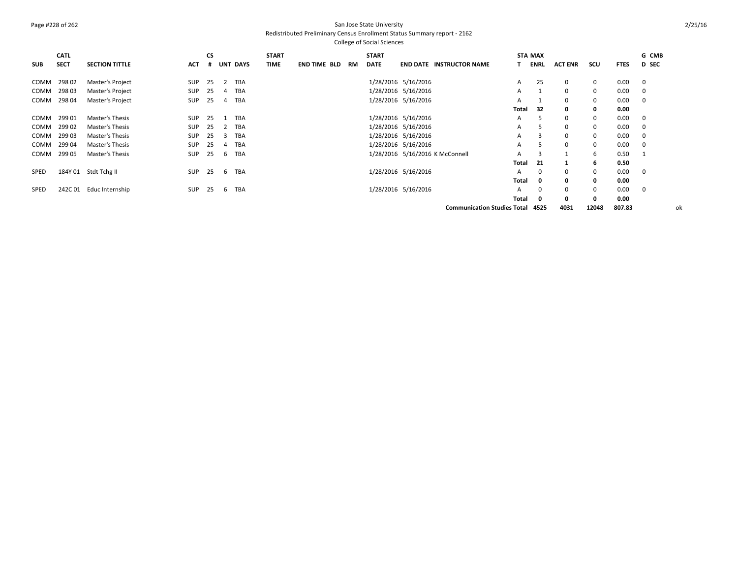### Page #228 of 262 San Jose State University Redistributed Preliminary Census Enrollment Status Summary report - 2162

College of Social Sciences

| <b>SUB</b>  | <b>CATL</b><br><b>SECT</b> | <b>SECTION TITTLE</b> | <b>ACT</b> | <b>CS</b><br># |    | UNT DAYS | <b>START</b><br><b>TIME</b> | <b>END TIME BLD</b> | RM | <b>START</b><br><b>DATE</b> |                     | <b>END DATE INSTRUCTOR NAME</b>                  |       | <b>STA MAX</b><br>ENRL | <b>ACT ENR</b> | scu          | <b>FTES</b> | G CMB<br><b>D</b> SEC |
|-------------|----------------------------|-----------------------|------------|----------------|----|----------|-----------------------------|---------------------|----|-----------------------------|---------------------|--------------------------------------------------|-------|------------------------|----------------|--------------|-------------|-----------------------|
| COMM        | 29802                      | Master's Project      | <b>SUP</b> | 25             |    | 2 TBA    |                             |                     |    |                             | 1/28/2016 5/16/2016 |                                                  | A     | 25                     | $\mathbf 0$    | $\mathbf 0$  | 0.00        | $\mathbf 0$           |
| COMM        | 29803                      | Master's Project      | <b>SUP</b> | 25             | 4  | TBA      |                             |                     |    |                             | 1/28/2016 5/16/2016 |                                                  | A     |                        | $\Omega$       | $\mathbf{0}$ | 0.00        | $\mathbf 0$           |
| COMM        | 298 04                     | Master's Project      | <b>SUP</b> | 25             | 4  | TBA      |                             |                     |    |                             | 1/28/2016 5/16/2016 |                                                  | A     |                        | $\Omega$       | 0            | 0.00        | $\mathbf 0$           |
|             |                            |                       |            |                |    |          |                             |                     |    |                             |                     |                                                  | Total | 32                     | 0              | 0            | 0.00        |                       |
| COMM        | 29901                      | Master's Thesis       | <b>SUP</b> | 25             |    | 1 TBA    |                             |                     |    |                             | 1/28/2016 5/16/2016 |                                                  | A     | 5                      | $\Omega$       | $\mathbf 0$  | 0.00        | $\mathbf 0$           |
| COMM        | 299 02                     | Master's Thesis       | <b>SUP</b> | 25             |    | 2 TBA    |                             |                     |    |                             | 1/28/2016 5/16/2016 |                                                  | A     | 5                      | $\Omega$       | $\mathbf 0$  | 0.00        | $\Omega$              |
| COMM        | 299 03                     | Master's Thesis       | <b>SUP</b> | 25             | 3  | TBA      |                             |                     |    |                             | 1/28/2016 5/16/2016 |                                                  | A     |                        | $\Omega$       | 0            | 0.00        | 0                     |
| COMM        | 299 04                     | Master's Thesis       | <b>SUP</b> | 25             | 4  | TBA      |                             |                     |    |                             | 1/28/2016 5/16/2016 |                                                  | A     |                        | $\mathbf 0$    | 0            | 0.00        | 0                     |
| COMM        | 299 05                     | Master's Thesis       | <b>SUP</b> | 25             | 6  | TBA      |                             |                     |    |                             |                     | 1/28/2016 5/16/2016 K McConnell                  | A     | 3                      |                | 6            | 0.50        | -1                    |
|             |                            |                       |            |                |    |          |                             |                     |    |                             |                     |                                                  | Total | -21                    |                | 6            | 0.50        |                       |
| <b>SPED</b> |                            | 184Y 01 Stdt Tchg II  | <b>SUP</b> | 25             | 6  | TBA      |                             |                     |    |                             | 1/28/2016 5/16/2016 |                                                  | A     | $\Omega$               | $\Omega$       | $\mathbf 0$  | 0.00        | $\mathbf 0$           |
|             |                            |                       |            |                |    |          |                             |                     |    |                             |                     |                                                  | Total | 0                      | $\mathbf{0}$   | $\mathbf 0$  | 0.00        |                       |
| <b>SPED</b> | 242C 01                    | Educ Internship       | <b>SUP</b> | 25             | -6 | TBA      |                             |                     |    |                             | 1/28/2016 5/16/2016 |                                                  | A     | $\Omega$               | $\Omega$       | $\mathbf 0$  | 0.00        | $\mathbf 0$           |
|             |                            |                       |            |                |    |          |                             |                     |    |                             |                     |                                                  | Total | $\Omega$               | 0              | $\Omega$     | 0.00        |                       |
|             |                            |                       |            |                |    |          |                             |                     |    |                             |                     | $\sim$ $\sim$ $\sim$ $\sim$ $\sim$ $\sim$ $\sim$ |       |                        | $- - - -$      | $\cdots$     | $- - - -$   |                       |

**Communication Studies Total 4525 4031 12048 807.83** ok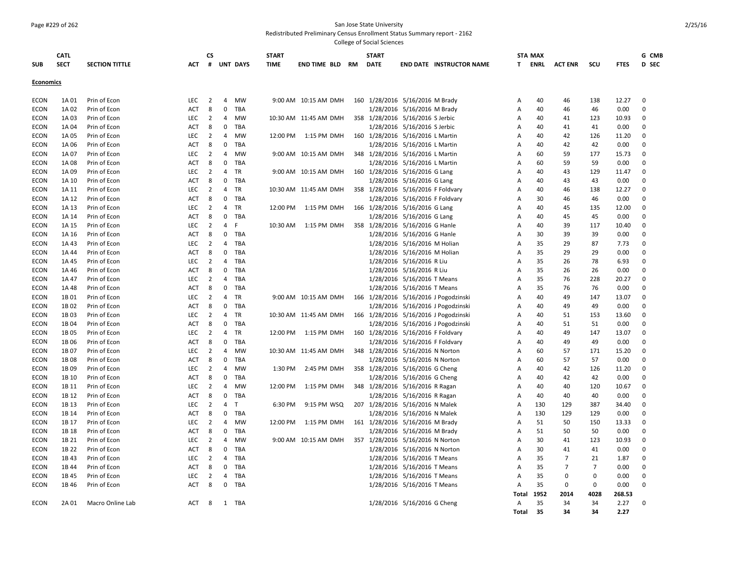#### Page #229 of 262 San Jose State University

Redistributed Preliminary Census Enrollment Status Summary report - 2162

| <b>SECT</b><br>#<br><b>UNT DAYS</b><br>D SEC<br><b>SUB</b><br><b>SECTION TITTLE</b><br><b>ACT</b><br><b>TIME</b><br><b>END TIME BLD</b><br><b>RM</b><br><b>DATE</b><br><b>END DATE INSTRUCTOR NAME</b><br>T.<br>ENRL<br><b>ACT ENR</b><br>scu<br><b>FTES</b><br><b>Economics</b><br><b>ECON</b><br>Prin of Econ<br><b>LEC</b><br>$\overline{2}$<br>4<br><b>MW</b><br>9:00 AM 10:15 AM DMH<br>160 1/28/2016 5/16/2016 M Brady<br>40<br>138<br>12.27<br>0<br>1A 01<br>A<br>46<br>$\mathbf 0$<br>1A 02<br>Prin of Econ<br>8<br>TBA<br>1/28/2016 5/16/2016 M Brady<br>40<br>46<br>0.00<br>0<br>ECON<br>ACT<br>Α<br>46<br><b>ECON</b><br>LEC<br>$\overline{2}$<br>4<br>10:30 AM 11:45 AM DMH<br>358 1/28/2016 5/16/2016 S Jerbic<br>40<br>1A 03<br>Prin of Econ<br><b>MW</b><br>41<br>123<br>10.93<br>0<br>Α<br>0<br>1/28/2016 5/16/2016 S Jerbic<br><b>ECON</b><br>1A 04<br>Prin of Econ<br><b>ACT</b><br>8<br><b>TBA</b><br>40<br>41<br>41<br>0.00<br>$\Omega$<br>A<br>$\overline{2}$<br>4<br>160 1/28/2016 5/16/2016 L Martin<br>40<br>ECON<br>1A 05<br>Prin of Econ<br>LEC<br>MW<br>12:00 PM<br>1:15 PM DMH<br>Α<br>42<br>126<br>11.20<br>0<br>$\mathbf 0$<br>8<br>TBA<br>1/28/2016 5/16/2016 L Martin<br>40<br>42<br>0.00<br>0<br><b>ECON</b><br>1A 06<br>Prin of Econ<br><b>ACT</b><br>42<br>A<br><b>LEC</b><br>4<br><b>MW</b><br>348 1/28/2016 5/16/2016 L Martin<br><b>ECON</b><br>1A 07<br>Prin of Econ<br>$\overline{2}$<br>9:00 AM 10:15 AM DMH<br>60<br>59<br>177<br>15.73<br>$\mathbf 0$<br>A<br>0<br><b>ECON</b><br>Prin of Econ<br><b>ACT</b><br>8<br>TBA<br>1/28/2016 5/16/2016 L Martin<br>60<br>59<br>59<br>0.00<br>1A 08<br>A<br>0<br>$\overline{2}$<br>4<br>160 1/28/2016 5/16/2016 G Lang<br><b>ECON</b><br>1A 09<br>Prin of Econ<br><b>LEC</b><br>TR<br>9:00 AM 10:15 AM DMH<br>40<br>43<br>129<br>11.47<br>0<br>A<br>8<br>0<br>TBA<br>40<br>0.00<br><b>ECON</b><br>1A 10<br>Prin of Econ<br>ACT<br>1/28/2016 5/16/2016 G Lang<br>A<br>43<br>43<br>$\mathbf 0$<br><b>ECON</b><br>1A 11<br>Prin of Econ<br><b>LEC</b><br>2<br>4<br>TR<br>10:30 AM 11:45 AM DMH<br>358 1/28/2016 5/16/2016 F Foldvary<br>40<br>46<br>138<br>12.27<br>$\mathbf 0$<br>A<br>Prin of Econ<br>8<br>0<br>TBA<br>1/28/2016 5/16/2016 F Foldvary<br>30<br>46<br>0.00<br>0<br>ECON<br>1A 12<br>ACT<br>Α<br>46<br>$\overline{2}$<br>$\overline{4}$<br>166 1/28/2016 5/16/2016 G Lang<br>0<br><b>ECON</b><br>1A 13<br>Prin of Econ<br><b>LEC</b><br>TR<br>12:00 PM<br>1:15 PM DMH<br>40<br>45<br>135<br>12.00<br>A<br>$\mathbf 0$<br>1/28/2016 5/16/2016 G Lang<br>ECON<br>1A 14<br><b>ACT</b><br>8<br>TBA<br>40<br>45<br>45<br>0.00<br>0<br>Prin of Econ<br>A<br>Prin of Econ<br><b>LEC</b><br>$\overline{2}$<br>4<br>F<br>1:15 PM DMH<br>358 1/28/2016 5/16/2016 G Hanle<br>40<br>39<br><b>ECON</b><br>1A 15<br>10:30 AM<br>A<br>117<br>10.40<br>0<br>8<br>0<br>TBA<br>1/28/2016 5/16/2016 G Hanle<br><b>ECON</b><br>1A 16<br>Prin of Econ<br><b>ACT</b><br>30<br>39<br>39<br>0.00<br>0<br>A<br>LEC<br>$\overline{2}$<br>1/28/2016 5/16/2016 M Holian<br>35<br><b>ECON</b><br>1A 43<br>Prin of Econ<br>4<br><b>TBA</b><br>29<br>87<br>7.73<br>0<br>A<br><b>ECON</b><br>1A 44<br>Prin of Econ<br><b>ACT</b><br>8<br>0<br>TBA<br>1/28/2016 5/16/2016 M Holian<br>35<br>29<br>29<br>0.00<br>$\mathbf 0$<br>A<br><b>LEC</b><br>$\overline{2}$<br>4<br>TBA<br>1/28/2016 5/16/2016 R Liu<br>35<br>78<br>6.93<br><b>ECON</b><br>1A 45<br>Prin of Econ<br>A<br>26<br>0<br>8<br>0<br>1/28/2016 5/16/2016 R Liu<br>35<br>0<br><b>ECON</b><br><b>ACT</b><br><b>TBA</b><br>26<br>26<br>0.00<br>1A 46<br>Prin of Econ<br>A<br>35<br><b>ECON</b><br>1A 47<br><b>LEC</b><br>2<br>4<br>TBA<br>1/28/2016 5/16/2016 T Means<br>76<br>228<br>20.27<br>0<br>Prin of Econ<br>A<br>$\mathbf 0$<br><b>ECON</b><br>1A 48<br><b>ACT</b><br>8<br>TBA<br>1/28/2016 5/16/2016 T Means<br>35<br>76<br>76<br>0.00<br>0<br>Prin of Econ<br>A<br>166 1/28/2016 5/16/2016 J Pogodzinski<br><b>ECON</b><br>1B 01<br>Prin of Econ<br><b>LEC</b><br>$\overline{2}$<br>4<br><b>TR</b><br>9:00 AM 10:15 AM DMH<br>40<br>49<br>147<br>13.07<br>$\mathbf 0$<br>A<br>0<br>1/28/2016 5/16/2016 J Pogodzinski<br><b>ECON</b><br>1B 02<br>Prin of Econ<br>8<br>TBA<br>40<br>49<br>49<br>0.00<br>0<br>ACT<br>A<br><b>ECON</b><br>1B03<br>LEC<br>$\overline{2}$<br>4<br>TR<br>166 1/28/2016 5/16/2016 J Pogodzinski<br>40<br>Prin of Econ<br>10:30 AM 11:45 AM DMH<br>Α<br>51<br>153<br>13.60<br>0<br>0<br>1/28/2016 5/16/2016 J Pogodzinski<br>40<br><b>ECON</b><br>1B04<br>Prin of Econ<br>ACT<br>8<br>TBA<br>A<br>51<br>51<br>0.00<br>$\Omega$<br><b>ECON</b><br>1B 05<br>Prin of Econ<br><b>LEC</b><br>$\overline{2}$<br>4<br><b>TR</b><br>12:00 PM<br>1:15 PM DMH<br>160 1/28/2016 5/16/2016 F Foldvary<br>40<br>49<br>147<br>13.07<br>0<br>A<br>0<br><b>ECON</b><br>1B 06<br><b>ACT</b><br>8<br>TBA<br>1/28/2016 5/16/2016 F Foldvary<br>40<br>49<br>0.00<br>0<br>Prin of Econ<br>49<br>A<br><b>ECON</b><br>1B07<br>LEC<br>$\overline{2}$<br>4<br><b>MW</b><br>348 1/28/2016 5/16/2016 N Norton<br>60<br>57<br>171<br>Prin of Econ<br>10:30 AM 11:45 AM DMH<br>15.20<br>0<br>Α<br>$\mathbf 0$<br><b>ECON</b><br>1B 08<br>Prin of Econ<br><b>ACT</b><br>8<br><b>TBA</b><br>1/28/2016 5/16/2016 N Norton<br>60<br>57<br>57<br>0.00<br>0<br>A<br>LEC<br>$\overline{2}$<br>4<br><b>MW</b><br>358 1/28/2016 5/16/2016 G Cheng<br>40<br>42<br>126<br>ECON<br>1B 09<br>Prin of Econ<br>1:30 PM<br>2:45 PM DMH<br>Α<br>11.20<br>0<br>0<br>8<br>TBA<br>1/28/2016 5/16/2016 G Cheng<br>40<br>42<br>42<br>0.00<br>0<br><b>ECON</b><br>1B 10<br>Prin of Econ<br><b>ACT</b><br>A<br><b>ECON</b><br>1B 11<br>Prin of Econ<br><b>LEC</b><br>2<br>4<br><b>MW</b><br>12:00 PM<br>1:15 PM DMH<br>348 1/28/2016 5/16/2016 R Ragan<br>A<br>40<br>40<br>120<br>10.67<br>$\mathbf 0$<br>0<br><b>ECON</b><br>1B 12<br>Prin of Econ<br><b>ACT</b><br>8<br>TBA<br>1/28/2016 5/16/2016 R Ragan<br>40<br>40<br>40<br>0.00<br>0<br>A<br>1B 13<br>LEC<br>$\overline{2}$<br>$\overline{4}$<br>9:15 PM WSQ<br>207 1/28/2016 5/16/2016 N Malek<br>130<br>129<br>387<br>0<br><b>ECON</b><br>Prin of Econ<br>Т<br>6:30 PM<br>Α<br>34.40<br>1B 14<br>$\mathbf 0$<br>TBA<br>1/28/2016 5/16/2016 N Malek<br>130<br>129<br>129<br>0.00<br><b>ECON</b><br>Prin of Econ<br><b>ACT</b><br>8<br>Α<br>$\mathbf 0$<br><b>ECON</b><br>1B 17<br>Prin of Econ<br><b>LEC</b><br>$\overline{2}$<br>4<br><b>MW</b><br>12:00 PM<br>1:15 PM DMH<br>161 1/28/2016 5/16/2016 M Brady<br>51<br>50<br>150<br>13.33<br>$\mathbf 0$<br>A<br>8<br>0<br>1/28/2016 5/16/2016 M Brady<br><b>ECON</b><br>1B 18<br>Prin of Econ<br><b>ACT</b><br><b>TBA</b><br>A<br>51<br>50<br>50<br>0.00<br>0<br>$\overline{2}$<br>357 1/28/2016 5/16/2016 N Norton<br><b>ECON</b><br>1B 21<br>Prin of Econ<br><b>LEC</b><br>4<br><b>MW</b><br>9:00 AM 10:15 AM DMH<br>30<br>41<br>123<br>10.93<br>0<br>A<br><b>ECON</b><br>1B 22<br>Prin of Econ<br><b>ACT</b><br>8<br>0<br><b>TBA</b><br>1/28/2016 5/16/2016 N Norton<br>А<br>30<br>41<br>41<br>0.00<br>$\mathbf 0$<br><b>ECON</b><br>1B43<br>Prin of Econ<br><b>LEC</b><br>$\overline{2}$<br>4<br>TBA<br>1/28/2016 5/16/2016 T Means<br>35<br>$\overline{7}$<br>21<br>0<br>Α<br>1.87<br>0<br>1/28/2016 5/16/2016 T Means<br>35<br>$\overline{7}$<br><b>ECON</b><br>1B 44<br>Prin of Econ<br><b>ACT</b><br>8<br><b>TBA</b><br>Α<br>7<br>0.00<br>0<br>$\overline{4}$<br>1/28/2016 5/16/2016 T Means<br>35<br>$\mathbf 0$<br><b>ECON</b><br>1B 45<br>Prin of Econ<br><b>LEC</b><br>2<br>TBA<br>A<br>$\mathbf 0$<br>0.00<br>$\mathbf 0$<br>$\mathbf 0$<br><b>ECON</b><br>1B 46<br>Prin of Econ<br><b>ACT</b><br>8<br>TBA<br>1/28/2016 5/16/2016 T Means<br>35<br>0<br>0<br>0.00<br>$\mathbf 0$<br>А<br>1952<br><b>Total</b><br>2014<br>4028<br>268.53<br>1/28/2016 5/16/2016 G Cheng<br>35<br>34<br>$\Omega$<br><b>ECON</b><br>Macro Online Lab<br><b>ACT</b><br>8<br>34<br>2.27<br>2A 01<br>1<br>TBA<br>A<br>35<br>34<br>2.27<br>Total<br>34 | <b>CATL</b> |  | <b>CS</b> |  | <b>START</b> |  | <b>START</b> |  | <b>STA MAX</b> |  | G CMB |
|--------------------------------------------------------------------------------------------------------------------------------------------------------------------------------------------------------------------------------------------------------------------------------------------------------------------------------------------------------------------------------------------------------------------------------------------------------------------------------------------------------------------------------------------------------------------------------------------------------------------------------------------------------------------------------------------------------------------------------------------------------------------------------------------------------------------------------------------------------------------------------------------------------------------------------------------------------------------------------------------------------------------------------------------------------------------------------------------------------------------------------------------------------------------------------------------------------------------------------------------------------------------------------------------------------------------------------------------------------------------------------------------------------------------------------------------------------------------------------------------------------------------------------------------------------------------------------------------------------------------------------------------------------------------------------------------------------------------------------------------------------------------------------------------------------------------------------------------------------------------------------------------------------------------------------------------------------------------------------------------------------------------------------------------------------------------------------------------------------------------------------------------------------------------------------------------------------------------------------------------------------------------------------------------------------------------------------------------------------------------------------------------------------------------------------------------------------------------------------------------------------------------------------------------------------------------------------------------------------------------------------------------------------------------------------------------------------------------------------------------------------------------------------------------------------------------------------------------------------------------------------------------------------------------------------------------------------------------------------------------------------------------------------------------------------------------------------------------------------------------------------------------------------------------------------------------------------------------------------------------------------------------------------------------------------------------------------------------------------------------------------------------------------------------------------------------------------------------------------------------------------------------------------------------------------------------------------------------------------------------------------------------------------------------------------------------------------------------------------------------------------------------------------------------------------------------------------------------------------------------------------------------------------------------------------------------------------------------------------------------------------------------------------------------------------------------------------------------------------------------------------------------------------------------------------------------------------------------------------------------------------------------------------------------------------------------------------------------------------------------------------------------------------------------------------------------------------------------------------------------------------------------------------------------------------------------------------------------------------------------------------------------------------------------------------------------------------------------------------------------------------------------------------------------------------------------------------------------------------------------------------------------------------------------------------------------------------------------------------------------------------------------------------------------------------------------------------------------------------------------------------------------------------------------------------------------------------------------------------------------------------------------------------------------------------------------------------------------------------------------------------------------------------------------------------------------------------------------------------------------------------------------------------------------------------------------------------------------------------------------------------------------------------------------------------------------------------------------------------------------------------------------------------------------------------------------------------------------------------------------------------------------------------------------------------------------------------------------------------------------------------------------------------------------------------------------------------------------------------------------------------------------------------------------------------------------------------------------------------------------------------------------------------------------------------------------------------------------------------------------------------------------------------------------------------------------------------------------------------------------------------------------------------------------------------------------------------------------------------------------------------------------------------------------------------------------------------------------------------------------------------------------------------------------------------------------------------------------------------------------------------------------------------------------------------------------------------------------------------------------------------------------------------------------------------------------------------------------------------------------------------------------------------------------------------------------------------------------------------------------------------------------------------------------------------------------------------------------------------------------------------------------------------------------------------------------------------------------------------------------------------------------------------------------------------------------------------------------------------------------------------------------------------------------------------------------------------------------------------------------------------------------------------------------------------------------------------------------------------------------------------------------------------------------------------------------------------------|-------------|--|-----------|--|--------------|--|--------------|--|----------------|--|-------|
|                                                                                                                                                                                                                                                                                                                                                                                                                                                                                                                                                                                                                                                                                                                                                                                                                                                                                                                                                                                                                                                                                                                                                                                                                                                                                                                                                                                                                                                                                                                                                                                                                                                                                                                                                                                                                                                                                                                                                                                                                                                                                                                                                                                                                                                                                                                                                                                                                                                                                                                                                                                                                                                                                                                                                                                                                                                                                                                                                                                                                                                                                                                                                                                                                                                                                                                                                                                                                                                                                                                                                                                                                                                                                                                                                                                                                                                                                                                                                                                                                                                                                                                                                                                                                                                                                                                                                                                                                                                                                                                                                                                                                                                                                                                                                                                                                                                                                                                                                                                                                                                                                                                                                                                                                                                                                                                                                                                                                                                                                                                                                                                                                                                                                                                                                                                                                                                                                                                                                                                                                                                                                                                                                                                                                                                                                                                                                                                                                                                                                                                                                                                                                                                                                                                                                                                                                                                                                                                                                                                                                                                                                                                                                                                                                                                                                                                                                                                                                                                                                                                                                                                                                                                                                                                                                                                                                                                                                                                                                              |             |  |           |  |              |  |              |  |                |  |       |
|                                                                                                                                                                                                                                                                                                                                                                                                                                                                                                                                                                                                                                                                                                                                                                                                                                                                                                                                                                                                                                                                                                                                                                                                                                                                                                                                                                                                                                                                                                                                                                                                                                                                                                                                                                                                                                                                                                                                                                                                                                                                                                                                                                                                                                                                                                                                                                                                                                                                                                                                                                                                                                                                                                                                                                                                                                                                                                                                                                                                                                                                                                                                                                                                                                                                                                                                                                                                                                                                                                                                                                                                                                                                                                                                                                                                                                                                                                                                                                                                                                                                                                                                                                                                                                                                                                                                                                                                                                                                                                                                                                                                                                                                                                                                                                                                                                                                                                                                                                                                                                                                                                                                                                                                                                                                                                                                                                                                                                                                                                                                                                                                                                                                                                                                                                                                                                                                                                                                                                                                                                                                                                                                                                                                                                                                                                                                                                                                                                                                                                                                                                                                                                                                                                                                                                                                                                                                                                                                                                                                                                                                                                                                                                                                                                                                                                                                                                                                                                                                                                                                                                                                                                                                                                                                                                                                                                                                                                                                                              |             |  |           |  |              |  |              |  |                |  |       |
|                                                                                                                                                                                                                                                                                                                                                                                                                                                                                                                                                                                                                                                                                                                                                                                                                                                                                                                                                                                                                                                                                                                                                                                                                                                                                                                                                                                                                                                                                                                                                                                                                                                                                                                                                                                                                                                                                                                                                                                                                                                                                                                                                                                                                                                                                                                                                                                                                                                                                                                                                                                                                                                                                                                                                                                                                                                                                                                                                                                                                                                                                                                                                                                                                                                                                                                                                                                                                                                                                                                                                                                                                                                                                                                                                                                                                                                                                                                                                                                                                                                                                                                                                                                                                                                                                                                                                                                                                                                                                                                                                                                                                                                                                                                                                                                                                                                                                                                                                                                                                                                                                                                                                                                                                                                                                                                                                                                                                                                                                                                                                                                                                                                                                                                                                                                                                                                                                                                                                                                                                                                                                                                                                                                                                                                                                                                                                                                                                                                                                                                                                                                                                                                                                                                                                                                                                                                                                                                                                                                                                                                                                                                                                                                                                                                                                                                                                                                                                                                                                                                                                                                                                                                                                                                                                                                                                                                                                                                                                              |             |  |           |  |              |  |              |  |                |  |       |
|                                                                                                                                                                                                                                                                                                                                                                                                                                                                                                                                                                                                                                                                                                                                                                                                                                                                                                                                                                                                                                                                                                                                                                                                                                                                                                                                                                                                                                                                                                                                                                                                                                                                                                                                                                                                                                                                                                                                                                                                                                                                                                                                                                                                                                                                                                                                                                                                                                                                                                                                                                                                                                                                                                                                                                                                                                                                                                                                                                                                                                                                                                                                                                                                                                                                                                                                                                                                                                                                                                                                                                                                                                                                                                                                                                                                                                                                                                                                                                                                                                                                                                                                                                                                                                                                                                                                                                                                                                                                                                                                                                                                                                                                                                                                                                                                                                                                                                                                                                                                                                                                                                                                                                                                                                                                                                                                                                                                                                                                                                                                                                                                                                                                                                                                                                                                                                                                                                                                                                                                                                                                                                                                                                                                                                                                                                                                                                                                                                                                                                                                                                                                                                                                                                                                                                                                                                                                                                                                                                                                                                                                                                                                                                                                                                                                                                                                                                                                                                                                                                                                                                                                                                                                                                                                                                                                                                                                                                                                                              |             |  |           |  |              |  |              |  |                |  |       |
|                                                                                                                                                                                                                                                                                                                                                                                                                                                                                                                                                                                                                                                                                                                                                                                                                                                                                                                                                                                                                                                                                                                                                                                                                                                                                                                                                                                                                                                                                                                                                                                                                                                                                                                                                                                                                                                                                                                                                                                                                                                                                                                                                                                                                                                                                                                                                                                                                                                                                                                                                                                                                                                                                                                                                                                                                                                                                                                                                                                                                                                                                                                                                                                                                                                                                                                                                                                                                                                                                                                                                                                                                                                                                                                                                                                                                                                                                                                                                                                                                                                                                                                                                                                                                                                                                                                                                                                                                                                                                                                                                                                                                                                                                                                                                                                                                                                                                                                                                                                                                                                                                                                                                                                                                                                                                                                                                                                                                                                                                                                                                                                                                                                                                                                                                                                                                                                                                                                                                                                                                                                                                                                                                                                                                                                                                                                                                                                                                                                                                                                                                                                                                                                                                                                                                                                                                                                                                                                                                                                                                                                                                                                                                                                                                                                                                                                                                                                                                                                                                                                                                                                                                                                                                                                                                                                                                                                                                                                                                              |             |  |           |  |              |  |              |  |                |  |       |
|                                                                                                                                                                                                                                                                                                                                                                                                                                                                                                                                                                                                                                                                                                                                                                                                                                                                                                                                                                                                                                                                                                                                                                                                                                                                                                                                                                                                                                                                                                                                                                                                                                                                                                                                                                                                                                                                                                                                                                                                                                                                                                                                                                                                                                                                                                                                                                                                                                                                                                                                                                                                                                                                                                                                                                                                                                                                                                                                                                                                                                                                                                                                                                                                                                                                                                                                                                                                                                                                                                                                                                                                                                                                                                                                                                                                                                                                                                                                                                                                                                                                                                                                                                                                                                                                                                                                                                                                                                                                                                                                                                                                                                                                                                                                                                                                                                                                                                                                                                                                                                                                                                                                                                                                                                                                                                                                                                                                                                                                                                                                                                                                                                                                                                                                                                                                                                                                                                                                                                                                                                                                                                                                                                                                                                                                                                                                                                                                                                                                                                                                                                                                                                                                                                                                                                                                                                                                                                                                                                                                                                                                                                                                                                                                                                                                                                                                                                                                                                                                                                                                                                                                                                                                                                                                                                                                                                                                                                                                                              |             |  |           |  |              |  |              |  |                |  |       |
|                                                                                                                                                                                                                                                                                                                                                                                                                                                                                                                                                                                                                                                                                                                                                                                                                                                                                                                                                                                                                                                                                                                                                                                                                                                                                                                                                                                                                                                                                                                                                                                                                                                                                                                                                                                                                                                                                                                                                                                                                                                                                                                                                                                                                                                                                                                                                                                                                                                                                                                                                                                                                                                                                                                                                                                                                                                                                                                                                                                                                                                                                                                                                                                                                                                                                                                                                                                                                                                                                                                                                                                                                                                                                                                                                                                                                                                                                                                                                                                                                                                                                                                                                                                                                                                                                                                                                                                                                                                                                                                                                                                                                                                                                                                                                                                                                                                                                                                                                                                                                                                                                                                                                                                                                                                                                                                                                                                                                                                                                                                                                                                                                                                                                                                                                                                                                                                                                                                                                                                                                                                                                                                                                                                                                                                                                                                                                                                                                                                                                                                                                                                                                                                                                                                                                                                                                                                                                                                                                                                                                                                                                                                                                                                                                                                                                                                                                                                                                                                                                                                                                                                                                                                                                                                                                                                                                                                                                                                                                              |             |  |           |  |              |  |              |  |                |  |       |
|                                                                                                                                                                                                                                                                                                                                                                                                                                                                                                                                                                                                                                                                                                                                                                                                                                                                                                                                                                                                                                                                                                                                                                                                                                                                                                                                                                                                                                                                                                                                                                                                                                                                                                                                                                                                                                                                                                                                                                                                                                                                                                                                                                                                                                                                                                                                                                                                                                                                                                                                                                                                                                                                                                                                                                                                                                                                                                                                                                                                                                                                                                                                                                                                                                                                                                                                                                                                                                                                                                                                                                                                                                                                                                                                                                                                                                                                                                                                                                                                                                                                                                                                                                                                                                                                                                                                                                                                                                                                                                                                                                                                                                                                                                                                                                                                                                                                                                                                                                                                                                                                                                                                                                                                                                                                                                                                                                                                                                                                                                                                                                                                                                                                                                                                                                                                                                                                                                                                                                                                                                                                                                                                                                                                                                                                                                                                                                                                                                                                                                                                                                                                                                                                                                                                                                                                                                                                                                                                                                                                                                                                                                                                                                                                                                                                                                                                                                                                                                                                                                                                                                                                                                                                                                                                                                                                                                                                                                                                                              |             |  |           |  |              |  |              |  |                |  |       |
|                                                                                                                                                                                                                                                                                                                                                                                                                                                                                                                                                                                                                                                                                                                                                                                                                                                                                                                                                                                                                                                                                                                                                                                                                                                                                                                                                                                                                                                                                                                                                                                                                                                                                                                                                                                                                                                                                                                                                                                                                                                                                                                                                                                                                                                                                                                                                                                                                                                                                                                                                                                                                                                                                                                                                                                                                                                                                                                                                                                                                                                                                                                                                                                                                                                                                                                                                                                                                                                                                                                                                                                                                                                                                                                                                                                                                                                                                                                                                                                                                                                                                                                                                                                                                                                                                                                                                                                                                                                                                                                                                                                                                                                                                                                                                                                                                                                                                                                                                                                                                                                                                                                                                                                                                                                                                                                                                                                                                                                                                                                                                                                                                                                                                                                                                                                                                                                                                                                                                                                                                                                                                                                                                                                                                                                                                                                                                                                                                                                                                                                                                                                                                                                                                                                                                                                                                                                                                                                                                                                                                                                                                                                                                                                                                                                                                                                                                                                                                                                                                                                                                                                                                                                                                                                                                                                                                                                                                                                                                              |             |  |           |  |              |  |              |  |                |  |       |
|                                                                                                                                                                                                                                                                                                                                                                                                                                                                                                                                                                                                                                                                                                                                                                                                                                                                                                                                                                                                                                                                                                                                                                                                                                                                                                                                                                                                                                                                                                                                                                                                                                                                                                                                                                                                                                                                                                                                                                                                                                                                                                                                                                                                                                                                                                                                                                                                                                                                                                                                                                                                                                                                                                                                                                                                                                                                                                                                                                                                                                                                                                                                                                                                                                                                                                                                                                                                                                                                                                                                                                                                                                                                                                                                                                                                                                                                                                                                                                                                                                                                                                                                                                                                                                                                                                                                                                                                                                                                                                                                                                                                                                                                                                                                                                                                                                                                                                                                                                                                                                                                                                                                                                                                                                                                                                                                                                                                                                                                                                                                                                                                                                                                                                                                                                                                                                                                                                                                                                                                                                                                                                                                                                                                                                                                                                                                                                                                                                                                                                                                                                                                                                                                                                                                                                                                                                                                                                                                                                                                                                                                                                                                                                                                                                                                                                                                                                                                                                                                                                                                                                                                                                                                                                                                                                                                                                                                                                                                                              |             |  |           |  |              |  |              |  |                |  |       |
|                                                                                                                                                                                                                                                                                                                                                                                                                                                                                                                                                                                                                                                                                                                                                                                                                                                                                                                                                                                                                                                                                                                                                                                                                                                                                                                                                                                                                                                                                                                                                                                                                                                                                                                                                                                                                                                                                                                                                                                                                                                                                                                                                                                                                                                                                                                                                                                                                                                                                                                                                                                                                                                                                                                                                                                                                                                                                                                                                                                                                                                                                                                                                                                                                                                                                                                                                                                                                                                                                                                                                                                                                                                                                                                                                                                                                                                                                                                                                                                                                                                                                                                                                                                                                                                                                                                                                                                                                                                                                                                                                                                                                                                                                                                                                                                                                                                                                                                                                                                                                                                                                                                                                                                                                                                                                                                                                                                                                                                                                                                                                                                                                                                                                                                                                                                                                                                                                                                                                                                                                                                                                                                                                                                                                                                                                                                                                                                                                                                                                                                                                                                                                                                                                                                                                                                                                                                                                                                                                                                                                                                                                                                                                                                                                                                                                                                                                                                                                                                                                                                                                                                                                                                                                                                                                                                                                                                                                                                                                              |             |  |           |  |              |  |              |  |                |  |       |
|                                                                                                                                                                                                                                                                                                                                                                                                                                                                                                                                                                                                                                                                                                                                                                                                                                                                                                                                                                                                                                                                                                                                                                                                                                                                                                                                                                                                                                                                                                                                                                                                                                                                                                                                                                                                                                                                                                                                                                                                                                                                                                                                                                                                                                                                                                                                                                                                                                                                                                                                                                                                                                                                                                                                                                                                                                                                                                                                                                                                                                                                                                                                                                                                                                                                                                                                                                                                                                                                                                                                                                                                                                                                                                                                                                                                                                                                                                                                                                                                                                                                                                                                                                                                                                                                                                                                                                                                                                                                                                                                                                                                                                                                                                                                                                                                                                                                                                                                                                                                                                                                                                                                                                                                                                                                                                                                                                                                                                                                                                                                                                                                                                                                                                                                                                                                                                                                                                                                                                                                                                                                                                                                                                                                                                                                                                                                                                                                                                                                                                                                                                                                                                                                                                                                                                                                                                                                                                                                                                                                                                                                                                                                                                                                                                                                                                                                                                                                                                                                                                                                                                                                                                                                                                                                                                                                                                                                                                                                                              |             |  |           |  |              |  |              |  |                |  |       |
|                                                                                                                                                                                                                                                                                                                                                                                                                                                                                                                                                                                                                                                                                                                                                                                                                                                                                                                                                                                                                                                                                                                                                                                                                                                                                                                                                                                                                                                                                                                                                                                                                                                                                                                                                                                                                                                                                                                                                                                                                                                                                                                                                                                                                                                                                                                                                                                                                                                                                                                                                                                                                                                                                                                                                                                                                                                                                                                                                                                                                                                                                                                                                                                                                                                                                                                                                                                                                                                                                                                                                                                                                                                                                                                                                                                                                                                                                                                                                                                                                                                                                                                                                                                                                                                                                                                                                                                                                                                                                                                                                                                                                                                                                                                                                                                                                                                                                                                                                                                                                                                                                                                                                                                                                                                                                                                                                                                                                                                                                                                                                                                                                                                                                                                                                                                                                                                                                                                                                                                                                                                                                                                                                                                                                                                                                                                                                                                                                                                                                                                                                                                                                                                                                                                                                                                                                                                                                                                                                                                                                                                                                                                                                                                                                                                                                                                                                                                                                                                                                                                                                                                                                                                                                                                                                                                                                                                                                                                                                              |             |  |           |  |              |  |              |  |                |  |       |
|                                                                                                                                                                                                                                                                                                                                                                                                                                                                                                                                                                                                                                                                                                                                                                                                                                                                                                                                                                                                                                                                                                                                                                                                                                                                                                                                                                                                                                                                                                                                                                                                                                                                                                                                                                                                                                                                                                                                                                                                                                                                                                                                                                                                                                                                                                                                                                                                                                                                                                                                                                                                                                                                                                                                                                                                                                                                                                                                                                                                                                                                                                                                                                                                                                                                                                                                                                                                                                                                                                                                                                                                                                                                                                                                                                                                                                                                                                                                                                                                                                                                                                                                                                                                                                                                                                                                                                                                                                                                                                                                                                                                                                                                                                                                                                                                                                                                                                                                                                                                                                                                                                                                                                                                                                                                                                                                                                                                                                                                                                                                                                                                                                                                                                                                                                                                                                                                                                                                                                                                                                                                                                                                                                                                                                                                                                                                                                                                                                                                                                                                                                                                                                                                                                                                                                                                                                                                                                                                                                                                                                                                                                                                                                                                                                                                                                                                                                                                                                                                                                                                                                                                                                                                                                                                                                                                                                                                                                                                                              |             |  |           |  |              |  |              |  |                |  |       |
|                                                                                                                                                                                                                                                                                                                                                                                                                                                                                                                                                                                                                                                                                                                                                                                                                                                                                                                                                                                                                                                                                                                                                                                                                                                                                                                                                                                                                                                                                                                                                                                                                                                                                                                                                                                                                                                                                                                                                                                                                                                                                                                                                                                                                                                                                                                                                                                                                                                                                                                                                                                                                                                                                                                                                                                                                                                                                                                                                                                                                                                                                                                                                                                                                                                                                                                                                                                                                                                                                                                                                                                                                                                                                                                                                                                                                                                                                                                                                                                                                                                                                                                                                                                                                                                                                                                                                                                                                                                                                                                                                                                                                                                                                                                                                                                                                                                                                                                                                                                                                                                                                                                                                                                                                                                                                                                                                                                                                                                                                                                                                                                                                                                                                                                                                                                                                                                                                                                                                                                                                                                                                                                                                                                                                                                                                                                                                                                                                                                                                                                                                                                                                                                                                                                                                                                                                                                                                                                                                                                                                                                                                                                                                                                                                                                                                                                                                                                                                                                                                                                                                                                                                                                                                                                                                                                                                                                                                                                                                              |             |  |           |  |              |  |              |  |                |  |       |
|                                                                                                                                                                                                                                                                                                                                                                                                                                                                                                                                                                                                                                                                                                                                                                                                                                                                                                                                                                                                                                                                                                                                                                                                                                                                                                                                                                                                                                                                                                                                                                                                                                                                                                                                                                                                                                                                                                                                                                                                                                                                                                                                                                                                                                                                                                                                                                                                                                                                                                                                                                                                                                                                                                                                                                                                                                                                                                                                                                                                                                                                                                                                                                                                                                                                                                                                                                                                                                                                                                                                                                                                                                                                                                                                                                                                                                                                                                                                                                                                                                                                                                                                                                                                                                                                                                                                                                                                                                                                                                                                                                                                                                                                                                                                                                                                                                                                                                                                                                                                                                                                                                                                                                                                                                                                                                                                                                                                                                                                                                                                                                                                                                                                                                                                                                                                                                                                                                                                                                                                                                                                                                                                                                                                                                                                                                                                                                                                                                                                                                                                                                                                                                                                                                                                                                                                                                                                                                                                                                                                                                                                                                                                                                                                                                                                                                                                                                                                                                                                                                                                                                                                                                                                                                                                                                                                                                                                                                                                                              |             |  |           |  |              |  |              |  |                |  |       |
|                                                                                                                                                                                                                                                                                                                                                                                                                                                                                                                                                                                                                                                                                                                                                                                                                                                                                                                                                                                                                                                                                                                                                                                                                                                                                                                                                                                                                                                                                                                                                                                                                                                                                                                                                                                                                                                                                                                                                                                                                                                                                                                                                                                                                                                                                                                                                                                                                                                                                                                                                                                                                                                                                                                                                                                                                                                                                                                                                                                                                                                                                                                                                                                                                                                                                                                                                                                                                                                                                                                                                                                                                                                                                                                                                                                                                                                                                                                                                                                                                                                                                                                                                                                                                                                                                                                                                                                                                                                                                                                                                                                                                                                                                                                                                                                                                                                                                                                                                                                                                                                                                                                                                                                                                                                                                                                                                                                                                                                                                                                                                                                                                                                                                                                                                                                                                                                                                                                                                                                                                                                                                                                                                                                                                                                                                                                                                                                                                                                                                                                                                                                                                                                                                                                                                                                                                                                                                                                                                                                                                                                                                                                                                                                                                                                                                                                                                                                                                                                                                                                                                                                                                                                                                                                                                                                                                                                                                                                                                              |             |  |           |  |              |  |              |  |                |  |       |
|                                                                                                                                                                                                                                                                                                                                                                                                                                                                                                                                                                                                                                                                                                                                                                                                                                                                                                                                                                                                                                                                                                                                                                                                                                                                                                                                                                                                                                                                                                                                                                                                                                                                                                                                                                                                                                                                                                                                                                                                                                                                                                                                                                                                                                                                                                                                                                                                                                                                                                                                                                                                                                                                                                                                                                                                                                                                                                                                                                                                                                                                                                                                                                                                                                                                                                                                                                                                                                                                                                                                                                                                                                                                                                                                                                                                                                                                                                                                                                                                                                                                                                                                                                                                                                                                                                                                                                                                                                                                                                                                                                                                                                                                                                                                                                                                                                                                                                                                                                                                                                                                                                                                                                                                                                                                                                                                                                                                                                                                                                                                                                                                                                                                                                                                                                                                                                                                                                                                                                                                                                                                                                                                                                                                                                                                                                                                                                                                                                                                                                                                                                                                                                                                                                                                                                                                                                                                                                                                                                                                                                                                                                                                                                                                                                                                                                                                                                                                                                                                                                                                                                                                                                                                                                                                                                                                                                                                                                                                                              |             |  |           |  |              |  |              |  |                |  |       |
|                                                                                                                                                                                                                                                                                                                                                                                                                                                                                                                                                                                                                                                                                                                                                                                                                                                                                                                                                                                                                                                                                                                                                                                                                                                                                                                                                                                                                                                                                                                                                                                                                                                                                                                                                                                                                                                                                                                                                                                                                                                                                                                                                                                                                                                                                                                                                                                                                                                                                                                                                                                                                                                                                                                                                                                                                                                                                                                                                                                                                                                                                                                                                                                                                                                                                                                                                                                                                                                                                                                                                                                                                                                                                                                                                                                                                                                                                                                                                                                                                                                                                                                                                                                                                                                                                                                                                                                                                                                                                                                                                                                                                                                                                                                                                                                                                                                                                                                                                                                                                                                                                                                                                                                                                                                                                                                                                                                                                                                                                                                                                                                                                                                                                                                                                                                                                                                                                                                                                                                                                                                                                                                                                                                                                                                                                                                                                                                                                                                                                                                                                                                                                                                                                                                                                                                                                                                                                                                                                                                                                                                                                                                                                                                                                                                                                                                                                                                                                                                                                                                                                                                                                                                                                                                                                                                                                                                                                                                                                              |             |  |           |  |              |  |              |  |                |  |       |
|                                                                                                                                                                                                                                                                                                                                                                                                                                                                                                                                                                                                                                                                                                                                                                                                                                                                                                                                                                                                                                                                                                                                                                                                                                                                                                                                                                                                                                                                                                                                                                                                                                                                                                                                                                                                                                                                                                                                                                                                                                                                                                                                                                                                                                                                                                                                                                                                                                                                                                                                                                                                                                                                                                                                                                                                                                                                                                                                                                                                                                                                                                                                                                                                                                                                                                                                                                                                                                                                                                                                                                                                                                                                                                                                                                                                                                                                                                                                                                                                                                                                                                                                                                                                                                                                                                                                                                                                                                                                                                                                                                                                                                                                                                                                                                                                                                                                                                                                                                                                                                                                                                                                                                                                                                                                                                                                                                                                                                                                                                                                                                                                                                                                                                                                                                                                                                                                                                                                                                                                                                                                                                                                                                                                                                                                                                                                                                                                                                                                                                                                                                                                                                                                                                                                                                                                                                                                                                                                                                                                                                                                                                                                                                                                                                                                                                                                                                                                                                                                                                                                                                                                                                                                                                                                                                                                                                                                                                                                                              |             |  |           |  |              |  |              |  |                |  |       |
|                                                                                                                                                                                                                                                                                                                                                                                                                                                                                                                                                                                                                                                                                                                                                                                                                                                                                                                                                                                                                                                                                                                                                                                                                                                                                                                                                                                                                                                                                                                                                                                                                                                                                                                                                                                                                                                                                                                                                                                                                                                                                                                                                                                                                                                                                                                                                                                                                                                                                                                                                                                                                                                                                                                                                                                                                                                                                                                                                                                                                                                                                                                                                                                                                                                                                                                                                                                                                                                                                                                                                                                                                                                                                                                                                                                                                                                                                                                                                                                                                                                                                                                                                                                                                                                                                                                                                                                                                                                                                                                                                                                                                                                                                                                                                                                                                                                                                                                                                                                                                                                                                                                                                                                                                                                                                                                                                                                                                                                                                                                                                                                                                                                                                                                                                                                                                                                                                                                                                                                                                                                                                                                                                                                                                                                                                                                                                                                                                                                                                                                                                                                                                                                                                                                                                                                                                                                                                                                                                                                                                                                                                                                                                                                                                                                                                                                                                                                                                                                                                                                                                                                                                                                                                                                                                                                                                                                                                                                                                              |             |  |           |  |              |  |              |  |                |  |       |
|                                                                                                                                                                                                                                                                                                                                                                                                                                                                                                                                                                                                                                                                                                                                                                                                                                                                                                                                                                                                                                                                                                                                                                                                                                                                                                                                                                                                                                                                                                                                                                                                                                                                                                                                                                                                                                                                                                                                                                                                                                                                                                                                                                                                                                                                                                                                                                                                                                                                                                                                                                                                                                                                                                                                                                                                                                                                                                                                                                                                                                                                                                                                                                                                                                                                                                                                                                                                                                                                                                                                                                                                                                                                                                                                                                                                                                                                                                                                                                                                                                                                                                                                                                                                                                                                                                                                                                                                                                                                                                                                                                                                                                                                                                                                                                                                                                                                                                                                                                                                                                                                                                                                                                                                                                                                                                                                                                                                                                                                                                                                                                                                                                                                                                                                                                                                                                                                                                                                                                                                                                                                                                                                                                                                                                                                                                                                                                                                                                                                                                                                                                                                                                                                                                                                                                                                                                                                                                                                                                                                                                                                                                                                                                                                                                                                                                                                                                                                                                                                                                                                                                                                                                                                                                                                                                                                                                                                                                                                                              |             |  |           |  |              |  |              |  |                |  |       |
|                                                                                                                                                                                                                                                                                                                                                                                                                                                                                                                                                                                                                                                                                                                                                                                                                                                                                                                                                                                                                                                                                                                                                                                                                                                                                                                                                                                                                                                                                                                                                                                                                                                                                                                                                                                                                                                                                                                                                                                                                                                                                                                                                                                                                                                                                                                                                                                                                                                                                                                                                                                                                                                                                                                                                                                                                                                                                                                                                                                                                                                                                                                                                                                                                                                                                                                                                                                                                                                                                                                                                                                                                                                                                                                                                                                                                                                                                                                                                                                                                                                                                                                                                                                                                                                                                                                                                                                                                                                                                                                                                                                                                                                                                                                                                                                                                                                                                                                                                                                                                                                                                                                                                                                                                                                                                                                                                                                                                                                                                                                                                                                                                                                                                                                                                                                                                                                                                                                                                                                                                                                                                                                                                                                                                                                                                                                                                                                                                                                                                                                                                                                                                                                                                                                                                                                                                                                                                                                                                                                                                                                                                                                                                                                                                                                                                                                                                                                                                                                                                                                                                                                                                                                                                                                                                                                                                                                                                                                                                              |             |  |           |  |              |  |              |  |                |  |       |
|                                                                                                                                                                                                                                                                                                                                                                                                                                                                                                                                                                                                                                                                                                                                                                                                                                                                                                                                                                                                                                                                                                                                                                                                                                                                                                                                                                                                                                                                                                                                                                                                                                                                                                                                                                                                                                                                                                                                                                                                                                                                                                                                                                                                                                                                                                                                                                                                                                                                                                                                                                                                                                                                                                                                                                                                                                                                                                                                                                                                                                                                                                                                                                                                                                                                                                                                                                                                                                                                                                                                                                                                                                                                                                                                                                                                                                                                                                                                                                                                                                                                                                                                                                                                                                                                                                                                                                                                                                                                                                                                                                                                                                                                                                                                                                                                                                                                                                                                                                                                                                                                                                                                                                                                                                                                                                                                                                                                                                                                                                                                                                                                                                                                                                                                                                                                                                                                                                                                                                                                                                                                                                                                                                                                                                                                                                                                                                                                                                                                                                                                                                                                                                                                                                                                                                                                                                                                                                                                                                                                                                                                                                                                                                                                                                                                                                                                                                                                                                                                                                                                                                                                                                                                                                                                                                                                                                                                                                                                                              |             |  |           |  |              |  |              |  |                |  |       |
|                                                                                                                                                                                                                                                                                                                                                                                                                                                                                                                                                                                                                                                                                                                                                                                                                                                                                                                                                                                                                                                                                                                                                                                                                                                                                                                                                                                                                                                                                                                                                                                                                                                                                                                                                                                                                                                                                                                                                                                                                                                                                                                                                                                                                                                                                                                                                                                                                                                                                                                                                                                                                                                                                                                                                                                                                                                                                                                                                                                                                                                                                                                                                                                                                                                                                                                                                                                                                                                                                                                                                                                                                                                                                                                                                                                                                                                                                                                                                                                                                                                                                                                                                                                                                                                                                                                                                                                                                                                                                                                                                                                                                                                                                                                                                                                                                                                                                                                                                                                                                                                                                                                                                                                                                                                                                                                                                                                                                                                                                                                                                                                                                                                                                                                                                                                                                                                                                                                                                                                                                                                                                                                                                                                                                                                                                                                                                                                                                                                                                                                                                                                                                                                                                                                                                                                                                                                                                                                                                                                                                                                                                                                                                                                                                                                                                                                                                                                                                                                                                                                                                                                                                                                                                                                                                                                                                                                                                                                                                              |             |  |           |  |              |  |              |  |                |  |       |
|                                                                                                                                                                                                                                                                                                                                                                                                                                                                                                                                                                                                                                                                                                                                                                                                                                                                                                                                                                                                                                                                                                                                                                                                                                                                                                                                                                                                                                                                                                                                                                                                                                                                                                                                                                                                                                                                                                                                                                                                                                                                                                                                                                                                                                                                                                                                                                                                                                                                                                                                                                                                                                                                                                                                                                                                                                                                                                                                                                                                                                                                                                                                                                                                                                                                                                                                                                                                                                                                                                                                                                                                                                                                                                                                                                                                                                                                                                                                                                                                                                                                                                                                                                                                                                                                                                                                                                                                                                                                                                                                                                                                                                                                                                                                                                                                                                                                                                                                                                                                                                                                                                                                                                                                                                                                                                                                                                                                                                                                                                                                                                                                                                                                                                                                                                                                                                                                                                                                                                                                                                                                                                                                                                                                                                                                                                                                                                                                                                                                                                                                                                                                                                                                                                                                                                                                                                                                                                                                                                                                                                                                                                                                                                                                                                                                                                                                                                                                                                                                                                                                                                                                                                                                                                                                                                                                                                                                                                                                                              |             |  |           |  |              |  |              |  |                |  |       |
|                                                                                                                                                                                                                                                                                                                                                                                                                                                                                                                                                                                                                                                                                                                                                                                                                                                                                                                                                                                                                                                                                                                                                                                                                                                                                                                                                                                                                                                                                                                                                                                                                                                                                                                                                                                                                                                                                                                                                                                                                                                                                                                                                                                                                                                                                                                                                                                                                                                                                                                                                                                                                                                                                                                                                                                                                                                                                                                                                                                                                                                                                                                                                                                                                                                                                                                                                                                                                                                                                                                                                                                                                                                                                                                                                                                                                                                                                                                                                                                                                                                                                                                                                                                                                                                                                                                                                                                                                                                                                                                                                                                                                                                                                                                                                                                                                                                                                                                                                                                                                                                                                                                                                                                                                                                                                                                                                                                                                                                                                                                                                                                                                                                                                                                                                                                                                                                                                                                                                                                                                                                                                                                                                                                                                                                                                                                                                                                                                                                                                                                                                                                                                                                                                                                                                                                                                                                                                                                                                                                                                                                                                                                                                                                                                                                                                                                                                                                                                                                                                                                                                                                                                                                                                                                                                                                                                                                                                                                                                              |             |  |           |  |              |  |              |  |                |  |       |
|                                                                                                                                                                                                                                                                                                                                                                                                                                                                                                                                                                                                                                                                                                                                                                                                                                                                                                                                                                                                                                                                                                                                                                                                                                                                                                                                                                                                                                                                                                                                                                                                                                                                                                                                                                                                                                                                                                                                                                                                                                                                                                                                                                                                                                                                                                                                                                                                                                                                                                                                                                                                                                                                                                                                                                                                                                                                                                                                                                                                                                                                                                                                                                                                                                                                                                                                                                                                                                                                                                                                                                                                                                                                                                                                                                                                                                                                                                                                                                                                                                                                                                                                                                                                                                                                                                                                                                                                                                                                                                                                                                                                                                                                                                                                                                                                                                                                                                                                                                                                                                                                                                                                                                                                                                                                                                                                                                                                                                                                                                                                                                                                                                                                                                                                                                                                                                                                                                                                                                                                                                                                                                                                                                                                                                                                                                                                                                                                                                                                                                                                                                                                                                                                                                                                                                                                                                                                                                                                                                                                                                                                                                                                                                                                                                                                                                                                                                                                                                                                                                                                                                                                                                                                                                                                                                                                                                                                                                                                                              |             |  |           |  |              |  |              |  |                |  |       |
|                                                                                                                                                                                                                                                                                                                                                                                                                                                                                                                                                                                                                                                                                                                                                                                                                                                                                                                                                                                                                                                                                                                                                                                                                                                                                                                                                                                                                                                                                                                                                                                                                                                                                                                                                                                                                                                                                                                                                                                                                                                                                                                                                                                                                                                                                                                                                                                                                                                                                                                                                                                                                                                                                                                                                                                                                                                                                                                                                                                                                                                                                                                                                                                                                                                                                                                                                                                                                                                                                                                                                                                                                                                                                                                                                                                                                                                                                                                                                                                                                                                                                                                                                                                                                                                                                                                                                                                                                                                                                                                                                                                                                                                                                                                                                                                                                                                                                                                                                                                                                                                                                                                                                                                                                                                                                                                                                                                                                                                                                                                                                                                                                                                                                                                                                                                                                                                                                                                                                                                                                                                                                                                                                                                                                                                                                                                                                                                                                                                                                                                                                                                                                                                                                                                                                                                                                                                                                                                                                                                                                                                                                                                                                                                                                                                                                                                                                                                                                                                                                                                                                                                                                                                                                                                                                                                                                                                                                                                                                              |             |  |           |  |              |  |              |  |                |  |       |
|                                                                                                                                                                                                                                                                                                                                                                                                                                                                                                                                                                                                                                                                                                                                                                                                                                                                                                                                                                                                                                                                                                                                                                                                                                                                                                                                                                                                                                                                                                                                                                                                                                                                                                                                                                                                                                                                                                                                                                                                                                                                                                                                                                                                                                                                                                                                                                                                                                                                                                                                                                                                                                                                                                                                                                                                                                                                                                                                                                                                                                                                                                                                                                                                                                                                                                                                                                                                                                                                                                                                                                                                                                                                                                                                                                                                                                                                                                                                                                                                                                                                                                                                                                                                                                                                                                                                                                                                                                                                                                                                                                                                                                                                                                                                                                                                                                                                                                                                                                                                                                                                                                                                                                                                                                                                                                                                                                                                                                                                                                                                                                                                                                                                                                                                                                                                                                                                                                                                                                                                                                                                                                                                                                                                                                                                                                                                                                                                                                                                                                                                                                                                                                                                                                                                                                                                                                                                                                                                                                                                                                                                                                                                                                                                                                                                                                                                                                                                                                                                                                                                                                                                                                                                                                                                                                                                                                                                                                                                                              |             |  |           |  |              |  |              |  |                |  |       |
|                                                                                                                                                                                                                                                                                                                                                                                                                                                                                                                                                                                                                                                                                                                                                                                                                                                                                                                                                                                                                                                                                                                                                                                                                                                                                                                                                                                                                                                                                                                                                                                                                                                                                                                                                                                                                                                                                                                                                                                                                                                                                                                                                                                                                                                                                                                                                                                                                                                                                                                                                                                                                                                                                                                                                                                                                                                                                                                                                                                                                                                                                                                                                                                                                                                                                                                                                                                                                                                                                                                                                                                                                                                                                                                                                                                                                                                                                                                                                                                                                                                                                                                                                                                                                                                                                                                                                                                                                                                                                                                                                                                                                                                                                                                                                                                                                                                                                                                                                                                                                                                                                                                                                                                                                                                                                                                                                                                                                                                                                                                                                                                                                                                                                                                                                                                                                                                                                                                                                                                                                                                                                                                                                                                                                                                                                                                                                                                                                                                                                                                                                                                                                                                                                                                                                                                                                                                                                                                                                                                                                                                                                                                                                                                                                                                                                                                                                                                                                                                                                                                                                                                                                                                                                                                                                                                                                                                                                                                                                              |             |  |           |  |              |  |              |  |                |  |       |
|                                                                                                                                                                                                                                                                                                                                                                                                                                                                                                                                                                                                                                                                                                                                                                                                                                                                                                                                                                                                                                                                                                                                                                                                                                                                                                                                                                                                                                                                                                                                                                                                                                                                                                                                                                                                                                                                                                                                                                                                                                                                                                                                                                                                                                                                                                                                                                                                                                                                                                                                                                                                                                                                                                                                                                                                                                                                                                                                                                                                                                                                                                                                                                                                                                                                                                                                                                                                                                                                                                                                                                                                                                                                                                                                                                                                                                                                                                                                                                                                                                                                                                                                                                                                                                                                                                                                                                                                                                                                                                                                                                                                                                                                                                                                                                                                                                                                                                                                                                                                                                                                                                                                                                                                                                                                                                                                                                                                                                                                                                                                                                                                                                                                                                                                                                                                                                                                                                                                                                                                                                                                                                                                                                                                                                                                                                                                                                                                                                                                                                                                                                                                                                                                                                                                                                                                                                                                                                                                                                                                                                                                                                                                                                                                                                                                                                                                                                                                                                                                                                                                                                                                                                                                                                                                                                                                                                                                                                                                                              |             |  |           |  |              |  |              |  |                |  |       |
|                                                                                                                                                                                                                                                                                                                                                                                                                                                                                                                                                                                                                                                                                                                                                                                                                                                                                                                                                                                                                                                                                                                                                                                                                                                                                                                                                                                                                                                                                                                                                                                                                                                                                                                                                                                                                                                                                                                                                                                                                                                                                                                                                                                                                                                                                                                                                                                                                                                                                                                                                                                                                                                                                                                                                                                                                                                                                                                                                                                                                                                                                                                                                                                                                                                                                                                                                                                                                                                                                                                                                                                                                                                                                                                                                                                                                                                                                                                                                                                                                                                                                                                                                                                                                                                                                                                                                                                                                                                                                                                                                                                                                                                                                                                                                                                                                                                                                                                                                                                                                                                                                                                                                                                                                                                                                                                                                                                                                                                                                                                                                                                                                                                                                                                                                                                                                                                                                                                                                                                                                                                                                                                                                                                                                                                                                                                                                                                                                                                                                                                                                                                                                                                                                                                                                                                                                                                                                                                                                                                                                                                                                                                                                                                                                                                                                                                                                                                                                                                                                                                                                                                                                                                                                                                                                                                                                                                                                                                                                              |             |  |           |  |              |  |              |  |                |  |       |
|                                                                                                                                                                                                                                                                                                                                                                                                                                                                                                                                                                                                                                                                                                                                                                                                                                                                                                                                                                                                                                                                                                                                                                                                                                                                                                                                                                                                                                                                                                                                                                                                                                                                                                                                                                                                                                                                                                                                                                                                                                                                                                                                                                                                                                                                                                                                                                                                                                                                                                                                                                                                                                                                                                                                                                                                                                                                                                                                                                                                                                                                                                                                                                                                                                                                                                                                                                                                                                                                                                                                                                                                                                                                                                                                                                                                                                                                                                                                                                                                                                                                                                                                                                                                                                                                                                                                                                                                                                                                                                                                                                                                                                                                                                                                                                                                                                                                                                                                                                                                                                                                                                                                                                                                                                                                                                                                                                                                                                                                                                                                                                                                                                                                                                                                                                                                                                                                                                                                                                                                                                                                                                                                                                                                                                                                                                                                                                                                                                                                                                                                                                                                                                                                                                                                                                                                                                                                                                                                                                                                                                                                                                                                                                                                                                                                                                                                                                                                                                                                                                                                                                                                                                                                                                                                                                                                                                                                                                                                                              |             |  |           |  |              |  |              |  |                |  |       |
|                                                                                                                                                                                                                                                                                                                                                                                                                                                                                                                                                                                                                                                                                                                                                                                                                                                                                                                                                                                                                                                                                                                                                                                                                                                                                                                                                                                                                                                                                                                                                                                                                                                                                                                                                                                                                                                                                                                                                                                                                                                                                                                                                                                                                                                                                                                                                                                                                                                                                                                                                                                                                                                                                                                                                                                                                                                                                                                                                                                                                                                                                                                                                                                                                                                                                                                                                                                                                                                                                                                                                                                                                                                                                                                                                                                                                                                                                                                                                                                                                                                                                                                                                                                                                                                                                                                                                                                                                                                                                                                                                                                                                                                                                                                                                                                                                                                                                                                                                                                                                                                                                                                                                                                                                                                                                                                                                                                                                                                                                                                                                                                                                                                                                                                                                                                                                                                                                                                                                                                                                                                                                                                                                                                                                                                                                                                                                                                                                                                                                                                                                                                                                                                                                                                                                                                                                                                                                                                                                                                                                                                                                                                                                                                                                                                                                                                                                                                                                                                                                                                                                                                                                                                                                                                                                                                                                                                                                                                                                              |             |  |           |  |              |  |              |  |                |  |       |
|                                                                                                                                                                                                                                                                                                                                                                                                                                                                                                                                                                                                                                                                                                                                                                                                                                                                                                                                                                                                                                                                                                                                                                                                                                                                                                                                                                                                                                                                                                                                                                                                                                                                                                                                                                                                                                                                                                                                                                                                                                                                                                                                                                                                                                                                                                                                                                                                                                                                                                                                                                                                                                                                                                                                                                                                                                                                                                                                                                                                                                                                                                                                                                                                                                                                                                                                                                                                                                                                                                                                                                                                                                                                                                                                                                                                                                                                                                                                                                                                                                                                                                                                                                                                                                                                                                                                                                                                                                                                                                                                                                                                                                                                                                                                                                                                                                                                                                                                                                                                                                                                                                                                                                                                                                                                                                                                                                                                                                                                                                                                                                                                                                                                                                                                                                                                                                                                                                                                                                                                                                                                                                                                                                                                                                                                                                                                                                                                                                                                                                                                                                                                                                                                                                                                                                                                                                                                                                                                                                                                                                                                                                                                                                                                                                                                                                                                                                                                                                                                                                                                                                                                                                                                                                                                                                                                                                                                                                                                                              |             |  |           |  |              |  |              |  |                |  |       |
|                                                                                                                                                                                                                                                                                                                                                                                                                                                                                                                                                                                                                                                                                                                                                                                                                                                                                                                                                                                                                                                                                                                                                                                                                                                                                                                                                                                                                                                                                                                                                                                                                                                                                                                                                                                                                                                                                                                                                                                                                                                                                                                                                                                                                                                                                                                                                                                                                                                                                                                                                                                                                                                                                                                                                                                                                                                                                                                                                                                                                                                                                                                                                                                                                                                                                                                                                                                                                                                                                                                                                                                                                                                                                                                                                                                                                                                                                                                                                                                                                                                                                                                                                                                                                                                                                                                                                                                                                                                                                                                                                                                                                                                                                                                                                                                                                                                                                                                                                                                                                                                                                                                                                                                                                                                                                                                                                                                                                                                                                                                                                                                                                                                                                                                                                                                                                                                                                                                                                                                                                                                                                                                                                                                                                                                                                                                                                                                                                                                                                                                                                                                                                                                                                                                                                                                                                                                                                                                                                                                                                                                                                                                                                                                                                                                                                                                                                                                                                                                                                                                                                                                                                                                                                                                                                                                                                                                                                                                                                              |             |  |           |  |              |  |              |  |                |  |       |
|                                                                                                                                                                                                                                                                                                                                                                                                                                                                                                                                                                                                                                                                                                                                                                                                                                                                                                                                                                                                                                                                                                                                                                                                                                                                                                                                                                                                                                                                                                                                                                                                                                                                                                                                                                                                                                                                                                                                                                                                                                                                                                                                                                                                                                                                                                                                                                                                                                                                                                                                                                                                                                                                                                                                                                                                                                                                                                                                                                                                                                                                                                                                                                                                                                                                                                                                                                                                                                                                                                                                                                                                                                                                                                                                                                                                                                                                                                                                                                                                                                                                                                                                                                                                                                                                                                                                                                                                                                                                                                                                                                                                                                                                                                                                                                                                                                                                                                                                                                                                                                                                                                                                                                                                                                                                                                                                                                                                                                                                                                                                                                                                                                                                                                                                                                                                                                                                                                                                                                                                                                                                                                                                                                                                                                                                                                                                                                                                                                                                                                                                                                                                                                                                                                                                                                                                                                                                                                                                                                                                                                                                                                                                                                                                                                                                                                                                                                                                                                                                                                                                                                                                                                                                                                                                                                                                                                                                                                                                                              |             |  |           |  |              |  |              |  |                |  |       |
|                                                                                                                                                                                                                                                                                                                                                                                                                                                                                                                                                                                                                                                                                                                                                                                                                                                                                                                                                                                                                                                                                                                                                                                                                                                                                                                                                                                                                                                                                                                                                                                                                                                                                                                                                                                                                                                                                                                                                                                                                                                                                                                                                                                                                                                                                                                                                                                                                                                                                                                                                                                                                                                                                                                                                                                                                                                                                                                                                                                                                                                                                                                                                                                                                                                                                                                                                                                                                                                                                                                                                                                                                                                                                                                                                                                                                                                                                                                                                                                                                                                                                                                                                                                                                                                                                                                                                                                                                                                                                                                                                                                                                                                                                                                                                                                                                                                                                                                                                                                                                                                                                                                                                                                                                                                                                                                                                                                                                                                                                                                                                                                                                                                                                                                                                                                                                                                                                                                                                                                                                                                                                                                                                                                                                                                                                                                                                                                                                                                                                                                                                                                                                                                                                                                                                                                                                                                                                                                                                                                                                                                                                                                                                                                                                                                                                                                                                                                                                                                                                                                                                                                                                                                                                                                                                                                                                                                                                                                                                              |             |  |           |  |              |  |              |  |                |  |       |
|                                                                                                                                                                                                                                                                                                                                                                                                                                                                                                                                                                                                                                                                                                                                                                                                                                                                                                                                                                                                                                                                                                                                                                                                                                                                                                                                                                                                                                                                                                                                                                                                                                                                                                                                                                                                                                                                                                                                                                                                                                                                                                                                                                                                                                                                                                                                                                                                                                                                                                                                                                                                                                                                                                                                                                                                                                                                                                                                                                                                                                                                                                                                                                                                                                                                                                                                                                                                                                                                                                                                                                                                                                                                                                                                                                                                                                                                                                                                                                                                                                                                                                                                                                                                                                                                                                                                                                                                                                                                                                                                                                                                                                                                                                                                                                                                                                                                                                                                                                                                                                                                                                                                                                                                                                                                                                                                                                                                                                                                                                                                                                                                                                                                                                                                                                                                                                                                                                                                                                                                                                                                                                                                                                                                                                                                                                                                                                                                                                                                                                                                                                                                                                                                                                                                                                                                                                                                                                                                                                                                                                                                                                                                                                                                                                                                                                                                                                                                                                                                                                                                                                                                                                                                                                                                                                                                                                                                                                                                                              |             |  |           |  |              |  |              |  |                |  |       |
|                                                                                                                                                                                                                                                                                                                                                                                                                                                                                                                                                                                                                                                                                                                                                                                                                                                                                                                                                                                                                                                                                                                                                                                                                                                                                                                                                                                                                                                                                                                                                                                                                                                                                                                                                                                                                                                                                                                                                                                                                                                                                                                                                                                                                                                                                                                                                                                                                                                                                                                                                                                                                                                                                                                                                                                                                                                                                                                                                                                                                                                                                                                                                                                                                                                                                                                                                                                                                                                                                                                                                                                                                                                                                                                                                                                                                                                                                                                                                                                                                                                                                                                                                                                                                                                                                                                                                                                                                                                                                                                                                                                                                                                                                                                                                                                                                                                                                                                                                                                                                                                                                                                                                                                                                                                                                                                                                                                                                                                                                                                                                                                                                                                                                                                                                                                                                                                                                                                                                                                                                                                                                                                                                                                                                                                                                                                                                                                                                                                                                                                                                                                                                                                                                                                                                                                                                                                                                                                                                                                                                                                                                                                                                                                                                                                                                                                                                                                                                                                                                                                                                                                                                                                                                                                                                                                                                                                                                                                                                              |             |  |           |  |              |  |              |  |                |  |       |
|                                                                                                                                                                                                                                                                                                                                                                                                                                                                                                                                                                                                                                                                                                                                                                                                                                                                                                                                                                                                                                                                                                                                                                                                                                                                                                                                                                                                                                                                                                                                                                                                                                                                                                                                                                                                                                                                                                                                                                                                                                                                                                                                                                                                                                                                                                                                                                                                                                                                                                                                                                                                                                                                                                                                                                                                                                                                                                                                                                                                                                                                                                                                                                                                                                                                                                                                                                                                                                                                                                                                                                                                                                                                                                                                                                                                                                                                                                                                                                                                                                                                                                                                                                                                                                                                                                                                                                                                                                                                                                                                                                                                                                                                                                                                                                                                                                                                                                                                                                                                                                                                                                                                                                                                                                                                                                                                                                                                                                                                                                                                                                                                                                                                                                                                                                                                                                                                                                                                                                                                                                                                                                                                                                                                                                                                                                                                                                                                                                                                                                                                                                                                                                                                                                                                                                                                                                                                                                                                                                                                                                                                                                                                                                                                                                                                                                                                                                                                                                                                                                                                                                                                                                                                                                                                                                                                                                                                                                                                                              |             |  |           |  |              |  |              |  |                |  |       |
|                                                                                                                                                                                                                                                                                                                                                                                                                                                                                                                                                                                                                                                                                                                                                                                                                                                                                                                                                                                                                                                                                                                                                                                                                                                                                                                                                                                                                                                                                                                                                                                                                                                                                                                                                                                                                                                                                                                                                                                                                                                                                                                                                                                                                                                                                                                                                                                                                                                                                                                                                                                                                                                                                                                                                                                                                                                                                                                                                                                                                                                                                                                                                                                                                                                                                                                                                                                                                                                                                                                                                                                                                                                                                                                                                                                                                                                                                                                                                                                                                                                                                                                                                                                                                                                                                                                                                                                                                                                                                                                                                                                                                                                                                                                                                                                                                                                                                                                                                                                                                                                                                                                                                                                                                                                                                                                                                                                                                                                                                                                                                                                                                                                                                                                                                                                                                                                                                                                                                                                                                                                                                                                                                                                                                                                                                                                                                                                                                                                                                                                                                                                                                                                                                                                                                                                                                                                                                                                                                                                                                                                                                                                                                                                                                                                                                                                                                                                                                                                                                                                                                                                                                                                                                                                                                                                                                                                                                                                                                              |             |  |           |  |              |  |              |  |                |  |       |
|                                                                                                                                                                                                                                                                                                                                                                                                                                                                                                                                                                                                                                                                                                                                                                                                                                                                                                                                                                                                                                                                                                                                                                                                                                                                                                                                                                                                                                                                                                                                                                                                                                                                                                                                                                                                                                                                                                                                                                                                                                                                                                                                                                                                                                                                                                                                                                                                                                                                                                                                                                                                                                                                                                                                                                                                                                                                                                                                                                                                                                                                                                                                                                                                                                                                                                                                                                                                                                                                                                                                                                                                                                                                                                                                                                                                                                                                                                                                                                                                                                                                                                                                                                                                                                                                                                                                                                                                                                                                                                                                                                                                                                                                                                                                                                                                                                                                                                                                                                                                                                                                                                                                                                                                                                                                                                                                                                                                                                                                                                                                                                                                                                                                                                                                                                                                                                                                                                                                                                                                                                                                                                                                                                                                                                                                                                                                                                                                                                                                                                                                                                                                                                                                                                                                                                                                                                                                                                                                                                                                                                                                                                                                                                                                                                                                                                                                                                                                                                                                                                                                                                                                                                                                                                                                                                                                                                                                                                                                                              |             |  |           |  |              |  |              |  |                |  |       |
|                                                                                                                                                                                                                                                                                                                                                                                                                                                                                                                                                                                                                                                                                                                                                                                                                                                                                                                                                                                                                                                                                                                                                                                                                                                                                                                                                                                                                                                                                                                                                                                                                                                                                                                                                                                                                                                                                                                                                                                                                                                                                                                                                                                                                                                                                                                                                                                                                                                                                                                                                                                                                                                                                                                                                                                                                                                                                                                                                                                                                                                                                                                                                                                                                                                                                                                                                                                                                                                                                                                                                                                                                                                                                                                                                                                                                                                                                                                                                                                                                                                                                                                                                                                                                                                                                                                                                                                                                                                                                                                                                                                                                                                                                                                                                                                                                                                                                                                                                                                                                                                                                                                                                                                                                                                                                                                                                                                                                                                                                                                                                                                                                                                                                                                                                                                                                                                                                                                                                                                                                                                                                                                                                                                                                                                                                                                                                                                                                                                                                                                                                                                                                                                                                                                                                                                                                                                                                                                                                                                                                                                                                                                                                                                                                                                                                                                                                                                                                                                                                                                                                                                                                                                                                                                                                                                                                                                                                                                                                              |             |  |           |  |              |  |              |  |                |  |       |
|                                                                                                                                                                                                                                                                                                                                                                                                                                                                                                                                                                                                                                                                                                                                                                                                                                                                                                                                                                                                                                                                                                                                                                                                                                                                                                                                                                                                                                                                                                                                                                                                                                                                                                                                                                                                                                                                                                                                                                                                                                                                                                                                                                                                                                                                                                                                                                                                                                                                                                                                                                                                                                                                                                                                                                                                                                                                                                                                                                                                                                                                                                                                                                                                                                                                                                                                                                                                                                                                                                                                                                                                                                                                                                                                                                                                                                                                                                                                                                                                                                                                                                                                                                                                                                                                                                                                                                                                                                                                                                                                                                                                                                                                                                                                                                                                                                                                                                                                                                                                                                                                                                                                                                                                                                                                                                                                                                                                                                                                                                                                                                                                                                                                                                                                                                                                                                                                                                                                                                                                                                                                                                                                                                                                                                                                                                                                                                                                                                                                                                                                                                                                                                                                                                                                                                                                                                                                                                                                                                                                                                                                                                                                                                                                                                                                                                                                                                                                                                                                                                                                                                                                                                                                                                                                                                                                                                                                                                                                                              |             |  |           |  |              |  |              |  |                |  |       |
|                                                                                                                                                                                                                                                                                                                                                                                                                                                                                                                                                                                                                                                                                                                                                                                                                                                                                                                                                                                                                                                                                                                                                                                                                                                                                                                                                                                                                                                                                                                                                                                                                                                                                                                                                                                                                                                                                                                                                                                                                                                                                                                                                                                                                                                                                                                                                                                                                                                                                                                                                                                                                                                                                                                                                                                                                                                                                                                                                                                                                                                                                                                                                                                                                                                                                                                                                                                                                                                                                                                                                                                                                                                                                                                                                                                                                                                                                                                                                                                                                                                                                                                                                                                                                                                                                                                                                                                                                                                                                                                                                                                                                                                                                                                                                                                                                                                                                                                                                                                                                                                                                                                                                                                                                                                                                                                                                                                                                                                                                                                                                                                                                                                                                                                                                                                                                                                                                                                                                                                                                                                                                                                                                                                                                                                                                                                                                                                                                                                                                                                                                                                                                                                                                                                                                                                                                                                                                                                                                                                                                                                                                                                                                                                                                                                                                                                                                                                                                                                                                                                                                                                                                                                                                                                                                                                                                                                                                                                                                              |             |  |           |  |              |  |              |  |                |  |       |
|                                                                                                                                                                                                                                                                                                                                                                                                                                                                                                                                                                                                                                                                                                                                                                                                                                                                                                                                                                                                                                                                                                                                                                                                                                                                                                                                                                                                                                                                                                                                                                                                                                                                                                                                                                                                                                                                                                                                                                                                                                                                                                                                                                                                                                                                                                                                                                                                                                                                                                                                                                                                                                                                                                                                                                                                                                                                                                                                                                                                                                                                                                                                                                                                                                                                                                                                                                                                                                                                                                                                                                                                                                                                                                                                                                                                                                                                                                                                                                                                                                                                                                                                                                                                                                                                                                                                                                                                                                                                                                                                                                                                                                                                                                                                                                                                                                                                                                                                                                                                                                                                                                                                                                                                                                                                                                                                                                                                                                                                                                                                                                                                                                                                                                                                                                                                                                                                                                                                                                                                                                                                                                                                                                                                                                                                                                                                                                                                                                                                                                                                                                                                                                                                                                                                                                                                                                                                                                                                                                                                                                                                                                                                                                                                                                                                                                                                                                                                                                                                                                                                                                                                                                                                                                                                                                                                                                                                                                                                                              |             |  |           |  |              |  |              |  |                |  |       |
|                                                                                                                                                                                                                                                                                                                                                                                                                                                                                                                                                                                                                                                                                                                                                                                                                                                                                                                                                                                                                                                                                                                                                                                                                                                                                                                                                                                                                                                                                                                                                                                                                                                                                                                                                                                                                                                                                                                                                                                                                                                                                                                                                                                                                                                                                                                                                                                                                                                                                                                                                                                                                                                                                                                                                                                                                                                                                                                                                                                                                                                                                                                                                                                                                                                                                                                                                                                                                                                                                                                                                                                                                                                                                                                                                                                                                                                                                                                                                                                                                                                                                                                                                                                                                                                                                                                                                                                                                                                                                                                                                                                                                                                                                                                                                                                                                                                                                                                                                                                                                                                                                                                                                                                                                                                                                                                                                                                                                                                                                                                                                                                                                                                                                                                                                                                                                                                                                                                                                                                                                                                                                                                                                                                                                                                                                                                                                                                                                                                                                                                                                                                                                                                                                                                                                                                                                                                                                                                                                                                                                                                                                                                                                                                                                                                                                                                                                                                                                                                                                                                                                                                                                                                                                                                                                                                                                                                                                                                                                              |             |  |           |  |              |  |              |  |                |  |       |
|                                                                                                                                                                                                                                                                                                                                                                                                                                                                                                                                                                                                                                                                                                                                                                                                                                                                                                                                                                                                                                                                                                                                                                                                                                                                                                                                                                                                                                                                                                                                                                                                                                                                                                                                                                                                                                                                                                                                                                                                                                                                                                                                                                                                                                                                                                                                                                                                                                                                                                                                                                                                                                                                                                                                                                                                                                                                                                                                                                                                                                                                                                                                                                                                                                                                                                                                                                                                                                                                                                                                                                                                                                                                                                                                                                                                                                                                                                                                                                                                                                                                                                                                                                                                                                                                                                                                                                                                                                                                                                                                                                                                                                                                                                                                                                                                                                                                                                                                                                                                                                                                                                                                                                                                                                                                                                                                                                                                                                                                                                                                                                                                                                                                                                                                                                                                                                                                                                                                                                                                                                                                                                                                                                                                                                                                                                                                                                                                                                                                                                                                                                                                                                                                                                                                                                                                                                                                                                                                                                                                                                                                                                                                                                                                                                                                                                                                                                                                                                                                                                                                                                                                                                                                                                                                                                                                                                                                                                                                                              |             |  |           |  |              |  |              |  |                |  |       |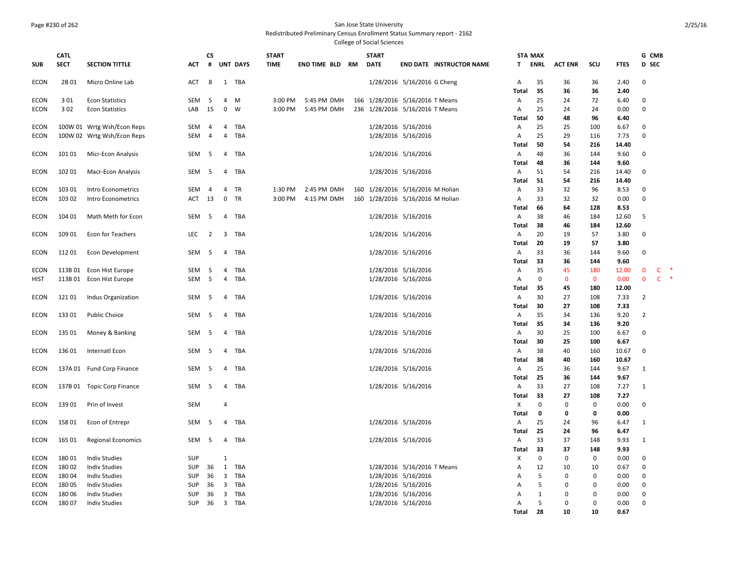## Page #230 of 262 San Jose State University

Redistributed Preliminary Census Enrollment Status Summary report - 2162

|             | CATL        |                            |            | <b>CS</b>      |                         |                 | <b>START</b> |                        | <b>START</b>                     |                             |                                 |                | <b>STA MAX</b> |                |                |                | G CMB        |              |  |
|-------------|-------------|----------------------------|------------|----------------|-------------------------|-----------------|--------------|------------------------|----------------------------------|-----------------------------|---------------------------------|----------------|----------------|----------------|----------------|----------------|--------------|--------------|--|
| SUB         | <b>SECT</b> | <b>SECTION TITTLE</b>      | ACT        | #              |                         | <b>UNT DAYS</b> | <b>TIME</b>  | <b>END TIME BLD RM</b> | <b>DATE</b>                      |                             | <b>END DATE INSTRUCTOR NAME</b> | T.             | ENRL           | <b>ACT ENR</b> | scu            | <b>FTES</b>    | D SEC        |              |  |
| ECON        | 2B 01       | Micro Online Lab           | ACT        | 8              |                         | 1 TBA           |              |                        |                                  | 1/28/2016 5/16/2016 G Cheng |                                 | $\mathsf{A}$   | 35             | 36             | 36             | 2.40           | 0            |              |  |
|             |             |                            |            |                |                         |                 |              |                        |                                  |                             |                                 | Total          | 35             | 36             | 36             | 2.40           |              |              |  |
| <b>ECON</b> | 301         | <b>Econ Statistics</b>     | SEM        | -5             | 4                       | M               | 3:00 PM      | 5:45 PM DMH            | 166 1/28/2016 5/16/2016 T Means  |                             |                                 | $\overline{A}$ | 25             | 24             | 72             | 6.40           | $\mathbf 0$  |              |  |
| <b>ECON</b> | 3 0 2       | <b>Econ Statistics</b>     | LAB        | 15             | 0                       | W               | 3:00 PM      | 5:45 PM DMH            | 236 1/28/2016 5/16/2016 T Means  |                             |                                 | Α              | 25             | 24             | 24             | 0.00           | $\mathbf 0$  |              |  |
|             |             |                            |            |                |                         |                 |              |                        |                                  |                             |                                 | Total          | 50             | 48             | 96             | 6.40           |              |              |  |
| <b>ECON</b> |             | 100W 01 Wrtg Wsh/Econ Reps | SEM        | 4              | 4                       | TBA             |              |                        |                                  | 1/28/2016 5/16/2016         |                                 | Α              | 25             | 25             | 100            | 6.67           | $\mathbf 0$  |              |  |
| <b>ECON</b> |             | 100W 02 Wrtg Wsh/Econ Reps | SEM        | $\overline{4}$ | 4                       | TBA             |              |                        |                                  | 1/28/2016 5/16/2016         |                                 | A              | 25             | 29             | 116            | 7.73           | $\mathbf 0$  |              |  |
|             |             |                            |            |                |                         |                 |              |                        |                                  |                             |                                 | Total          | 50             | 54             | 216            | 14.40          |              |              |  |
| ECON        | 101 01      | Micr-Econ Analysis         | SEM        | 5              | $\overline{4}$          | TBA             |              |                        |                                  | 1/28/2016 5/16/2016         |                                 | $\mathsf{A}$   | 48             | 36             | 144            | 9.60           | $\mathbf 0$  |              |  |
|             |             |                            |            |                |                         |                 |              |                        |                                  |                             |                                 | Total          | 48             | 36             | 144            | 9.60           |              |              |  |
| <b>ECON</b> | 102 01      | Macr-Econ Analysis         | SEM        | -5             | 4                       | TBA             |              |                        |                                  | 1/28/2016 5/16/2016         |                                 | A<br>Total     | 51<br>51       | 54<br>54       | 216<br>216     | 14.40<br>14.40 | 0            |              |  |
| <b>ECON</b> | 103 01      | Intro Econometrics         | SEM        | $\overline{4}$ | 4                       | TR              | 1:30 PM      | 2:45 PM DMH            | 160 1/28/2016 5/16/2016 M Holian |                             |                                 | A              | 33             | 32             | 96             | 8.53           | $\mathbf 0$  |              |  |
| ECON        | 103 02      | Intro Econometrics         | ACT        | 13             | 0                       | TR              | 3:00 PM      | 4:15 PM DMH            | 160 1/28/2016 5/16/2016 M Holian |                             |                                 | A              | 33             | 32             | 32             | 0.00           | $\mathbf 0$  |              |  |
|             |             |                            |            |                |                         |                 |              |                        |                                  |                             |                                 | Total          | 66             | 64             | 128            | 8.53           |              |              |  |
| ECON        | 104 01      | Math Meth for Econ         | SEM        | - 5            | $\overline{4}$          | TBA             |              |                        |                                  | 1/28/2016 5/16/2016         |                                 | $\mathsf{A}$   | 38             | 46             | 184            | 12.60          | 5            |              |  |
|             |             |                            |            |                |                         |                 |              |                        |                                  |                             |                                 | Total          | 38             | 46             | 184            | 12.60          |              |              |  |
| ECON        | 109 01      | Econ for Teachers          | LEC        | $\overline{2}$ | 3                       | TBA             |              |                        |                                  | 1/28/2016 5/16/2016         |                                 | Α              | 20             | 19             | 57             | 3.80           | $\mathbf 0$  |              |  |
|             |             |                            |            |                |                         |                 |              |                        |                                  |                             |                                 | Total          | 20             | 19             | 57             | 3.80           |              |              |  |
| ECON        | 112 01      | Econ Development           | SEM        | - 5            | 4                       | TBA             |              |                        |                                  | 1/28/2016 5/16/2016         |                                 | A              | 33             | 36             | 144            | 9.60           | 0            |              |  |
|             |             |                            |            |                |                         |                 |              |                        |                                  |                             |                                 | Total          | 33             | 36             | 144            | 9.60           |              |              |  |
| <b>ECON</b> | 113B01      | Econ Hist Europe           | SEM        | 5              | 4                       | TBA             |              |                        |                                  | 1/28/2016 5/16/2016         |                                 | A              | 35             | 45             | 180            | 12.00          | $\mathbf 0$  | C            |  |
| HIST        | 113B01      | Econ Hist Europe           | SEM        | $5^{\circ}$    | $\overline{4}$          | TBA             |              |                        |                                  | 1/28/2016 5/16/2016         |                                 | A              | $\mathbf 0$    | $\mathbf 0$    | $\mathbf 0$    | 0.00           | $\mathbf 0$  | $\mathsf{C}$ |  |
|             |             |                            |            |                |                         |                 |              |                        |                                  |                             |                                 | Total          | 35             | 45             | 180            | 12.00          |              |              |  |
| ECON        | 12101       | <b>Indus Organization</b>  | SEM        | -5             | 4                       | TBA             |              |                        |                                  | 1/28/2016 5/16/2016         |                                 | A              | 30             | 27             | 108            | 7.33           | 2            |              |  |
|             |             |                            |            |                |                         |                 |              |                        |                                  |                             |                                 | Total          | 30             | 27             | 108            | 7.33           |              |              |  |
| ECON        | 13301       | <b>Public Choice</b>       | SEM 5      |                | 4                       | TBA             |              |                        |                                  | 1/28/2016 5/16/2016         |                                 | $\overline{A}$ | 35             | 34             | 136            | 9.20           | 2            |              |  |
|             |             |                            |            |                |                         |                 |              |                        |                                  |                             |                                 | Total          | -35            | 34             | 136            | 9.20           |              |              |  |
| ECON        | 135 01      | Money & Banking            | SEM        | - 5            | 4                       | TBA             |              |                        |                                  | 1/28/2016 5/16/2016         |                                 | A              | 30             | 25             | 100            | 6.67           | $\mathbf 0$  |              |  |
|             |             |                            |            | - 5            |                         |                 |              |                        |                                  |                             |                                 | Total          | 30<br>38       | 25             | 100            | 6.67           | $\mathbf 0$  |              |  |
| <b>ECON</b> | 13601       | Internatl Econ             | SEM        |                | 4                       | TBA             |              |                        |                                  | 1/28/2016 5/16/2016         |                                 | A<br>Total     | 38             | 40<br>40       | 160<br>160     | 10.67<br>10.67 |              |              |  |
| ECON        |             | 137A 01 Fund Corp Finance  | SEM        | 5              | 4                       | TBA             |              |                        |                                  | 1/28/2016 5/16/2016         |                                 | A              | 25             | 36             | 144            | 9.67           | 1            |              |  |
|             |             |                            |            |                |                         |                 |              |                        |                                  |                             |                                 | Total          | 25             | 36             | 144            | 9.67           |              |              |  |
| <b>ECON</b> |             | 137B 01 Topic Corp Finance | SEM        | 5              | 4                       | TBA             |              |                        |                                  | 1/28/2016 5/16/2016         |                                 | $\overline{A}$ | 33             | 27             | 108            | 7.27           | $\mathbf{1}$ |              |  |
|             |             |                            |            |                |                         |                 |              |                        |                                  |                             |                                 | Total          | 33             | 27             | 108            | 7.27           |              |              |  |
| <b>ECON</b> | 139 01      | Prin of Invest             | SEM        |                | 4                       |                 |              |                        |                                  |                             |                                 | X              | $\mathbf 0$    | $\mathbf 0$    | 0              | 0.00           | 0            |              |  |
|             |             |                            |            |                |                         |                 |              |                        |                                  |                             |                                 | Total          | $\mathbf 0$    | 0              | 0              | 0.00           |              |              |  |
| ECON        | 15801       | Econ of Entrepr            | SEM        | - 5            | 4                       | TBA             |              |                        |                                  | 1/28/2016 5/16/2016         |                                 | $\overline{A}$ | 25             | 24             | 96             | 6.47           | 1            |              |  |
|             |             |                            |            |                |                         |                 |              |                        |                                  |                             |                                 | Total          | 25             | 24             | 96             | 6.47           |              |              |  |
| ECON        | 165 01      | <b>Regional Economics</b>  | SEM        | - 5            | 4                       | TBA             |              |                        |                                  | 1/28/2016 5/16/2016         |                                 | Α              | 33             | 37             | 148            | 9.93           | 1            |              |  |
|             |             |                            |            |                |                         |                 |              |                        |                                  |                             |                                 | <b>Total</b>   | 33             | 37             | 148            | 9.93           |              |              |  |
| <b>ECON</b> | 18001       | <b>Indiv Studies</b>       | <b>SUP</b> |                | 1                       |                 |              |                        |                                  |                             |                                 | X              | 0              | $\mathbf 0$    | 0              | 0.00           | 0            |              |  |
| <b>ECON</b> | 18002       | <b>Indiv Studies</b>       | <b>SUP</b> | 36             | 1                       | TBA             |              |                        |                                  | 1/28/2016 5/16/2016 T Means |                                 | Α              | 12             | 10             | 10             | 0.67           | $\mathbf 0$  |              |  |
| <b>ECON</b> | 18004       | <b>Indiv Studies</b>       | <b>SUP</b> | 36             | 3                       | TBA             |              |                        |                                  | 1/28/2016 5/16/2016         |                                 | A              | 5              | $\mathbf 0$    | 0              | 0.00           | $\mathbf 0$  |              |  |
| <b>ECON</b> | 18005       | <b>Indiv Studies</b>       | <b>SUP</b> | 36             | 3                       | TBA             |              |                        |                                  | 1/28/2016 5/16/2016         |                                 | $\mathsf{A}$   | 5              | 0              | <sup>0</sup>   | 0.00           | $\mathbf 0$  |              |  |
| <b>ECON</b> | 180 06      | <b>Indiv Studies</b>       | <b>SUP</b> | 36             | 3                       | TBA             |              |                        |                                  | 1/28/2016 5/16/2016         |                                 | Α              | 1              | $\mathbf 0$    | $\Omega$       | 0.00           | $\mathbf 0$  |              |  |
| ECON        | 18007       | <b>Indiv Studies</b>       | <b>SUP</b> | 36             | $\overline{\mathbf{3}}$ | TBA             |              |                        |                                  | 1/28/2016 5/16/2016         |                                 | A              | 5<br>28        | $\Omega$<br>10 | $\Omega$<br>10 | 0.00           | $\mathbf 0$  |              |  |
|             |             |                            |            |                |                         |                 |              |                        |                                  |                             |                                 | Total          |                |                |                | 0.67           |              |              |  |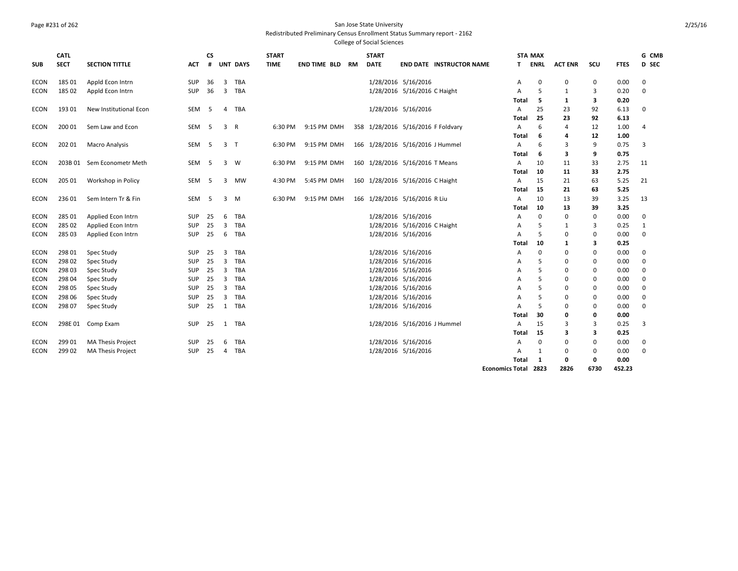## Page #231 of 262 San Jose State University

Redistributed Preliminary Census Enrollment Status Summary report - 2162

|             | <b>CATL</b> |                            |                  | <b>CS</b> |                         |                 | <b>START</b> |                     |    | <b>START</b> |                                    |                        | <b>STA MAX</b> |                |             |             | G CMB       |
|-------------|-------------|----------------------------|------------------|-----------|-------------------------|-----------------|--------------|---------------------|----|--------------|------------------------------------|------------------------|----------------|----------------|-------------|-------------|-------------|
| <b>SUB</b>  | <b>SECT</b> | <b>SECTION TITTLE</b>      | <b>ACT</b>       | #         |                         | <b>UNT DAYS</b> | <b>TIME</b>  | <b>END TIME BLD</b> | RM | <b>DATE</b>  | <b>END DATE INSTRUCTOR NAME</b>    | T.                     | ENRL           | <b>ACT ENR</b> | scu         | <b>FTES</b> | D SEC       |
| <b>ECON</b> | 185 01      | Appld Econ Intrn           | SUP              | 36        | $\overline{3}$          | TBA             |              |                     |    |              | 1/28/2016 5/16/2016                | Α                      | $\Omega$       | 0              | 0           | 0.00        | $\mathbf 0$ |
| <b>ECON</b> | 185 02      | Appld Econ Intrn           | SUP              | 36        | $\overline{\mathbf{3}}$ | TBA             |              |                     |    |              | 1/28/2016 5/16/2016 C Haight       | A                      | .5             | 1              | 3           | 0.20        | $\Omega$    |
|             |             |                            |                  |           |                         |                 |              |                     |    |              |                                    | Total                  | 5              | 1              | 3           | 0.20        |             |
| ECON        | 193 01      | New Institutional Econ     | SEM              | - 5       | 4                       | TBA             |              |                     |    |              | 1/28/2016 5/16/2016                | A                      | 25             | 23             | 92          | 6.13        | 0           |
|             |             |                            |                  |           |                         |                 |              |                     |    |              |                                    | <b>Total</b>           | 25             | 23             | 92          | 6.13        |             |
| ECON        | 200 01      | Sem Law and Econ           | SEM <sub>5</sub> |           | 3                       | R               | 6:30 PM      | 9:15 PM DMH         |    |              | 358 1/28/2016 5/16/2016 F Foldvary | A                      | 6              | 4              | 12          | 1.00        | 4           |
|             |             |                            |                  |           |                         |                 |              |                     |    |              |                                    | <b>Total</b>           | 6              | Δ              | 12          | 1.00        |             |
| <b>ECON</b> | 202 01      | <b>Macro Analysis</b>      | SEM              | - 5       | 3 <sub>T</sub>          |                 | 6:30 PM      | 9:15 PM DMH         |    |              | 166 1/28/2016 5/16/2016 J Hummel   | Α                      | 6              | 3              | 9           | 0.75        | 3           |
|             |             |                            |                  |           |                         |                 |              |                     |    |              |                                    | Total                  | 6              | 3              | 9           | 0.75        |             |
| <b>ECON</b> |             | 203B 01 Sem Econometr Meth | SEM              | -5        | 3                       | - W             | 6:30 PM      | 9:15 PM DMH         |    |              | 160 1/28/2016 5/16/2016 T Means    | $\overline{A}$         | 10             | 11             | 33          | 2.75        | 11          |
|             |             |                            |                  |           |                         |                 |              |                     |    |              |                                    | Total                  | 10             | 11             | 33          | 2.75        |             |
| <b>ECON</b> | 205 01      | Workshop in Policy         | SEM              | - 5       | 3                       | <b>MW</b>       | 4:30 PM      | 5:45 PM DMH         |    |              | 160 1/28/2016 5/16/2016 C Haight   | A                      | 15             | 21             | 63          | 5.25        | 21          |
|             |             |                            |                  |           |                         |                 |              |                     |    |              |                                    | Total                  | 15             | 21             | 63          | 5.25        |             |
| <b>ECON</b> | 236 01      | Sem Intern Tr & Fin        | SEM              | - 5       | 3                       | M               | 6:30 PM      | 9:15 PM DMH         |    |              | 166 1/28/2016 5/16/2016 R Liu      | A                      | 10             | 13             | 39          | 3.25        | 13          |
|             |             |                            |                  |           |                         |                 |              |                     |    |              |                                    | Total                  | 10             | 13             | 39          | 3.25        |             |
| <b>ECON</b> | 285 01      | Applied Econ Intrn         | <b>SUP</b>       | 25        | 6                       | TBA             |              |                     |    |              | 1/28/2016 5/16/2016                | A                      | 0              | $\mathbf 0$    | 0           | 0.00        | 0           |
| <b>ECON</b> | 285 02      | Applied Econ Intrn         | SUP              | 25        | 3                       | TBA             |              |                     |    |              | 1/28/2016 5/16/2016 C Haight       | A                      | .5             | -1             | 3           | 0.25        | 1           |
| <b>ECON</b> | 285 03      | Applied Econ Intrn         | <b>SUP</b>       | 25        | 6                       | TBA             |              |                     |    |              | 1/28/2016 5/16/2016                | $\overline{A}$         | .5             | $\Omega$       | 0           | 0.00        | $\mathbf 0$ |
|             |             |                            |                  |           |                         |                 |              |                     |    |              |                                    | Total                  | 10             | 1              | 3           | 0.25        |             |
| <b>ECON</b> | 298 01      | Spec Study                 | <b>SUP</b>       | 25        | 3                       | TBA             |              |                     |    |              | 1/28/2016 5/16/2016                | A                      | $\mathbf 0$    | $\Omega$       | 0           | 0.00        | 0           |
| <b>ECON</b> | 298 02      | Spec Study                 | SUP              | 25        | 3                       | TBA             |              |                     |    |              | 1/28/2016 5/16/2016                | A                      | 5              | 0              | 0           | 0.00        | 0           |
| <b>ECON</b> | 298 03      | Spec Study                 | <b>SUP</b>       | 25        | $\overline{3}$          | TBA             |              |                     |    |              | 1/28/2016 5/16/2016                | A                      | 5              | $\Omega$       | $\mathbf 0$ | 0.00        | 0           |
| <b>ECON</b> | 298 04      | Spec Study                 | <b>SUP</b>       | 25        | 3                       | TBA             |              |                     |    |              | 1/28/2016 5/16/2016                | A                      | 5              | 0              | 0           | 0.00        | 0           |
| ECON        | 298 05      | Spec Study                 | SUP              | 25        | $\mathbf{3}$            | TBA             |              |                     |    |              | 1/28/2016 5/16/2016                | A                      | .5             | 0              | 0           | 0.00        | 0           |
| <b>ECON</b> | 298 06      | <b>Spec Study</b>          | <b>SUP</b>       | 25        | $\overline{3}$          | TBA             |              |                     |    |              | 1/28/2016 5/16/2016                | A                      | 5              | $\Omega$       | 0           | 0.00        | 0           |
| <b>ECON</b> | 298 07      | Spec Study                 | SUP              | 25        |                         | 1 TBA           |              |                     |    |              | 1/28/2016 5/16/2016                | A                      | .5             | $\Omega$       | 0           | 0.00        | $\Omega$    |
|             |             |                            |                  |           |                         |                 |              |                     |    |              |                                    | Total                  | 30             | 0              | 0           | 0.00        |             |
| <b>ECON</b> | 298E 01     | Comp Exam                  | SUP              | 25        |                         | 1 TBA           |              |                     |    |              | 1/28/2016 5/16/2016 J Hummel       | A                      | 15             | 3              | 3           | 0.25        | 3           |
|             |             |                            |                  |           |                         |                 |              |                     |    |              |                                    | Total                  | 15             | 3              | 3           | 0.25        |             |
| <b>ECON</b> | 299 01      | MA Thesis Project          | <b>SUP</b>       | 25        | 6                       | TBA             |              |                     |    |              | 1/28/2016 5/16/2016                | A                      | $\Omega$       | $\Omega$       | $\mathbf 0$ | 0.00        | 0           |
| <b>ECON</b> | 299 02      | <b>MA Thesis Project</b>   | SUP              | 25        | 4                       | TBA             |              |                     |    |              | 1/28/2016 5/16/2016                | A                      | 1              | $\Omega$       | 0           | 0.00        | $\mathbf 0$ |
|             |             |                            |                  |           |                         |                 |              |                     |    |              |                                    | <b>Total</b>           | 1              | 0              | 0           | 0.00        |             |
|             |             |                            |                  |           |                         |                 |              |                     |    |              |                                    | <b>Economics Total</b> | 2823           | 2826           | 6730        | 452.23      |             |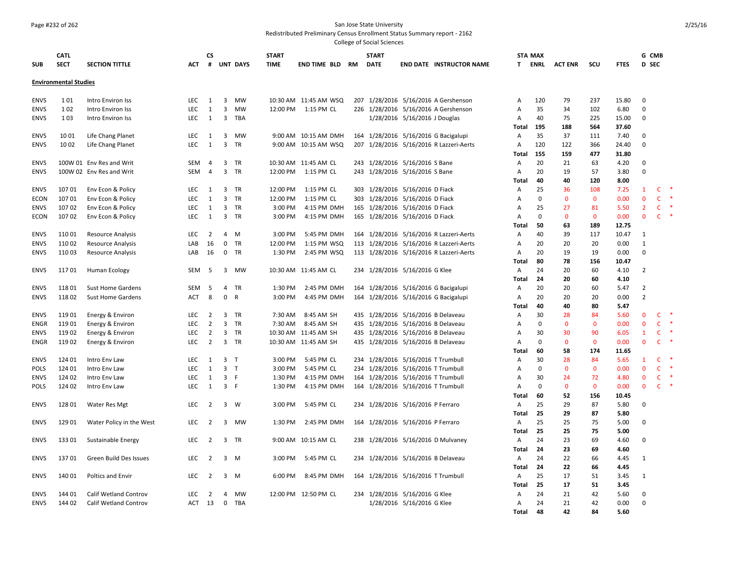#### Page #232 of 262 San Jose State University

Redistributed Preliminary Census Enrollment Status Summary report - 2162

| <b>SUB</b>                 | <b>CATL</b><br><b>SECT</b>   | <b>SECTION TITTLE</b>          | <b>ACT</b>        | <b>CS</b><br># |                                           | <b>UNT DAYS</b> | <b>START</b><br><b>TIME</b> | <b>END TIME BLD</b>        | RM | <b>START</b><br><b>DATE</b> |                                                                          | <b>END DATE INSTRUCTOR NAME</b>         | T.             | <b>STA MAX</b><br><b>ENRL</b> | <b>ACT ENR</b>     | scu                | <b>FTES</b>  | G CMB<br>D SEC       |                   |        |
|----------------------------|------------------------------|--------------------------------|-------------------|----------------|-------------------------------------------|-----------------|-----------------------------|----------------------------|----|-----------------------------|--------------------------------------------------------------------------|-----------------------------------------|----------------|-------------------------------|--------------------|--------------------|--------------|----------------------|-------------------|--------|
|                            | <b>Environmental Studies</b> |                                |                   |                |                                           |                 |                             |                            |    |                             |                                                                          |                                         |                |                               |                    |                    |              |                      |                   |        |
| <b>ENVS</b>                | 1 0 1                        | Intro Environ Iss              | LEC               | 1              | 3                                         | MW              |                             | 10:30 AM 11:45 AM WSQ      |    |                             |                                                                          | 207 1/28/2016 5/16/2016 A Gershenson    | $\overline{A}$ | 120                           | 79                 | 237                | 15.80        | $\Omega$             |                   |        |
| <b>ENVS</b>                | 1 0 2                        | Intro Environ Iss              | <b>LEC</b>        | $\mathbf{1}$   | $\overline{3}$                            | MW              | 12:00 PM                    | 1:15 PM CL                 |    |                             |                                                                          | 226 1/28/2016 5/16/2016 A Gershenson    | A              | 35                            | 34                 | 102                | 6.80         | $\Omega$             |                   |        |
| <b>ENVS</b>                | 103                          | Intro Environ Iss              | LEC               | 1              |                                           | 3 TBA           |                             |                            |    |                             | 1/28/2016 5/16/2016 J Douglas                                            |                                         | Α              | 40                            | 75                 | 225                | 15.00        | $\Omega$             |                   |        |
|                            |                              |                                |                   |                |                                           |                 |                             |                            |    |                             |                                                                          |                                         | Total          | 195                           | 188                | 564                | 37.60        |                      |                   |        |
| ENVS                       | 10 01                        | Life Chang Planet              | LEC               | 1              | 3                                         | MW              |                             | 9:00 AM 10:15 AM DMH       |    |                             |                                                                          | 164 1/28/2016 5/16/2016 G Bacigalupi    | Α              | 35                            | 37                 | 111                | 7.40         | $\Omega$             |                   |        |
| <b>ENVS</b>                | 1002                         | Life Chang Planet              | LEC               | 1              |                                           | 3 TR            |                             | 9:00 AM 10:15 AM WSQ       |    |                             |                                                                          | 207 1/28/2016 5/16/2016 R Lazzeri-Aerts | A              | 120                           | 122                | 366                | 24.40        | $\mathbf 0$          |                   |        |
|                            |                              |                                |                   |                |                                           |                 |                             |                            |    |                             |                                                                          |                                         | Total          | 155                           | 159                | 477                | 31.80        |                      |                   |        |
| <b>ENVS</b>                |                              | 100W 01 Env Res and Writ       | SEM               | 4              | 3                                         | <b>TR</b>       |                             | 10:30 AM 11:45 AM CL       |    |                             | 243 1/28/2016 5/16/2016 S Bane                                           |                                         | A              | 20                            | 21                 | 63                 | 4.20         | $\Omega$<br>$\Omega$ |                   |        |
| <b>ENVS</b>                |                              | 100W 02 Env Res and Writ       | <b>SEM</b>        | $\overline{4}$ | 3                                         | TR              | 12:00 PM                    | 1:15 PM CL                 |    |                             | 243 1/28/2016 5/16/2016 S Bane                                           |                                         | Α              | 20<br>40                      | 19<br>40           | 57<br>120          | 3.80<br>8.00 |                      |                   |        |
| <b>ENVS</b>                | 10701                        | Env Econ & Policy              | <b>LEC</b>        | 1              | 3                                         | <b>TR</b>       | 12:00 PM                    | 1:15 PM CL                 |    |                             | 303 1/28/2016 5/16/2016 D Fiack                                          |                                         | Total<br>Α     | 25                            | 36                 | 108                | 7.25         | 1                    | c                 |        |
| ECON                       | 107 01                       | Env Econ & Policy              | LEC               | 1              | 3                                         | <b>TR</b>       | 12:00 PM                    | 1:15 PM CL                 |    |                             | 303 1/28/2016 5/16/2016 D Fiack                                          |                                         | A              | $\mathbf 0$                   | $\mathbf{0}$       | $\mathbf{0}$       | 0.00         | $\mathbf 0$          | $\mathsf{C}$      | $\ast$ |
| <b>ENVS</b>                | 10702                        | Env Econ & Policy              | <b>LEC</b>        | $\mathbf{1}$   | 3                                         | <b>TR</b>       | 3:00 PM                     | 4:15 PM DMH                |    |                             | 165 1/28/2016 5/16/2016 D Fiack                                          |                                         | Α              | 25                            | 27                 | 81                 | 5.50         | $\overline{2}$       | C                 |        |
| ECON                       | 10702                        | Env Econ & Policy              | <b>LEC</b>        | 1              |                                           | 3 TR            | 3:00 PM                     | 4:15 PM DMH                |    |                             | 165 1/28/2016 5/16/2016 D Fiack                                          |                                         | Α              | $\Omega$                      | $\mathbf{0}$       | $\mathbf{0}$       | 0.00         | $\mathbf{0}$         | $\mathsf{C}$      | -*     |
|                            |                              |                                |                   |                |                                           |                 |                             |                            |    |                             |                                                                          |                                         | Total          | 50                            | 63                 | 189                | 12.75        |                      |                   |        |
| <b>ENVS</b>                | 11001                        | <b>Resource Analysis</b>       | LEC               | $\overline{2}$ | 4                                         | M               | 3:00 PM                     | 5:45 PM DMH                |    |                             |                                                                          | 164 1/28/2016 5/16/2016 R Lazzeri-Aerts | Α              | 40                            | 39                 | 117                | 10.47        | $\mathbf{1}$         |                   |        |
| <b>ENVS</b>                | 11002                        | <b>Resource Analysis</b>       | LAB               | 16             | 0                                         | TR              | 12:00 PM                    | 1:15 PM WSQ                |    |                             |                                                                          | 113 1/28/2016 5/16/2016 R Lazzeri-Aerts | A              | 20                            | 20                 | 20                 | 0.00         | $\mathbf{1}$         |                   |        |
| <b>ENVS</b>                | 110 03                       | Resource Analysis              | LAB               | 16             | $\mathbf 0$                               | <b>TR</b>       | 1:30 PM                     | 2:45 PM WSQ                |    |                             |                                                                          | 113 1/28/2016 5/16/2016 R Lazzeri-Aerts | A              | 20                            | 19                 | 19                 | 0.00         | $\Omega$             |                   |        |
|                            |                              |                                |                   |                |                                           |                 |                             |                            |    |                             |                                                                          |                                         | Total          | 80                            | 78                 | 156                | 10.47        |                      |                   |        |
| <b>ENVS</b>                | 11701                        | Human Ecology                  | SEM               | - 5            |                                           | 3 MW            |                             | 10:30 AM 11:45 AM CL       |    |                             | 234 1/28/2016 5/16/2016 G Klee                                           |                                         | A              | 24                            | 20                 | 60                 | 4.10         | $\overline{2}$       |                   |        |
|                            |                              |                                |                   |                |                                           |                 |                             |                            |    |                             |                                                                          |                                         | Total          | 24                            | 20                 | 60                 | 4.10         |                      |                   |        |
| <b>ENVS</b>                | 118 01                       | <b>Sust Home Gardens</b>       | SEM               | - 5            | 4                                         | TR              | 1:30 PM                     | 2:45 PM DMH                |    |                             |                                                                          | 164 1/28/2016 5/16/2016 G Bacigalupi    | Α              | 20                            | 20                 | 60                 | 5.47         | $\overline{2}$       |                   |        |
| <b>ENVS</b>                | 11802                        | <b>Sust Home Gardens</b>       | <b>ACT</b>        | 8              | $\mathbf 0$                               | R               | 3:00 PM                     | 4:45 PM DMH                |    |                             |                                                                          | 164 1/28/2016 5/16/2016 G Bacigalupi    | A              | 20                            | 20                 | 20                 | 0.00         | $\overline{2}$       |                   |        |
|                            |                              |                                |                   |                |                                           |                 |                             |                            |    |                             |                                                                          |                                         | Total          | 40                            | 40                 | 80                 | 5.47         |                      |                   |        |
| <b>ENVS</b>                | 119 01                       | Energy & Environ               | LEC               | $\overline{2}$ | 3                                         | TR              | 7:30 AM                     | 8:45 AM SH                 |    |                             |                                                                          | 435 1/28/2016 5/16/2016 B Delaveau      | Α              | 30                            | 28                 | 84                 | 5.60         | $\mathbf 0$          | C                 | 咪      |
| ENGR                       | 11901                        | Energy & Environ               | LEC               | $\overline{2}$ | 3                                         | TR              | 7:30 AM                     | 8:45 AM SH                 |    |                             |                                                                          | 435 1/28/2016 5/16/2016 B Delaveau      | Α              | $\Omega$                      | $\mathbf 0$        | $\mathbf 0$        | 0.00         | $\mathbf 0$          | $\mathsf{C}$      | $\ast$ |
| <b>ENVS</b>                | 11902                        | Energy & Environ               | LEC               | $\overline{2}$ | 3                                         | <b>TR</b>       |                             | 10:30 AM 11:45 AM SH       |    |                             |                                                                          | 435 1/28/2016 5/16/2016 B Delaveau      | Α              | 30                            | 30                 | 90                 | 6.05         | $\mathbf{1}$         | C                 | 咪      |
| ENGR                       | 11902                        | Energy & Environ               | LEC               | $\overline{2}$ |                                           | 3 TR            |                             | 10:30 AM 11:45 AM SH       |    |                             |                                                                          | 435 1/28/2016 5/16/2016 B Delaveau      | Α              | $\mathbf 0$                   | $\mathbf{0}$       | $\mathbf 0$        | 0.00         | $\mathbf{0}$         | C                 |        |
|                            |                              |                                |                   |                |                                           |                 |                             |                            |    |                             |                                                                          |                                         | Total          | 60                            | 58                 | 174                | 11.65        |                      |                   |        |
| <b>ENVS</b>                | 124 01                       | Intro Env Law                  | LEC               | 1              | 3                                         | $\mathsf{T}$    | 3:00 PM                     | 5:45 PM CL                 |    |                             | 234 1/28/2016 5/16/2016 T Trumbull                                       |                                         | $\mathsf{A}$   | 30                            | 28                 | 84                 | 5.65         | -1<br>$\mathbf{0}$   | C<br>$\mathsf{C}$ |        |
| <b>POLS</b>                | 124 01<br>124 02             | Intro Env Law                  | LEC               | 1              | 3 <sub>T</sub><br>$\overline{\mathbf{3}}$ |                 | 3:00 PM                     | 5:45 PM CL                 |    |                             | 234 1/28/2016 5/16/2016 T Trumbull                                       |                                         | A              | $\mathbf 0$<br>30             | $\mathbf 0$        | $\mathbf 0$        | 0.00         | $\mathbf 0$          | $\mathsf{C}$      | 咪      |
| <b>ENVS</b><br><b>POLS</b> | 124 02                       | Intro Env Law<br>Intro Env Law | LEC<br><b>LEC</b> | 1<br>1         | 3 F                                       | F               | 1:30 PM<br>1:30 PM          | 4:15 PM DMH<br>4:15 PM DMH |    |                             | 164 1/28/2016 5/16/2016 T Trumbull<br>164 1/28/2016 5/16/2016 T Trumbull |                                         | Α<br>Α         | $\Omega$                      | 24<br>$\mathbf{0}$ | 72<br>$\mathbf{0}$ | 4.80<br>0.00 | $\mathbf{0}$         | $\mathsf{C}$      | $\ast$ |
|                            |                              |                                |                   |                |                                           |                 |                             |                            |    |                             |                                                                          |                                         | Total          | 60                            | 52                 | 156                | 10.45        |                      |                   |        |
| <b>ENVS</b>                | 128 01                       | Water Res Mgt                  | LEC               | $\overline{2}$ |                                           | 3 W             | 3:00 PM                     | 5:45 PM CL                 |    |                             | 234 1/28/2016 5/16/2016 P Ferraro                                        |                                         | Α              | 25                            | 29                 | 87                 | 5.80         | $\mathbf 0$          |                   |        |
|                            |                              |                                |                   |                |                                           |                 |                             |                            |    |                             |                                                                          |                                         | Total          | 25                            | 29                 | 87                 | 5.80         |                      |                   |        |
| <b>ENVS</b>                | 129 01                       | Water Policy in the West       | <b>LEC</b>        | $\overline{2}$ | 3                                         | MW              | 1:30 PM                     | 2:45 PM DMH                |    |                             | 164 1/28/2016 5/16/2016 P Ferraro                                        |                                         | A              | 25                            | 25                 | 75                 | 5.00         | $\Omega$             |                   |        |
|                            |                              |                                |                   |                |                                           |                 |                             |                            |    |                             |                                                                          |                                         | Total          | 25                            | 25                 | 75                 | 5.00         |                      |                   |        |
| <b>ENVS</b>                | 133 01                       | Sustainable Energy             | LEC               | $\overline{2}$ | $\overline{\mathbf{3}}$                   | <b>TR</b>       |                             | 9:00 AM 10:15 AM CL        |    |                             |                                                                          | 238 1/28/2016 5/16/2016 D Mulvaney      | Α              | 24                            | 23                 | 69                 | 4.60         | $\Omega$             |                   |        |
|                            |                              |                                |                   |                |                                           |                 |                             |                            |    |                             |                                                                          |                                         | Total          | 24                            | 23                 | 69                 | 4.60         |                      |                   |        |
| <b>ENVS</b>                | 13701                        | Green Build Des Issues         | <b>LEC</b>        | $\overline{2}$ | 3                                         | M               | 3:00 PM                     | 5:45 PM CL                 |    |                             |                                                                          | 234 1/28/2016 5/16/2016 B Delaveau      | A              | 24                            | 22                 | 66                 | 4.45         | 1                    |                   |        |
|                            |                              |                                |                   |                |                                           |                 |                             |                            |    |                             |                                                                          |                                         | Total          | 24                            | 22                 | 66                 | 4.45         |                      |                   |        |
| <b>ENVS</b>                | 140 01                       | Poltics and Envir              | <b>LEC</b>        | $\overline{2}$ |                                           | 3 M             | 6:00 PM                     | 8:45 PM DMH                |    |                             | 164 1/28/2016 5/16/2016 T Trumbull                                       |                                         | A              | 25                            | 17                 | 51                 | 3.45         | 1                    |                   |        |
|                            |                              |                                |                   |                |                                           |                 |                             |                            |    |                             |                                                                          |                                         | Total          | 25                            | 17                 | 51                 | 3.45         |                      |                   |        |
| <b>ENVS</b>                | 144 01                       | <b>Calif Wetland Controv</b>   | <b>LEC</b>        | 2              | 4                                         | MW              |                             | 12:00 PM 12:50 PM CL       |    |                             | 234 1/28/2016 5/16/2016 G Klee                                           |                                         | Α              | 24                            | 21                 | 42                 | 5.60         | $\mathbf 0$          |                   |        |
| <b>ENVS</b>                | 144 02                       | Calif Wetland Controv          | ACT 13            |                | $\mathbf{0}$                              | TBA             |                             |                            |    |                             | 1/28/2016 5/16/2016 G Klee                                               |                                         | A              | 24                            | 21                 | 42                 | 0.00         | $\Omega$             |                   |        |
|                            |                              |                                |                   |                |                                           |                 |                             |                            |    |                             |                                                                          |                                         | Total          | 48                            | 42                 | 84                 | 5.60         |                      |                   |        |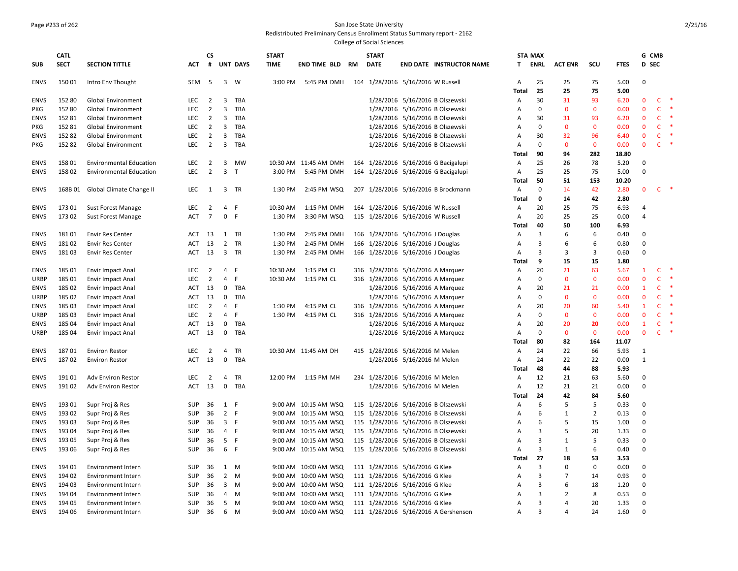## Page #233 of 262 San Jose State University

Redistributed Preliminary Census Enrollment Status Summary report - 2162

|             | <b>CATL</b> |                                |            | СS             |                         |                 | <b>START</b> |                       | <b>START</b> |                                     |                                      |                | <b>STA MAX</b> |                |                |             |                | G CMB        |        |
|-------------|-------------|--------------------------------|------------|----------------|-------------------------|-----------------|--------------|-----------------------|--------------|-------------------------------------|--------------------------------------|----------------|----------------|----------------|----------------|-------------|----------------|--------------|--------|
| <b>SUB</b>  | <b>SECT</b> | <b>SECTION TITTLE</b>          | ACT        | #              |                         | <b>UNT DAYS</b> | <b>TIME</b>  | END TIME BLD RM       | <b>DATE</b>  |                                     | <b>END DATE INSTRUCTOR NAME</b>      | T.             | <b>ENRL</b>    | <b>ACT ENR</b> | SCU            | <b>FTES</b> | <b>D</b> SEC   |              |        |
| <b>ENVS</b> | 15001       | Intro Env Thought              | <b>SEM</b> | - 5            |                         | 3 W             | 3:00 PM      | 5:45 PM DMH           |              | 164 1/28/2016 5/16/2016 W Russell   |                                      | Α              | 25             | 25             | 75             | 5.00        | $\mathbf 0$    |              |        |
|             |             |                                |            |                |                         |                 |              |                       |              |                                     | 1/28/2016 5/16/2016 B Olszewski      | Total          | 25<br>30       | 25<br>31       | 75<br>93       | 5.00        | $\mathbf{0}$   |              |        |
| <b>ENVS</b> | 152 80      | <b>Global Environment</b>      | LEC        | $\overline{2}$ | 3                       | TBA             |              |                       |              |                                     |                                      | Α              |                |                |                | 6.20        |                | C            | 米      |
| <b>PKG</b>  | 152 80      | <b>Global Environment</b>      | <b>LEC</b> | $\overline{2}$ | $\overline{\mathbf{3}}$ | TBA             |              |                       |              |                                     | 1/28/2016 5/16/2016 B Olszewski      | Α              | $\mathbf 0$    | $\mathbf{0}$   | $\mathbf{0}$   | 0.00        | $\mathbf{0}$   | c            | $\ast$ |
| <b>ENVS</b> | 152 81      | Global Environment             | <b>LEC</b> | $\overline{2}$ | 3                       | TBA             |              |                       |              |                                     | 1/28/2016 5/16/2016 B Olszewski      | Α              | 30             | 31             | 93             | 6.20        | $\mathbf 0$    | c            |        |
| <b>PKG</b>  | 152 81      | Global Environment             | LEC        | $\overline{2}$ | $\overline{\mathbf{3}}$ | TBA             |              |                       |              |                                     | 1/28/2016 5/16/2016 B Olszewski      | A              | 0              | $\mathbf 0$    | $\Omega$       | 0.00        | $\mathbf 0$    | $\mathsf{C}$ | -*     |
| <b>ENVS</b> | 152 82      | <b>Global Environment</b>      | <b>LEC</b> | $\overline{2}$ | 3                       | TBA             |              |                       |              |                                     | 1/28/2016 5/16/2016 B Olszewski      | Α              | 30             | 32             | 96             | 6.40        | $\mathbf{0}$   | C            |        |
| PKG         | 152 82      | <b>Global Environment</b>      | <b>LEC</b> | $\overline{2}$ |                         | 3 TBA           |              |                       |              |                                     | 1/28/2016 5/16/2016 B Olszewski      | A              | $\mathbf 0$    | $\mathbf{0}$   | $\mathbf{0}$   | 0.00        | $\mathbf{0}$   | $\mathsf{C}$ | $\ast$ |
|             |             |                                |            |                |                         |                 |              |                       |              |                                     |                                      | Total          | 90             | 94             | 282            | 18.80       |                |              |        |
| <b>ENVS</b> | 158 01      | <b>Environmental Education</b> | LEC        | $\overline{2}$ | $\overline{\mathbf{3}}$ | MW              |              | 10:30 AM 11:45 AM DMH |              |                                     | 164 1/28/2016 5/16/2016 G Bacigalupi | Α              | 25             | 26             | 78             | 5.20        | $\mathbf 0$    |              |        |
| <b>ENVS</b> | 158 02      | <b>Environmental Education</b> | <b>LEC</b> | $\overline{2}$ | $\overline{\mathbf{3}}$ | $\top$          | 3:00 PM      | 5:45 PM DMH           |              |                                     | 164 1/28/2016 5/16/2016 G Bacigalupi | Α              | 25             | 25             | 75             | 5.00        | $\Omega$       |              |        |
|             |             |                                |            |                |                         |                 |              |                       |              |                                     |                                      | Total          | 50             | 51             | 153            | 10.20       |                |              |        |
| <b>ENVS</b> | 168B01      | Global Climate Change II       | LEC        | 1              |                         | 3 TR            | 1:30 PM      | 2:45 PM WSQ           |              |                                     | 207 1/28/2016 5/16/2016 B Brockmann  | Α              | 0              | 14             | 42             | 2.80        | 0              | c            |        |
|             |             |                                |            |                |                         |                 |              |                       |              |                                     |                                      | Total          | $\mathbf{0}$   | 14             | 42             | 2.80        |                |              |        |
| <b>ENVS</b> | 17301       | Sust Forest Manage             | LEC        | $\overline{2}$ | $\overline{4}$          | - F             | 10:30 AM     | 1:15 PM DMH           |              | 164 1/28/2016 5/16/2016 W Russell   |                                      | Α              | 20             | 25             | 75             | 6.93        | 4              |              |        |
| <b>ENVS</b> | 173 02      | Sust Forest Manage             | ACT        | $\overline{7}$ | $\mathbf{0}$            | - F             | 1:30 PM      | 3:30 PM WSQ           |              | 115 1/28/2016 5/16/2016 W Russell   |                                      | Α              | 20             | 25             | 25             | 0.00        | 4              |              |        |
|             |             |                                |            |                |                         |                 |              |                       |              |                                     |                                      | Total          | 40             | 50             | 100            | 6.93        |                |              |        |
| <b>ENVS</b> | 18101       | <b>Envir Res Center</b>        | ACT        | 13             | $\mathbf{1}$            | <b>TR</b>       | 1:30 PM      | 2:45 PM DMH           |              | 166 1/28/2016 5/16/2016 J Douglas   |                                      | $\overline{A}$ | 3              | 6              | 6              | 0.40        | $\Omega$       |              |        |
| <b>ENVS</b> | 18102       | <b>Envir Res Center</b>        | ACT        | 13             | $\overline{2}$          | <b>TR</b>       | 1:30 PM      | 2:45 PM DMH           |              | 166 1/28/2016 5/16/2016 J Douglas   |                                      | A              | 3              | 6              | 6              | 0.80        | $\mathbf 0$    |              |        |
| <b>ENVS</b> | 18103       | <b>Envir Res Center</b>        | ACT        | 13             |                         | 3 TR            | 1:30 PM      | 2:45 PM DMH           |              | 166 1/28/2016 5/16/2016 J Douglas   |                                      | Α              | 3              | 3              | 3              | 0.60        | $\mathbf 0$    |              |        |
|             |             |                                |            |                |                         |                 |              |                       |              |                                     |                                      | Total          | 9              | 15             | 15             | 1.80        |                |              |        |
| <b>ENVS</b> | 185 01      | Envir Impact Anal              | LEC        | 2              |                         | 4 F             | 10:30 AM     | 1:15 PM CL            |              | 316 1/28/2016 5/16/2016 A Marquez   |                                      | A              | 20             | 21             | 63             | 5.67        | $\mathbf{1}$   | C            | $\ast$ |
| URBP        | 185 01      | Envir Impact Anal              | <b>LEC</b> | $\overline{2}$ | $\overline{4}$          | -F              | 10:30 AM     | 1:15 PM CL            |              | 316 1/28/2016 5/16/2016 A Marquez   |                                      | Α              | $\mathbf 0$    | $\mathbf{0}$   | $\mathbf{0}$   | 0.00        | $\mathbf{0}$   | C            | ×      |
| ENVS        | 185 02      | Envir Impact Anal              | ACT        | 13             | $\mathbf 0$             | TBA             |              |                       |              | 1/28/2016 5/16/2016 A Marquez       |                                      | Α              | 20             | 21             | 21             | 0.00        | $\mathbf{1}$   | c            |        |
| <b>URBP</b> | 185 02      | Envir Impact Anal              | ACT        | 13             | 0                       | TBA             |              |                       |              | 1/28/2016 5/16/2016 A Marquez       |                                      | Α              | $\mathbf 0$    | $\mathbf{0}$   | $\mathbf{0}$   | 0.00        | $\mathbf 0$    | c            | -8     |
| <b>ENVS</b> | 18503       | Envir Impact Anal              | <b>LEC</b> | $\overline{2}$ | $\overline{4}$          | -F              | 1:30 PM      | 4:15 PM CL            |              | 316 1/28/2016 5/16/2016 A Marquez   |                                      | Α              | 20             | 20             | 60             | 5.40        | 1              | C            |        |
|             | 185 03      |                                |            | $\overline{2}$ | $\overline{4}$          | $\mathsf F$     | 1:30 PM      | 4:15 PM CL            |              |                                     |                                      | Α              | $\mathbf 0$    | $\mathbf{0}$   | $\mathbf{0}$   | 0.00        | $\mathbf{0}$   | C            |        |
| URBP        |             | Envir Impact Anal              | LEC        |                |                         |                 |              |                       |              | 316 1/28/2016 5/16/2016 A Marquez   |                                      |                |                |                |                |             |                |              |        |
| <b>ENVS</b> | 185 04      | Envir Impact Anal              | ACT        | 13             | $\mathbf 0$             | TBA             |              |                       |              | 1/28/2016 5/16/2016 A Marquez       |                                      | Α              | 20             | 20             | 20             | 0.00        | $\mathbf{1}$   | C            | $\ast$ |
| <b>URBP</b> | 185 04      | Envir Impact Anal              | ACT        | 13             |                         | 0 TBA           |              |                       |              | 1/28/2016 5/16/2016 A Marquez       |                                      | A              | $\mathbf 0$    | $\mathbf{0}$   | $\mathbf{0}$   | 0.00        | $\overline{0}$ | C            |        |
|             |             |                                |            |                |                         |                 |              |                       |              |                                     |                                      | Total          | 80             | 82             | 164            | 11.07       |                |              |        |
| <b>ENVS</b> | 18701       | <b>Environ Restor</b>          | LEC        | $\overline{2}$ | 4                       | TR              |              | 10:30 AM 11:45 AM DH  |              | 415 1/28/2016 5/16/2016 M Melen     |                                      | Α              | 24             | 22             | 66             | 5.93        | 1              |              |        |
| <b>ENVS</b> | 18702       | <b>Environ Restor</b>          | <b>ACT</b> | 13             | $\mathbf 0$             | TBA             |              |                       |              | 1/28/2016 5/16/2016 M Melen         |                                      | Α              | 24             | 22             | 22             | 0.00        | $\mathbf{1}$   |              |        |
|             |             |                                |            |                |                         |                 |              |                       |              |                                     |                                      | Total          | 48             | 44             | 88             | 5.93        |                |              |        |
| <b>ENVS</b> | 19101       | <b>Adv Environ Restor</b>      | LEC        | $\overline{2}$ | $\overline{4}$          | TR              | 12:00 PM     | 1:15 PM MH            |              | 234 1/28/2016 5/16/2016 M Melen     |                                      | Α              | 12             | 21             | 63             | 5.60        | $\mathbf 0$    |              |        |
| <b>ENVS</b> | 19102       | <b>Adv Environ Restor</b>      | ACT        | 13             | $\mathbf 0$             | TBA             |              |                       |              | 1/28/2016 5/16/2016 M Melen         |                                      | A              | 12             | 21             | 21             | 0.00        | $\mathbf 0$    |              |        |
|             |             |                                |            |                |                         |                 |              |                       |              |                                     |                                      | Total          | 24             | 42             | 84             | 5.60        |                |              |        |
| ENVS        | 193 01      | Supr Proj & Res                | <b>SUP</b> | 36             | 1                       | - F             | 9:00 AM      | 10:15 AM WSQ          |              |                                     | 115 1/28/2016 5/16/2016 B Olszewski  | Α              | 6              | 5              | .5             | 0.33        | $\mathbf 0$    |              |        |
| <b>ENVS</b> | 193 02      | Supr Proj & Res                | <b>SUP</b> | 36             | 2 F                     |                 |              | 9:00 AM 10:15 AM WSQ  |              |                                     | 115 1/28/2016 5/16/2016 B Olszewski  | Α              | 6              | $\mathbf{1}$   | $\overline{2}$ | 0.13        | $\mathbf 0$    |              |        |
| <b>ENVS</b> | 193 03      | Supr Proj & Res                | <b>SUP</b> | 36             | 3 F                     |                 |              | 9:00 AM 10:15 AM WSQ  |              |                                     | 115 1/28/2016 5/16/2016 B Olszewski  | Α              | 6              | 5              | 15             | 1.00        | $\mathbf 0$    |              |        |
| <b>ENVS</b> | 193 04      | Supr Proj & Res                | <b>SUP</b> | 36             | 4 F                     |                 |              | 9:00 AM 10:15 AM WSQ  |              | 115 1/28/2016 5/16/2016 B Olszewski |                                      | Α              | 3              | 5              | 20             | 1.33        | $\pmb{0}$      |              |        |
| <b>ENVS</b> | 193 05      | Supr Proj & Res                | <b>SUP</b> | 36             | 5 F                     |                 |              | 9:00 AM 10:15 AM WSQ  |              |                                     | 115 1/28/2016 5/16/2016 B Olszewski  | $\overline{A}$ | $\overline{3}$ | $\mathbf{1}$   | 5              | 0.33        | $\Omega$       |              |        |
| <b>ENVS</b> | 193 06      | Supr Proj & Res                | <b>SUP</b> | 36             | 6 F                     |                 |              | 9:00 AM 10:15 AM WSQ  |              |                                     | 115 1/28/2016 5/16/2016 B Olszewski  | A              | 3              | 1              | 6              | 0.40        | $\Omega$       |              |        |
|             |             |                                |            |                |                         |                 |              |                       |              |                                     |                                      | Total          | 27             | 18             | 53             | 3.53        |                |              |        |
| <b>ENVS</b> | 194 01      | <b>Environment Intern</b>      | <b>SUP</b> | 36             | 1                       | M               | 9:00 AM      | 10:00 AM WSQ          |              | 111 1/28/2016 5/16/2016 G Klee      |                                      | Α              | 3              | $\Omega$       | $\mathbf 0$    | 0.00        | $\mathbf 0$    |              |        |
| <b>ENVS</b> | 194 02      | Environment Intern             | SUP        | 36             | $\overline{2}$          | M               |              | 9:00 AM 10:00 AM WSQ  |              | 111 1/28/2016 5/16/2016 G Klee      |                                      | Α              | 3              | $\overline{7}$ | 14             | 0.93        | $\mathbf 0$    |              |        |
| <b>ENVS</b> | 194 03      | <b>Environment Intern</b>      | <b>SUP</b> | 36             | 3                       | M               |              | 9:00 AM 10:00 AM WSQ  |              | 111 1/28/2016 5/16/2016 G Klee      |                                      | A              | 3              | 6              | 18             | 1.20        | $\mathbf 0$    |              |        |
| ENVS        | 194 04      | <b>Environment Intern</b>      | SUP        | 36             | 4                       | M               |              | 9:00 AM 10:00 AM WSQ  |              | 111 1/28/2016 5/16/2016 G Klee      |                                      | Α              | 3              | $\overline{2}$ | 8              | 0.53        | $\pmb{0}$      |              |        |
| <b>ENVS</b> | 194 05      | <b>Environment Intern</b>      | <b>SUP</b> | 36             | 5                       | M               |              | 9:00 AM 10:00 AM WSQ  |              | 111 1/28/2016 5/16/2016 G Klee      |                                      | Α              | 3              | 4              | 20             | 1.33        | $\pmb{0}$      |              |        |
| <b>ENVS</b> | 194 06      | <b>Environment Intern</b>      | SUP        | 36             | 6                       | M               |              | 9:00 AM 10:00 AM WSQ  |              |                                     | 111 1/28/2016 5/16/2016 A Gershenson | Α              | $\mathbf{a}$   | $\overline{a}$ | 24             | 1.60        | $\Omega$       |              |        |
|             |             |                                |            |                |                         |                 |              |                       |              |                                     |                                      |                |                |                |                |             |                |              |        |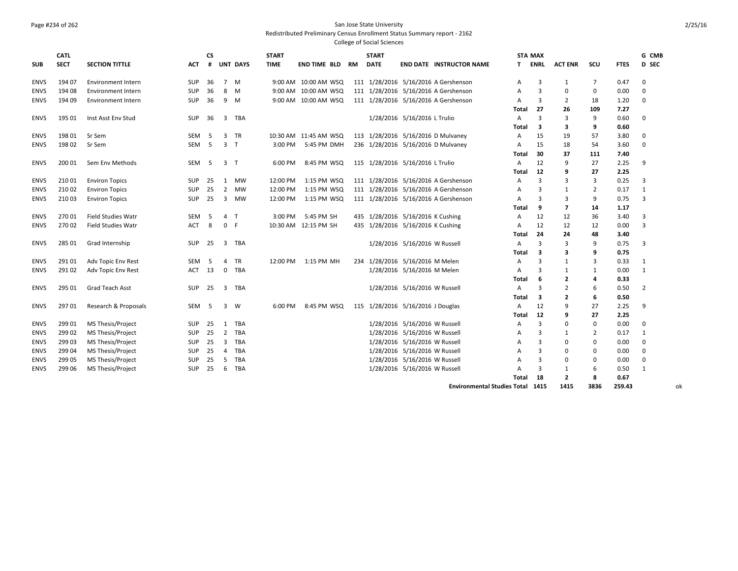### Page #234 of 262 San Jose State University

Redistributed Preliminary Census Enrollment Status Summary report - 2162

College of Social Sciences

|             | <b>CATL</b> |                           |            | <b>CS</b> |                |                 | <b>START</b> |                       |           | <b>START</b>                      |                               |                                      |              | <b>STA MAX</b>          |                          |                |             | G CMB          |
|-------------|-------------|---------------------------|------------|-----------|----------------|-----------------|--------------|-----------------------|-----------|-----------------------------------|-------------------------------|--------------------------------------|--------------|-------------------------|--------------------------|----------------|-------------|----------------|
| <b>SUB</b>  | <b>SECT</b> | <b>SECTION TITTLE</b>     | <b>ACT</b> | #         |                | <b>UNT DAYS</b> | <b>TIME</b>  | <b>END TIME BLD</b>   | <b>RM</b> | <b>DATE</b>                       |                               | <b>END DATE INSTRUCTOR NAME</b>      | т            | <b>ENRL</b>             | <b>ACT ENR</b>           | scu            | <b>FTES</b> | D SEC          |
| <b>ENVS</b> | 194 07      | <b>Environment Intern</b> | <b>SUP</b> | 36        |                | 7 M             |              | 9:00 AM 10:00 AM WSQ  |           |                                   |                               | 111 1/28/2016 5/16/2016 A Gershenson | Α            | 3                       | 1                        | 7              | 0.47        | 0              |
| <b>ENVS</b> | 194 08      | Environment Intern        | SUP        | 36        | 8              | M               |              | 9:00 AM 10:00 AM WSQ  |           |                                   |                               | 111 1/28/2016 5/16/2016 A Gershenson | A            | 3                       | 0                        | 0              | 0.00        | 0              |
| <b>ENVS</b> | 194 09      | Environment Intern        | SUP        | 36        | 9              | M               |              | 9:00 AM 10:00 AM WSQ  |           |                                   |                               | 111 1/28/2016 5/16/2016 A Gershenson | A            | 3                       | 2                        | 18             | 1.20        | $\mathbf 0$    |
|             |             |                           |            |           |                |                 |              |                       |           |                                   |                               |                                      | Total        | 27                      | 26                       | 109            | 7.27        |                |
| <b>ENVS</b> | 195 01      | Inst Asst Env Stud        | <b>SUP</b> | 36        | 3              | TBA             |              |                       |           |                                   | 1/28/2016 5/16/2016 L Trulio  |                                      | A            | $\overline{\mathbf{3}}$ | 3                        | 9              | 0.60        | $\mathbf 0$    |
|             |             |                           |            |           |                |                 |              |                       |           |                                   |                               |                                      | Total        | 3                       | 3                        | 9              | 0.60        |                |
| <b>ENVS</b> | 198 01      | Sr Sem                    | SEM        | -5        | 3              | TR              |              | 10:30 AM 11:45 AM WSQ |           |                                   |                               | 113 1/28/2016 5/16/2016 D Mulvaney   | A            | 15                      | 19                       | 57             | 3.80        | 0              |
| <b>ENVS</b> | 198 02      | Sr Sem                    | SEM        | 5         | 3              | $\top$          | 3:00 PM      | 5:45 PM DMH           |           |                                   |                               | 236 1/28/2016 5/16/2016 D Mulvaney   | A            | 15                      | 18                       | 54             | 3.60        | 0              |
|             |             |                           |            |           |                |                 |              |                       |           |                                   |                               |                                      | Total        | 30                      | 37                       | 111            | 7.40        |                |
| <b>ENVS</b> | 200 01      | Sem Env Methods           | SEM        | -5        | 3 <sub>T</sub> |                 | 6:00 PM      | 8:45 PM WSQ           |           | 115 1/28/2016 5/16/2016 L Trulio  |                               |                                      | $\mathsf{A}$ | 12                      | $\mathbf{q}$             | 27             | 2.25        | 9              |
|             |             |                           |            |           |                |                 |              |                       |           |                                   |                               |                                      | Total        | 12                      | q                        | 27             | 2.25        |                |
| <b>ENVS</b> | 210 01      | <b>Environ Topics</b>     | <b>SUP</b> | 25        | 1              | <b>MW</b>       | 12:00 PM     | 1:15 PM WSQ           |           |                                   |                               | 111 1/28/2016 5/16/2016 A Gershenson | A            | 3                       | з                        | 3              | 0.25        | 3              |
| <b>ENVS</b> | 210 02      | <b>Environ Topics</b>     | <b>SUP</b> | 25        | $\overline{2}$ | <b>MW</b>       | 12:00 PM     | 1:15 PM WSQ           |           |                                   |                               | 111 1/28/2016 5/16/2016 A Gershenson | A            | 3                       | 1                        | 2              | 0.17        | 1              |
| <b>ENVS</b> | 210 03      | <b>Environ Topics</b>     | <b>SUP</b> | 25        | 3              | MW              | 12:00 PM     | 1:15 PM WSQ           |           |                                   |                               | 111 1/28/2016 5/16/2016 A Gershenson | A            | 3                       | 3                        | 9              | 0.75        | 3              |
|             |             |                           |            |           |                |                 |              |                       |           |                                   |                               |                                      | Total        | 9                       | 7                        | 14             | 1.17        |                |
| <b>ENVS</b> | 270 01      | <b>Field Studies Watr</b> | SEM        | -5        | $\overline{4}$ | $\mathsf{T}$    | 3:00 PM      | 5:45 PM SH            |           | 435 1/28/2016 5/16/2016 K Cushing |                               |                                      | A            | 12                      | 12                       | 36             | 3.40        | 3              |
| <b>ENVS</b> | 270 02      | <b>Field Studies Watr</b> | <b>ACT</b> | 8         | $\mathbf 0$    | -F              |              | 10:30 AM 12:15 PM SH  |           | 435 1/28/2016 5/16/2016 K Cushing |                               |                                      | A            | 12                      | 12                       | 12             | 0.00        | 3              |
|             |             |                           |            |           |                |                 |              |                       |           |                                   |                               |                                      | Total        | 24                      | 24                       | 48             | 3.40        |                |
| <b>ENVS</b> | 285 01      | Grad Internship           | <b>SUP</b> | 25        | 3              | TBA             |              |                       |           |                                   | 1/28/2016 5/16/2016 W Russell |                                      | A            | 3                       | $\mathbf{a}$             | 9              | 0.75        | 3              |
|             |             |                           |            |           |                |                 |              |                       |           |                                   |                               |                                      | Total        | 3                       | 3                        | 9              | 0.75        |                |
| <b>ENVS</b> | 291 01      | Adv Topic Env Rest        | SEM        | -5        | 4              | <b>TR</b>       | 12:00 PM     | 1:15 PM MH            |           | 234 1/28/2016 5/16/2016 M Melen   |                               |                                      | A            | 3                       | 1                        | 3              | 0.33        | 1              |
| <b>ENVS</b> | 291 02      | Adv Topic Env Rest        | ACT        | 13        | 0              | TBA             |              |                       |           |                                   | 1/28/2016 5/16/2016 M Melen   |                                      | A            | 3                       | $\mathbf{1}$             | 1              | 0.00        | 1              |
|             |             |                           |            |           |                |                 |              |                       |           |                                   |                               |                                      | Total        | 6                       | $\overline{2}$           | 4              | 0.33        |                |
| <b>ENVS</b> | 295 01      | Grad Teach Asst           | <b>SUP</b> | 25        | 3              | TBA             |              |                       |           |                                   | 1/28/2016 5/16/2016 W Russell |                                      | A            | $\overline{3}$          | $\overline{2}$           | 6              | 0.50        | $\overline{2}$ |
|             |             |                           |            |           |                |                 |              |                       |           |                                   |                               |                                      | Total        | 3                       | $\overline{2}$           | 6              | 0.50        |                |
| <b>ENVS</b> | 297 01      | Research & Proposals      | SEM        | 5         | 3              | W               | 6:00 PM      | 8:45 PM WSQ           |           | 115 1/28/2016 5/16/2016 J Douglas |                               |                                      | A            | 12                      | q                        | 27             | 2.25        | 9              |
|             |             |                           |            |           |                |                 |              |                       |           |                                   |                               |                                      | Total        | 12                      | q                        | 27             | 2.25        |                |
| <b>ENVS</b> | 299 01      | <b>MS Thesis/Project</b>  | <b>SUP</b> | 25        | 1              | TBA             |              |                       |           |                                   | 1/28/2016 5/16/2016 W Russell |                                      | Α            | $\overline{3}$          | $\Omega$                 | 0              | 0.00        | 0              |
| <b>ENVS</b> | 299 02      | MS Thesis/Project         | <b>SUP</b> | 25        | $\overline{2}$ | TBA             |              |                       |           |                                   | 1/28/2016 5/16/2016 W Russell |                                      | Α            | 3                       | 1                        | $\overline{2}$ | 0.17        | 1              |
| <b>ENVS</b> | 299 03      | MS Thesis/Project         | <b>SUP</b> | 25        | $\overline{3}$ | TBA             |              |                       |           |                                   | 1/28/2016 5/16/2016 W Russell |                                      | A            | $\overline{3}$          | $\Omega$                 | $\mathbf 0$    | 0.00        | 0              |
| <b>ENVS</b> | 299 04      | MS Thesis/Project         | <b>SUP</b> | 25        | 4              | <b>TBA</b>      |              |                       |           |                                   | 1/28/2016 5/16/2016 W Russell |                                      | A            | 3                       | $\Omega$                 | $\mathbf 0$    | 0.00        | 0              |
| <b>ENVS</b> | 299 05      | MS Thesis/Project         | <b>SUP</b> | 25        | 5              | TBA             |              |                       |           |                                   | 1/28/2016 5/16/2016 W Russell |                                      | A            | 3                       | $\Omega$                 | 0              | 0.00        | 0              |
| <b>ENVS</b> | 299 06      | MS Thesis/Project         | <b>SUP</b> | 25        | 6              | <b>TBA</b>      |              |                       |           |                                   | 1/28/2016 5/16/2016 W Russell |                                      | A            | 3                       | $\mathbf{1}$             | 6              | 0.50        | 1              |
|             |             |                           |            |           |                |                 |              |                       |           |                                   |                               |                                      | Total        | 18                      | $\overline{\phantom{a}}$ | 8              | 0.67        |                |

**Environmental Studies Total 1415 1415 3836 259.43** ok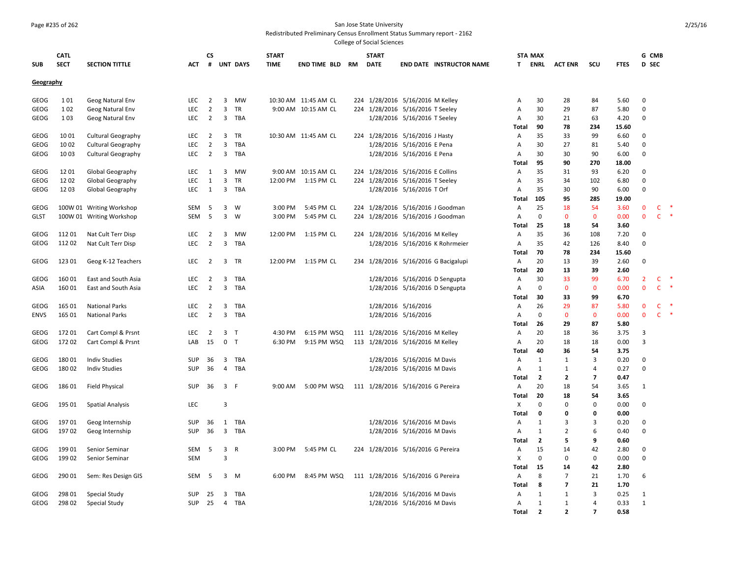#### Page #235 of 262 San Jose State University

Redistributed Preliminary Census Enrollment Status Summary report - 2162

| <b>SUB</b>  | <b>CATL</b><br><b>SECT</b> | <b>SECTION TITTLE</b>     | ACT        | СS<br>#                          |                         | <b>UNT DAYS</b> | <b>START</b><br><b>TIME</b> | <b>END TIME BLD</b>  | RM | <b>START</b><br>DATE              |                              | <b>END DATE INSTRUCTOR NAME</b>      | T.           | <b>STA MAX</b><br>ENRL | <b>ACT ENR</b>           | scu                      | <b>FTES</b>   | G CMB<br>D SEC                |                   |        |
|-------------|----------------------------|---------------------------|------------|----------------------------------|-------------------------|-----------------|-----------------------------|----------------------|----|-----------------------------------|------------------------------|--------------------------------------|--------------|------------------------|--------------------------|--------------------------|---------------|-------------------------------|-------------------|--------|
| Geography   |                            |                           |            |                                  |                         |                 |                             |                      |    |                                   |                              |                                      |              |                        |                          |                          |               |                               |                   |        |
| GEOG        | 101                        | Geog Natural Env          | LEC        | $\overline{2}$                   |                         | 3 MW            |                             | 10:30 AM 11:45 AM CL |    | 224 1/28/2016 5/16/2016 M Kelley  |                              |                                      | A            | 30                     | 28                       | 84                       | 5.60          | $\mathbf 0$                   |                   |        |
| GEOG        | 1 0 2                      | Geog Natural Env          | LEC        | $\overline{2}$                   | 3                       | TR              |                             | 9:00 AM 10:15 AM CL  |    | 224 1/28/2016 5/16/2016 T Seeley  |                              |                                      | Α            | 30                     | 29                       | 87                       | 5.80          | $\mathbf 0$                   |                   |        |
| GEOG        | 103                        | Geog Natural Env          | <b>LEC</b> | $\overline{2}$                   |                         | 3 TBA           |                             |                      |    |                                   | 1/28/2016 5/16/2016 T Seeley |                                      | A<br>Total   | 30<br>90               | 21<br>78                 | 63<br>234                | 4.20<br>15.60 | $\Omega$                      |                   |        |
| GEOG        | 1001                       | <b>Cultural Geography</b> | LEC        | $\overline{2}$                   | 3                       | TR              |                             | 10:30 AM 11:45 AM CL |    | 224 1/28/2016 5/16/2016 J Hasty   |                              |                                      | Α            | 35                     | 33                       | 99                       | 6.60          | $\mathbf 0$                   |                   |        |
| GEOG        | 1002                       | <b>Cultural Geography</b> | LEC        | $\overline{2}$                   | 3                       | TBA             |                             |                      |    |                                   | 1/28/2016 5/16/2016 E Pena   |                                      | Α            | 30                     | 27                       | 81                       | 5.40          | $\Omega$                      |                   |        |
| GEOG        | 1003                       | <b>Cultural Geography</b> | <b>LEC</b> | 2                                | 3                       | TBA             |                             |                      |    |                                   | 1/28/2016 5/16/2016 E Pena   |                                      | A            | 30                     | 30                       | 90                       | 6.00          | $\Omega$                      |                   |        |
|             |                            |                           |            |                                  |                         |                 |                             |                      |    |                                   |                              |                                      | Total        | 95                     | 90                       | 270                      | 18.00         |                               |                   |        |
| GEOG        | 1201                       | Global Geography          | LEC        | 1                                | 3                       | MW              |                             | 9:00 AM 10:15 AM CL  |    | 224 1/28/2016 5/16/2016 E Collins |                              |                                      | Α            | 35                     | 31                       | 93                       | 6.20          | $\Omega$                      |                   |        |
| GEOG        | 1202                       | Global Geography          | LEC        | 1                                | 3                       | TR              |                             | 12:00 PM 1:15 PM CL  |    | 224 1/28/2016 5/16/2016 T Seeley  |                              |                                      | Α            | 35                     | 34                       | 102                      | 6.80          | $\Omega$                      |                   |        |
| GEOG        | 1203                       | Global Geography          | LEC        | 1                                | 3                       | TBA             |                             |                      |    |                                   | 1/28/2016 5/16/2016 T Orf    |                                      | Α            | 35                     | 30                       | 90                       | 6.00          | $\Omega$                      |                   |        |
|             |                            |                           |            |                                  |                         |                 |                             |                      |    |                                   |                              |                                      | Total        | 105                    | 95                       | 285                      | 19.00         |                               |                   |        |
| GEOG        |                            | 100W 01 Writing Workshop  | SEM        | -5                               | 3                       | W               | 3:00 PM                     | 5:45 PM CL           |    |                                   |                              | 224 1/28/2016 5/16/2016 J Goodman    | A            | 25                     | 18                       | 54                       | 3.60          | $\mathbf 0$                   | c                 |        |
| <b>GLST</b> |                            | 100W 01 Writing Workshop  | SEM        | 5                                | 3                       | W               | 3:00 PM                     | 5:45 PM CL           |    |                                   |                              | 224 1/28/2016 5/16/2016 J Goodman    | A            | 0                      | $\mathbf 0$              | $\mathbf 0$              | 0.00          | $\mathbf 0$                   | $\mathsf{C}$      | $\ast$ |
|             |                            |                           |            |                                  |                         |                 |                             |                      |    |                                   |                              |                                      | Total        | 25                     | 18                       | 54                       | 3.60          |                               |                   |        |
| GEOG        | 11201                      | Nat Cult Terr Disp        | LEC        | $\overline{2}$                   | 3                       | MW              | 12:00 PM                    | 1:15 PM CL           |    | 224 1/28/2016 5/16/2016 M Kelley  |                              |                                      | Α            | 35                     | 36                       | 108                      | 7.20          | $\Omega$                      |                   |        |
| GEOG        | 112 02                     | Nat Cult Terr Disp        | <b>LEC</b> | $\overline{2}$                   | $\overline{3}$          | TBA             |                             |                      |    |                                   |                              | 1/28/2016 5/16/2016 K Rohrmeier      | A            | 35                     | 42                       | 126                      | 8.40          | $\Omega$                      |                   |        |
|             |                            |                           |            |                                  |                         |                 |                             |                      |    |                                   |                              |                                      | Total        | 70                     | 78                       | 234                      | 15.60         |                               |                   |        |
| GEOG        | 123 01                     | Geog K-12 Teachers        | LEC        | $\overline{2}$                   |                         | 3 TR            |                             | 12:00 PM 1:15 PM CL  |    |                                   |                              | 234 1/28/2016 5/16/2016 G Bacigalupi | A            | 20                     | 13                       | 39                       | 2.60          | $\mathbf{0}$                  |                   |        |
|             |                            |                           |            |                                  |                         |                 |                             |                      |    |                                   |                              |                                      | Total        | 20                     | 13                       | 39                       | 2.60          |                               |                   | $\ast$ |
| GEOG        | 160 01<br>160 01           | East and South Asia       | LEC<br>LEC | $\overline{2}$<br>$\overline{2}$ | 3<br>3                  | TBA<br>TBA      |                             |                      |    |                                   |                              | 1/28/2016 5/16/2016 D Sengupta       | Α<br>Α       | 30<br>0                | 33<br>$\mathbf 0$        | 99<br>$\mathbf 0$        | 6.70<br>0.00  | $\overline{2}$<br>$\mathbf 0$ | C<br>$\mathsf{C}$ | $\ast$ |
| ASIA        |                            | East and South Asia       |            |                                  |                         |                 |                             |                      |    |                                   |                              | 1/28/2016 5/16/2016 D Sengupta       | Total        | 30                     | 33                       | 99                       | 6.70          |                               |                   |        |
| GEOG        | 165 01                     | <b>National Parks</b>     | LEC        | $\overline{2}$                   | $\overline{\mathbf{3}}$ | TBA             |                             |                      |    |                                   | 1/28/2016 5/16/2016          |                                      | Α            | 26                     | 29                       | 87                       | 5.80          | $\mathbf{0}$                  | $\mathsf{C}$      |        |
| <b>ENVS</b> | 165 01                     | <b>National Parks</b>     | LEC        | $\overline{2}$                   | $\overline{3}$          | TBA             |                             |                      |    |                                   | 1/28/2016 5/16/2016          |                                      | Α            | 0                      | $\mathbf 0$              | $\mathbf 0$              | 0.00          | $\mathbf 0$                   | $\mathsf{C}$      | $\ast$ |
|             |                            |                           |            |                                  |                         |                 |                             |                      |    |                                   |                              |                                      | Total        | 26                     | 29                       | 87                       | 5.80          |                               |                   |        |
| GEOG        | 17201                      | Cart Compl & Prsnt        | LEC        | $\overline{2}$                   | 3                       | $\top$          | 4:30 PM                     | 6:15 PM WSQ          |    | 111 1/28/2016 5/16/2016 M Kelley  |                              |                                      | A            | 20                     | 18                       | 36                       | 3.75          | 3                             |                   |        |
| GEOG        | 172 02                     | Cart Compl & Prsnt        | LAB        | 15                               | 0 <sub>T</sub>          |                 | 6:30 PM                     | 9:15 PM WSQ          |    | 113 1/28/2016 5/16/2016 M Kelley  |                              |                                      | Α            | 20                     | 18                       | 18                       | 0.00          | $\overline{3}$                |                   |        |
|             |                            |                           |            |                                  |                         |                 |                             |                      |    |                                   |                              |                                      | Total        | 40                     | 36                       | 54                       | 3.75          |                               |                   |        |
| GEOG        | 180 01                     | <b>Indiv Studies</b>      | <b>SUP</b> | 36                               | 3                       | TBA             |                             |                      |    |                                   | 1/28/2016 5/16/2016 M Davis  |                                      | A            | $\mathbf{1}$           | 1                        | 3                        | 0.20          | $\Omega$                      |                   |        |
| GEOG        | 180 02                     | <b>Indiv Studies</b>      | <b>SUP</b> | 36                               |                         | 4 TBA           |                             |                      |    |                                   | 1/28/2016 5/16/2016 M Davis  |                                      | A            | $\mathbf{1}$           | 1                        | 4                        | 0.27          | $\Omega$                      |                   |        |
|             |                            |                           |            |                                  |                         |                 |                             |                      |    |                                   |                              |                                      | Total        | $\overline{2}$         | $\overline{2}$           | 7                        | 0.47          |                               |                   |        |
| GEOG        | 186 01                     | <b>Field Physical</b>     | SUP        | 36                               | 3 F                     |                 | 9:00 AM                     | 5:00 PM WSQ          |    | 111 1/28/2016 5/16/2016 G Pereira |                              |                                      | Α            | 20                     | 18                       | 54                       | 3.65          | 1                             |                   |        |
|             |                            |                           |            |                                  |                         |                 |                             |                      |    |                                   |                              |                                      | Total        | 20                     | 18                       | 54                       | 3.65          |                               |                   |        |
| GEOG        | 195 01                     | <b>Spatial Analysis</b>   | LEC        |                                  | $\overline{3}$          |                 |                             |                      |    |                                   |                              |                                      | х            | $\Omega$               | $\Omega$                 | 0                        | 0.00          | $\Omega$                      |                   |        |
|             |                            |                           |            |                                  |                         |                 |                             |                      |    |                                   |                              |                                      | Total        | $\mathbf 0$            | $\mathbf 0$              | $\mathbf 0$              | 0.00          |                               |                   |        |
| GEOG        | 19701                      | Geog Internship           | <b>SUP</b> | 36                               | $\mathbf{1}$            | TBA             |                             |                      |    |                                   | 1/28/2016 5/16/2016 M Davis  |                                      | Α            | 1                      | 3                        | 3                        | 0.20          | $\mathbf 0$                   |                   |        |
| GEOG        | 19702                      | Geog Internship           | <b>SUP</b> | 36                               | $\overline{3}$          | TBA             |                             |                      |    |                                   | 1/28/2016 5/16/2016 M Davis  |                                      | A            | 1                      | $\overline{2}$           | 6                        | 0.40          | $\Omega$                      |                   |        |
|             |                            |                           |            |                                  |                         |                 |                             |                      |    |                                   |                              |                                      | Total        | $\overline{2}$         | 5                        | 9                        | 0.60          |                               |                   |        |
| GEOG        | 199 01                     | Senior Seminar            | SEM        | 5                                | 3                       | $\mathsf R$     | 3:00 PM                     | 5:45 PM CL           |    | 224 1/28/2016 5/16/2016 G Pereira |                              |                                      | Α            | 15                     | 14                       | 42                       | 2.80          | $\mathbf 0$                   |                   |        |
| GEOG        | 199 02                     | Senior Seminar            | <b>SEM</b> |                                  | $\overline{3}$          |                 |                             |                      |    |                                   |                              |                                      | X            | $\Omega$               | $\Omega$                 | $\Omega$                 | 0.00          | $\Omega$                      |                   |        |
| GEOG        | 290 01                     |                           | SEM        | 5                                | 3 M                     |                 | 6:00 PM                     | 8:45 PM WSQ          |    | 111 1/28/2016 5/16/2016 G Pereira |                              |                                      | <b>Total</b> | 15<br>8                | 14<br>$\overline{7}$     | 42<br>21                 | 2.80<br>1.70  | 6                             |                   |        |
|             |                            | Sem: Res Design GIS       |            |                                  |                         |                 |                             |                      |    |                                   |                              |                                      | Α<br>Total   | 8                      | $\overline{\phantom{a}}$ | 21                       | 1.70          |                               |                   |        |
| GEOG        | 298 01                     | <b>Special Study</b>      | <b>SUP</b> | 25                               | 3                       | TBA             |                             |                      |    |                                   | 1/28/2016 5/16/2016 M Davis  |                                      | Α            | 1                      | 1                        | 3                        | 0.25          | 1                             |                   |        |
| GEOG        | 298 02                     | <b>Special Study</b>      | <b>SUP</b> | 25                               | $\overline{4}$          | TBA             |                             |                      |    |                                   | 1/28/2016 5/16/2016 M Davis  |                                      | Α            | $\mathbf{1}$           | 1                        | 4                        | 0.33          | 1                             |                   |        |
|             |                            |                           |            |                                  |                         |                 |                             |                      |    |                                   |                              |                                      | Total        | $\overline{2}$         | $\overline{2}$           | $\overline{\phantom{a}}$ | 0.58          |                               |                   |        |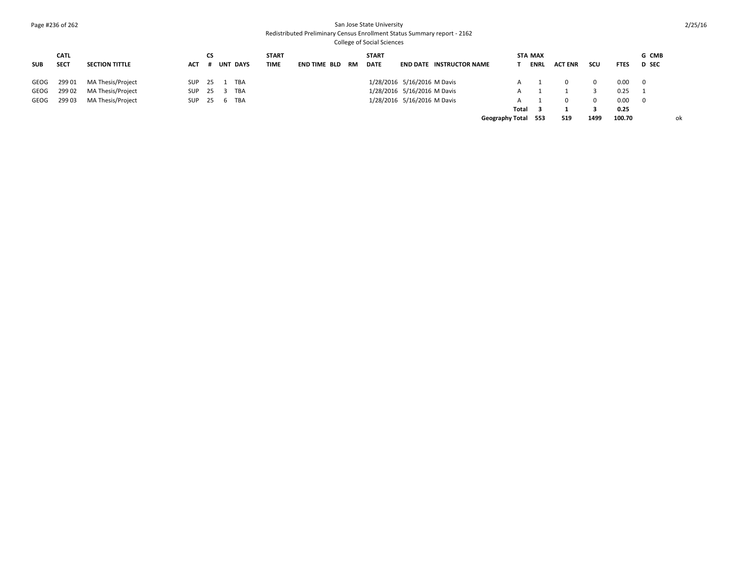## Page #236 of 262 San Jose State University

## Redistributed Preliminary Census Enrollment Status Summary report - 2162

| <b>SUB</b> | <b>CATL</b><br><b>SECT</b> | <b>SECTION TITTLE</b> | ACT        | СS   |   | <b>UNT DAYS</b> | <b>START</b><br><b>TIME</b> | <b>END TIME BLD</b> | RM | <b>START</b><br><b>DATE</b> | <b>END DATE INSTRUCTOR NAME</b> |                        | <b>STA MAX</b><br>ENRL |       | <b>ACT ENR</b> | scu      | <b>FTES</b> | G CMB<br><b>D</b> SEC |
|------------|----------------------------|-----------------------|------------|------|---|-----------------|-----------------------------|---------------------|----|-----------------------------|---------------------------------|------------------------|------------------------|-------|----------------|----------|-------------|-----------------------|
| GEOG       | 299 01                     | MA Thesis/Project     | <b>SUP</b> | - 25 |   | <b>TBA</b>      |                             |                     |    |                             | 1/28/2016 5/16/2016 M Davis     |                        |                        |       |                | $\Omega$ | 0.00        | - 0                   |
| GEOG       | 299 02                     | MA Thesis/Project     | <b>SUP</b> | - 25 |   | <b>TBA</b>      |                             |                     |    |                             | 1/28/2016 5/16/2016 M Davis     |                        |                        |       |                |          | 0.25        |                       |
| GEOG       | 299 03                     | MA Thesis/Project     | SUP        | - 25 | b | <b>TBA</b>      |                             |                     |    |                             | 1/28/2016 5/16/2016 M Davis     |                        |                        |       |                | $\Omega$ | 0.00        | - 0                   |
|            |                            |                       |            |      |   |                 |                             |                     |    |                             |                                 | Total                  |                        |       |                |          | 0.25        |                       |
|            |                            |                       |            |      |   |                 |                             |                     |    |                             |                                 | <b>Geography Total</b> |                        | - 553 | 519            | 1499     | 100.70      | оk                    |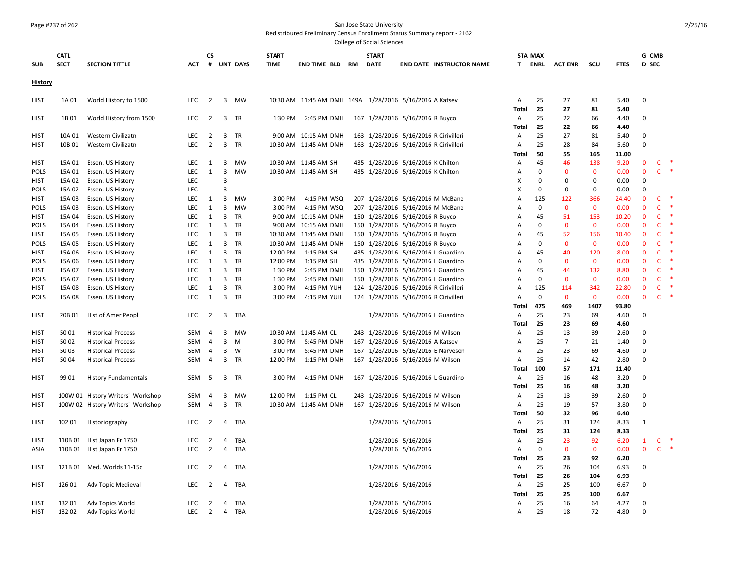## Page #237 of 262 San Jose State University

Redistributed Preliminary Census Enrollment Status Summary report - 2162

| <b>SUB</b>     | <b>CATL</b><br><b>SECT</b> | <b>SECTION TITTLE</b>                  | ACT               | СS             |                         | # UNT DAYS      | <b>START</b><br><b>TIME</b> | END TIME BLD                                            | - RM | <b>START</b><br><b>DATE</b>           |                     | <b>END DATE INSTRUCTOR NAME</b>    |              | <b>STA MAX</b><br><b>T</b> ENRL | <b>ACT ENR</b>    | scu                | <b>FTES</b>  | D SEC                       | G CMB        |        |
|----------------|----------------------------|----------------------------------------|-------------------|----------------|-------------------------|-----------------|-----------------------------|---------------------------------------------------------|------|---------------------------------------|---------------------|------------------------------------|--------------|---------------------------------|-------------------|--------------------|--------------|-----------------------------|--------------|--------|
| <b>History</b> |                            |                                        |                   |                |                         |                 |                             |                                                         |      |                                       |                     |                                    |              |                                 |                   |                    |              |                             |              |        |
| <b>HIST</b>    | 1A 01                      | World History to 1500                  | <b>LEC</b>        | $\overline{2}$ |                         | 3 MW            |                             | 10:30 AM 11:45 AM DMH 149A 1/28/2016 5/16/2016 A Katsev |      |                                       |                     |                                    | Α<br>Total   | 25<br>25                        | 27<br>27          | 81<br>81           | 5.40<br>5.40 | $\Omega$                    |              |        |
| <b>HIST</b>    | 1B 01                      | World History from 1500                | LEC               | $\overline{2}$ |                         | 3 TR            |                             | 1:30 PM 2:45 PM DMH                                     |      | 167 1/28/2016 5/16/2016 R Buyco       |                     |                                    | Α<br>Total   | 25<br>25                        | 22<br>22          | 66<br>66           | 4.40<br>4.40 | $\mathbf 0$                 |              |        |
| <b>HIST</b>    | 10A 01                     | Western Civilizatn                     | LEC               | $\overline{2}$ | 3                       | TR              |                             | 9:00 AM 10:15 AM DMH                                    |      | 163 1/28/2016 5/16/2016 R Cirivilleri |                     |                                    | Α            | 25                              | 27                | 81                 | 5.40         | $\Omega$                    |              |        |
| HIST           | 10B 01                     | Western Civilizatn                     | <b>LEC</b>        | 2              | $\overline{\mathbf{3}}$ | <b>TR</b>       |                             | 10:30 AM 11:45 AM DMH                                   |      | 163 1/28/2016 5/16/2016 R Cirivilleri |                     |                                    | A            | 25                              | 28                | 84                 | 5.60         | $\Omega$                    |              |        |
|                |                            |                                        |                   |                |                         |                 |                             |                                                         |      |                                       |                     |                                    | Total        | 50                              | 55                | 165                | 11.00        |                             |              |        |
| HIST           | 15A 01                     | Essen. US History                      | LEC               | 1              | 3                       | MW              |                             | 10:30 AM 11:45 AM SH                                    |      | 435 1/28/2016 5/16/2016 K Chilton     |                     |                                    | Α            | 45                              | 46                | 138                | 9.20         | $\mathbf{0}$                | C            |        |
| <b>POLS</b>    | 15A 01                     | Essen. US History                      | LEC               | $\mathbf{1}$   | $\overline{3}$          | <b>MW</b>       |                             | 10:30 AM 11:45 AM SH                                    |      | 435 1/28/2016 5/16/2016 K Chilton     |                     |                                    | Α            | $\mathbf 0$                     | $\mathbf{0}$      | $\mathbf{0}$       | 0.00         | $\mathbf{0}$                | $\mathsf{C}$ | $\ast$ |
| <b>HIST</b>    | 15A 02                     | Essen. US History                      | LEC               |                | 3                       |                 |                             |                                                         |      |                                       |                     |                                    | X            | 0                               | 0                 | 0                  | 0.00         | $\mathbf 0$                 |              |        |
| <b>POLS</b>    | 15A 02                     | Essen. US History                      | LEC               |                | 3                       |                 |                             |                                                         |      |                                       |                     |                                    | X            | $\Omega$                        | 0                 | 0                  | 0.00         | $\Omega$                    |              |        |
| <b>HIST</b>    | 15A 03                     | Essen. US History                      | <b>LEC</b>        | 1              | 3                       | <b>MW</b>       | 3:00 PM                     | 4:15 PM WSQ                                             |      | 207 1/28/2016 5/16/2016 M McBane      |                     |                                    | A            | 125                             | 122               | 366                | 24.40        | $\mathbf{0}$                | C            |        |
| <b>POLS</b>    | 15A 03                     | Essen. US History                      | LEC               | 1              | $\overline{\mathbf{3}}$ | MW              | 3:00 PM                     | 4:15 PM WSQ                                             |      | 207 1/28/2016 5/16/2016 M McBane      |                     |                                    | Α            | $\mathbf 0$                     | $\mathbf{0}$      | $\mathbf{0}$       | 0.00         | $\mathbf{0}$                | C            |        |
| HIST           | 15A 04                     | Essen. US History                      | LEC               | 1              | 3                       | TR              |                             | 9:00 AM 10:15 AM DMH                                    |      | 150 1/28/2016 5/16/2016 R Buyco       |                     |                                    | Α            | 45                              | 51                | 153                | 10.20        | $\Omega$                    | C            |        |
| <b>POLS</b>    | 15A 04                     | Essen. US History                      | LEC               | 1              | $\overline{3}$          | TR              |                             | 9:00 AM 10:15 AM DMH                                    |      | 150 1/28/2016 5/16/2016 R Buyco       |                     |                                    | Α            | $\mathbf 0$                     | $\mathbf 0$       | $\mathbf 0$        | 0.00         | $\mathbf{0}$                | C            |        |
|                |                            |                                        | LEC               | 1              | 3                       | TR              |                             | 10:30 AM 11:45 AM DMH                                   |      | 150 1/28/2016 5/16/2016 R Buyco       |                     |                                    |              | 45                              | 52                | 156                | 10.40        | $\mathbf 0$                 | C            |        |
| <b>HIST</b>    | 15A 05                     | Essen. US History                      |                   |                |                         |                 |                             |                                                         |      |                                       |                     |                                    | Α            |                                 |                   |                    |              |                             |              |        |
| <b>POLS</b>    | 15A 05<br>15A 06           | Essen. US History<br>Essen. US History | LEC<br><b>LEC</b> | 1<br>1         | $\mathbf{3}$<br>3       | TR<br><b>TR</b> | 12:00 PM                    | 10:30 AM 11:45 AM DMH<br>1:15 PM SH                     |      | 150 1/28/2016 5/16/2016 R Buyco       |                     |                                    | Α            | 0<br>45                         | $\mathbf 0$<br>40 | $\mathbf 0$<br>120 | 0.00<br>8.00 | $\mathbf 0$<br>$\mathbf{0}$ | C<br>C       | $\ast$ |
| HIST           |                            |                                        |                   |                | 3                       |                 |                             |                                                         |      | 435 1/28/2016 5/16/2016 L Guardino    |                     |                                    | Α            | $\mathbf 0$                     | $\mathbf{0}$      | $\mathbf{0}$       |              | $\mathbf{0}$                | C            | $\ast$ |
| <b>POLS</b>    | 15A 06                     | Essen. US History                      | LEC<br>LEC        | 1<br>1         |                         | TR<br>3 TR      | 12:00 PM<br>1:30 PM         | 1:15 PM SH<br>2:45 PM DMH                               |      | 435 1/28/2016 5/16/2016 L Guardino    |                     |                                    | Α            | 45                              | 44                |                    | 0.00<br>8.80 | $\mathbf{0}$                | C            | $\ast$ |
| HIST           | 15A 07                     | Essen. US History                      |                   |                |                         |                 |                             |                                                         |      |                                       |                     | 150 1/28/2016 5/16/2016 L Guardino | Α            |                                 |                   | 132                |              | $\mathbf{0}$                |              |        |
| <b>POLS</b>    | 15A 07                     | Essen. US History                      | LEC               | 1              | $\overline{3}$          | TR              | 1:30 PM                     | 2:45 PM DMH                                             |      | 150 1/28/2016 5/16/2016 L Guardino    |                     |                                    | Α            | $\mathbf 0$                     | $\mathbf{0}$      | $\mathbf{0}$       | 0.00         |                             | $\mathsf{C}$ | $\ast$ |
| <b>HIST</b>    | 15A 08                     | Essen. US History                      | LEC               | $\mathbf{1}$   | $\overline{3}$          | TR              | 3:00 PM                     | 4:15 PM YUH                                             |      | 124 1/28/2016 5/16/2016 R Cirivilleri |                     |                                    | Α            | 125                             | 114               | 342                | 22.80        | $\mathbf 0$                 | $\mathsf{C}$ | $\ast$ |
| <b>POLS</b>    | 15A 08                     | Essen. US History                      | LEC               | 1              | $\overline{3}$          | <b>TR</b>       | 3:00 PM                     | 4:15 PM YUH                                             |      | 124 1/28/2016 5/16/2016 R Cirivilleri |                     |                                    | Α            | $\mathbf 0$                     | $\mathbf{0}$      | $\mathbf{0}$       | 0.00         | $\mathbf{0}$                | $\mathsf{C}$ |        |
|                |                            |                                        |                   |                |                         |                 |                             |                                                         |      |                                       |                     |                                    | Total        | 475                             | 469               | 1407               | 93.80        |                             |              |        |
| HIST           | 20B 01                     | Hist of Amer Peopl                     | LEC               | $\overline{2}$ |                         | 3 TBA           |                             |                                                         |      |                                       |                     | 1/28/2016 5/16/2016 L Guardino     | Α            | 25                              | 23                | 69                 | 4.60         | $\mathbf 0$                 |              |        |
|                |                            |                                        |                   |                |                         |                 |                             |                                                         |      |                                       |                     |                                    | Total        | 25                              | 23                | 69                 | 4.60         |                             |              |        |
| <b>HIST</b>    | 5001                       | <b>Historical Process</b>              | SEM               | $\overline{4}$ |                         | 3 MW            |                             | 10:30 AM 11:45 AM CL                                    |      | 243 1/28/2016 5/16/2016 M Wilson      |                     |                                    | Α            | 25                              | 13                | 39                 | 2.60         | $\Omega$                    |              |        |
| <b>HIST</b>    | 50 02                      | <b>Historical Process</b>              | SEM               | $\overline{4}$ | 3                       | M               | 3:00 PM                     | 5:45 PM DMH                                             |      | 167 1/28/2016 5/16/2016 A Katsev      |                     |                                    | Α            | 25                              | $\overline{7}$    | 21                 | 1.40         | $\Omega$                    |              |        |
| HIST           | 5003                       | <b>Historical Process</b>              | SEM               | $\overline{4}$ | 3                       | W               | 3:00 PM                     | 5:45 PM DMH                                             |      |                                       |                     | 167 1/28/2016 5/16/2016 E Narveson | Α            | 25                              | 23                | 69                 | 4.60         | $\Omega$                    |              |        |
| HIST           | 5004                       | <b>Historical Process</b>              | SEM               | $\overline{4}$ | 3                       | <b>TR</b>       | 12:00 PM                    | 1:15 PM DMH                                             |      | 167 1/28/2016 5/16/2016 M Wilson      |                     |                                    | Α            | 25                              | 14                | 42                 | 2.80         | $\Omega$                    |              |        |
|                |                            |                                        |                   |                |                         |                 |                             |                                                         |      |                                       |                     |                                    | Total        | 100                             | 57                | 171                | 11.40        |                             |              |        |
| HIST           | 99 01                      | <b>History Fundamentals</b>            | SEM               | - 5            |                         | 3 TR            | 3:00 PM                     | 4:15 PM DMH                                             |      |                                       |                     | 167 1/28/2016 5/16/2016 L Guardino | Α            | 25                              | 16                | 48                 | 3.20         | $\mathbf 0$                 |              |        |
|                |                            |                                        |                   |                |                         |                 |                             |                                                         |      |                                       |                     |                                    | Total        | 25                              | 16                | 48                 | 3.20         |                             |              |        |
| <b>HIST</b>    |                            | 100W 01 History Writers' Workshop      | SEM               | 4              | 3                       | MW              | 12:00 PM                    | 1:15 PM CL                                              |      | 243 1/28/2016 5/16/2016 M Wilson      |                     |                                    | Α            | 25                              | 13                | 39                 | 2.60         | $\mathbf 0$                 |              |        |
| HIST           |                            | 100W 02 History Writers' Workshop      | <b>SEM</b>        | $\overline{4}$ | 3                       | TR              |                             | 10:30 AM 11:45 AM DMH                                   |      | 167 1/28/2016 5/16/2016 M Wilson      |                     |                                    | Α            | 25                              | 19                | 57                 | 3.80         | $\Omega$                    |              |        |
|                |                            |                                        |                   |                |                         |                 |                             |                                                         |      |                                       |                     |                                    | Total        | 50                              | 32                | 96                 | 6.40         |                             |              |        |
| HIST           | 102 01                     | Historiography                         | LEC               | $\overline{2}$ | 4                       | TBA             |                             |                                                         |      |                                       | 1/28/2016 5/16/2016 |                                    | Α            | 25                              | 31                | 124                | 8.33         | 1                           |              |        |
|                |                            |                                        |                   |                |                         |                 |                             |                                                         |      |                                       |                     |                                    | Total        | 25                              | 31                | 124                | 8.33         |                             |              |        |
| <b>HIST</b>    | 110B 01                    | Hist Japan Fr 1750                     | LEC               | $\overline{2}$ | 4                       | TBA             |                             |                                                         |      |                                       | 1/28/2016 5/16/2016 |                                    | Α            | 25                              | 23                | 92                 | 6.20         | $\mathbf{1}$                | $\mathsf{C}$ |        |
| ASIA           | 110B 01                    | Hist Japan Fr 1750                     | LEC               | $\overline{2}$ | $\overline{4}$          | TBA             |                             |                                                         |      |                                       | 1/28/2016 5/16/2016 |                                    | Α            | $\Omega$                        | $\mathbf 0$       | 0                  | 0.00         | $\mathbf 0$                 |              | $C$ *  |
|                |                            |                                        |                   |                |                         |                 |                             |                                                         |      |                                       |                     |                                    | Total        | 25                              | 23                | 92                 | 6.20         |                             |              |        |
| HIST           | 121B 01                    | Med. Worlds 11-15c                     | LEC               | 2              | 4                       | TBA             |                             |                                                         |      |                                       | 1/28/2016 5/16/2016 |                                    | Α            | 25                              | 26                | 104                | 6.93         | $\Omega$                    |              |        |
|                |                            |                                        |                   |                |                         |                 |                             |                                                         |      |                                       |                     |                                    | <b>Total</b> | 25                              | 26                | 104                | 6.93         |                             |              |        |
| <b>HIST</b>    | 126 01                     | Adv Topic Medieval                     | LEC               | $\overline{2}$ | $\overline{4}$          | TBA             |                             |                                                         |      |                                       | 1/28/2016 5/16/2016 |                                    | Α            | 25                              | 25                | 100                | 6.67         | $\mathbf 0$                 |              |        |
|                |                            |                                        |                   |                |                         |                 |                             |                                                         |      |                                       |                     |                                    | Total        | 25                              | 25                | 100                | 6.67         |                             |              |        |
| <b>HIST</b>    | 13201                      | Adv Topics World                       | LEC               | $\overline{2}$ |                         | 4 TBA           |                             |                                                         |      |                                       | 1/28/2016 5/16/2016 |                                    | Α            | 25                              | 16                | 64                 | 4.27         | $\Omega$                    |              |        |
| <b>HIST</b>    | 13202                      | Adv Topics World                       | LEC               | $\overline{2}$ |                         | 4 TBA           |                             |                                                         |      |                                       | 1/28/2016 5/16/2016 |                                    | A            | 25                              | 18                | 72                 | 4.80         | $\Omega$                    |              |        |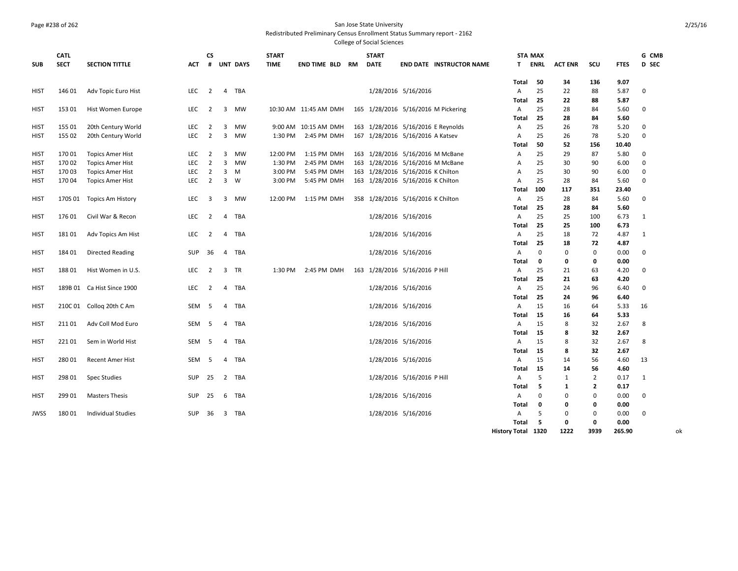## Page #238 of 262 San Jose State University

Redistributed Preliminary Census Enrollment Status Summary report - 2162

|             | <b>CATL</b> |                            |            | CS             |                |                 | <b>START</b> |                       | <b>START</b>                      |                            |                                     | <b>STA MAX</b> |             |                |              |              | G CMB       |
|-------------|-------------|----------------------------|------------|----------------|----------------|-----------------|--------------|-----------------------|-----------------------------------|----------------------------|-------------------------------------|----------------|-------------|----------------|--------------|--------------|-------------|
| <b>SUB</b>  | <b>SECT</b> | <b>SECTION TITTLE</b>      | <b>ACT</b> | #              |                | <b>UNT DAYS</b> | <b>TIME</b>  | END TIME BLD RM       | <b>DATE</b>                       |                            | <b>END DATE INSTRUCTOR NAME</b>     | T.             | <b>ENRL</b> | <b>ACT ENR</b> | SCU          | <b>FTES</b>  | D SEC       |
|             |             |                            |            |                |                |                 |              |                       |                                   |                            |                                     | Total          | 50          | 34             | 136          | 9.07         |             |
| <b>HIST</b> | 146 01      | Adv Topic Euro Hist        | LEC        | $\overline{2}$ |                | 4 TBA           |              |                       |                                   | 1/28/2016 5/16/2016        |                                     | A              | 25          | 22             | 88           | 5.87         | 0           |
|             |             |                            |            |                |                |                 |              |                       |                                   |                            |                                     | Total          | 25          | 22             | 88           | 5.87         |             |
| <b>HIST</b> | 153 01      | Hist Women Europe          | LEC        | 2              | 3              | MW              |              | 10:30 AM 11:45 AM DMH |                                   |                            | 165 1/28/2016 5/16/2016 M Pickering | Α              | 25          | 28             | 84           | 5.60         | 0           |
|             |             |                            |            |                |                |                 |              |                       |                                   |                            |                                     | Total          | 25          | 28             | 84           | 5.60         |             |
| <b>HIST</b> | 155 01      | 20th Century World         | LEC        | 2              | 3              | <b>MW</b>       |              | 9:00 AM 10:15 AM DMH  |                                   |                            | 163 1/28/2016 5/16/2016 E Reynolds  | Α              | 25          | 26             | 78           | 5.20         | 0           |
| <b>HIST</b> | 155 02      | 20th Century World         | LEC        | $\overline{2}$ | 3              | MW              | 1:30 PM      | 2:45 PM DMH           | 167 1/28/2016 5/16/2016 A Katsev  |                            |                                     | $\overline{A}$ | 25          | 26             | 78           | 5.20         | $\mathbf 0$ |
|             |             |                            |            |                |                |                 |              |                       |                                   |                            |                                     | Total          | 50          | 52             | 156          | 10.40        |             |
| <b>HIST</b> | 170 01      | <b>Topics Amer Hist</b>    | <b>LEC</b> | 2              | $\overline{3}$ | <b>MW</b>       | 12:00 PM     | 1:15 PM DMH           |                                   |                            | 163 1/28/2016 5/16/2016 M McBane    | A              | 25          | 29             | 87           | 5.80         | 0           |
| <b>HIST</b> | 170 02      | <b>Topics Amer Hist</b>    | LEC        | $\overline{2}$ | $\overline{3}$ | MW              | 1:30 PM      | 2:45 PM DMH           |                                   |                            | 163 1/28/2016 5/16/2016 M McBane    | Α              | 25          | 30             | 90           | 6.00         | 0           |
| <b>HIST</b> | 170 03      | <b>Topics Amer Hist</b>    | LEC        | $\overline{2}$ | 3              | M               | 3:00 PM      | 5:45 PM DMH           | 163 1/28/2016 5/16/2016 K Chilton |                            |                                     | Α              | 25          | 30             | 90           | 6.00         | 0           |
| HIST        | 17004       | <b>Topics Amer Hist</b>    | LEC        | $\overline{2}$ |                | $3 \quad W$     | 3:00 PM      | 5:45 PM DMH           | 163 1/28/2016 5/16/2016 K Chilton |                            |                                     | A              | 25          | 28             | 84           | 5.60         | $\mathbf 0$ |
|             |             |                            |            |                |                |                 |              |                       |                                   |                            |                                     | Total          | 100         | 117            | 351          | 23.40        |             |
| <b>HIST</b> | 170S 01     | <b>Topics Am History</b>   | LEC        | 3              | 3              | MW              | 12:00 PM     | 1:15 PM DMH           | 358 1/28/2016 5/16/2016 K Chilton |                            |                                     | A<br>Total     | 25<br>25    | 28             | 84<br>84     | 5.60         | 0           |
| <b>HIST</b> | 176 01      | Civil War & Recon          | LEC        | $\overline{2}$ |                | 4 TBA           |              |                       |                                   | 1/28/2016 5/16/2016        |                                     | A              | 25          | 28<br>25       | 100          | 5.60<br>6.73 | 1           |
|             |             |                            |            |                |                |                 |              |                       |                                   |                            |                                     | Total          | 25          | 25             | 100          | 6.73         |             |
| <b>HIST</b> | 181 01      | Adv Topics Am Hist         | LEC        | 2              | 4              | TBA             |              |                       |                                   | 1/28/2016 5/16/2016        |                                     | A              | 25          | 18             | 72           | 4.87         | 1           |
|             |             |                            |            |                |                |                 |              |                       |                                   |                            |                                     | Total          | 25          | 18             | 72           | 4.87         |             |
| <b>HIST</b> | 184 01      | Directed Reading           | SUP        | 36             |                | 4 TBA           |              |                       |                                   | 1/28/2016 5/16/2016        |                                     | A              | $\mathbf 0$ | $\mathbf 0$    | 0            | 0.00         | $\mathbf 0$ |
|             |             |                            |            |                |                |                 |              |                       |                                   |                            |                                     | Total          | $\mathbf 0$ | 0              | 0            | 0.00         |             |
| <b>HIST</b> | 18801       | Hist Women in U.S.         | LEC        | $\overline{2}$ | 3              | <b>TR</b>       | 1:30 PM      | 2:45 PM DMH           | 163 1/28/2016 5/16/2016 P Hill    |                            |                                     | $\overline{A}$ | 25          | 21             | 63           | 4.20         | $\mathbf 0$ |
|             |             |                            |            |                |                |                 |              |                       |                                   |                            |                                     | Total          | 25          | 21             | 63           | 4.20         |             |
| <b>HIST</b> |             | 189B 01 Ca Hist Since 1900 | LEC        | 2              | $\overline{4}$ | TBA             |              |                       |                                   | 1/28/2016 5/16/2016        |                                     | A              | 25          | 24             | 96           | 6.40         | 0           |
|             |             |                            |            |                |                |                 |              |                       |                                   |                            |                                     | Total          | 25          | 24             | 96           | 6.40         |             |
| <b>HIST</b> |             | 210C 01 Collog 20th C Am   | SEM        | - 5            | $\overline{4}$ | TBA             |              |                       |                                   | 1/28/2016 5/16/2016        |                                     | A              | 15          | 16             | 64           | 5.33         | 16          |
|             |             |                            |            |                |                |                 |              |                       |                                   |                            |                                     | Total          | 15          | 16             | 64           | 5.33         |             |
| <b>HIST</b> | 21101       | Adv Coll Mod Euro          | SEM        | - 5            | $\overline{4}$ | TBA             |              |                       |                                   | 1/28/2016 5/16/2016        |                                     | A              | 15          | 8              | 32           | 2.67         | 8           |
|             |             |                            |            |                |                |                 |              |                       |                                   |                            |                                     | Total          | 15          | 8              | 32           | 2.67         |             |
| <b>HIST</b> | 22101       | Sem in World Hist          | <b>SEM</b> | -5             | $\overline{4}$ | TBA             |              |                       |                                   | 1/28/2016 5/16/2016        |                                     | $\overline{A}$ | 15          | 8              | 32           | 2.67         | 8           |
|             |             |                            |            |                |                |                 |              |                       |                                   |                            |                                     | Total          | 15          | 8              | 32           | 2.67         |             |
| <b>HIST</b> | 280 01      | Recent Amer Hist           | SEM        | 5              | $\overline{4}$ | TBA             |              |                       |                                   | 1/28/2016 5/16/2016        |                                     | A              | 15          | 14             | 56           | 4.60         | 13          |
|             |             |                            |            |                |                |                 |              |                       |                                   |                            |                                     | Total          | 15          | 14             | 56           | 4.60         |             |
| <b>HIST</b> | 298 01      | <b>Spec Studies</b>        | SUP        | 25             |                | 2 TBA           |              |                       |                                   | 1/28/2016 5/16/2016 P Hill |                                     | Α              | 5           | 1              | 2            | 0.17         | 1           |
|             |             |                            |            |                |                |                 |              |                       |                                   |                            |                                     | Total          | 5           | 1              | $\mathbf{2}$ | 0.17         |             |
| <b>HIST</b> | 299 01      | <b>Masters Thesis</b>      | SUP        | 25             | 6              | TBA             |              |                       |                                   | 1/28/2016 5/16/2016        |                                     | $\mathsf{A}$   | 0           | $\Omega$       | 0            | 0.00         | 0           |
|             |             |                            |            |                |                |                 |              |                       |                                   |                            |                                     | Total          | 0           | o              | 0            | 0.00         |             |
| <b>JWSS</b> | 18001       | <b>Individual Studies</b>  | SUP        | 36             |                | 3 TBA           |              |                       |                                   | 1/28/2016 5/16/2016        |                                     | Α              | 5           | $\Omega$       | $\mathbf 0$  | 0.00         | $\mathbf 0$ |
|             |             |                            |            |                |                |                 |              |                       |                                   |                            |                                     | Total          | 5           | 0              | $\mathbf{0}$ | 0.00         |             |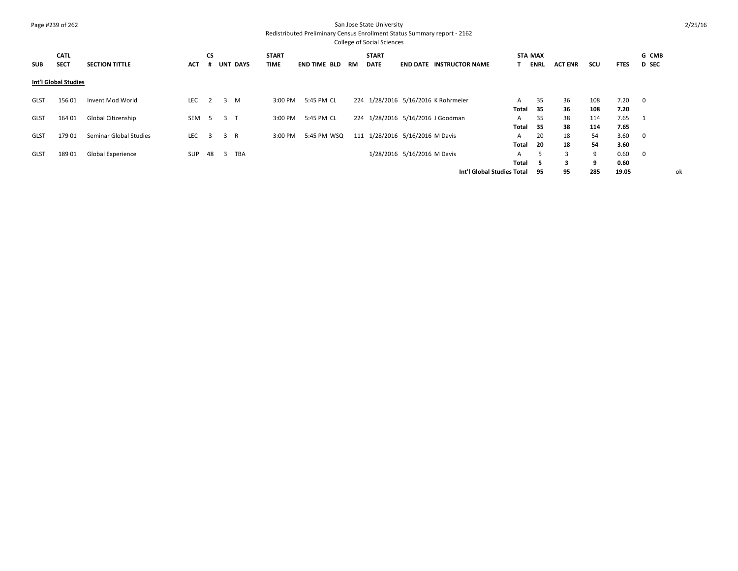## Page #239 of 262 San Jose State University

Redistributed Preliminary Census Enrollment Status Summary report - 2162

| <b>College of Social Sciences</b> |                          |                      |           |                         |    |                                                      |  |                               |                                                         |    |                             |  |                                                                                                                                                                               |             |                                                                                  |     |             |                         |    |
|-----------------------------------|--------------------------|----------------------|-----------|-------------------------|----|------------------------------------------------------|--|-------------------------------|---------------------------------------------------------|----|-----------------------------|--|-------------------------------------------------------------------------------------------------------------------------------------------------------------------------------|-------------|----------------------------------------------------------------------------------|-----|-------------|-------------------------|----|
| <b>CATL</b>                       |                          |                      | <b>CS</b> |                         |    | <b>START</b>                                         |  |                               |                                                         |    |                             |  |                                                                                                                                                                               |             |                                                                                  |     |             | G CMB                   |    |
| <b>SECT</b>                       | <b>SECTION TITTLE</b>    | <b>ACT</b>           |           |                         |    | <b>TIME</b>                                          |  |                               |                                                         |    |                             |  |                                                                                                                                                                               | <b>ENRL</b> | <b>ACT ENR</b>                                                                   | scu | <b>FTES</b> | <b>D</b> SEC            |    |
|                                   |                          |                      |           |                         |    |                                                      |  |                               |                                                         |    |                             |  |                                                                                                                                                                               |             |                                                                                  |     |             |                         |    |
| 156 01                            | Invent Mod World         | LEC                  | 2         | 3                       |    |                                                      |  |                               |                                                         |    |                             |  | A                                                                                                                                                                             | 35          | 36                                                                               | 108 | 7.20        | $\overline{\mathbf{0}}$ |    |
|                                   |                          |                      |           |                         |    |                                                      |  |                               |                                                         |    |                             |  |                                                                                                                                                                               | -35         | 36                                                                               | 108 | 7.20        |                         |    |
| 164 01                            | Global Citizenship       | <b>SEM</b>           | -5        |                         |    |                                                      |  |                               |                                                         |    |                             |  | A                                                                                                                                                                             | 35          | 38                                                                               | 114 | 7.65        | 1                       |    |
|                                   |                          |                      |           |                         |    |                                                      |  |                               |                                                         |    |                             |  |                                                                                                                                                                               | 35          | 38                                                                               | 114 | 7.65        |                         |    |
| 179 01                            | Seminar Global Studies   | LEC                  | 3         |                         |    |                                                      |  |                               |                                                         |    |                             |  | A                                                                                                                                                                             | 20          | 18                                                                               | 54  | 3.60        | 0                       |    |
|                                   |                          |                      |           |                         |    |                                                      |  |                               |                                                         |    |                             |  |                                                                                                                                                                               | -20         | 18                                                                               | 54  | 3.60        |                         |    |
| 189 01                            | <b>Global Experience</b> | <b>SUP</b>           |           | $\overline{\mathbf{3}}$ |    |                                                      |  |                               |                                                         |    |                             |  | A                                                                                                                                                                             | 5           | 3                                                                                | 9   | 0.60        | 0                       |    |
|                                   |                          |                      |           |                         |    |                                                      |  |                               |                                                         |    |                             |  |                                                                                                                                                                               | -5          | 3                                                                                | 9   | 0.60        |                         |    |
|                                   |                          |                      |           |                         |    |                                                      |  |                               |                                                         |    |                             |  |                                                                                                                                                                               | -95         | 95                                                                               | 285 | 19.05       |                         | оk |
|                                   |                          | Int'l Global Studies |           |                         | 48 | <b>UNT DAYS</b><br>M<br>3 <sub>1</sub><br>3 R<br>TBA |  | 3:00 PM<br>3:00 PM<br>3:00 PM | END TIME BLD<br>5:45 PM CL<br>5:45 PM CL<br>5:45 PM WSQ | RM | <b>START</b><br><b>DATE</b> |  | <b>END DATE INSTRUCTOR NAME</b><br>224 1/28/2016 5/16/2016 K Rohrmeier<br>224 1/28/2016 5/16/2016 J Goodman<br>111 1/28/2016 5/16/2016 M Davis<br>1/28/2016 5/16/2016 M Davis |             | <b>STA MAX</b><br>Total<br>Total<br>Total<br>Total<br>Int'l Global Studies Total |     |             |                         |    |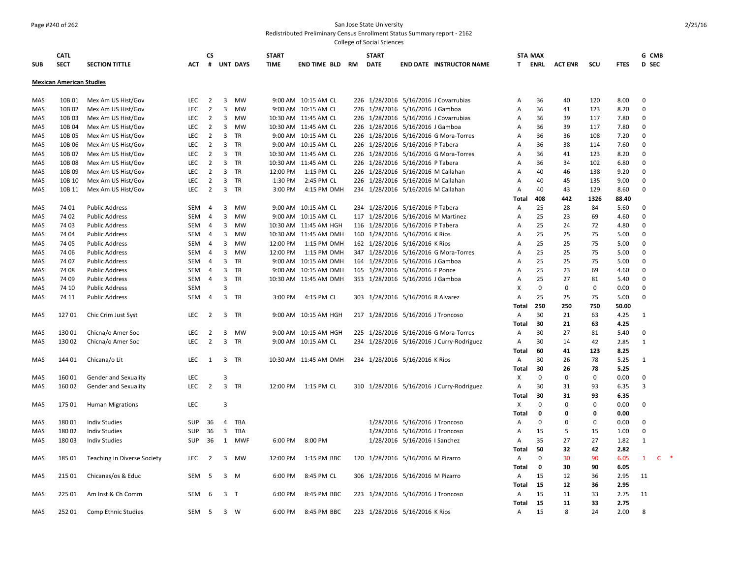# Page #240 of 262 San Jose State University

Redistributed Preliminary Census Enrollment Status Summary report - 2162

| <b>SUB</b> | <b>CATL</b><br><b>SECT</b>      | <b>SECTION TITTLE</b>       | <b>ACT</b> | CS<br>#        |                         | <b>UNT DAYS</b> | <b>START</b><br><b>TIME</b> | END TIME BLD RM       | <b>START</b><br><b>DATE</b>        |                               | <b>END DATE INSTRUCTOR NAME</b>           | T.             | <b>STA MAX</b><br>ENRL | <b>ACT ENR</b> | scu         | <b>FTES</b> | G CMB<br><b>D</b> SEC |  |
|------------|---------------------------------|-----------------------------|------------|----------------|-------------------------|-----------------|-----------------------------|-----------------------|------------------------------------|-------------------------------|-------------------------------------------|----------------|------------------------|----------------|-------------|-------------|-----------------------|--|
|            |                                 |                             |            |                |                         |                 |                             |                       |                                    |                               |                                           |                |                        |                |             |             |                       |  |
|            | <b>Mexican American Studies</b> |                             |            |                |                         |                 |                             |                       |                                    |                               |                                           |                |                        |                |             |             |                       |  |
| MAS        | 10B 01                          | Mex Am US Hist/Gov          | <b>LEC</b> | 2              | 3                       | <b>MW</b>       |                             | 9:00 AM 10:15 AM CL   |                                    |                               | 226 1/28/2016 5/16/2016 J Covarrubias     | A              | 36                     | 40             | 120         | 8.00        | 0                     |  |
| MAS        | 10B 02                          | Mex Am US Hist/Gov          | LEC        | $\overline{2}$ | 3                       | MW              |                             | 9:00 AM 10:15 AM CL   | 226 1/28/2016 5/16/2016 J Gamboa   |                               |                                           | A              | 36                     | 41             | 123         | 8.20        | $\mathbf 0$           |  |
| MAS        | 10B03                           | Mex Am US Hist/Gov          | LEC        | $\overline{2}$ |                         | 3 MW            |                             | 10:30 AM 11:45 AM CL  |                                    |                               | 226 1/28/2016 5/16/2016 J Covarrubias     | Α              | 36                     | 39             | 117         | 7.80        | $\mathbf 0$           |  |
| <b>MAS</b> | 10B 04                          | Mex Am US Hist/Gov          | LEC.       | $\overline{2}$ | $\overline{\mathbf{3}}$ | MW              |                             | 10:30 AM 11:45 AM CL  | 226 1/28/2016 5/16/2016 J Gamboa   |                               |                                           | $\mathsf{A}$   | 36                     | 39             | 117         | 7.80        | $\mathbf 0$           |  |
| MAS        | 10B 05                          | Mex Am US Hist/Gov          | LEC        | $\overline{2}$ | 3                       | TR              |                             | 9:00 AM 10:15 AM CL   |                                    |                               | 226 1/28/2016 5/16/2016 G Mora-Torres     | Α              | 36                     | 36             | 108         | 7.20        | 0                     |  |
| MAS        | 10B 06                          | Mex Am US Hist/Gov          | LEC        | $\overline{2}$ | 3                       | TR              |                             | 9:00 AM 10:15 AM CL   | 226 1/28/2016 5/16/2016 P Tabera   |                               |                                           | Α              | 36                     | 38             | 114         | 7.60        | $\mathsf 0$           |  |
| MAS        | 10B 07                          | Mex Am US Hist/Gov          | LEC        | $\overline{2}$ | 3                       | TR              |                             | 10:30 AM 11:45 AM CL  |                                    |                               | 226 1/28/2016 5/16/2016 G Mora-Torres     | Α              | 36                     | 41             | 123         | 8.20        | $\mathbf 0$           |  |
| <b>MAS</b> | 10B 08                          | Mex Am US Hist/Gov          | <b>LEC</b> | 2              | 3                       | TR              |                             | 10:30 AM 11:45 AM CL  | 226 1/28/2016 5/16/2016 P Tabera   |                               |                                           | A              | 36                     | 34             | 102         | 6.80        | $\mathbf 0$           |  |
| MAS        | 10B 09                          | Mex Am US Hist/Gov          | <b>LEC</b> | $\overline{2}$ | 3                       | TR              | 12:00 PM                    | 1:15 PM CL            |                                    |                               | 226 1/28/2016 5/16/2016 M Callahan        | Α              | 40                     | 46             | 138         | 9.20        | $\mathbf 0$           |  |
| MAS        | 10B 10                          | Mex Am US Hist/Gov          | LEC        | $\overline{2}$ | 3                       | TR              | 1:30 PM                     | 2:45 PM CL            |                                    |                               | 226 1/28/2016 5/16/2016 M Callahan        | A              | 40                     | 45             | 135         | 9.00        | $\Omega$              |  |
| MAS        | 10B 11                          | Mex Am US Hist/Gov          | LEC        | $\overline{2}$ | $\overline{\mathbf{3}}$ | <b>TR</b>       | 3:00 PM                     | 4:15 PM DMH           |                                    |                               | 234 1/28/2016 5/16/2016 M Callahan        | $\overline{A}$ | 40                     | 43             | 129         | 8.60        | $\mathbf 0$           |  |
|            |                                 |                             |            |                |                         |                 |                             |                       |                                    |                               |                                           | Total          | 408                    | 442            | 1326        | 88.40       |                       |  |
| MAS        | 74 01                           | <b>Public Address</b>       | SEM        | -4             | 3                       | MW              |                             | 9:00 AM 10:15 AM CL   | 234 1/28/2016 5/16/2016 P Tabera   |                               |                                           | Α              | 25                     | 28             | 84          | 5.60        | 0                     |  |
| MAS        | 74 02                           | <b>Public Address</b>       | SEM        | $\overline{4}$ | 3                       | <b>MW</b>       |                             | 9:00 AM 10:15 AM CL   |                                    |                               | 117 1/28/2016 5/16/2016 M Martinez        | Α              | 25                     | 23             | 69          | 4.60        | $\Omega$              |  |
| MAS        | 74 03                           | <b>Public Address</b>       | SEM        | $\overline{4}$ | 3                       | MW              |                             | 10:30 AM 11:45 AM HGH | 116 1/28/2016 5/16/2016 P Tabera   |                               |                                           | Α              | 25                     | 24             | 72          | 4.80        | 0                     |  |
| MAS        | 74 04                           | <b>Public Address</b>       | SEM        | $\overline{4}$ | 3                       | MW              |                             | 10:30 AM 11:45 AM DMH | 160 1/28/2016 5/16/2016 K Rios     |                               |                                           | Α              | 25                     | 25             | 75          | 5.00        | $\mathbf 0$           |  |
| MAS        | 74 05                           | <b>Public Address</b>       | <b>SEM</b> | $\overline{4}$ | 3                       | MW              | 12:00 PM                    | 1:15 PM DMH           | 162 1/28/2016 5/16/2016 K Rios     |                               |                                           | Α              | 25                     | 25             | 75          | 5.00        | $\mathbf 0$           |  |
| MAS        | 74 06                           | <b>Public Address</b>       | <b>SEM</b> | $\overline{4}$ | 3                       | <b>MW</b>       | 12:00 PM                    | 1:15 PM DMH           |                                    |                               | 347 1/28/2016 5/16/2016 G Mora-Torres     | $\mathsf{A}$   | 25                     | 25             | 75          | 5.00        | $\mathbf 0$           |  |
| MAS        | 74 07                           | <b>Public Address</b>       | SEM        | $\overline{4}$ | 3                       | TR              |                             | 9:00 AM 10:15 AM DMH  | 164 1/28/2016 5/16/2016 J Gamboa   |                               |                                           | Α              | 25                     | 25             | 75          | 5.00        | 0                     |  |
| MAS        | 74 08                           | <b>Public Address</b>       | SEM        | $\overline{4}$ | 3                       | TR              |                             | 9:00 AM 10:15 AM DMH  | 165 1/28/2016 5/16/2016 F Ponce    |                               |                                           | Α              | 25                     | 23             | 69          | 4.60        | $\mathbf 0$           |  |
| <b>MAS</b> | 74 09                           | <b>Public Address</b>       | SEM        | $\overline{4}$ | 3                       | TR              |                             | 10:30 AM 11:45 AM DMH | 353 1/28/2016 5/16/2016 J Gamboa   |                               |                                           | Α              | 25                     | 27             | 81          | 5.40        | $\mathbf 0$           |  |
| MAS        | 74 10                           | <b>Public Address</b>       | <b>SEM</b> |                | $\overline{3}$          |                 |                             |                       |                                    |                               |                                           | X              | $\mathbf 0$            | $\mathbf 0$    | 0           | 0.00        | $\mathbf 0$           |  |
| MAS        | 74 11                           | <b>Public Address</b>       | SEM        | $\overline{4}$ | $\overline{3}$          | <b>TR</b>       | 3:00 PM                     | 4:15 PM CL            | 303 1/28/2016 5/16/2016 R Alvarez  |                               |                                           | Α              | 25                     | 25             | 75          | 5.00        | $\mathbf 0$           |  |
|            |                                 |                             |            |                |                         |                 |                             |                       |                                    |                               |                                           | Total          | 250                    | 250            | 750         | 50.00       |                       |  |
| MAS        | 12701                           | Chic Crim Just Syst         | LEC        | $\overline{2}$ | 3                       | <b>TR</b>       |                             | 9:00 AM 10:15 AM HGH  | 217 1/28/2016 5/16/2016 J Troncoso |                               |                                           | $\overline{A}$ | 30                     | 21             | 63          | 4.25        | 1                     |  |
|            |                                 |                             |            |                |                         |                 |                             |                       |                                    |                               |                                           | Total          | 30                     | 21             | 63          | 4.25        |                       |  |
| MAS        | 130 01                          | Chicna/o Amer Soc           | LEC        | $\overline{2}$ | 3                       | MW              |                             | 9:00 AM 10:15 AM HGH  |                                    |                               | 225 1/28/2016 5/16/2016 G Mora-Torres     | Α              | 30                     | 27             | 81          | 5.40        | $\mathbf 0$           |  |
| MAS        | 130 02                          | Chicna/o Amer Soc           | <b>LEC</b> | $\overline{2}$ |                         | 3 TR            |                             | 9:00 AM 10:15 AM CL   |                                    |                               | 234 1/28/2016 5/16/2016 J Curry-Rodriguez | Α              | 30                     | 14             | 42          | 2.85        | $\mathbf{1}$          |  |
|            |                                 |                             |            |                |                         |                 |                             |                       |                                    |                               |                                           | <b>Total</b>   | 60                     | 41             | 123         | 8.25        |                       |  |
| MAS        | 144 01                          | Chicana/o Lit               | <b>LEC</b> | 1              | 3                       | - TR            |                             | 10:30 AM 11:45 AM DMH | 234 1/28/2016 5/16/2016 K Rios     |                               |                                           | A              | 30                     | 26             | 78          | 5.25        | 1                     |  |
|            |                                 |                             |            |                |                         |                 |                             |                       |                                    |                               |                                           | Total          | 30                     | 26             | 78          | 5.25        |                       |  |
| MAS        | 160 01                          | <b>Gender and Sexuality</b> | LEC        |                | 3                       |                 |                             |                       |                                    |                               |                                           | X              | $\mathbf 0$            | $\mathbf 0$    | $\mathbf 0$ | 0.00        | $\mathbf 0$           |  |
| MAS        | 160 02                          | Gender and Sexuality        | <b>LEC</b> | $\overline{2}$ |                         | 3 TR            |                             | 12:00 PM   1:15 PM CL |                                    |                               | 310 1/28/2016 5/16/2016 J Curry-Rodriguez | A              | 30                     | 31             | 93          | 6.35        | 3                     |  |
|            |                                 |                             |            |                |                         |                 |                             |                       |                                    |                               |                                           | <b>Total</b>   | 30                     | 31             | 93          | 6.35        |                       |  |
| MAS        | 175 01                          | <b>Human Migrations</b>     | LEC        |                | 3                       |                 |                             |                       |                                    |                               |                                           | X              | 0                      | $\mathbf 0$    | $\mathbf 0$ | 0.00        | $\mathbf 0$           |  |
|            |                                 |                             |            |                |                         |                 |                             |                       |                                    |                               |                                           | Total          | 0                      | 0              | 0           | 0.00        |                       |  |
| MAS        | 18001                           | <b>Indiv Studies</b>        | SUP        | 36             | 4                       | TBA             |                             |                       |                                    |                               | 1/28/2016 5/16/2016 J Troncoso            | Α              | $\Omega$               | 0              | 0           | 0.00        | $\Omega$              |  |
| MAS        | 18002                           | <b>Indiv Studies</b>        | SUP        | 36             | $\overline{3}$          | TBA             |                             |                       |                                    |                               | 1/28/2016 5/16/2016 J Troncoso            | Α              | 15                     | 5              | 15          | 1.00        | $\mathbf 0$           |  |
| MAS        | 18003                           | <b>Indiv Studies</b>        | <b>SUP</b> | 36             |                         | 1 MWF           | 6:00 PM                     | 8:00 PM               |                                    | 1/28/2016 5/16/2016   Sanchez |                                           | A              | 35                     | 27             | 27          | 1.82        | 1                     |  |
|            |                                 |                             |            |                |                         |                 |                             |                       |                                    |                               |                                           | Total          | 50                     | 32             | 42          | 2.82        |                       |  |
| MAS        | 185 01                          | Teaching in Diverse Society | LEC        | $\overline{2}$ | 3                       | MW              | 12:00 PM                    | 1:15 PM BBC           | 120 1/28/2016 5/16/2016 M Pizarro  |                               |                                           | Α              | $\Omega$               | 30             | 90          | 6.05        | $\mathbf{1}$<br>C     |  |
|            |                                 |                             |            |                |                         |                 |                             |                       |                                    |                               |                                           | <b>Total</b>   | 0                      | 30             | 90          | 6.05        |                       |  |
| MAS        | 215 01                          | Chicanas/os & Educ          | SEM        | - 5            |                         | 3 M             | 6:00 PM                     | 8:45 PM CL            | 306 1/28/2016 5/16/2016 M Pizarro  |                               |                                           | A              | 15                     | 12             | 36          | 2.95        | 11                    |  |
|            |                                 |                             |            |                |                         |                 |                             |                       |                                    |                               |                                           | <b>Total</b>   | 15                     | 12             | 36          | 2.95        |                       |  |
| MAS        | 225 01                          | Am Inst & Ch Comm           | SEM        | 6              | 3 <sub>T</sub>          |                 | 6:00 PM                     | 8:45 PM BBC           | 223 1/28/2016 5/16/2016 J Troncoso |                               |                                           | Α              | 15                     | 11             | 33          | 2.75        | 11                    |  |
|            |                                 |                             |            |                |                         |                 |                             |                       |                                    |                               |                                           | Total          | 15                     | 11             | 33          | 2.75        |                       |  |
| <b>MAS</b> | 252 01                          | <b>Comp Ethnic Studies</b>  | SEM        | 5              |                         | $3 \quad W$     | 6:00 PM                     | 8:45 PM BBC           | 223 1/28/2016 5/16/2016 K Rios     |                               |                                           | Α              | 15                     | 8              | 24          | 2.00        | 8                     |  |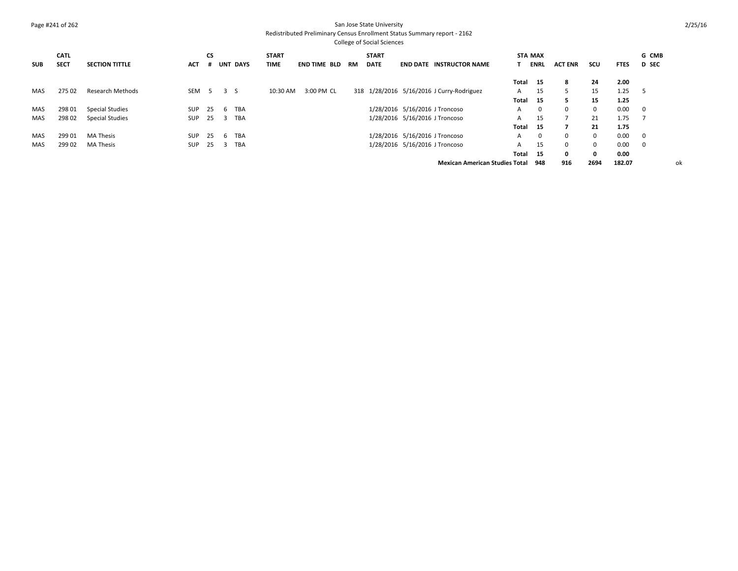## Page #241 of 262 San Jose State University

## Redistributed Preliminary Census Enrollment Status Summary report - 2162

|            | <b>CATL</b> |                         |            | <b>CS</b> |              |             | <b>START</b> |                     |    | <b>START</b> |                 |                                           |       | <b>STA MAX</b> |                |              |             | G CMB        |    |
|------------|-------------|-------------------------|------------|-----------|--------------|-------------|--------------|---------------------|----|--------------|-----------------|-------------------------------------------|-------|----------------|----------------|--------------|-------------|--------------|----|
| <b>SUB</b> | <b>SECT</b> | <b>SECTION TITTLE</b>   | ACT        |           | UNT          | <b>DAYS</b> | <b>TIME</b>  | <b>END TIME BLD</b> | RM | <b>DATE</b>  | <b>END DATE</b> | <b>INSTRUCTOR NAME</b>                    |       | <b>ENRL</b>    | <b>ACT ENR</b> | scu          | <b>FTES</b> | <b>D</b> SEC |    |
|            |             |                         |            |           |              |             |              |                     |    |              |                 |                                           | Total | 15             | 8              | 24           | 2.00        |              |    |
| MAS        | 275 02      | <b>Research Methods</b> | SEM        | - 5       | 3 S          |             | 10:30 AM     | 3:00 PM CL          |    |              |                 | 318 1/28/2016 5/16/2016 J Curry-Rodriguez | A     | 15             |                | 15           | 1.25        | -5           |    |
|            |             |                         |            |           |              |             |              |                     |    |              |                 |                                           | Total | 15             | 5.             | 15           | 1.25        |              |    |
| MAS        | 298 01      | <b>Special Studies</b>  | <b>SUP</b> | 25        | h            | <b>TBA</b>  |              |                     |    |              |                 | 1/28/2016 5/16/2016 J Troncoso            | A     | 0              | $\Omega$       | $\mathbf{0}$ | 0.00        | $\mathbf 0$  |    |
| MAS        | 298 02      | <b>Special Studies</b>  | <b>SUP</b> | 25        |              | <b>TBA</b>  |              |                     |    |              |                 | 1/28/2016 5/16/2016 J Troncoso            | A     | 15             |                | 21           | 1.75        |              |    |
|            |             |                         |            |           |              |             |              |                     |    |              |                 |                                           | Total | 15             |                | 21           | 1.75        |              |    |
| MAS        | 299 01      | <b>MA Thesis</b>        | <b>SUP</b> | 25        | <sub>b</sub> | <b>TBA</b>  |              |                     |    |              |                 | 1/28/2016 5/16/2016 J Troncoso            | A     | 0              | $\Omega$       | $\mathbf{0}$ | 0.00        | 0            |    |
| MAS        | 299 02      | <b>MA Thesis</b>        | <b>SUP</b> | 25        |              | <b>TBA</b>  |              |                     |    |              |                 | 1/28/2016 5/16/2016 J Troncoso            | A     | 15             | $\mathbf 0$    | $\mathbf{0}$ | 0.00        | 0            |    |
|            |             |                         |            |           |              |             |              |                     |    |              |                 |                                           | Total | 15             | 0              | $\mathbf{0}$ | 0.00        |              |    |
|            |             |                         |            |           |              |             |              |                     |    |              |                 | <b>Mexican American Studies Total</b>     |       | 948            | 916            | 2694         | 182.07      |              | оk |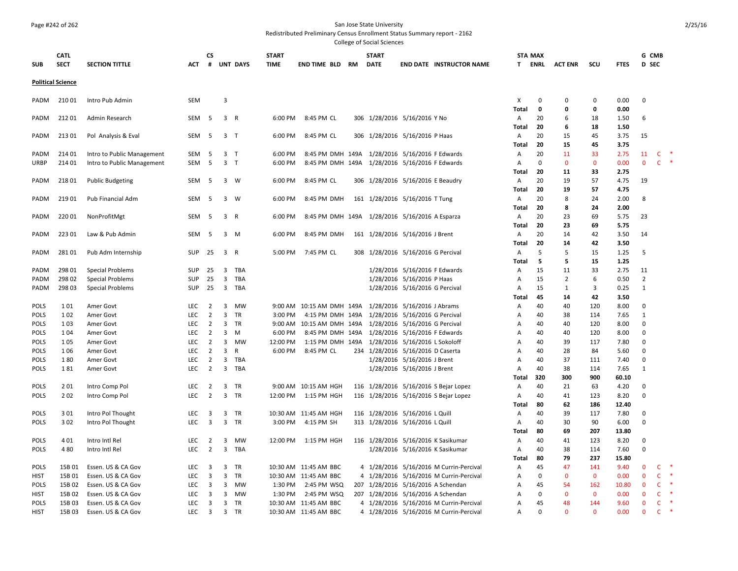#### Page #242 of 262 San Jose State University

Redistributed Preliminary Census Enrollment Status Summary report - 2162

| <b>SUB</b>  | <b>CATL</b><br><b>SECT</b> | <b>SECTION TITTLE</b>      | ACT        | CS<br>#        |                         | <b>UNT DAYS</b> | <b>START</b><br><b>TIME</b> | END TIME BLD                                           | RM | <b>START</b><br><b>DATE</b>        |                                | <b>END DATE INSTRUCTOR NAME</b>         | <b>STA MAX</b><br>T. | ENRL              | <b>ACT ENR</b>    | scu          | <b>FTES</b>  | G CMB<br>D SEC |              |        |
|-------------|----------------------------|----------------------------|------------|----------------|-------------------------|-----------------|-----------------------------|--------------------------------------------------------|----|------------------------------------|--------------------------------|-----------------------------------------|----------------------|-------------------|-------------------|--------------|--------------|----------------|--------------|--------|
|             | <b>Political Science</b>   |                            |            |                |                         |                 |                             |                                                        |    |                                    |                                |                                         |                      |                   |                   |              |              |                |              |        |
| PADM        | 210 01                     | Intro Pub Admin            | SEM        |                | 3                       |                 |                             |                                                        |    |                                    |                                |                                         | X                    | $\mathbf 0$       | 0                 | 0            | 0.00         | $\mathbf 0$    |              |        |
| PADM        | 21201                      | Admin Research             | SEM        | - 5            | 3 R                     |                 | 6:00 PM                     | 8:45 PM CL                                             |    | 306 1/28/2016 5/16/2016 Y No       |                                |                                         | Total<br>Α           | $\mathbf 0$<br>20 | $\mathbf{0}$<br>6 | 0<br>18      | 0.00<br>1.50 | 6              |              |        |
| PADM        | 213 01                     | Pol Analysis & Eval        | SEM        | 5              | 3 <sub>7</sub>          |                 | 6:00 PM                     | 8:45 PM CL                                             |    | 306 1/28/2016 5/16/2016 P Haas     |                                |                                         | Total<br>Α           | 20<br>20          | 6<br>15           | 18<br>45     | 1.50<br>3.75 | 15             |              |        |
|             |                            |                            |            |                |                         |                 |                             |                                                        |    |                                    |                                |                                         | Total                | 20                | 15                | 45           | 3.75         |                |              |        |
| PADM        | 214 01                     | Intro to Public Management | SEM        | 5              | 3 <sub>T</sub>          |                 | 6:00 PM                     | 8:45 PM DMH 149A 1/28/2016 5/16/2016 F Edwards         |    |                                    |                                |                                         | Α                    | 20                | 11                | 33           | 2.75         | 11             | C.           |        |
| URBP        | 214 01                     | Intro to Public Management | <b>SEM</b> | 5              | 3 <sub>T</sub>          |                 | 6:00 PM                     | 8:45 PM DMH 149A 1/28/2016 5/16/2016 F Edwards         |    |                                    |                                |                                         | Α                    | $\mathbf 0$       | $\mathbf 0$       | $\mathbf{0}$ | 0.00         | $\mathbf 0$    | $\mathsf{C}$ | $\ast$ |
|             |                            |                            |            |                |                         |                 |                             |                                                        |    |                                    |                                |                                         | Total                | 20                | 11                | 33           | 2.75         |                |              |        |
| PADM        | 21801                      | <b>Public Budgeting</b>    | SEM        | -5             |                         | 3 W             | 6:00 PM                     | 8:45 PM CL                                             |    | 306 1/28/2016 5/16/2016 E Beaudry  |                                |                                         | A                    | 20                | 19                | 57           | 4.75         | 19             |              |        |
|             |                            |                            |            |                |                         |                 |                             |                                                        |    |                                    |                                |                                         | Total                | 20                | 19                | 57           | 4.75         |                |              |        |
| PADM        | 219 01                     | Pub Financial Adm          | SEM        | -5             |                         | 3 W             | 6:00 PM                     | 8:45 PM DMH                                            |    | 161 1/28/2016 5/16/2016 T Tung     |                                |                                         | Α                    | 20                | 8                 | 24           | 2.00         | 8              |              |        |
|             |                            |                            |            |                |                         |                 |                             |                                                        |    |                                    |                                |                                         | Total                | 20                | 8                 | 24           | 2.00         |                |              |        |
|             |                            |                            | SEM        |                |                         |                 |                             |                                                        |    |                                    |                                |                                         |                      | 20                | 23                | 69           |              | 23             |              |        |
| PADM        | 220 01                     | NonProfitMgt               |            | -5             |                         | 3 R             | 6:00 PM                     | 8:45 PM DMH 149A 1/28/2016 5/16/2016 A Esparza         |    |                                    |                                |                                         | Α                    |                   |                   |              | 5.75         |                |              |        |
|             |                            |                            |            |                |                         |                 |                             |                                                        |    |                                    |                                |                                         | Total                | 20                | 23                | 69           | 5.75         |                |              |        |
| PADM        | 223 01                     | Law & Pub Admin            | SEM        | -5             |                         | $3 \quad M$     | 6:00 PM                     | 8:45 PM DMH                                            |    | 161 1/28/2016 5/16/2016 J Brent    |                                |                                         | Α                    | 20                | 14                | 42           | 3.50         | 14             |              |        |
|             |                            |                            |            |                |                         |                 |                             |                                                        |    |                                    |                                |                                         | Total                | 20                | 14                | 42           | 3.50         |                |              |        |
| PADM        | 281 01                     | Pub Adm Internship         | SUP        | 25             | 3 R                     |                 | 5:00 PM                     | 7:45 PM CL                                             |    | 308 1/28/2016 5/16/2016 G Percival |                                |                                         | Α                    | 5                 | 5                 | 15           | 1.25         | 5              |              |        |
|             |                            |                            |            |                |                         |                 |                             |                                                        |    |                                    |                                |                                         | Total                | 5                 | 5                 | 15           | 1.25         |                |              |        |
| PADM        | 298 01                     | <b>Special Problems</b>    | <b>SUP</b> | 25             | 3                       | TBA             |                             |                                                        |    |                                    | 1/28/2016 5/16/2016 F Edwards  |                                         | Α                    | 15                | 11                | 33           | 2.75         | 11             |              |        |
| PADM        | 298 02                     | <b>Special Problems</b>    | <b>SUP</b> | 25             | $\overline{\mathbf{3}}$ | TBA             |                             |                                                        |    |                                    | 1/28/2016 5/16/2016 P Haas     |                                         | Α                    | 15                | $\overline{2}$    | 6            | 0.50         | $\overline{2}$ |              |        |
| PADM        | 298 03                     | Special Problems           | <b>SUP</b> | 25             |                         | 3 TBA           |                             |                                                        |    |                                    | 1/28/2016 5/16/2016 G Percival |                                         | Α                    | 15                | $\mathbf{1}$      | 3            | 0.25         | 1              |              |        |
|             |                            |                            |            |                |                         |                 |                             |                                                        |    |                                    |                                |                                         | Total                | 45                | 14                | 42           | 3.50         |                |              |        |
| <b>POLS</b> | 101                        | Amer Govt                  | <b>LEC</b> | 2              | $\overline{3}$          | MW              |                             | 9:00 AM 10:15 AM DMH 149A 1/28/2016 5/16/2016 J Abrams |    |                                    |                                |                                         | Α                    | 40                | 40                | 120          | 8.00         | $\mathbf 0$    |              |        |
| <b>POLS</b> | 1 0 2                      | Amer Govt                  | <b>LEC</b> | $\overline{2}$ | 3                       | TR              | 3:00 PM                     | 4:15 PM DMH 149A                                       |    |                                    | 1/28/2016 5/16/2016 G Percival |                                         | Α                    | 40                | 38                | 114          | 7.65         | 1              |              |        |
| POLS        | 1 0 3                      | Amer Govt                  | LEC        | $\overline{2}$ | $\mathbf{3}$            | TR              | 9:00 AM                     | 10:15 AM DMH 149A                                      |    | 1/28/2016 5/16/2016 G Percival     |                                |                                         | Α                    | 40                | 40                | 120          | 8.00         | $\Omega$       |              |        |
| POLS        | 1 0 4                      | Amer Govt                  | LEC        | $\overline{2}$ | 3                       | M               | 6:00 PM                     | 8:45 PM DMH 149A                                       |    |                                    | 1/28/2016 5/16/2016 F Edwards  |                                         | Α                    | 40                | 40                | 120          | 8.00         | $\mathbf 0$    |              |        |
| <b>POLS</b> | 1 0 5                      | Amer Govt                  | <b>LEC</b> | $\overline{2}$ | 3                       | MW              | 12:00 PM                    | 1:15 PM DMH 149A                                       |    |                                    | 1/28/2016 5/16/2016 L Sokoloff |                                         | Α                    | 40                | 39                | 117          | 7.80         | $\Omega$       |              |        |
| <b>POLS</b> | 1 0 6                      | Amer Govt                  | LEC        | $\overline{2}$ | $\mathbf{3}$            | R               | 6:00 PM                     | 8:45 PM CL                                             |    | 234 1/28/2016 5/16/2016 D Caserta  |                                |                                         | Α                    | 40                | 28                | 84           | 5.60         | $\Omega$       |              |        |
| POLS        | 180                        | Amer Govt                  | LEC        | $\overline{2}$ | 3                       | TBA             |                             |                                                        |    |                                    | 1/28/2016 5/16/2016 J Brent    |                                         | Α                    | 40                | 37                | 111          | 7.40         | $\Omega$       |              |        |
| POLS        | 181                        | Amer Govt                  | <b>LEC</b> | $\overline{2}$ |                         | 3 TBA           |                             |                                                        |    |                                    | 1/28/2016 5/16/2016 J Brent    |                                         | Α                    | 40                | 38                | 114          | 7.65         | 1              |              |        |
|             |                            |                            |            |                |                         |                 |                             |                                                        |    |                                    |                                |                                         | Total                | 320               | 300               | 900          | 60.10        |                |              |        |
| POLS        | 201                        | Intro Comp Pol             | LEC        | $\overline{2}$ |                         | 3 TR            |                             | 9:00 AM 10:15 AM HGH                                   |    |                                    |                                | 116 1/28/2016 5/16/2016 S Bejar Lopez   | A                    | 40                | 21                | 63           | 4.20         | $\Omega$       |              |        |
| POLS        | 202                        | Intro Comp Pol             | LEC        | $\overline{2}$ | $\mathbf{3}$            | TR              | 12:00 PM                    | 1:15 PM HGH                                            |    |                                    |                                | 116 1/28/2016 5/16/2016 S Bejar Lopez   | Α                    | 40                | 41                | 123          | 8.20         | $\mathbf 0$    |              |        |
|             |                            |                            |            |                |                         |                 |                             |                                                        |    |                                    |                                |                                         | Total                | 80                | 62                | 186          | 12.40        |                |              |        |
| <b>POLS</b> | 3 0 1                      | Intro Pol Thought          |            |                |                         | 3 TR            |                             | 10:30 AM 11:45 AM HGH                                  |    | 116 1/28/2016 5/16/2016 L Quill    |                                |                                         |                      | 40                | 39                | 117          |              | $\Omega$       |              |        |
|             |                            |                            | LEC        | 3              |                         |                 |                             |                                                        |    |                                    |                                |                                         | Α                    |                   |                   |              | 7.80         |                |              |        |
| POLS        | 3 0 2                      | Intro Pol Thought          | LEC        | $\overline{3}$ | $\overline{3}$          | TR              | 3:00 PM                     | 4:15 PM SH                                             |    | 313 1/28/2016 5/16/2016 L Quill    |                                |                                         | Α                    | 40                | 30                | 90           | 6.00         | $\mathbf 0$    |              |        |
|             |                            |                            |            |                |                         |                 |                             |                                                        |    |                                    |                                |                                         | Total                | 80                | 69                | 207          | 13.80        |                |              |        |
| <b>POLS</b> | 401                        | Intro Intl Rel             | <b>LEC</b> | $\overline{2}$ | 3                       | <b>MW</b>       | 12:00 PM                    | 1:15 PM HGH                                            |    |                                    |                                | 116 1/28/2016 5/16/2016 K Sasikumar     | A                    | 40                | 41                | 123          | 8.20         | $\Omega$       |              |        |
| <b>POLS</b> | 480                        | Intro Intl Rel             | LEC        | $\overline{2}$ | $\mathbf{3}$            | TBA             |                             |                                                        |    |                                    |                                | 1/28/2016 5/16/2016 K Sasikumar         | Α                    | 40                | 38                | 114          | 7.60         | 0              |              |        |
|             |                            |                            |            |                |                         |                 |                             |                                                        |    |                                    |                                |                                         | Total                | 80                | 79                | 237          | 15.80        |                |              |        |
| <b>POLS</b> | 15B 01                     | Essen. US & CA Gov         | LEC        | 3              | 3                       | TR              |                             | 10:30 AM 11:45 AM BBC                                  |    |                                    |                                | 4 1/28/2016 5/16/2016 M Currin-Percival | Α                    | 45                | 47                | 141          | 9.40         | 0              | $\mathsf{C}$ |        |
| HIST        | 15B 01                     | Essen. US & CA Gov         | LEC        | 3              | 3                       | TR              |                             | 10:30 AM 11:45 AM BBC                                  |    |                                    |                                | 4 1/28/2016 5/16/2016 M Currin-Percival | Α                    | 0                 | $\mathbf{0}$      | $\mathbf{0}$ | 0.00         | $\mathbf{0}$   | $\mathsf{C}$ |        |
| POLS        | 15B 02                     | Essen. US & CA Gov         | LEC        | $\overline{3}$ | 3                       | MW              | 1:30 PM                     | 2:45 PM WSQ                                            |    |                                    |                                | 207 1/28/2016 5/16/2016 A Schendan      | Α                    | 45                | 54                | 162          | 10.80        | $\mathbf{0}$   | $\mathsf{C}$ |        |
| <b>HIST</b> | 15B 02                     | Essen. US & CA Gov         | <b>LEC</b> | 3              | 3                       | MW              | 1:30 PM                     | 2:45 PM WSQ                                            |    |                                    |                                | 207 1/28/2016 5/16/2016 A Schendan      | A                    | $\mathbf 0$       | $\mathbf 0$       | $\mathbf{0}$ | 0.00         | $\mathbf{0}$   | $\mathsf{C}$ |        |
| <b>POLS</b> | 15B 03                     | Essen. US & CA Gov         | <b>LEC</b> | 3              | $\overline{3}$          | TR              |                             | 10:30 AM 11:45 AM BBC                                  |    |                                    |                                | 4 1/28/2016 5/16/2016 M Currin-Percival | A                    | 45                | 48                | 144          | 9.60         | $\mathbf{0}$   | $\mathsf{C}$ | $\ast$ |
| <b>HIST</b> | 15B03                      | Essen. US & CA Gov         | LEC        | $\overline{3}$ |                         | 3 TR            |                             | 10:30 AM 11:45 AM BBC                                  |    |                                    |                                | 4 1/28/2016 5/16/2016 M Currin-Percival | A                    | $\Omega$          | $\Omega$          | $\Omega$     | 0.00         | $\Omega$       | $\mathsf{C}$ |        |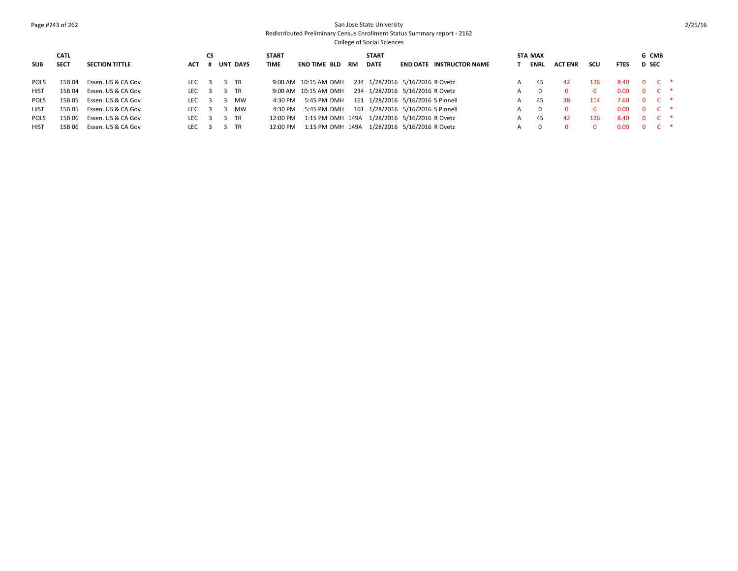### Page #243 of 262 San Jose State University Redistributed Preliminary Census Enrollment Status Summary report - 2162

|             | <b>CATL</b> |                       |                                   | <b>CS</b> |                 | <b>START</b> |                                               |           | <b>START</b> |                                 |                                 | STA MAX |                |     |             | G CMB         |  |
|-------------|-------------|-----------------------|-----------------------------------|-----------|-----------------|--------------|-----------------------------------------------|-----------|--------------|---------------------------------|---------------------------------|---------|----------------|-----|-------------|---------------|--|
| <b>SUB</b>  | <b>SECT</b> | <b>SECTION TITTLE</b> | <b>ACT</b>                        |           | <b>UNT DAYS</b> | <b>TIME</b>  | END TIME BLD                                  | <b>RM</b> | <b>DATE</b>  |                                 | <b>END DATE INSTRUCTOR NAME</b> | ENRL    | <b>ACT ENR</b> | scu | <b>FTES</b> | <b>D</b> SEC  |  |
| <b>POLS</b> | 15B 04      | Essen. US & CA Gov    | LEC $\overline{3}$ $\overline{3}$ |           | TR              |              | 9:00 AM  10:15 AM DMH                         |           |              | 234 1/28/2016 5/16/2016 R Ovetz |                                 | 45      | 42             | 126 | 8.40        | $0 C$ *       |  |
| <b>HIST</b> | 15B 04      | Essen. US & CA Gov    | LEC <sub>3</sub>                  |           | TR              |              | 9:00 AM  10:15 AM DMH                         |           |              | 234 1/28/2016 5/16/2016 R Ovetz |                                 |         |                |     | 0.00        | $0 \quad C$ * |  |
| <b>POLS</b> | 15B 05      | Essen. US & CA Gov    | LEC $\overline{3}$                |           | MW              | 4:30 PM      | 5:45 PM DMH 161 1/28/2016 5/16/2016 S Pinnell |           |              |                                 |                                 | 45      | 38.            | 114 | 7.60        | $0 \quad C$ * |  |
| <b>HIST</b> | 15B 05      | Essen. US & CA Gov    | LEC <sub>3</sub>                  |           | MW              | 4:30 PM      | 5:45 PM DMH 161 1/28/2016 5/16/2016 S Pinnell |           |              |                                 |                                 |         |                |     | 0.00        | $0 \quad C$ * |  |
| <b>POLS</b> | 15B 06      | Essen. US & CA Gov    | LEC $\overline{3}$                |           | TR              | 12:00 PM     | 1:15 PM DMH 149A 1/28/2016 5/16/2016 R Ovetz  |           |              |                                 |                                 | 45      | 42             | 126 | 8.40        | $0 \quad C$ * |  |
| HIST        | 15B 06      | Essen. US & CA Gov    | LEC <sub>3</sub>                  |           | - TR            | 12:00 PM     | 1:15 PM DMH 149A 1/28/2016 5/16/2016 R Ovetz  |           |              |                                 |                                 |         |                |     | n nn        | $0 \quad C$ * |  |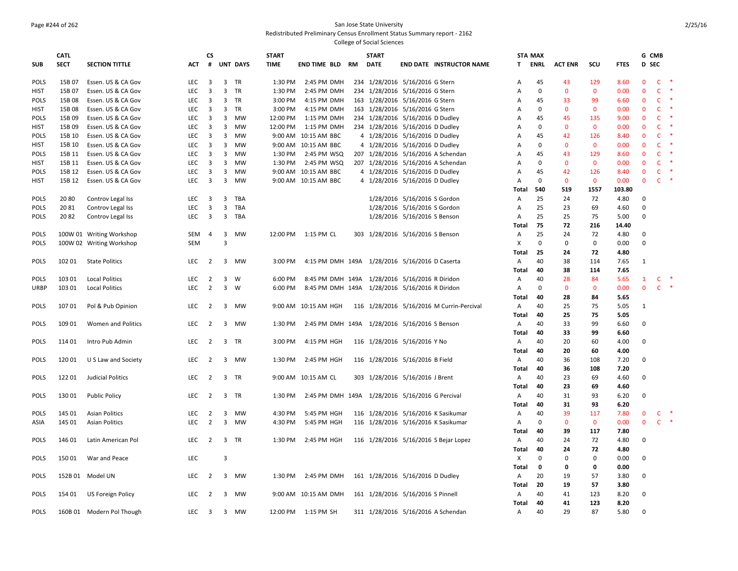### Page #244 of 262 San Jose State University Redistributed Preliminary Census Enrollment Status Summary report - 2162

|                     | <b>CATL</b>      |                                          |                   | СS                      |                         |                 | <b>START</b>       |                                                 |    | <b>START</b> |                                                                    |                                           |                | <b>STA MAX</b>  |                   |                    |              | G CMB                        |                              |               |
|---------------------|------------------|------------------------------------------|-------------------|-------------------------|-------------------------|-----------------|--------------------|-------------------------------------------------|----|--------------|--------------------------------------------------------------------|-------------------------------------------|----------------|-----------------|-------------------|--------------------|--------------|------------------------------|------------------------------|---------------|
| <b>SUB</b>          | <b>SECT</b>      | <b>SECTION TITTLE</b>                    | <b>ACT</b>        | #                       |                         | <b>UNT DAYS</b> | <b>TIME</b>        | END TIME BLD                                    | RM | <b>DATE</b>  |                                                                    | <b>END DATE INSTRUCTOR NAME</b>           | T.             | ENRL            | <b>ACT ENR</b>    | scu                | <b>FTES</b>  | D SEC                        |                              |               |
|                     |                  |                                          |                   |                         |                         |                 |                    |                                                 |    |              |                                                                    |                                           |                |                 |                   |                    |              |                              |                              | $\ast$        |
| POLS<br><b>HIST</b> | 15B 07<br>15B 07 | Essen. US & CA Gov                       | <b>LEC</b><br>LEC | 3<br>$\overline{3}$     | 3                       | TR<br>3 TR      | 1:30 PM<br>1:30 PM | 2:45 PM DMH<br>2:45 PM DMH                      |    |              | 234 1/28/2016 5/16/2016 G Stern<br>234 1/28/2016 5/16/2016 G Stern |                                           | A<br>А         | 45<br>$\pmb{0}$ | 43<br>$\mathbf 0$ | 129<br>$\mathbf 0$ | 8.60<br>0.00 | $\mathbf{0}$<br>$\mathbf{0}$ | $\mathsf{C}$<br>$\mathsf{C}$ |               |
| <b>POLS</b>         | 15B 08           | Essen. US & CA Gov<br>Essen. US & CA Gov | <b>LEC</b>        | $\overline{3}$          | 3                       | <b>TR</b>       | 3:00 PM            | 4:15 PM DMH                                     |    |              | 163 1/28/2016 5/16/2016 G Stern                                    |                                           | А              | 45              | 33                | 99                 | 6.60         | $\mathbf{0}$                 | C                            | -*            |
| <b>HIST</b>         | 15B 08           | Essen. US & CA Gov                       | LEC               | $\overline{\mathbf{3}}$ | $\overline{\mathbf{3}}$ | TR              | 3:00 PM            | 4:15 PM DMH                                     |    |              | 163 1/28/2016 5/16/2016 G Stern                                    |                                           |                | $\mathbf 0$     | $\mathbf 0$       | $\mathbf{0}$       | 0.00         | $\mathbf{0}$                 | $\mathsf{C}$                 |               |
| <b>POLS</b>         | 15B 09           | Essen. US & CA Gov                       | <b>LEC</b>        | $\overline{3}$          | 3                       | MW              | 12:00 PM           | 1:15 PM DMH                                     |    |              | 234 1/28/2016 5/16/2016 D Dudley                                   |                                           | Α<br>A         | 45              | 45                | 135                | 9.00         | $\mathbf{0}$                 | $\mathsf{C}$                 | $\ast$        |
| HIST                | 15B 09           | Essen. US & CA Gov                       | <b>LEC</b>        | 3                       | 3                       | <b>MW</b>       | 12:00 PM           | 1:15 PM DMH                                     |    |              | 234 1/28/2016 5/16/2016 D Dudley                                   |                                           | Α              | 0               | $\mathbf 0$       | $\mathbf{0}$       | 0.00         | $\mathbf{0}$                 | $\mathsf{C}$                 | $\rightarrow$ |
| POLS                | 15B 10           | Essen. US & CA Gov                       | LEC               | $\overline{\mathbf{3}}$ | 3                       | MW              |                    | 9:00 AM 10:15 AM BBC                            |    |              | 4 1/28/2016 5/16/2016 D Dudley                                     |                                           | Α              | 45              | 42                | 126                | 8.40         | $\Omega$                     | C                            | $\ast$        |
| <b>HIST</b>         | 15B 10           | Essen. US & CA Gov                       | <b>LEC</b>        | 3                       | 3                       | <b>MW</b>       |                    | 9:00 AM 10:15 AM BBC                            |    |              | 4 1/28/2016 5/16/2016 D Dudley                                     |                                           | Α              | $\Omega$        | $\mathbf{0}$      | $\mathbf{0}$       | 0.00         | $\mathbf{0}$                 | $\mathsf{C}$                 |               |
| POLS                | 15B 11           | Essen. US & CA Gov                       | <b>LEC</b>        | $\overline{3}$          | $\overline{\mathbf{3}}$ | <b>MW</b>       | 1:30 PM            | 2:45 PM WSQ                                     |    |              |                                                                    | 207 1/28/2016 5/16/2016 A Schendan        | A              | 45              | 43                | 129                | 8.60         | $\mathbf{0}$                 | $\mathsf{C}$                 | $\ast$        |
| <b>HIST</b>         | 15B 11           | Essen. US & CA Gov                       | <b>LEC</b>        | $\overline{3}$          | 3                       | <b>MW</b>       | 1:30 PM            | 2:45 PM WSQ                                     |    |              |                                                                    | 207 1/28/2016 5/16/2016 A Schendan        | A              | $\mathbf 0$     | $\mathbf{0}$      | $\mathbf{0}$       | 0.00         | $\mathbf{0}$                 | $\mathsf{C}$                 |               |
| POLS                | 15B 12           | Essen. US & CA Gov                       | LEC               | $\overline{3}$          | 3                       | MW              |                    | 9:00 AM 10:15 AM BBC                            |    |              | 4 1/28/2016 5/16/2016 D Dudley                                     |                                           | А              | 45              | 42                | 126                | 8.40         | $\mathbf{0}$                 | $\mathsf{C}$                 |               |
| <b>HIST</b>         | 15B 12           | Essen. US & CA Gov                       | <b>LEC</b>        | $\overline{3}$          | 3                       | MW              |                    | 9:00 AM 10:15 AM BBC                            |    |              | 4 1/28/2016 5/16/2016 D Dudley                                     |                                           | $\mathsf{A}$   | $\Omega$        | $\mathbf 0$       | $\mathbf{0}$       | 0.00         | $\mathbf{0}$                 | $\mathsf{C}$                 | $\ast$        |
|                     |                  |                                          |                   |                         |                         |                 |                    |                                                 |    |              |                                                                    |                                           | Total          | 540             | 519               | 1557               | 103.80       |                              |                              |               |
| POLS                | 2080             | Controv Legal Iss                        | <b>LEC</b>        | $\overline{3}$          |                         | 3 TBA           |                    |                                                 |    |              | 1/28/2016 5/16/2016 S Gordon                                       |                                           | $\mathsf{A}$   | 25              | 24                | 72                 | 4.80         | 0                            |                              |               |
| <b>POLS</b>         | 2081             | Controv Legal Iss                        | LEC               | $\overline{3}$          | $\overline{3}$          | TBA             |                    |                                                 |    |              | 1/28/2016 5/16/2016 S Gordon                                       |                                           | Α              | 25              | 23                | 69                 | 4.60         | $\Omega$                     |                              |               |
| POLS                | 2082             | Controv Legal Iss                        | LEC               | $\overline{\mathbf{3}}$ |                         | 3 TBA           |                    |                                                 |    |              | 1/28/2016 5/16/2016 S Benson                                       |                                           | $\overline{A}$ | 25              | 25                | 75                 | 5.00         | $\Omega$                     |                              |               |
|                     |                  |                                          |                   |                         |                         |                 |                    |                                                 |    |              |                                                                    |                                           | Total          | 75              | 72                | 216                | 14.40        |                              |                              |               |
| POLS                |                  | 100W 01 Writing Workshop                 | SEM               | $\overline{4}$          | 3                       | MW              |                    | 12:00 PM 1:15 PM CL                             |    |              | 303 1/28/2016 5/16/2016 S Benson                                   |                                           | $\overline{A}$ | 25              | 24                | 72                 | 4.80         | 0                            |                              |               |
| <b>POLS</b>         |                  | 100W 02 Writing Workshop                 | <b>SEM</b>        |                         | $\overline{3}$          |                 |                    |                                                 |    |              |                                                                    |                                           | X              | $\mathbf 0$     | $\mathbf 0$       | $\mathbf 0$        | 0.00         | $\Omega$                     |                              |               |
|                     |                  |                                          |                   |                         |                         |                 |                    |                                                 |    |              |                                                                    |                                           | Total          | 25              | 24                | 72                 | 4.80         |                              |                              |               |
| POLS                | 102 01           | <b>State Politics</b>                    | LEC.              | $\overline{2}$          |                         | 3 MW            | 3:00 PM            | 4:15 PM DMH 149A 1/28/2016 5/16/2016 D Caserta  |    |              |                                                                    |                                           | A              | 40              | 38                | 114                | 7.65         | 1                            |                              |               |
|                     |                  |                                          |                   |                         |                         |                 |                    |                                                 |    |              |                                                                    |                                           | Total          | 40              | 38                | 114                | 7.65         |                              |                              |               |
| POLS                | 103 01           | <b>Local Politics</b>                    | LEC               | $\overline{2}$          | 3 <sup>7</sup>          | W               | 6:00 PM            | 8:45 PM DMH 149A 1/28/2016 5/16/2016 R Diridon  |    |              |                                                                    |                                           | A              | 40              | 28                | 84                 | 5.65         | $\mathbf{1}$                 | C                            |               |
| <b>URBP</b>         | 103 01           | <b>Local Politics</b>                    | <b>LEC</b>        | $\overline{2}$          | $\overline{3}$          | W               | 6:00 PM            | 8:45 PM DMH 149A 1/28/2016 5/16/2016 R Diridon  |    |              |                                                                    |                                           | $\mathsf{A}$   | $\Omega$        | $\mathbf{0}$      | $\mathbf{0}$       | 0.00         | $\mathbf{0}$                 | $C$ *                        |               |
|                     |                  |                                          |                   |                         |                         |                 |                    |                                                 |    |              |                                                                    |                                           | Total          | 40              | 28                | 84                 | 5.65         |                              |                              |               |
| <b>POLS</b>         | 10701            | Pol & Pub Opinion                        | <b>LEC</b>        | 2                       | 3                       | <b>MW</b>       |                    | 9:00 AM 10:15 AM HGH                            |    |              |                                                                    | 116 1/28/2016 5/16/2016 M Currin-Percival | $\overline{A}$ | 40              | 25                | 75                 | 5.05         | 1                            |                              |               |
|                     |                  |                                          |                   |                         |                         |                 |                    |                                                 |    |              |                                                                    |                                           | Total          | 40              | 25                | 75                 | 5.05         |                              |                              |               |
| POLS                | 109 01           | Women and Politics                       | LEC               | $\overline{2}$          | 3                       | MW              | 1:30 PM            | 2:45 PM DMH 149A 1/28/2016 5/16/2016 S Benson   |    |              |                                                                    |                                           | A              | 40              | 33                | 99                 | 6.60         | $\Omega$                     |                              |               |
|                     |                  |                                          |                   |                         |                         |                 |                    |                                                 |    |              |                                                                    |                                           | <b>Total</b>   | 40              | 33                | 99                 | 6.60         |                              |                              |               |
| POLS                | 114 01           | Intro Pub Admin                          | <b>LEC</b>        | $\overline{2}$          |                         | 3 TR            | 3:00 PM            | 4:15 PM HGH                                     |    |              | 116 1/28/2016 5/16/2016 Y No                                       |                                           | $\mathsf{A}$   | 40              | 20                | 60                 | 4.00         | $\mathbf{0}$                 |                              |               |
|                     |                  |                                          |                   |                         |                         |                 |                    |                                                 |    |              |                                                                    |                                           | Total          | 40              | 20                | 60                 | 4.00         |                              |                              |               |
| POLS                | 120 01           | U S Law and Society                      | <b>LEC</b>        | $\overline{2}$          |                         | 3 MW            | 1:30 PM            | 2:45 PM HGH                                     |    |              | 116 1/28/2016 5/16/2016 B Field                                    |                                           | A              | 40              | 36                | 108                | 7.20         | $\mathbf 0$                  |                              |               |
|                     |                  |                                          |                   |                         |                         |                 |                    |                                                 |    |              |                                                                    |                                           | Total          | 40              | 36                | 108                | 7.20         |                              |                              |               |
| <b>POLS</b>         | 12201            | Judicial Politics                        | <b>LEC</b>        | $\overline{2}$          |                         | 3 TR            |                    | 9:00 AM 10:15 AM CL                             |    |              | 303 1/28/2016 5/16/2016 J Brent                                    |                                           | $\mathsf{A}$   | 40              | 23                | 69                 | 4.60         | $\Omega$                     |                              |               |
|                     |                  |                                          |                   |                         |                         |                 |                    |                                                 |    |              |                                                                    |                                           | Total          | 40              | 23                | 69                 | 4.60         |                              |                              |               |
| POLS                | 130 01           | <b>Public Policy</b>                     | <b>LEC</b>        | $\overline{2}$          |                         | 3 TR            | 1:30 PM            | 2:45 PM DMH 149A 1/28/2016 5/16/2016 G Percival |    |              |                                                                    |                                           | $\mathsf{A}$   | 40              | 31                | 93                 | 6.20         | 0                            |                              |               |
|                     |                  |                                          |                   |                         |                         |                 |                    |                                                 |    |              |                                                                    |                                           | Total          | 40              | 31                | 93                 | 6.20         |                              |                              |               |
| POLS                | 145 01           | <b>Asian Politics</b>                    | <b>LEC</b>        | $\overline{2}$          | 3                       | MW              | 4:30 PM            | 5:45 PM HGH                                     |    |              |                                                                    | 116 1/28/2016 5/16/2016 K Sasikumar       | $\overline{A}$ | 40              | 39                | 117                | 7.80         | $\mathbf{0}$                 | C                            |               |
| ASIA                | 145 01           | <b>Asian Politics</b>                    | <b>LEC</b>        | $\overline{2}$          | $\mathbf{3}$            | MW              | 4:30 PM            | 5:45 PM HGH                                     |    |              |                                                                    | 116 1/28/2016 5/16/2016 K Sasikumar       | $\overline{A}$ | $\mathbf 0$     | $\mathbf{0}$      | $\mathbf{0}$       | 0.00         | $\mathbf{0}$                 | $\mathsf{C}$                 | $\rightarrow$ |
|                     |                  |                                          |                   |                         |                         |                 |                    |                                                 |    |              |                                                                    |                                           | Total          | 40              | 39                | 117                | 7.80         |                              |                              |               |
| <b>POLS</b>         | 146 01           | Latin American Pol                       | LEC               | $\overline{2}$          |                         | 3 TR            | 1:30 PM            | 2:45 PM HGH                                     |    |              |                                                                    | 116 1/28/2016 5/16/2016 S Bejar Lopez     | $\mathsf{A}$   | 40              | 24                | 72                 | 4.80         | $\mathbf{0}$                 |                              |               |
|                     |                  |                                          |                   |                         |                         |                 |                    |                                                 |    |              |                                                                    |                                           | Total          | 40              | 24                | 72                 | 4.80         |                              |                              |               |
| <b>POLS</b>         | 15001            | War and Peace                            | <b>LEC</b>        |                         | 3                       |                 |                    |                                                 |    |              |                                                                    |                                           | X              | $\mathbf 0$     | 0                 | $\mathbf 0$        | 0.00         | $\Omega$                     |                              |               |
|                     |                  |                                          |                   |                         |                         |                 |                    |                                                 |    |              |                                                                    |                                           | Total          | 0               | 0                 | $\mathbf 0$        | 0.00         |                              |                              |               |
| <b>POLS</b>         |                  | 152B 01 Model UN                         | <b>LEC</b>        | $\overline{2}$          |                         | 3 MW            | 1:30 PM            | 2:45 PM DMH                                     |    |              | 161 1/28/2016 5/16/2016 D Dudley                                   |                                           | A              | 20              | 19                | 57                 | 3.80         | $\Omega$                     |                              |               |
|                     |                  |                                          |                   |                         |                         |                 |                    |                                                 |    |              |                                                                    |                                           | <b>Total</b>   | 20              | 19                | 57                 | 3.80         |                              |                              |               |
| <b>POLS</b>         | 154 01           | <b>US Foreign Policy</b>                 | <b>LEC</b>        | $\overline{2}$          | 3                       | <b>MW</b>       |                    | 9:00 AM 10:15 AM DMH                            |    |              | 161 1/28/2016 5/16/2016 S Pinnell                                  |                                           | $\mathsf{A}$   | 40              | 41                | 123                | 8.20         | $\mathbf 0$                  |                              |               |
|                     |                  |                                          |                   |                         |                         |                 |                    |                                                 |    |              |                                                                    |                                           | Total          | 40              | 41                | 123                | 8.20         |                              |                              |               |
| POLS                |                  | 160B 01 Modern Pol Though                | LEC               | $\overline{\mathbf{3}}$ |                         | 3 MW            |                    | 12:00 PM 1:15 PM SH                             |    |              |                                                                    | 311 1/28/2016 5/16/2016 A Schendan        | A              | 40              | 29                | 87                 | 5.80         | $\Omega$                     |                              |               |
|                     |                  |                                          |                   |                         |                         |                 |                    |                                                 |    |              |                                                                    |                                           |                |                 |                   |                    |              |                              |                              |               |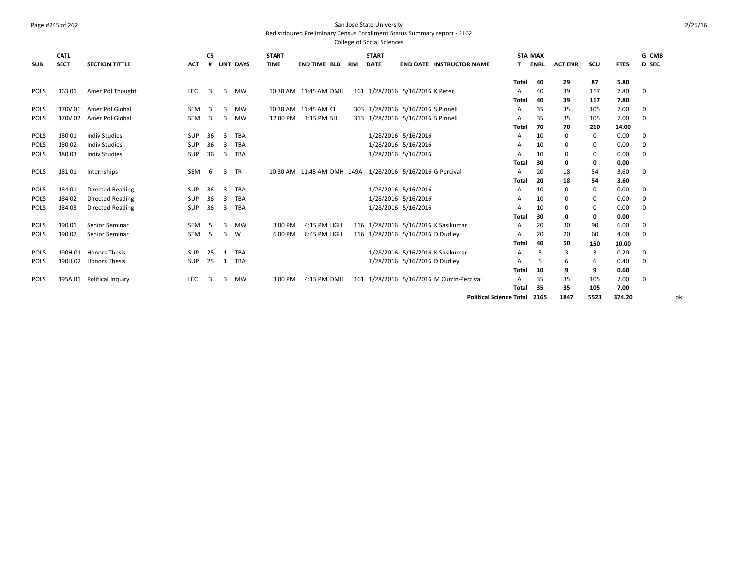## Page #245 of 262 San Jose State University

Redistributed Preliminary Census Enrollment Status Summary report - 2162

|             | <b>CATL</b> |                           |                  | <b>CS</b>               |              |                 | <b>START</b> |                       |    | <b>START</b> |                                                           |                                | <b>STA MAX</b> |                |      |             | G CMB        |
|-------------|-------------|---------------------------|------------------|-------------------------|--------------|-----------------|--------------|-----------------------|----|--------------|-----------------------------------------------------------|--------------------------------|----------------|----------------|------|-------------|--------------|
| <b>SUB</b>  | <b>SECT</b> | <b>SECTION TITTLE</b>     | <b>ACT</b>       | #                       |              | <b>UNT DAYS</b> | <b>TIME</b>  | <b>END TIME BLD</b>   | RM | <b>DATE</b>  | <b>END DATE INSTRUCTOR NAME</b>                           | T.                             | <b>ENRL</b>    | <b>ACT ENR</b> | scu  | <b>FTES</b> | <b>D</b> SEC |
|             |             |                           |                  |                         |              |                 |              |                       |    |              |                                                           |                                |                |                |      |             |              |
|             |             |                           |                  |                         |              |                 |              |                       |    |              |                                                           | <b>Total</b>                   | 40             | 29             | 87   | 5.80        |              |
| POLS        | 163 01      | Amer Pol Thought          | <b>LEC</b>       | 3                       | 3            | <b>MW</b>       |              | 10:30 AM 11:45 AM DMH |    |              | 161 1/28/2016 5/16/2016 K Peter                           | A                              | 40             | 39             | 117  | 7.80        | 0            |
|             |             |                           |                  |                         |              |                 |              |                       |    |              |                                                           | Total                          | 40             | 39             | 117  | 7.80        |              |
| <b>POLS</b> |             | 170V 01 Amer Pol Global   | SEM              | $\overline{\mathbf{3}}$ | 3            | <b>MW</b>       |              | 10:30 AM 11:45 AM CL  |    |              | 303 1/28/2016 5/16/2016 S Pinnell                         | A                              | 35             | 35             | 105  | 7.00        | 0            |
| POLS        | 170V 02     | Amer Pol Global           | SEM              | $\overline{\mathbf{3}}$ | 3            | MW              | 12:00 PM     | 1:15 PM SH            |    |              | 313 1/28/2016 5/16/2016 S Pinnell                         | A                              | 35             | 35             | 105  | 7.00        | 0            |
|             |             |                           |                  |                         |              |                 |              |                       |    |              |                                                           | Total                          | 70             | 70             | 210  | 14.00       |              |
| <b>POLS</b> | 18001       | <b>Indiv Studies</b>      | <b>SUP</b>       | 36                      | 3            | <b>TBA</b>      |              |                       |    |              | 1/28/2016 5/16/2016                                       | A                              | 10             | 0              | 0    | 0.00        | 0            |
| <b>POLS</b> | 18002       | <b>Indiv Studies</b>      | <b>SUP</b>       | 36                      | 3            | <b>TBA</b>      |              |                       |    |              | 1/28/2016 5/16/2016                                       | A                              | 10             | $\mathbf 0$    | 0    | 0.00        | 0            |
| <b>POLS</b> | 18003       | <b>Indiv Studies</b>      | <b>SUP</b>       | 36                      | 3            | TBA             |              |                       |    |              | 1/28/2016 5/16/2016                                       | A                              | 10             | $\Omega$       | 0    | 0.00        | 0            |
|             |             |                           |                  |                         |              |                 |              |                       |    |              |                                                           | Total                          | 30             | 0              | 0    | 0.00        |              |
| POLS        | 18101       | Internships               | SEM              | - 6                     | 3            | <b>TR</b>       |              |                       |    |              | 10:30 AM 11:45 AM DMH 149A 1/28/2016 5/16/2016 G Percival | A                              | 20             | 18             | 54   | 3.60        | 0            |
|             |             |                           |                  |                         |              |                 |              |                       |    |              |                                                           | Total                          | 20             | 18             | 54   | 3.60        |              |
| POLS        | 184 01      | <b>Directed Reading</b>   | <b>SUP</b>       | 36                      | 3            | <b>TBA</b>      |              |                       |    |              | 1/28/2016 5/16/2016                                       | Α                              | 10             | $\mathbf 0$    | 0    | 0.00        | 0            |
| <b>POLS</b> | 184 02      | <b>Directed Reading</b>   | <b>SUP</b>       | 36                      | 3            | <b>TBA</b>      |              |                       |    |              | 1/28/2016 5/16/2016                                       | A                              | 10             | $\mathbf 0$    | 0    | 0.00        | 0            |
| <b>POLS</b> | 18403       | Directed Reading          | <b>SUP</b>       | 36                      | 3            | <b>TBA</b>      |              |                       |    |              | 1/28/2016 5/16/2016                                       | A                              | 10             | $\mathbf 0$    | 0    | 0.00        | 0            |
|             |             |                           |                  |                         |              |                 |              |                       |    |              |                                                           | Total                          | 30             | 0              | 0    | 0.00        |              |
| <b>POLS</b> | 190 01      | Senior Seminar            | SEM              | - 5                     | 3            | <b>MW</b>       | 3:00 PM      | 4:15 PM HGH           |    |              | 116 1/28/2016 5/16/2016 K Sasikumar                       | A                              | 20             | 30             | 90   | 6.00        | 0            |
| POLS        | 190 02      | Senior Seminar            | SEM <sub>5</sub> |                         | 3            | <b>W</b>        | 6:00 PM      | 8:45 PM HGH           |    |              | 116 1/28/2016 5/16/2016 D Dudley                          | A                              | 20             | 20             | 60   | 4.00        | 0            |
|             |             |                           |                  |                         |              |                 |              |                       |    |              |                                                           | Total                          | 40             | 50             | 150  | 10.00       |              |
| <b>POLS</b> |             | 190H 01 Honors Thesis     | SUP              | 25                      | $\mathbf{1}$ | <b>TBA</b>      |              |                       |    |              | 1/28/2016 5/16/2016 K Sasikumar                           | A                              | 5              | 3              | 3    | 0.20        | 0            |
| POLS        |             | 190H 02 Honors Thesis     | <b>SUP</b>       | 25                      | $\mathbf{1}$ | TBA             |              |                       |    |              | 1/28/2016 5/16/2016 D Dudley                              | A                              | 5              | 6              | 6    | 0.40        | 0            |
|             |             |                           |                  |                         |              |                 |              |                       |    |              |                                                           | Total                          | 10             | 9              | 9    | 0.60        |              |
| <b>POLS</b> |             | 195A 01 Political Inquiry | <b>LEC</b>       | 3                       | 3            | <b>MW</b>       | 3:00 PM      | 4:15 PM DMH           |    |              | 161 1/28/2016 5/16/2016 M Currin-Percival                 | A                              | 35             | 35             | 105  | 7.00        | 0            |
|             |             |                           |                  |                         |              |                 |              |                       |    |              |                                                           | Total                          | 35             | 35             | 105  | 7.00        |              |
|             |             |                           |                  |                         |              |                 |              |                       |    |              |                                                           | <b>Political Science Total</b> | 2165           | 1847           | 5523 | 374.20      | οk           |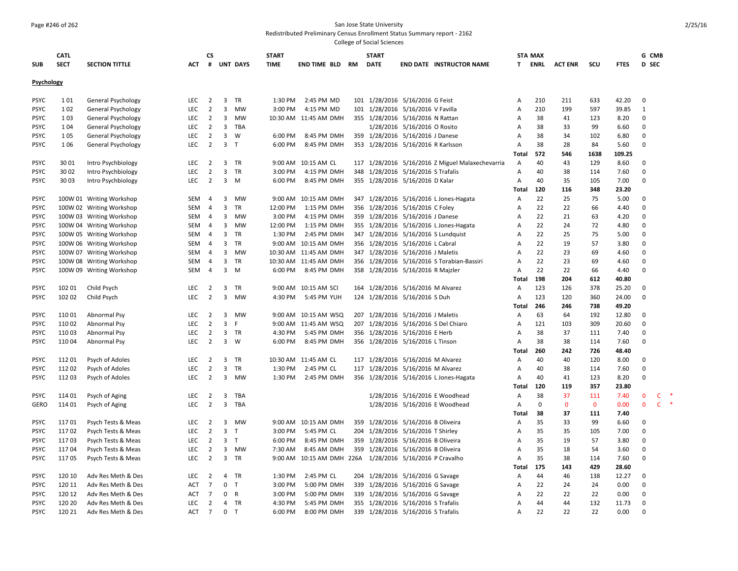#### Page #246 of 262 San Jose State University

Redistributed Preliminary Census Enrollment Status Summary report - 2162

|             | <b>CATL</b> |                           |            | CS             |                |                 | <b>START</b>      |                        |     | <b>START</b> |                                                          |       | <b>STA MAX</b> |                |              |             | G CMB        |                   |
|-------------|-------------|---------------------------|------------|----------------|----------------|-----------------|-------------------|------------------------|-----|--------------|----------------------------------------------------------|-------|----------------|----------------|--------------|-------------|--------------|-------------------|
| <b>SUB</b>  | <b>SECT</b> | <b>SECTION TITTLE</b>     | <b>ACT</b> | #              |                | <b>UNT DAYS</b> | <b>TIME</b>       | <b>END TIME BLD RM</b> |     | <b>DATE</b>  | <b>END DATE INSTRUCTOR NAME</b>                          | T.    | ENRL           | <b>ACT ENR</b> | scu          | <b>FTES</b> | <b>D</b> SEC |                   |
|             |             |                           |            |                |                |                 |                   |                        |     |              |                                                          |       |                |                |              |             |              |                   |
| Psychology  |             |                           |            |                |                |                 |                   |                        |     |              |                                                          |       |                |                |              |             |              |                   |
| <b>PSYC</b> | 101         | General Psychology        | LEC        | $\overline{2}$ | 3              | TR              | 1:30 PM           | 2:45 PM MD             |     |              | 101 1/28/2016 5/16/2016 G Feist                          | A     | 210            | 211            | 633          | 42.20       | 0            |                   |
| <b>PSYC</b> | 102         | General Psychology        | <b>LEC</b> | $\overline{2}$ | 3              | <b>MW</b>       | 3:00 PM           | 4:15 PM MD             | 101 |              | 1/28/2016 5/16/2016 V Favilla                            | А     | 210            | 199            | 597          | 39.85       | 1            |                   |
| <b>PSYC</b> | 103         | <b>General Psychology</b> | <b>LEC</b> | $\overline{2}$ | 3              | MW              |                   | 10:30 AM 11:45 AM DMH  |     |              | 355 1/28/2016 5/16/2016 N Rattan                         | А     | 38             | 41             | 123          | 8.20        | 0            |                   |
| <b>PSYC</b> | 104         | <b>General Psychology</b> | LEC        | $\overline{2}$ | 3              | TBA             |                   |                        |     |              | 1/28/2016 5/16/2016 O Rosito                             | А     | 38             | 33             | 99           | 6.60        | $\mathbf 0$  |                   |
| <b>PSYC</b> | 105         | General Psychology        | LEC        | $\overline{2}$ | 3              | W               | 6:00 PM           | 8:45 PM DMH            | 359 |              | 1/28/2016 5/16/2016 J Danese                             | А     | 38             | 34             | 102          | 6.80        | 0            |                   |
| <b>PSYC</b> | 106         | General Psychology        | <b>LEC</b> | $\overline{2}$ | 3              | $\mathsf{T}$    | 6:00 PM           | 8:45 PM DMH            |     |              | 353 1/28/2016 5/16/2016 R Karlsson                       | Α     | 38             | 28             | 84           | 5.60        | $\mathbf 0$  |                   |
|             |             |                           |            |                |                |                 |                   |                        |     |              |                                                          | Total | 572            | 546            | 1638         | 109.25      |              |                   |
| <b>PSYC</b> | 30 01       | Intro Psychbiology        | LEC        | 2              | 3              | TR              |                   | 9:00 AM 10:15 AM CL    |     |              | 117 1/28/2016 5/16/2016 Z Miguel Malaxechevarria         | A     | 40             | 43             | 129          | 8.60        | $\mathbf 0$  |                   |
| <b>PSYC</b> | 30 02       | Intro Psychbiology        | <b>LEC</b> | $\overline{2}$ | 3              | TR              | 3:00 PM           | 4:15 PM DMH            | 348 |              | 1/28/2016 5/16/2016 S Trafalis                           | А     | 40             | 38             | 114          | 7.60        | 0            |                   |
| <b>PSYC</b> | 3003        | Intro Psychbiology        | <b>LEC</b> | $\overline{2}$ | $\overline{3}$ | M               | 6:00 PM           | 8:45 PM DMH            |     |              | 355 1/28/2016 5/16/2016 D Kalar                          | A     | 40             | 35             | 105          | 7.00        | $\mathbf 0$  |                   |
|             |             |                           |            |                |                |                 |                   |                        |     |              |                                                          | Total | 120            | 116            | 348          | 23.20       |              |                   |
| <b>PSYC</b> |             | 100W 01 Writing Workshop  | SEM        | 4              | 3              | <b>MW</b>       | $9:00 \text{ AM}$ | 10:15 AM DMH           |     |              | 347 1/28/2016 5/16/2016 L Jones-Hagata                   | А     | 22             | 25             | 75           | 5.00        | 0            |                   |
| <b>PSYC</b> |             | 100W 02 Writing Workshop  | SEM        | $\overline{4}$ | 3              | <b>TR</b>       | 12:00 PM          | 1:15 PM DMH            |     |              | 356 1/28/2016 5/16/2016 C Foley                          | А     | 22             | 22             | 66           | 4.40        | 0            |                   |
| <b>PSYC</b> |             | 100W 03 Writing Workshop  | SEM        | $\overline{4}$ | 3              | <b>MW</b>       | 3:00 PM           | 4:15 PM DMH            |     |              | 359 1/28/2016 5/16/2016 J Danese                         | А     | 22             | 21             | 63           | 4.20        | 0            |                   |
| <b>PSYC</b> |             | 100W 04 Writing Workshop  | <b>SEM</b> | $\overline{4}$ | 3              | <b>MW</b>       | 12:00 PM          | 1:15 PM DMH            |     |              | 355 1/28/2016 5/16/2016 L Jones-Hagata                   | A     | 22             | 24             | 72           | 4.80        | $\mathbf 0$  |                   |
| <b>PSYC</b> |             | 100W 05 Writing Workshop  | <b>SEM</b> | $\overline{4}$ | 3              | TR              | 1:30 PM           | 2:45 PM DMH            |     |              | 347 1/28/2016 5/16/2016 S Lundquist                      | А     | 22             | 25             | 75           | 5.00        | $\mathbf 0$  |                   |
| <b>PSYC</b> |             | 100W 06 Writing Workshop  | SEM        | $\overline{4}$ | 3              | TR              |                   | 9:00 AM 10:15 AM DMH   |     |              | 356 1/28/2016 5/16/2016 L Cabral                         | A     | 22             | 19             | 57           | 3.80        | 0            |                   |
| <b>PSYC</b> |             | 100W 07 Writing Workshop  | SEM        | $\overline{4}$ | 3              | MW              |                   | 10:30 AM 11:45 AM DMH  | 347 |              | 1/28/2016 5/16/2016 J Maletis                            | А     | 22             | 23             | 69           | 4.60        | 0            |                   |
| <b>PSYC</b> |             | 100W 08 Writing Workshop  | SEM        | $\overline{4}$ | $\overline{3}$ | TR              |                   | 10:30 AM 11:45 AM DMH  |     |              | 356 1/28/2016 5/16/2016 S Torabian-Bassiri               | А     | 22             | 23             | 69           | 4.60        | 0            |                   |
| <b>PSYC</b> |             | 100W 09 Writing Workshop  | <b>SEM</b> | $\overline{4}$ | $\overline{3}$ | M               | 6:00 PM           | 8:45 PM DMH            |     |              | 358 1/28/2016 5/16/2016 R Majzler                        | A     | 22             | 22             | 66           | 4.40        | 0            |                   |
|             |             |                           |            |                |                |                 |                   |                        |     |              |                                                          | Total | 198            | 204            | 612          | 40.80       |              |                   |
| <b>PSYC</b> | 102 01      | Child Psych               | LEC        | 2              | 3              | TR              |                   | 9:00 AM 10:15 AM SCI   |     |              | 164 1/28/2016 5/16/2016 M Alvarez                        | Α     | 123            | 126            | 378          | 25.20       | 0            |                   |
| <b>PSYC</b> | 102 02      | Child Psych               | <b>LEC</b> | $\overline{2}$ | 3              | <b>MW</b>       | 4:30 PM           | 5:45 PM YUH            |     |              | 124 1/28/2016 5/16/2016 S Duh                            | Α     | 123            | 120            | 360          | 24.00       | $\mathbf 0$  |                   |
|             |             |                           |            |                |                |                 |                   |                        |     |              |                                                          | Total | 246            | 246            | 738          | 49.20       |              |                   |
| <b>PSYC</b> | 11001       | Abnormal Psy              | <b>LEC</b> | $\overline{2}$ | 3              | <b>MW</b>       |                   | 9:00 AM 10:15 AM WSQ   | 207 |              | 1/28/2016 5/16/2016 J Maletis                            | A     | 63             | 64             | 192          | 12.80       | $\mathbf 0$  |                   |
| <b>PSYC</b> | 11002       | Abnormal Psy              | <b>LEC</b> | $\overline{2}$ | 3              | F               |                   | 9:00 AM 11:45 AM WSQ   | 207 |              | 1/28/2016 5/16/2016 S Del Chiaro                         | А     | 121            | 103            | 309          | 20.60       | $\mathbf 0$  |                   |
| <b>PSYC</b> | 11003       | Abnormal Psy              | <b>LEC</b> | $\overline{2}$ | 3              | TR              | 4:30 PM           | 5:45 PM DMH            |     |              | 356 1/28/2016 5/16/2016 E Herb                           | А     | 38             | 37             | 111          | 7.40        | 0            |                   |
| <b>PSYC</b> | 110 04      | Abnormal Psy              | <b>LEC</b> | $\overline{2}$ | $\mathbf{3}$   | W               | 6:00 PM           | 8:45 PM DMH            |     |              | 356 1/28/2016 5/16/2016 L Tinson                         | Α     | 38             | 38             | 114          | 7.60        | 0            |                   |
|             |             |                           |            |                |                |                 |                   |                        |     |              |                                                          | Total | 260            | 242            | 726          | 48.40       |              |                   |
| <b>PSYC</b> | 112 01      | Psych of Adoles           | <b>LEC</b> | $\overline{2}$ | 3              | TR              |                   | 10:30 AM 11:45 AM CL   |     |              | 117 1/28/2016 5/16/2016 M Alvarez                        | A     | 40             | 40             | 120          | 8.00        | 0            |                   |
| <b>PSYC</b> | 11202       | Psych of Adoles           | <b>LEC</b> | $\overline{2}$ | 3              | TR              | 1:30 PM           | 2:45 PM CL             |     |              | 117 1/28/2016 5/16/2016 M Alvarez                        | A     | 40             | 38             | 114          | 7.60        | $\mathbf 0$  |                   |
| <b>PSYC</b> | 112 03      | Psych of Adoles           | <b>LEC</b> | $\overline{2}$ | 3              | MW              | 1:30 PM           | 2:45 PM DMH            |     |              | 356 1/28/2016 5/16/2016 L Jones-Hagata                   | Α     | 40             | 41             | 123          | 8.20        | $\Omega$     |                   |
|             |             |                           |            |                |                |                 |                   |                        |     |              |                                                          | Total | 120            | 119            | 357          | 23.80       |              |                   |
| <b>PSYC</b> | 114 01      | Psych of Aging            | <b>LEC</b> | $\overline{2}$ | 3              | TBA             |                   |                        |     |              | 1/28/2016 5/16/2016 E Woodhead                           | Α     | 38             | 37             | 111          | 7.40        | $\mathbf 0$  | C                 |
| GERO        | 114 01      | Psych of Aging            | <b>LEC</b> | $\overline{2}$ | $\overline{3}$ | TBA             |                   |                        |     |              | 1/28/2016 5/16/2016 E Woodhead                           | Α     | $\mathbf 0$    | $\mathbf{0}$   | $\mathbf{0}$ | 0.00        | $\mathbf{0}$ | $\mathsf{C}$<br>咪 |
|             |             |                           |            |                |                |                 |                   |                        |     |              |                                                          | Total | 38             | 37             | 111          | 7.40        |              |                   |
| <b>PSYC</b> | 11701       | Psych Tests & Meas        | <b>LEC</b> | $\overline{2}$ | 3              | <b>MW</b>       |                   | 9:00 AM 10:15 AM DMH   | 359 |              | 1/28/2016 5/16/2016 B Oliveira                           | Α     | 35             | 33             | 99           | 6.60        | $\Omega$     |                   |
| <b>PSYC</b> | 11702       | Psych Tests & Meas        | LEC        | $\overline{2}$ | $\mathbf{3}$   | $\mathsf{T}$    | 3:00 PM           | 5:45 PM CL             |     |              | 204 1/28/2016 5/16/2016 T Shirley                        | А     | 35             | 35             | 105          | 7.00        | 0            |                   |
| <b>PSYC</b> | 11703       | Psych Tests & Meas        | <b>LEC</b> | $\overline{2}$ | 3              | T               | 6:00 PM           | 8:45 PM DMH            | 359 |              | 1/28/2016 5/16/2016 B Oliveira                           | А     | 35             | 19             | 57           | 3.80        | 0            |                   |
| <b>PSYC</b> | 11704       | Psych Tests & Meas        | <b>LEC</b> | $\overline{2}$ | 3              | <b>MW</b>       | 7:30 AM           | 8:45 AM DMH            | 359 |              | 1/28/2016 5/16/2016 B Oliveira                           | А     | 35             | 18             | 54           | 3.60        | 0            |                   |
| <b>PSYC</b> | 11705       | Psych Tests & Meas        | <b>LEC</b> | $\overline{2}$ | 3              | TR              |                   |                        |     |              | 9:00 AM 10:15 AM DMH 226A 1/28/2016 5/16/2016 P Cravalho | Α     | 35             | 38             | 114          | 7.60        | 0            |                   |
|             |             |                           |            |                |                |                 |                   |                        |     |              |                                                          | Total | 175            | 143            | 429          | 28.60       |              |                   |
| <b>PSYC</b> | 120 10      | Adv Res Meth & Des        | LEC        | $\overline{2}$ | 4              | TR              | 1:30 PM           | 2:45 PM CL             |     |              | 204 1/28/2016 5/16/2016 G Savage                         | А     | 44             | 46             | 138          | 12.27       | $\mathbf 0$  |                   |
| <b>PSYC</b> | 120 11      | Adv Res Meth & Des        | <b>ACT</b> | $\overline{7}$ | $\mathbf 0$    | $\mathsf{T}$    | 3:00 PM           | 5:00 PM DMH            | 339 |              | 1/28/2016 5/16/2016 G Savage                             | А     | 22             | 24             | 24           | 0.00        | 0            |                   |
| <b>PSYC</b> | 120 12      | Adv Res Meth & Des        | <b>ACT</b> | $\overline{7}$ | $\mathbf{0}$   | R               | 3:00 PM           | 5:00 PM DMH            |     |              | 339 1/28/2016 5/16/2016 G Savage                         | А     | 22             | 22             | 22           | 0.00        | 0            |                   |
| <b>PSYC</b> | 120 20      | Adv Res Meth & Des        | <b>LEC</b> | $\overline{2}$ | $\overline{4}$ | TR              | 4:30 PM           | 5:45 PM DMH            |     |              | 355 1/28/2016 5/16/2016 S Trafalis                       | А     | 44             | 44             | 132          | 11.73       | 0            |                   |
| <b>PSYC</b> | 120 21      | Adv Res Meth & Des        | <b>ACT</b> | $\overline{7}$ | $\mathbf{0}$   | $\mathsf{T}$    | 6:00 PM           | 8:00 PM DMH            |     |              | 339 1/28/2016 5/16/2016 S Trafalis                       | A     | 22             | 22             | 22           | 0.00        | $\Omega$     |                   |
|             |             |                           |            |                |                |                 |                   |                        |     |              |                                                          |       |                |                |              |             |              |                   |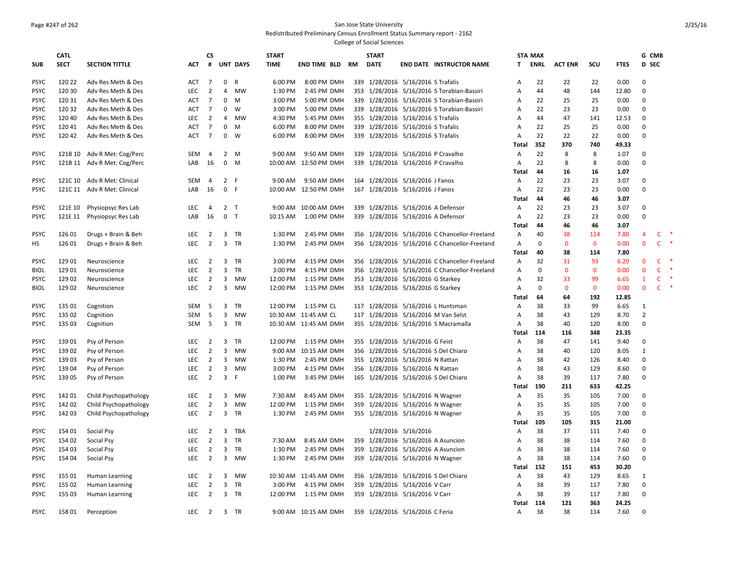#### Page #247 of 262 San Jose State University Redistributed Preliminary Census Enrollment Status Summary report - 2162

|             | <b>CATL</b> |                             |            | <b>CS</b>      |                |                 | <b>START</b> |                       |    | <b>START</b> |                                    |                                               |                | <b>STA MAX</b> |                |              |             | G CMB          |              |        |
|-------------|-------------|-----------------------------|------------|----------------|----------------|-----------------|--------------|-----------------------|----|--------------|------------------------------------|-----------------------------------------------|----------------|----------------|----------------|--------------|-------------|----------------|--------------|--------|
| <b>SUB</b>  | <b>SECT</b> | <b>SECTION TITTLE</b>       | <b>ACT</b> | #              |                | <b>UNT DAYS</b> | <b>TIME</b>  | END TIME BLD          | RM | <b>DATE</b>  |                                    | <b>END DATE INSTRUCTOR NAME</b>               | T.             | <b>ENRL</b>    | <b>ACT ENR</b> | scu          | <b>FTES</b> | D SEC          |              |        |
|             |             |                             |            |                |                |                 |              |                       |    |              |                                    |                                               |                |                |                |              |             |                |              |        |
| <b>PSYC</b> | 120 22      | Adv Res Meth & Des          | <b>ACT</b> | $\overline{7}$ | 0              | R               | 6:00 PM      | 8:00 PM DMH           |    |              | 339 1/28/2016 5/16/2016 S Trafalis |                                               | $\mathsf{A}$   | 22             | 22             | 22           | 0.00        | $\Omega$       |              |        |
| <b>PSYC</b> | 120 30      | Adv Res Meth & Des          | <b>LEC</b> | $\overline{2}$ | 4              | <b>MW</b>       | 1:30 PM      | 2:45 PM DMH           |    |              |                                    | 353 1/28/2016 5/16/2016 S Torabian-Bassiri    | Α              | 44             | 48             | 144          | 12.80       | $\mathbf 0$    |              |        |
| <b>PSYC</b> | 120 31      | Adv Res Meth & Des          | ACT        | 7              | $\mathbf 0$    | M               | 3:00 PM      | 5:00 PM DMH           |    |              |                                    | 339 1/28/2016 5/16/2016 S Torabian-Bassiri    | A              | 22             | 25             | 25           | 0.00        | $\Omega$       |              |        |
| <b>PSYC</b> | 120 32      | Adv Res Meth & Des          | ACT        | $\overline{7}$ | 0              | W               | 3:00 PM      | 5:00 PM DMH           |    |              |                                    | 339 1/28/2016 5/16/2016 S Torabian-Bassiri    | A              | 22             | 23             | 23           | 0.00        | $\Omega$       |              |        |
| <b>PSYC</b> | 120 40      | Adv Res Meth & Des          | <b>LEC</b> | $\overline{2}$ | 4              | <b>MW</b>       | 4:30 PM      | 5:45 PM DMH           |    |              | 355 1/28/2016 5/16/2016 S Trafalis |                                               | A              | 44             | 47             | 141          | 12.53       | $\Omega$       |              |        |
| <b>PSYC</b> | 120 41      | Adv Res Meth & Des          | ACT        | $\overline{7}$ | 0              | M               | 6:00 PM      | 8:00 PM DMH           |    |              | 339 1/28/2016 5/16/2016 S Trafalis |                                               | Α              | 22             | 25             | 25           | 0.00        | $\Omega$       |              |        |
| <b>PSYC</b> | 120 42      | Adv Res Meth & Des          | <b>ACT</b> | $\overline{7}$ | 0              | W               | 6:00 PM      | 8:00 PM DMH           |    |              | 339 1/28/2016 5/16/2016 S Trafalis |                                               | Α              | 22             | 22             | 22           | 0.00        | $\Omega$       |              |        |
|             |             |                             |            |                |                |                 |              |                       |    |              |                                    |                                               | Total          | 352            | 370            | 740          | 49.33       |                |              |        |
| <b>PSYC</b> |             | 121B 10 Adv R Met: Cog/Perc | SEM        | 4              |                | 2 M             | 9:00 AM      | 9:50 AM DMH           |    |              | 339 1/28/2016 5/16/2016 P Cravalho |                                               | A              | 22             | 8              | 8            | 1.07        | $\mathbf 0$    |              |        |
| <b>PSYC</b> |             | 121B 11 Adv R Met: Cog/Perc | LAB        | 16             | 0              | M               |              | 10:00 AM 12:50 PM DMH |    |              | 339 1/28/2016 5/16/2016 P Cravalho |                                               | Α              | 22             | 8              | 8            | 0.00        | $\mathbf 0$    |              |        |
|             |             |                             |            |                |                |                 |              |                       |    |              |                                    |                                               | Total          | 44             | 16             | 16           | 1.07        |                |              |        |
| <b>PSYC</b> |             | 121C 10 Adv R Met: Clinical | SEM        | $\overline{4}$ | $\overline{2}$ | F               | 9:00 AM      | 9:50 AM DMH           |    |              | 164 1/28/2016 5/16/2016 J Fanos    |                                               | $\mathsf{A}$   | 22             | 23             | 23           | 3.07        | $\mathbf 0$    |              |        |
| <b>PSYC</b> |             | 121C 11 Adv R Met: Clinical | LAB        | 16             |                | 0 F             |              | 10:00 AM 12:50 PM DMH |    |              | 167 1/28/2016 5/16/2016 J Fanos    |                                               | A              | 22             | 23             | 23           | 0.00        | $\Omega$       |              |        |
|             |             |                             |            |                |                |                 |              |                       |    |              |                                    |                                               | Total          | 44             | 46             | 46           | 3.07        |                |              |        |
| <b>PSYC</b> | 121E 10     | Physiopsyc Res Lab          | LEC        | $\overline{4}$ |                | 2 <sub>T</sub>  |              | 9:00 AM 10:00 AM DMH  |    |              | 339 1/28/2016 5/16/2016 A Defensor |                                               | $\mathsf{A}$   | 22             | 23             | 23           | 3.07        | $\mathbf 0$    |              |        |
| <b>PSYC</b> | 121E 11     | Physiopsyc Res Lab          | LAB        | 16             | $\mathbf 0$    | T               | 10:15 AM     | 1:00 PM DMH           |    |              | 339 1/28/2016 5/16/2016 A Defensor |                                               | $\overline{A}$ | 22             | 23             | 23           | 0.00        | $\Omega$       |              |        |
|             |             |                             |            |                |                |                 |              |                       |    |              |                                    |                                               | Total          | 44             | 46             | 46           | 3.07        |                |              |        |
| <b>PSYC</b> | 126 01      | Drugs + Brain & Beh         | LEC        | $\overline{2}$ | 3              | TR              | 1:30 PM      | 2:45 PM DMH           |    |              |                                    | 356 1/28/2016 5/16/2016 C Chancellor-Freeland | A              | 40             | 38             | 114          | 7.80        | $\overline{4}$ | C            |        |
| <b>HS</b>   | 126 01      | Drugs + Brain & Beh         | LEC        | $\overline{2}$ | 3              | <b>TR</b>       | 1:30 PM      | 2:45 PM DMH           |    |              |                                    | 356 1/28/2016 5/16/2016 C Chancellor-Freeland | $\overline{A}$ | $\Omega$       | $\mathbf{0}$   | $\mathbf{0}$ | 0.00        | $\mathbf{0}$   | $\mathsf{C}$ |        |
|             |             |                             |            |                |                |                 |              |                       |    |              |                                    |                                               | Total          | 40             | 38             | 114          | 7.80        |                |              |        |
| <b>PSYC</b> | 129 01      | Neuroscience                | LEC        | $\overline{2}$ | 3              | TR              | 3:00 PM      | 4:15 PM DMH           |    |              |                                    | 356 1/28/2016 5/16/2016 C Chancellor-Freeland | A              | 32             | 31             | 93           | 6.20        | $\mathbf 0$    | C            |        |
| <b>BIOL</b> | 129 01      | Neuroscience                | <b>LEC</b> | $\overline{2}$ | 3              | TR              | 3:00 PM      | 4:15 PM DMH           |    |              |                                    | 356 1/28/2016 5/16/2016 C Chancellor-Freeland | $\mathsf{A}$   | $\mathbf 0$    | $\mathbf 0$    | $\mathbf 0$  | 0.00        | $\mathbf 0$    | $\mathsf{C}$ | 咪      |
| <b>PSYC</b> | 129 02      | Neuroscience                | LEC        | $\overline{2}$ | 3              | MW              | 12:00 PM     | 1:15 PM DMH           |    |              | 353 1/28/2016 5/16/2016 G Starkey  |                                               | A              | 32             | 33             | 99           | 6.65        | $\mathbf{1}$   | $\mathsf{C}$ | $\ast$ |
| <b>BIOL</b> | 129 02      | Neuroscience                | <b>LEC</b> | $\overline{2}$ | 3              | MW              | 12:00 PM     | 1:15 PM DMH           |    |              | 353 1/28/2016 5/16/2016 G Starkey  |                                               | Α              | $\Omega$       | $\mathbf 0$    | $\mathbf 0$  | 0.00        | $\mathbf 0$    | $\mathsf{C}$ | $\ast$ |
|             |             |                             |            |                |                |                 |              |                       |    |              |                                    |                                               | Total          | 64             | 64             | 192          | 12.85       |                |              |        |
| <b>PSYC</b> | 135 01      | Cognition                   | SEM        | $5^{\circ}$    | 3              | <b>TR</b>       | 12:00 PM     | 1:15 PM CL            |    |              |                                    | 117 1/28/2016 5/16/2016 L Huntsman            | $\mathsf{A}$   | 38             | 33             | 99           | 6.65        | $\mathbf{1}$   |              |        |
| <b>PSYC</b> | 135 02      | Cognition                   | <b>SEM</b> | - 5            | 3              | <b>MW</b>       |              | 10:30 AM 11:45 AM CL  |    |              |                                    | 117 1/28/2016 5/16/2016 M Van Selst           | $\overline{A}$ | 38             | 43             | 129          | 8.70        | $\overline{2}$ |              |        |
| <b>PSYC</b> | 135 03      | Cognition                   | SEM        | - 5            | 3              | TR              |              | 10:30 AM 11:45 AM DMH |    |              |                                    | 355 1/28/2016 5/16/2016 S Macramalla          | A              | 38             | 40             | 120          | 8.00        | $\Omega$       |              |        |
|             |             |                             |            |                |                |                 |              |                       |    |              |                                    |                                               | Total          | 114            | 116            | 348          | 23.35       |                |              |        |
| <b>PSYC</b> | 13901       | Psy of Person               | <b>LEC</b> | $\overline{2}$ | 3              | TR              | 12:00 PM     | 1:15 PM DMH           |    |              | 355 1/28/2016 5/16/2016 G Feist    |                                               | $\mathsf{A}$   | 38             | 47             | 141          | 9.40        | $\Omega$       |              |        |
| <b>PSYC</b> | 139 02      | Psy of Person               | <b>LEC</b> | $\overline{2}$ | 3              | <b>MW</b>       |              | 9:00 AM 10:15 AM DMH  |    |              |                                    | 356 1/28/2016 5/16/2016 S Del Chiaro          | A              | 38             | 40             | 120          | 8.05        | 1              |              |        |
| <b>PSYC</b> | 139 03      | Psy of Person               | <b>LEC</b> | $\overline{2}$ | 3              | MW              | 1:30 PM      | 2:45 PM DMH           |    |              | 355 1/28/2016 5/16/2016 N Rattan   |                                               | Α              | 38             | 42             | 126          | 8.40        | $\pmb{0}$      |              |        |
| <b>PSYC</b> | 13904       | Psy of Person               | LEC        | $\overline{2}$ | 3              | <b>MW</b>       | 3:00 PM      | 4:15 PM DMH           |    |              | 356 1/28/2016 5/16/2016 N Rattan   |                                               | $\mathsf{A}$   | 38             | 43             | 129          | 8.60        | $\mathbf 0$    |              |        |
| <b>PSYC</b> | 139 05      | Psy of Person               | LEC        | $\overline{2}$ | $\overline{3}$ | F               | 1:00 PM      | 3:45 PM DMH           |    |              |                                    | 165 1/28/2016 5/16/2016 S Del Chiaro          | A              | 38             | 39             | 117          | 7.80        | 0              |              |        |
|             |             |                             |            |                |                |                 |              |                       |    |              |                                    |                                               | Total          | 190            | 211            | 633          | 42.25       |                |              |        |
| <b>PSYC</b> | 142 01      | Child Psychopathology       | LEC        | $\overline{2}$ | 3              | <b>MW</b>       | 7:30 AM      | 8:45 AM DMH           |    |              | 355 1/28/2016 5/16/2016 N Wagner   |                                               | A              | 35             | 35             | 105          | 7.00        | $\Omega$       |              |        |
| <b>PSYC</b> | 142 02      | Child Psychopathology       | <b>LEC</b> | $\overline{2}$ | 3              | <b>MW</b>       | 12:00 PM     | 1:15 PM DMH           |    |              | 359 1/28/2016 5/16/2016 N Wagner   |                                               |                | 35             | 35             | 105          | 7.00        | $\mathbf 0$    |              |        |
|             |             |                             |            |                |                |                 |              |                       |    |              |                                    |                                               | A              | 35             | 35             |              |             | $\Omega$       |              |        |
| <b>PSYC</b> | 142 03      | Child Psychopathology       | <b>LEC</b> | $\overline{2}$ | 3              | <b>TR</b>       | 1:30 PM      | 2:45 PM DMH           |    |              | 355 1/28/2016 5/16/2016 N Wagner   |                                               | A              |                |                | 105          | 7.00        |                |              |        |
|             |             |                             |            |                |                |                 |              |                       |    |              |                                    |                                               | Total          | 105            | 105            | 315          | 21.00       |                |              |        |
| <b>PSYC</b> | 154 01      | Social Psy                  | LEC        | $\overline{2}$ | 3              | TBA             |              |                       |    |              | 1/28/2016 5/16/2016                |                                               | A              | 38             | 37             | 111          | 7.40        | $\mathbf 0$    |              |        |
| <b>PSYC</b> | 154 02      | Social Psy                  | <b>LEC</b> | $\overline{2}$ | 3              | <b>TR</b>       | 7:30 AM      | 8:45 AM DMH           |    |              | 359 1/28/2016 5/16/2016 A Asuncion |                                               | Α              | 38             | 38             | 114          | 7.60        | $\Omega$       |              |        |
| <b>PSYC</b> | 154 03      | Social Psy                  | LEC        | $\overline{2}$ | 3              | TR              | 1:30 PM      | 2:45 PM DMH           |    |              | 359 1/28/2016 5/16/2016 A Asuncion |                                               | A              | 38             | 38             | 114          | 7.60        | $\Omega$       |              |        |
| <b>PSYC</b> | 154 04      | Social Psy                  | <b>LEC</b> | $\overline{2}$ | 3              | MW              | 1:30 PM      | 2:45 PM DMH           |    |              | 359 1/28/2016 5/16/2016 N Wagner   |                                               | $\mathsf{A}$   | 38             | 38             | 114          | 7.60        | $\mathbf 0$    |              |        |
|             |             |                             |            |                |                |                 |              |                       |    |              |                                    |                                               | Total          | 152            | 151            | 453          | 30.20       |                |              |        |
| <b>PSYC</b> | 155 01      | Human Learning              | LEC        | $\overline{2}$ | 3              | MW              |              | 10:30 AM 11:45 AM DMH |    |              |                                    | 356 1/28/2016 5/16/2016 S Del Chiaro          | A              | 38             | 43             | 129          | 8.65        | $\mathbf{1}$   |              |        |
| <b>PSYC</b> | 155 02      | Human Learning              | <b>LEC</b> | $\overline{2}$ | 3              | TR              | 3:00 PM      | 4:15 PM DMH           |    |              | 359 1/28/2016 5/16/2016 V Carr     |                                               | A              | 38             | 39             | 117          | 7.80        | $\mathbf 0$    |              |        |
| <b>PSYC</b> | 155 03      | Human Learning              | <b>LEC</b> | $\overline{2}$ |                | 3 TR            | 12:00 PM     | 1:15 PM DMH           |    |              | 359 1/28/2016 5/16/2016 V Carr     |                                               | A              | 38             | 39             | 117          | 7.80        | $\mathbf 0$    |              |        |
|             |             |                             |            |                |                |                 |              |                       |    |              |                                    |                                               | Total          | 114            | 121            | 363          | 24.25       |                |              |        |
| <b>PSYC</b> | 158 01      | Perception                  | LEC        | $\overline{2}$ |                | 3 TR            |              | 9:00 AM 10:15 AM DMH  |    |              | 359 1/28/2016 5/16/2016 C Feria    |                                               | $\mathsf{A}$   | 38             | 38             | 114          | 7.60        | $\Omega$       |              |        |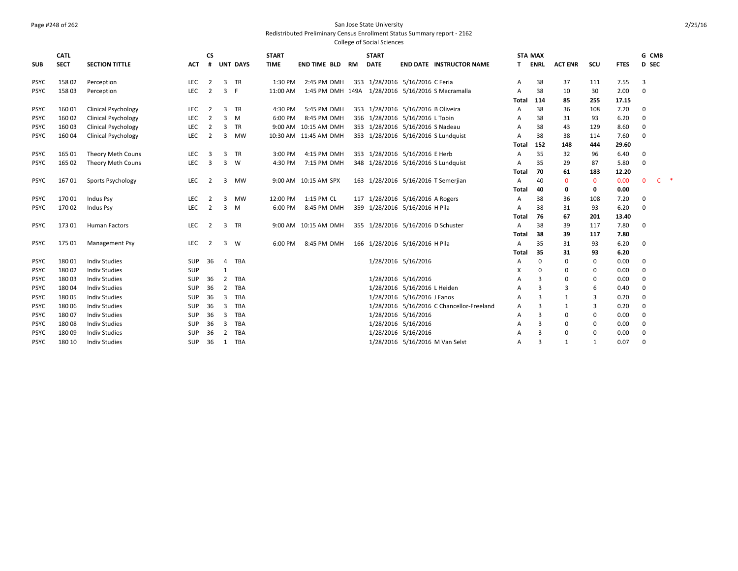# Page #248 of 262 San Jose State University

Redistributed Preliminary Census Enrollment Status Summary report - 2162

|             | <b>CATL</b> |                            |            | <b>CS</b>      |                |            | <b>START</b> |                                                   |    | <b>START</b> |                                    |                                           |              | <b>STA MAX</b> |                |              |             | G CMB        |    |  |
|-------------|-------------|----------------------------|------------|----------------|----------------|------------|--------------|---------------------------------------------------|----|--------------|------------------------------------|-------------------------------------------|--------------|----------------|----------------|--------------|-------------|--------------|----|--|
| <b>SUB</b>  | <b>SECT</b> | <b>SECTION TITTLE</b>      | <b>ACT</b> |                |                | # UNT DAYS | <b>TIME</b>  | <b>END TIME BLD</b>                               | RM | <b>DATE</b>  |                                    | <b>END DATE INSTRUCTOR NAME</b>           |              | T ENRL         | <b>ACT ENR</b> | scu          | <b>FTES</b> | D SEC        |    |  |
| <b>PSYC</b> | 15802       | Perception                 | LEC        | $\overline{2}$ | 3              | <b>TR</b>  | 1:30 PM      | 2:45 PM DMH                                       |    |              | 353 1/28/2016 5/16/2016 C Feria    |                                           | А            | 38             | 37             | 111          | 7.55        | 3            |    |  |
| <b>PSYC</b> | 158 03      | Perception                 | LEC        | $\overline{2}$ | $\overline{3}$ | - F        | 11:00 AM     | 1:45 PM DMH 149A 1/28/2016 5/16/2016 S Macramalla |    |              |                                    |                                           | А            | 38             | 10             | 30           | 2.00        | $\mathbf 0$  |    |  |
|             |             |                            |            |                |                |            |              |                                                   |    |              |                                    |                                           | <b>Total</b> | 114            | 85             | 255          | 17.15       |              |    |  |
| <b>PSYC</b> | 16001       | <b>Clinical Psychology</b> | LEC        | 2              | 3              | <b>TR</b>  | 4:30 PM      | 5:45 PM DMH                                       |    |              | 353 1/28/2016 5/16/2016 B Oliveira |                                           | А            | 38             | 36             | 108          | 7.20        | 0            |    |  |
| <b>PSYC</b> | 16002       | <b>Clinical Psychology</b> | <b>LEC</b> | 2              | 3              | M          | 6:00 PM      | 8:45 PM DMH                                       |    |              | 356 1/28/2016 5/16/2016 L Tobin    |                                           | А            | 38             | 31             | 93           | 6.20        | 0            |    |  |
| <b>PSYC</b> | 160 03      | <b>Clinical Psychology</b> | LEC        | 2              | $\overline{3}$ | <b>TR</b>  |              | 9:00 AM 10:15 AM DMH                              |    |              | 353 1/28/2016 5/16/2016 S Nadeau   |                                           | А            | 38             | 43             | 129          | 8.60        | 0            |    |  |
| <b>PSYC</b> | 160 04      | <b>Clinical Psychology</b> | LEC        | $\overline{2}$ | 3              | MW         |              | 10:30 AM 11:45 AM DMH                             |    |              |                                    | 353 1/28/2016 5/16/2016 S Lundquist       | А            | 38             | 38             | 114          | 7.60        | $\Omega$     |    |  |
|             |             |                            |            |                |                |            |              |                                                   |    |              |                                    |                                           | Total        | 152            | 148            | 444          | 29.60       |              |    |  |
| <b>PSYC</b> | 165 01      | Theory Meth Couns          | LEC        | 3              | 3              | TR         | 3:00 PM      | 4:15 PM DMH                                       |    |              | 353 1/28/2016 5/16/2016 E Herb     |                                           | А            | 35             | 32             | 96           | 6.40        | 0            |    |  |
| <b>PSYC</b> | 165 02      | Theory Meth Couns          | <b>LEC</b> | $\overline{3}$ | $\overline{3}$ | W          | 4:30 PM      | 7:15 PM DMH                                       |    |              |                                    | 348 1/28/2016 5/16/2016 S Lundquist       | А            | 35             | 29             | 87           | 5.80        | $\Omega$     |    |  |
|             |             |                            |            |                |                |            |              |                                                   |    |              |                                    |                                           | Total        | 70             | 61             | 183          | 12.20       |              |    |  |
| <b>PSYC</b> | 16701       | Sports Psychology          | LEC        | 2              | 3              | <b>MW</b>  |              | 9:00 AM 10:15 AM SPX                              |    |              |                                    | 163 1/28/2016 5/16/2016 T Semerjian       | А            | 40             | $\mathbf{0}$   | $\mathbf{0}$ | 0.00        | $\mathbf{0}$ | C. |  |
|             |             |                            |            |                |                |            |              |                                                   |    |              |                                    |                                           | Total        | 40             | 0              | 0            | 0.00        |              |    |  |
| <b>PSYC</b> | 17001       | <b>Indus Psy</b>           | <b>LEC</b> | 2              | 3              | <b>MW</b>  | 12:00 PM     | 1:15 PM CL                                        |    |              | 117 1/28/2016 5/16/2016 A Rogers   |                                           | Α            | 38             | 36             | 108          | 7.20        | $\Omega$     |    |  |
| <b>PSYC</b> | 170 02      | Indus Psy                  | <b>LEC</b> | $\overline{2}$ | $\overline{3}$ | M          | 6:00 PM      | 8:45 PM DMH                                       |    |              | 359 1/28/2016 5/16/2016 H Pila     |                                           | А            | 38             | 31             | 93           | 6.20        | 0            |    |  |
|             |             |                            |            |                |                |            |              |                                                   |    |              |                                    |                                           | Total        | 76             | 67             | 201          | 13.40       |              |    |  |
| <b>PSYC</b> | 173 01      | <b>Human Factors</b>       | LEC        | 2              | 3              | <b>TR</b>  |              | 9:00 AM 10:15 AM DMH                              |    |              | 355 1/28/2016 5/16/2016 D Schuster |                                           | А            | 38             | 39             | 117          | 7.80        | $\Omega$     |    |  |
|             |             |                            |            |                |                |            |              |                                                   |    |              |                                    |                                           | Total        | 38             | 39             | 117          | 7.80        |              |    |  |
| <b>PSYC</b> | 175 01      | Management Psy             | LEC        | $\overline{2}$ | 3              | W          | 6:00 PM      | 8:45 PM DMH                                       |    |              | 166 1/28/2016 5/16/2016 H Pila     |                                           | А            | 35             | 31             | 93           | 6.20        | 0            |    |  |
|             |             |                            |            |                |                |            |              |                                                   |    |              |                                    |                                           | Total        | 35             | 31             | 93           | 6.20        |              |    |  |
| <b>PSYC</b> | 18001       | <b>Indiv Studies</b>       | SUP        | - 36           | 4              | TBA        |              |                                                   |    |              | 1/28/2016 5/16/2016                |                                           | А            | 0              | 0              | 0            | 0.00        | $\Omega$     |    |  |
| <b>PSYC</b> | 18002       | <b>Indiv Studies</b>       | SUP        |                | $\mathbf{1}$   |            |              |                                                   |    |              |                                    |                                           | х            | 0              | 0              | 0            | 0.00        | $\mathbf 0$  |    |  |
| <b>PSYC</b> | 18003       | <b>Indiv Studies</b>       | SUP        | 36             | $\overline{2}$ | TBA        |              |                                                   |    |              | 1/28/2016 5/16/2016                |                                           | А            | 3              | 0              | 0            | 0.00        | $\mathbf 0$  |    |  |
| <b>PSYC</b> | 18004       | <b>Indiv Studies</b>       | SUP        | 36             | $\overline{2}$ | TBA        |              |                                                   |    |              | 1/28/2016 5/16/2016 L Heiden       |                                           | А            | 3              | 3              | 6            | 0.40        | $\Omega$     |    |  |
| <b>PSYC</b> | 18005       | <b>Indiv Studies</b>       | SUP        | 36             | 3              | TBA        |              |                                                   |    |              | 1/28/2016 5/16/2016 J Fanos        |                                           | А            | 3              | 1              | 3            | 0.20        | $\Omega$     |    |  |
| <b>PSYC</b> | 18006       | <b>Indiv Studies</b>       | <b>SUP</b> | 36             | 3              | TBA        |              |                                                   |    |              |                                    | 1/28/2016 5/16/2016 C Chancellor-Freeland | А            | з              |                | 3            | 0.20        | $\Omega$     |    |  |
| <b>PSYC</b> | 18007       | <b>Indiv Studies</b>       | SUP        | 36             | $\overline{3}$ | <b>TBA</b> |              |                                                   |    |              | 1/28/2016 5/16/2016                |                                           | А            | 3              | 0              | 0            | 0.00        | $\Omega$     |    |  |
| <b>PSYC</b> | 18008       | <b>Indiv Studies</b>       | <b>SUP</b> | 36             | 3              | TBA        |              |                                                   |    |              | 1/28/2016 5/16/2016                |                                           | А            | 3              | $\Omega$       | $\Omega$     | 0.00        | $\Omega$     |    |  |
| <b>PSYC</b> | 18009       | <b>Indiv Studies</b>       | SUP        | 36             | 2              | TBA        |              |                                                   |    |              | 1/28/2016 5/16/2016                |                                           | А            | 3              | 0              | $\Omega$     | 0.00        | $\Omega$     |    |  |
| <b>PSYC</b> | 180 10      | <b>Indiv Studies</b>       | SUP        | 36             | 1              | TBA        |              |                                                   |    |              |                                    | 1/28/2016 5/16/2016 M Van Selst           | А            | 3              | 1              | $\mathbf{1}$ | 0.07        | $\Omega$     |    |  |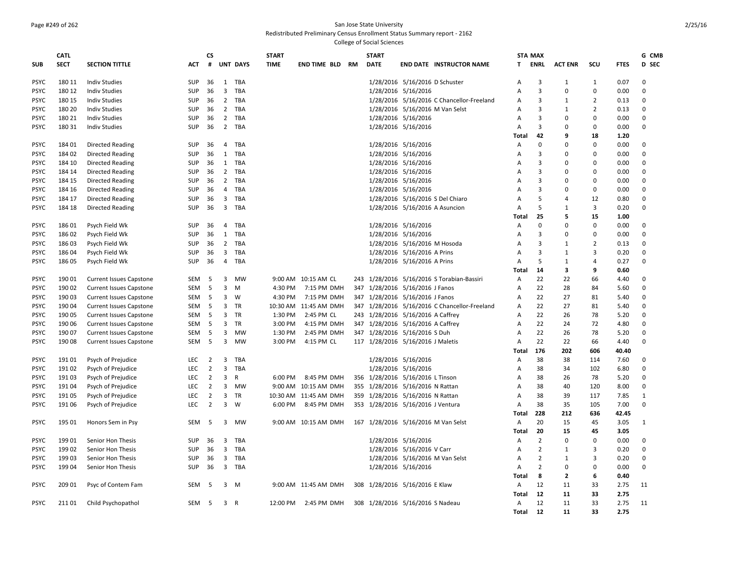#### Page #249 of 262 San Jose State University

#### Redistributed Preliminary Census Enrollment Status Summary report - 2162

| <b>SECT</b><br><b>SECTION TITTLE</b><br>#<br><b>UNT DAYS</b><br><b>TIME</b><br><b>DATE</b><br><b>ENRL</b><br><b>SUB</b><br>ACT<br><b>END TIME BLD RM</b><br><b>END DATE INSTRUCTOR NAME</b><br>T.<br><b>ACT ENR</b><br>scu<br><b>FTES</b><br>1/28/2016 5/16/2016 D Schuster<br><b>PSYC</b><br>180 11<br><b>Indiv Studies</b><br><b>SUP</b><br>36<br>1<br>TBA<br>A<br>3<br>1<br>1<br>0.07<br>180 12<br>$\overline{3}$<br>1/28/2016 5/16/2016<br>3<br>$\pmb{0}$<br><b>PSYC</b><br><b>Indiv Studies</b><br>SUP<br>36<br>TBA<br>0<br>0.00<br>Α<br><b>PSYC</b><br>180 15<br><b>Indiv Studies</b><br>SUP<br>$\overline{2}$<br>TBA<br>1/28/2016 5/16/2016 C Chancellor-Freeland<br>3<br>$\overline{2}$<br>0.13<br>36<br>Α<br>1<br>180 20<br>2 TBA<br>1/28/2016 5/16/2016 M Van Selst<br>3<br><b>PSYC</b><br><b>Indiv Studies</b><br>SUP<br>36<br>$\overline{2}$<br>0.13<br>A<br>1<br>$\overline{2}$<br>$\mathbf 0$<br>180 21<br>TBA<br>1/28/2016 5/16/2016<br>$\mathbf{3}$<br><b>PSYC</b><br><b>Indiv Studies</b><br>SUP<br>36<br>Α<br>$\Omega$<br>0.00<br>180 31<br>2 TBA<br>1/28/2016 5/16/2016<br>3<br>$\mathbf 0$<br>0.00<br><b>PSYC</b><br><b>Indiv Studies</b><br><b>SUP</b><br>36<br>$\Omega$<br>A<br>42<br>18<br>1.20<br>Total<br>9<br>1/28/2016 5/16/2016<br>$\mathbf 0$<br>$\mathbf 0$<br>0.00<br><b>PSYC</b><br>184 01<br><b>Directed Reading</b><br>SUP<br>36<br>4 TBA<br>Α<br>$\Omega$<br>1/28/2016 5/16/2016<br>$\Omega$<br><b>PSYC</b><br>184 02<br><b>Directed Reading</b><br><b>SUP</b><br>36<br>1<br>TBA<br>3<br>0.00<br>A<br>0<br>1<br>TBA<br>1/28/2016 5/16/2016<br>3<br>$\Omega$<br>0.00<br><b>PSYC</b><br>184 10<br><b>Directed Reading</b><br>SUP<br>36<br>$\overline{A}$<br>O<br>2 TBA<br>1/28/2016 5/16/2016<br>3<br>$\Omega$<br><b>PSYC</b><br>184 14<br><b>Directed Reading</b><br>SUP<br>0.00<br>36<br>A<br>$\Omega$<br>$\overline{2}$<br>TBA<br>1/28/2016 5/16/2016<br>$\mathbf{3}$<br>$\Omega$<br><b>PSYC</b><br>184 15<br><b>Directed Reading</b><br>SUP<br>36<br>0.00<br>Α<br>$\Omega$<br>1/28/2016 5/16/2016<br>3<br>$\mathbf 0$<br><b>PSYC</b><br>184 16<br><b>Directed Reading</b><br>SUP<br>36<br>$\overline{4}$<br>TBA<br>0.00<br>A<br>$\Omega$<br>5<br>3<br>1/28/2016 5/16/2016 S Del Chiaro<br>12<br><b>PSYC</b><br>184 17<br><b>Directed Reading</b><br>SUP<br>36<br>TBA<br>Α<br>4<br>0.80<br>3 TBA<br>1/28/2016 5/16/2016 A Asuncion<br>5<br>3<br>0.20<br><b>PSYC</b><br>184 18<br><b>Directed Reading</b><br><b>SUP</b><br>36<br>A<br>1<br>25<br>5<br>15<br>1.00<br>Total<br>$\mathbf 0$<br>$\mathbf 0$<br><b>PSYC</b><br>18601<br>Psych Field Wk<br><b>SUP</b><br>36<br>$\overline{4}$<br>TBA<br>1/28/2016 5/16/2016<br>A<br>$\Omega$<br>0.00<br>1/28/2016 5/16/2016<br>3<br>$\pmb{0}$<br><b>PSYC</b><br>186 02<br>1<br>TBA<br>0.00<br>Psych Field Wk<br>SUP<br>36<br>A<br>$\Omega$<br>18603<br>$\overline{2}$<br>TBA<br>1/28/2016 5/16/2016 M Hosoda<br>3<br>$\overline{2}$<br><b>PSYC</b><br>Psych Field Wk<br><b>SUP</b><br>36<br>0.13<br>A<br>-1<br>$\overline{3}$<br>3<br><b>PSYC</b><br>186 04<br>Psych Field Wk<br>SUP<br>36<br>TBA<br>1/28/2016 5/16/2016 A Prins<br>A<br>3<br>0.20<br>1<br>5<br>186 05<br>SUP<br>$\overline{4}$<br>TBA<br>1/28/2016 5/16/2016 A Prins<br>0.27<br><b>PSYC</b><br>Psych Field Wk<br>36<br>A<br>1<br>4<br>9<br>14<br>3<br>0.60<br>Total<br>22<br>190 01<br>9:00 AM 10:15 AM CL<br>243 1/28/2016 5/16/2016 S Torabian-Bassiri<br>22<br>66<br><b>PSYC</b><br><b>Current Issues Capstone</b><br>SEM<br>5<br>3<br>MW<br>Α<br>4.40<br>190 02<br>3<br>347 1/28/2016 5/16/2016 J Fanos<br>A<br>22<br>84<br><b>PSYC</b><br><b>Current Issues Capstone</b><br>SEM<br>5<br>M<br>4:30 PM<br>7:15 PM DMH<br>28<br>5.60<br>190 03<br>3<br>W<br>4:30 PM<br>7:15 PM DMH<br>347 1/28/2016 5/16/2016 J Fanos<br>A<br>22<br>27<br>81<br><b>PSYC</b><br><b>Current Issues Capstone</b><br>SEM<br>5<br>5.40<br>3<br>347 1/28/2016 5/16/2016 C Chancellor-Freeland<br>22<br>81<br><b>PSYC</b><br>190 04<br><b>Current Issues Capstone</b><br>SEM<br>-5<br><b>TR</b><br>10:30 AM 11:45 AM DMH<br>A<br>27<br>5.40<br>243 1/28/2016 5/16/2016 A Caffrey<br>22<br>78<br><b>PSYC</b><br>190 05<br>3 TR<br>1:30 PM<br>2:45 PM CL<br>A<br>26<br>5.20<br><b>Current Issues Capstone</b><br>SEM<br>5<br><b>PSYC</b><br>190 06<br>3<br><b>TR</b><br>3:00 PM<br>4:15 PM DMH<br>347 1/28/2016 5/16/2016 A Caffrey<br>$\overline{A}$<br>22<br>24<br>72<br>4.80<br>5 | <b>D</b> SEC<br>$\Omega$<br>0<br>0 |
|-------------------------------------------------------------------------------------------------------------------------------------------------------------------------------------------------------------------------------------------------------------------------------------------------------------------------------------------------------------------------------------------------------------------------------------------------------------------------------------------------------------------------------------------------------------------------------------------------------------------------------------------------------------------------------------------------------------------------------------------------------------------------------------------------------------------------------------------------------------------------------------------------------------------------------------------------------------------------------------------------------------------------------------------------------------------------------------------------------------------------------------------------------------------------------------------------------------------------------------------------------------------------------------------------------------------------------------------------------------------------------------------------------------------------------------------------------------------------------------------------------------------------------------------------------------------------------------------------------------------------------------------------------------------------------------------------------------------------------------------------------------------------------------------------------------------------------------------------------------------------------------------------------------------------------------------------------------------------------------------------------------------------------------------------------------------------------------------------------------------------------------------------------------------------------------------------------------------------------------------------------------------------------------------------------------------------------------------------------------------------------------------------------------------------------------------------------------------------------------------------------------------------------------------------------------------------------------------------------------------------------------------------------------------------------------------------------------------------------------------------------------------------------------------------------------------------------------------------------------------------------------------------------------------------------------------------------------------------------------------------------------------------------------------------------------------------------------------------------------------------------------------------------------------------------------------------------------------------------------------------------------------------------------------------------------------------------------------------------------------------------------------------------------------------------------------------------------------------------------------------------------------------------------------------------------------------------------------------------------------------------------------------------------------------------------------------------------------------------------------------------------------------------------------------------------------------------------------------------------------------------------------------------------------------------------------------------------------------------------------------------------------------------------------------------------------------------------------------------------------------------------------------------------------------------------------------------------------------------------------------------------------------------------------------------------------------------------------------------------------------------------------------------------|------------------------------------|
|                                                                                                                                                                                                                                                                                                                                                                                                                                                                                                                                                                                                                                                                                                                                                                                                                                                                                                                                                                                                                                                                                                                                                                                                                                                                                                                                                                                                                                                                                                                                                                                                                                                                                                                                                                                                                                                                                                                                                                                                                                                                                                                                                                                                                                                                                                                                                                                                                                                                                                                                                                                                                                                                                                                                                                                                                                                                                                                                                                                                                                                                                                                                                                                                                                                                                                                                                                                                                                                                                                                                                                                                                                                                                                                                                                                                                                                                                                                                                                                                                                                                                                                                                                                                                                                                                                                                                                                                             |                                    |
|                                                                                                                                                                                                                                                                                                                                                                                                                                                                                                                                                                                                                                                                                                                                                                                                                                                                                                                                                                                                                                                                                                                                                                                                                                                                                                                                                                                                                                                                                                                                                                                                                                                                                                                                                                                                                                                                                                                                                                                                                                                                                                                                                                                                                                                                                                                                                                                                                                                                                                                                                                                                                                                                                                                                                                                                                                                                                                                                                                                                                                                                                                                                                                                                                                                                                                                                                                                                                                                                                                                                                                                                                                                                                                                                                                                                                                                                                                                                                                                                                                                                                                                                                                                                                                                                                                                                                                                                             |                                    |
|                                                                                                                                                                                                                                                                                                                                                                                                                                                                                                                                                                                                                                                                                                                                                                                                                                                                                                                                                                                                                                                                                                                                                                                                                                                                                                                                                                                                                                                                                                                                                                                                                                                                                                                                                                                                                                                                                                                                                                                                                                                                                                                                                                                                                                                                                                                                                                                                                                                                                                                                                                                                                                                                                                                                                                                                                                                                                                                                                                                                                                                                                                                                                                                                                                                                                                                                                                                                                                                                                                                                                                                                                                                                                                                                                                                                                                                                                                                                                                                                                                                                                                                                                                                                                                                                                                                                                                                                             |                                    |
|                                                                                                                                                                                                                                                                                                                                                                                                                                                                                                                                                                                                                                                                                                                                                                                                                                                                                                                                                                                                                                                                                                                                                                                                                                                                                                                                                                                                                                                                                                                                                                                                                                                                                                                                                                                                                                                                                                                                                                                                                                                                                                                                                                                                                                                                                                                                                                                                                                                                                                                                                                                                                                                                                                                                                                                                                                                                                                                                                                                                                                                                                                                                                                                                                                                                                                                                                                                                                                                                                                                                                                                                                                                                                                                                                                                                                                                                                                                                                                                                                                                                                                                                                                                                                                                                                                                                                                                                             |                                    |
|                                                                                                                                                                                                                                                                                                                                                                                                                                                                                                                                                                                                                                                                                                                                                                                                                                                                                                                                                                                                                                                                                                                                                                                                                                                                                                                                                                                                                                                                                                                                                                                                                                                                                                                                                                                                                                                                                                                                                                                                                                                                                                                                                                                                                                                                                                                                                                                                                                                                                                                                                                                                                                                                                                                                                                                                                                                                                                                                                                                                                                                                                                                                                                                                                                                                                                                                                                                                                                                                                                                                                                                                                                                                                                                                                                                                                                                                                                                                                                                                                                                                                                                                                                                                                                                                                                                                                                                                             |                                    |
|                                                                                                                                                                                                                                                                                                                                                                                                                                                                                                                                                                                                                                                                                                                                                                                                                                                                                                                                                                                                                                                                                                                                                                                                                                                                                                                                                                                                                                                                                                                                                                                                                                                                                                                                                                                                                                                                                                                                                                                                                                                                                                                                                                                                                                                                                                                                                                                                                                                                                                                                                                                                                                                                                                                                                                                                                                                                                                                                                                                                                                                                                                                                                                                                                                                                                                                                                                                                                                                                                                                                                                                                                                                                                                                                                                                                                                                                                                                                                                                                                                                                                                                                                                                                                                                                                                                                                                                                             | 0                                  |
|                                                                                                                                                                                                                                                                                                                                                                                                                                                                                                                                                                                                                                                                                                                                                                                                                                                                                                                                                                                                                                                                                                                                                                                                                                                                                                                                                                                                                                                                                                                                                                                                                                                                                                                                                                                                                                                                                                                                                                                                                                                                                                                                                                                                                                                                                                                                                                                                                                                                                                                                                                                                                                                                                                                                                                                                                                                                                                                                                                                                                                                                                                                                                                                                                                                                                                                                                                                                                                                                                                                                                                                                                                                                                                                                                                                                                                                                                                                                                                                                                                                                                                                                                                                                                                                                                                                                                                                                             | $\mathbf{0}$                       |
|                                                                                                                                                                                                                                                                                                                                                                                                                                                                                                                                                                                                                                                                                                                                                                                                                                                                                                                                                                                                                                                                                                                                                                                                                                                                                                                                                                                                                                                                                                                                                                                                                                                                                                                                                                                                                                                                                                                                                                                                                                                                                                                                                                                                                                                                                                                                                                                                                                                                                                                                                                                                                                                                                                                                                                                                                                                                                                                                                                                                                                                                                                                                                                                                                                                                                                                                                                                                                                                                                                                                                                                                                                                                                                                                                                                                                                                                                                                                                                                                                                                                                                                                                                                                                                                                                                                                                                                                             | $\Omega$                           |
|                                                                                                                                                                                                                                                                                                                                                                                                                                                                                                                                                                                                                                                                                                                                                                                                                                                                                                                                                                                                                                                                                                                                                                                                                                                                                                                                                                                                                                                                                                                                                                                                                                                                                                                                                                                                                                                                                                                                                                                                                                                                                                                                                                                                                                                                                                                                                                                                                                                                                                                                                                                                                                                                                                                                                                                                                                                                                                                                                                                                                                                                                                                                                                                                                                                                                                                                                                                                                                                                                                                                                                                                                                                                                                                                                                                                                                                                                                                                                                                                                                                                                                                                                                                                                                                                                                                                                                                                             |                                    |
|                                                                                                                                                                                                                                                                                                                                                                                                                                                                                                                                                                                                                                                                                                                                                                                                                                                                                                                                                                                                                                                                                                                                                                                                                                                                                                                                                                                                                                                                                                                                                                                                                                                                                                                                                                                                                                                                                                                                                                                                                                                                                                                                                                                                                                                                                                                                                                                                                                                                                                                                                                                                                                                                                                                                                                                                                                                                                                                                                                                                                                                                                                                                                                                                                                                                                                                                                                                                                                                                                                                                                                                                                                                                                                                                                                                                                                                                                                                                                                                                                                                                                                                                                                                                                                                                                                                                                                                                             | 0                                  |
|                                                                                                                                                                                                                                                                                                                                                                                                                                                                                                                                                                                                                                                                                                                                                                                                                                                                                                                                                                                                                                                                                                                                                                                                                                                                                                                                                                                                                                                                                                                                                                                                                                                                                                                                                                                                                                                                                                                                                                                                                                                                                                                                                                                                                                                                                                                                                                                                                                                                                                                                                                                                                                                                                                                                                                                                                                                                                                                                                                                                                                                                                                                                                                                                                                                                                                                                                                                                                                                                                                                                                                                                                                                                                                                                                                                                                                                                                                                                                                                                                                                                                                                                                                                                                                                                                                                                                                                                             | 0                                  |
|                                                                                                                                                                                                                                                                                                                                                                                                                                                                                                                                                                                                                                                                                                                                                                                                                                                                                                                                                                                                                                                                                                                                                                                                                                                                                                                                                                                                                                                                                                                                                                                                                                                                                                                                                                                                                                                                                                                                                                                                                                                                                                                                                                                                                                                                                                                                                                                                                                                                                                                                                                                                                                                                                                                                                                                                                                                                                                                                                                                                                                                                                                                                                                                                                                                                                                                                                                                                                                                                                                                                                                                                                                                                                                                                                                                                                                                                                                                                                                                                                                                                                                                                                                                                                                                                                                                                                                                                             | $\mathbf 0$                        |
|                                                                                                                                                                                                                                                                                                                                                                                                                                                                                                                                                                                                                                                                                                                                                                                                                                                                                                                                                                                                                                                                                                                                                                                                                                                                                                                                                                                                                                                                                                                                                                                                                                                                                                                                                                                                                                                                                                                                                                                                                                                                                                                                                                                                                                                                                                                                                                                                                                                                                                                                                                                                                                                                                                                                                                                                                                                                                                                                                                                                                                                                                                                                                                                                                                                                                                                                                                                                                                                                                                                                                                                                                                                                                                                                                                                                                                                                                                                                                                                                                                                                                                                                                                                                                                                                                                                                                                                                             | 0                                  |
|                                                                                                                                                                                                                                                                                                                                                                                                                                                                                                                                                                                                                                                                                                                                                                                                                                                                                                                                                                                                                                                                                                                                                                                                                                                                                                                                                                                                                                                                                                                                                                                                                                                                                                                                                                                                                                                                                                                                                                                                                                                                                                                                                                                                                                                                                                                                                                                                                                                                                                                                                                                                                                                                                                                                                                                                                                                                                                                                                                                                                                                                                                                                                                                                                                                                                                                                                                                                                                                                                                                                                                                                                                                                                                                                                                                                                                                                                                                                                                                                                                                                                                                                                                                                                                                                                                                                                                                                             | 0                                  |
|                                                                                                                                                                                                                                                                                                                                                                                                                                                                                                                                                                                                                                                                                                                                                                                                                                                                                                                                                                                                                                                                                                                                                                                                                                                                                                                                                                                                                                                                                                                                                                                                                                                                                                                                                                                                                                                                                                                                                                                                                                                                                                                                                                                                                                                                                                                                                                                                                                                                                                                                                                                                                                                                                                                                                                                                                                                                                                                                                                                                                                                                                                                                                                                                                                                                                                                                                                                                                                                                                                                                                                                                                                                                                                                                                                                                                                                                                                                                                                                                                                                                                                                                                                                                                                                                                                                                                                                                             | 0                                  |
|                                                                                                                                                                                                                                                                                                                                                                                                                                                                                                                                                                                                                                                                                                                                                                                                                                                                                                                                                                                                                                                                                                                                                                                                                                                                                                                                                                                                                                                                                                                                                                                                                                                                                                                                                                                                                                                                                                                                                                                                                                                                                                                                                                                                                                                                                                                                                                                                                                                                                                                                                                                                                                                                                                                                                                                                                                                                                                                                                                                                                                                                                                                                                                                                                                                                                                                                                                                                                                                                                                                                                                                                                                                                                                                                                                                                                                                                                                                                                                                                                                                                                                                                                                                                                                                                                                                                                                                                             | $\mathbf 0$                        |
|                                                                                                                                                                                                                                                                                                                                                                                                                                                                                                                                                                                                                                                                                                                                                                                                                                                                                                                                                                                                                                                                                                                                                                                                                                                                                                                                                                                                                                                                                                                                                                                                                                                                                                                                                                                                                                                                                                                                                                                                                                                                                                                                                                                                                                                                                                                                                                                                                                                                                                                                                                                                                                                                                                                                                                                                                                                                                                                                                                                                                                                                                                                                                                                                                                                                                                                                                                                                                                                                                                                                                                                                                                                                                                                                                                                                                                                                                                                                                                                                                                                                                                                                                                                                                                                                                                                                                                                                             | $\Omega$                           |
|                                                                                                                                                                                                                                                                                                                                                                                                                                                                                                                                                                                                                                                                                                                                                                                                                                                                                                                                                                                                                                                                                                                                                                                                                                                                                                                                                                                                                                                                                                                                                                                                                                                                                                                                                                                                                                                                                                                                                                                                                                                                                                                                                                                                                                                                                                                                                                                                                                                                                                                                                                                                                                                                                                                                                                                                                                                                                                                                                                                                                                                                                                                                                                                                                                                                                                                                                                                                                                                                                                                                                                                                                                                                                                                                                                                                                                                                                                                                                                                                                                                                                                                                                                                                                                                                                                                                                                                                             |                                    |
|                                                                                                                                                                                                                                                                                                                                                                                                                                                                                                                                                                                                                                                                                                                                                                                                                                                                                                                                                                                                                                                                                                                                                                                                                                                                                                                                                                                                                                                                                                                                                                                                                                                                                                                                                                                                                                                                                                                                                                                                                                                                                                                                                                                                                                                                                                                                                                                                                                                                                                                                                                                                                                                                                                                                                                                                                                                                                                                                                                                                                                                                                                                                                                                                                                                                                                                                                                                                                                                                                                                                                                                                                                                                                                                                                                                                                                                                                                                                                                                                                                                                                                                                                                                                                                                                                                                                                                                                             | 0                                  |
|                                                                                                                                                                                                                                                                                                                                                                                                                                                                                                                                                                                                                                                                                                                                                                                                                                                                                                                                                                                                                                                                                                                                                                                                                                                                                                                                                                                                                                                                                                                                                                                                                                                                                                                                                                                                                                                                                                                                                                                                                                                                                                                                                                                                                                                                                                                                                                                                                                                                                                                                                                                                                                                                                                                                                                                                                                                                                                                                                                                                                                                                                                                                                                                                                                                                                                                                                                                                                                                                                                                                                                                                                                                                                                                                                                                                                                                                                                                                                                                                                                                                                                                                                                                                                                                                                                                                                                                                             | 0                                  |
|                                                                                                                                                                                                                                                                                                                                                                                                                                                                                                                                                                                                                                                                                                                                                                                                                                                                                                                                                                                                                                                                                                                                                                                                                                                                                                                                                                                                                                                                                                                                                                                                                                                                                                                                                                                                                                                                                                                                                                                                                                                                                                                                                                                                                                                                                                                                                                                                                                                                                                                                                                                                                                                                                                                                                                                                                                                                                                                                                                                                                                                                                                                                                                                                                                                                                                                                                                                                                                                                                                                                                                                                                                                                                                                                                                                                                                                                                                                                                                                                                                                                                                                                                                                                                                                                                                                                                                                                             | $\mathbf 0$                        |
|                                                                                                                                                                                                                                                                                                                                                                                                                                                                                                                                                                                                                                                                                                                                                                                                                                                                                                                                                                                                                                                                                                                                                                                                                                                                                                                                                                                                                                                                                                                                                                                                                                                                                                                                                                                                                                                                                                                                                                                                                                                                                                                                                                                                                                                                                                                                                                                                                                                                                                                                                                                                                                                                                                                                                                                                                                                                                                                                                                                                                                                                                                                                                                                                                                                                                                                                                                                                                                                                                                                                                                                                                                                                                                                                                                                                                                                                                                                                                                                                                                                                                                                                                                                                                                                                                                                                                                                                             | 0                                  |
|                                                                                                                                                                                                                                                                                                                                                                                                                                                                                                                                                                                                                                                                                                                                                                                                                                                                                                                                                                                                                                                                                                                                                                                                                                                                                                                                                                                                                                                                                                                                                                                                                                                                                                                                                                                                                                                                                                                                                                                                                                                                                                                                                                                                                                                                                                                                                                                                                                                                                                                                                                                                                                                                                                                                                                                                                                                                                                                                                                                                                                                                                                                                                                                                                                                                                                                                                                                                                                                                                                                                                                                                                                                                                                                                                                                                                                                                                                                                                                                                                                                                                                                                                                                                                                                                                                                                                                                                             | $\Omega$                           |
|                                                                                                                                                                                                                                                                                                                                                                                                                                                                                                                                                                                                                                                                                                                                                                                                                                                                                                                                                                                                                                                                                                                                                                                                                                                                                                                                                                                                                                                                                                                                                                                                                                                                                                                                                                                                                                                                                                                                                                                                                                                                                                                                                                                                                                                                                                                                                                                                                                                                                                                                                                                                                                                                                                                                                                                                                                                                                                                                                                                                                                                                                                                                                                                                                                                                                                                                                                                                                                                                                                                                                                                                                                                                                                                                                                                                                                                                                                                                                                                                                                                                                                                                                                                                                                                                                                                                                                                                             |                                    |
|                                                                                                                                                                                                                                                                                                                                                                                                                                                                                                                                                                                                                                                                                                                                                                                                                                                                                                                                                                                                                                                                                                                                                                                                                                                                                                                                                                                                                                                                                                                                                                                                                                                                                                                                                                                                                                                                                                                                                                                                                                                                                                                                                                                                                                                                                                                                                                                                                                                                                                                                                                                                                                                                                                                                                                                                                                                                                                                                                                                                                                                                                                                                                                                                                                                                                                                                                                                                                                                                                                                                                                                                                                                                                                                                                                                                                                                                                                                                                                                                                                                                                                                                                                                                                                                                                                                                                                                                             | 0                                  |
|                                                                                                                                                                                                                                                                                                                                                                                                                                                                                                                                                                                                                                                                                                                                                                                                                                                                                                                                                                                                                                                                                                                                                                                                                                                                                                                                                                                                                                                                                                                                                                                                                                                                                                                                                                                                                                                                                                                                                                                                                                                                                                                                                                                                                                                                                                                                                                                                                                                                                                                                                                                                                                                                                                                                                                                                                                                                                                                                                                                                                                                                                                                                                                                                                                                                                                                                                                                                                                                                                                                                                                                                                                                                                                                                                                                                                                                                                                                                                                                                                                                                                                                                                                                                                                                                                                                                                                                                             | 0                                  |
|                                                                                                                                                                                                                                                                                                                                                                                                                                                                                                                                                                                                                                                                                                                                                                                                                                                                                                                                                                                                                                                                                                                                                                                                                                                                                                                                                                                                                                                                                                                                                                                                                                                                                                                                                                                                                                                                                                                                                                                                                                                                                                                                                                                                                                                                                                                                                                                                                                                                                                                                                                                                                                                                                                                                                                                                                                                                                                                                                                                                                                                                                                                                                                                                                                                                                                                                                                                                                                                                                                                                                                                                                                                                                                                                                                                                                                                                                                                                                                                                                                                                                                                                                                                                                                                                                                                                                                                                             | 0                                  |
|                                                                                                                                                                                                                                                                                                                                                                                                                                                                                                                                                                                                                                                                                                                                                                                                                                                                                                                                                                                                                                                                                                                                                                                                                                                                                                                                                                                                                                                                                                                                                                                                                                                                                                                                                                                                                                                                                                                                                                                                                                                                                                                                                                                                                                                                                                                                                                                                                                                                                                                                                                                                                                                                                                                                                                                                                                                                                                                                                                                                                                                                                                                                                                                                                                                                                                                                                                                                                                                                                                                                                                                                                                                                                                                                                                                                                                                                                                                                                                                                                                                                                                                                                                                                                                                                                                                                                                                                             | $\Omega$                           |
|                                                                                                                                                                                                                                                                                                                                                                                                                                                                                                                                                                                                                                                                                                                                                                                                                                                                                                                                                                                                                                                                                                                                                                                                                                                                                                                                                                                                                                                                                                                                                                                                                                                                                                                                                                                                                                                                                                                                                                                                                                                                                                                                                                                                                                                                                                                                                                                                                                                                                                                                                                                                                                                                                                                                                                                                                                                                                                                                                                                                                                                                                                                                                                                                                                                                                                                                                                                                                                                                                                                                                                                                                                                                                                                                                                                                                                                                                                                                                                                                                                                                                                                                                                                                                                                                                                                                                                                                             | 0                                  |
|                                                                                                                                                                                                                                                                                                                                                                                                                                                                                                                                                                                                                                                                                                                                                                                                                                                                                                                                                                                                                                                                                                                                                                                                                                                                                                                                                                                                                                                                                                                                                                                                                                                                                                                                                                                                                                                                                                                                                                                                                                                                                                                                                                                                                                                                                                                                                                                                                                                                                                                                                                                                                                                                                                                                                                                                                                                                                                                                                                                                                                                                                                                                                                                                                                                                                                                                                                                                                                                                                                                                                                                                                                                                                                                                                                                                                                                                                                                                                                                                                                                                                                                                                                                                                                                                                                                                                                                                             | 0                                  |
| <b>Current Issues Capstone</b><br>SEM                                                                                                                                                                                                                                                                                                                                                                                                                                                                                                                                                                                                                                                                                                                                                                                                                                                                                                                                                                                                                                                                                                                                                                                                                                                                                                                                                                                                                                                                                                                                                                                                                                                                                                                                                                                                                                                                                                                                                                                                                                                                                                                                                                                                                                                                                                                                                                                                                                                                                                                                                                                                                                                                                                                                                                                                                                                                                                                                                                                                                                                                                                                                                                                                                                                                                                                                                                                                                                                                                                                                                                                                                                                                                                                                                                                                                                                                                                                                                                                                                                                                                                                                                                                                                                                                                                                                                                       |                                    |
| 3<br>347 1/28/2016 5/16/2016 S Duh<br>22<br><b>PSYC</b><br>190 07<br><b>Current Issues Capstone</b><br>SEM<br>5<br>MW<br>1:30 PM<br>2:45 PM DMH<br>$\overline{A}$<br>26<br>78<br>5.20                                                                                                                                                                                                                                                                                                                                                                                                                                                                                                                                                                                                                                                                                                                                                                                                                                                                                                                                                                                                                                                                                                                                                                                                                                                                                                                                                                                                                                                                                                                                                                                                                                                                                                                                                                                                                                                                                                                                                                                                                                                                                                                                                                                                                                                                                                                                                                                                                                                                                                                                                                                                                                                                                                                                                                                                                                                                                                                                                                                                                                                                                                                                                                                                                                                                                                                                                                                                                                                                                                                                                                                                                                                                                                                                                                                                                                                                                                                                                                                                                                                                                                                                                                                                                       | 0                                  |
| 3<br>117 1/28/2016 5/16/2016 J Maletis<br>22<br>22<br><b>PSYC</b><br>190 08<br><b>Current Issues Capstone</b><br>SEM<br>-5<br>MW<br>3:00 PM<br>4:15 PM CL<br>Α<br>66<br>4.40                                                                                                                                                                                                                                                                                                                                                                                                                                                                                                                                                                                                                                                                                                                                                                                                                                                                                                                                                                                                                                                                                                                                                                                                                                                                                                                                                                                                                                                                                                                                                                                                                                                                                                                                                                                                                                                                                                                                                                                                                                                                                                                                                                                                                                                                                                                                                                                                                                                                                                                                                                                                                                                                                                                                                                                                                                                                                                                                                                                                                                                                                                                                                                                                                                                                                                                                                                                                                                                                                                                                                                                                                                                                                                                                                                                                                                                                                                                                                                                                                                                                                                                                                                                                                                | $\Omega$                           |
| 176<br>202<br>606<br>40.40<br>Total                                                                                                                                                                                                                                                                                                                                                                                                                                                                                                                                                                                                                                                                                                                                                                                                                                                                                                                                                                                                                                                                                                                                                                                                                                                                                                                                                                                                                                                                                                                                                                                                                                                                                                                                                                                                                                                                                                                                                                                                                                                                                                                                                                                                                                                                                                                                                                                                                                                                                                                                                                                                                                                                                                                                                                                                                                                                                                                                                                                                                                                                                                                                                                                                                                                                                                                                                                                                                                                                                                                                                                                                                                                                                                                                                                                                                                                                                                                                                                                                                                                                                                                                                                                                                                                                                                                                                                         |                                    |
| <b>PSYC</b><br>191 01<br>Psych of Prejudice<br>LEC<br>3<br>TBA<br>1/28/2016 5/16/2016<br>38<br>38<br>7.60<br>2<br>Α<br>114                                                                                                                                                                                                                                                                                                                                                                                                                                                                                                                                                                                                                                                                                                                                                                                                                                                                                                                                                                                                                                                                                                                                                                                                                                                                                                                                                                                                                                                                                                                                                                                                                                                                                                                                                                                                                                                                                                                                                                                                                                                                                                                                                                                                                                                                                                                                                                                                                                                                                                                                                                                                                                                                                                                                                                                                                                                                                                                                                                                                                                                                                                                                                                                                                                                                                                                                                                                                                                                                                                                                                                                                                                                                                                                                                                                                                                                                                                                                                                                                                                                                                                                                                                                                                                                                                  | 0                                  |
| 3<br>TBA<br>1/28/2016 5/16/2016<br>38<br><b>PSYC</b><br>191 02<br>Psych of Prejudice<br><b>LEC</b><br>2<br>Α<br>34<br>102<br>6.80                                                                                                                                                                                                                                                                                                                                                                                                                                                                                                                                                                                                                                                                                                                                                                                                                                                                                                                                                                                                                                                                                                                                                                                                                                                                                                                                                                                                                                                                                                                                                                                                                                                                                                                                                                                                                                                                                                                                                                                                                                                                                                                                                                                                                                                                                                                                                                                                                                                                                                                                                                                                                                                                                                                                                                                                                                                                                                                                                                                                                                                                                                                                                                                                                                                                                                                                                                                                                                                                                                                                                                                                                                                                                                                                                                                                                                                                                                                                                                                                                                                                                                                                                                                                                                                                           | 0                                  |
| $\overline{\mathbf{3}}$<br><b>PSYC</b><br>19103<br>Psych of Prejudice<br>LEC<br>$\overline{2}$<br>R<br>6:00 PM<br>8:45 PM DMH<br>356 1/28/2016 5/16/2016 L Tinson<br>A<br>38<br>26<br>78<br>5.20                                                                                                                                                                                                                                                                                                                                                                                                                                                                                                                                                                                                                                                                                                                                                                                                                                                                                                                                                                                                                                                                                                                                                                                                                                                                                                                                                                                                                                                                                                                                                                                                                                                                                                                                                                                                                                                                                                                                                                                                                                                                                                                                                                                                                                                                                                                                                                                                                                                                                                                                                                                                                                                                                                                                                                                                                                                                                                                                                                                                                                                                                                                                                                                                                                                                                                                                                                                                                                                                                                                                                                                                                                                                                                                                                                                                                                                                                                                                                                                                                                                                                                                                                                                                            | 0                                  |
| 3<br>355 1/28/2016 5/16/2016 N Rattan<br>38<br>8.00<br><b>PSYC</b><br>191 04<br>Psych of Prejudice<br><b>LEC</b><br>$\overline{2}$<br><b>MW</b><br>9:00 AM 10:15 AM DMH<br>Α<br>40<br>120                                                                                                                                                                                                                                                                                                                                                                                                                                                                                                                                                                                                                                                                                                                                                                                                                                                                                                                                                                                                                                                                                                                                                                                                                                                                                                                                                                                                                                                                                                                                                                                                                                                                                                                                                                                                                                                                                                                                                                                                                                                                                                                                                                                                                                                                                                                                                                                                                                                                                                                                                                                                                                                                                                                                                                                                                                                                                                                                                                                                                                                                                                                                                                                                                                                                                                                                                                                                                                                                                                                                                                                                                                                                                                                                                                                                                                                                                                                                                                                                                                                                                                                                                                                                                   | $\mathbf 0$                        |
| $\overline{3}$<br>359 1/28/2016 5/16/2016 N Rattan<br>38<br><b>PSYC</b><br>191 05<br>LEC<br>$\overline{2}$<br>TR<br>10:30 AM 11:45 AM DMH<br>A<br>39<br>117<br>7.85<br>Psych of Prejudice                                                                                                                                                                                                                                                                                                                                                                                                                                                                                                                                                                                                                                                                                                                                                                                                                                                                                                                                                                                                                                                                                                                                                                                                                                                                                                                                                                                                                                                                                                                                                                                                                                                                                                                                                                                                                                                                                                                                                                                                                                                                                                                                                                                                                                                                                                                                                                                                                                                                                                                                                                                                                                                                                                                                                                                                                                                                                                                                                                                                                                                                                                                                                                                                                                                                                                                                                                                                                                                                                                                                                                                                                                                                                                                                                                                                                                                                                                                                                                                                                                                                                                                                                                                                                   | 1                                  |
| 191 06<br>LEC<br>3<br>6:00 PM<br>8:45 PM DMH<br>353 1/28/2016 5/16/2016 J Ventura<br>38<br>35<br>105<br>7.00<br><b>PSYC</b><br>Psych of Prejudice<br>$\overline{2}$<br>W<br>$\overline{A}$                                                                                                                                                                                                                                                                                                                                                                                                                                                                                                                                                                                                                                                                                                                                                                                                                                                                                                                                                                                                                                                                                                                                                                                                                                                                                                                                                                                                                                                                                                                                                                                                                                                                                                                                                                                                                                                                                                                                                                                                                                                                                                                                                                                                                                                                                                                                                                                                                                                                                                                                                                                                                                                                                                                                                                                                                                                                                                                                                                                                                                                                                                                                                                                                                                                                                                                                                                                                                                                                                                                                                                                                                                                                                                                                                                                                                                                                                                                                                                                                                                                                                                                                                                                                                  | $\Omega$                           |
| 228<br>Total<br>212<br>636<br>42.45                                                                                                                                                                                                                                                                                                                                                                                                                                                                                                                                                                                                                                                                                                                                                                                                                                                                                                                                                                                                                                                                                                                                                                                                                                                                                                                                                                                                                                                                                                                                                                                                                                                                                                                                                                                                                                                                                                                                                                                                                                                                                                                                                                                                                                                                                                                                                                                                                                                                                                                                                                                                                                                                                                                                                                                                                                                                                                                                                                                                                                                                                                                                                                                                                                                                                                                                                                                                                                                                                                                                                                                                                                                                                                                                                                                                                                                                                                                                                                                                                                                                                                                                                                                                                                                                                                                                                                         |                                    |
| 167 1/28/2016 5/16/2016 M Van Selst<br>20<br>45<br><b>PSYC</b><br>195 01<br>Honors Sem in Psy<br>SEM<br>5<br>3<br>MW<br>9:00 AM 10:15 AM DMH<br>Α<br>15<br>3.05                                                                                                                                                                                                                                                                                                                                                                                                                                                                                                                                                                                                                                                                                                                                                                                                                                                                                                                                                                                                                                                                                                                                                                                                                                                                                                                                                                                                                                                                                                                                                                                                                                                                                                                                                                                                                                                                                                                                                                                                                                                                                                                                                                                                                                                                                                                                                                                                                                                                                                                                                                                                                                                                                                                                                                                                                                                                                                                                                                                                                                                                                                                                                                                                                                                                                                                                                                                                                                                                                                                                                                                                                                                                                                                                                                                                                                                                                                                                                                                                                                                                                                                                                                                                                                             | $\mathbf{1}$                       |
| 20<br>45<br>15<br>3.05<br>Total                                                                                                                                                                                                                                                                                                                                                                                                                                                                                                                                                                                                                                                                                                                                                                                                                                                                                                                                                                                                                                                                                                                                                                                                                                                                                                                                                                                                                                                                                                                                                                                                                                                                                                                                                                                                                                                                                                                                                                                                                                                                                                                                                                                                                                                                                                                                                                                                                                                                                                                                                                                                                                                                                                                                                                                                                                                                                                                                                                                                                                                                                                                                                                                                                                                                                                                                                                                                                                                                                                                                                                                                                                                                                                                                                                                                                                                                                                                                                                                                                                                                                                                                                                                                                                                                                                                                                                             |                                    |
| <b>PSYC</b><br>199 01<br>SUP<br>3<br>TBA<br>1/28/2016 5/16/2016<br>A<br>$\overline{2}$<br>$\mathbf 0$<br>0.00<br>Senior Hon Thesis<br>36<br>$\mathbf 0$                                                                                                                                                                                                                                                                                                                                                                                                                                                                                                                                                                                                                                                                                                                                                                                                                                                                                                                                                                                                                                                                                                                                                                                                                                                                                                                                                                                                                                                                                                                                                                                                                                                                                                                                                                                                                                                                                                                                                                                                                                                                                                                                                                                                                                                                                                                                                                                                                                                                                                                                                                                                                                                                                                                                                                                                                                                                                                                                                                                                                                                                                                                                                                                                                                                                                                                                                                                                                                                                                                                                                                                                                                                                                                                                                                                                                                                                                                                                                                                                                                                                                                                                                                                                                                                     | 0                                  |
| 3<br>1/28/2016 5/16/2016 V Carr<br>$\overline{2}$<br>3<br><b>PSYC</b><br>19902<br>Senior Hon Thesis<br><b>SUP</b><br>36<br>TBA<br>A<br>1<br>0.20                                                                                                                                                                                                                                                                                                                                                                                                                                                                                                                                                                                                                                                                                                                                                                                                                                                                                                                                                                                                                                                                                                                                                                                                                                                                                                                                                                                                                                                                                                                                                                                                                                                                                                                                                                                                                                                                                                                                                                                                                                                                                                                                                                                                                                                                                                                                                                                                                                                                                                                                                                                                                                                                                                                                                                                                                                                                                                                                                                                                                                                                                                                                                                                                                                                                                                                                                                                                                                                                                                                                                                                                                                                                                                                                                                                                                                                                                                                                                                                                                                                                                                                                                                                                                                                            | 0                                  |
| $\mathbf{3}$<br>$\overline{2}$<br>3<br>19903<br>TBA<br>1/28/2016 5/16/2016 M Van Selst<br><b>PSYC</b><br>Senior Hon Thesis<br>SUP<br>36<br>Α<br>1<br>0.20                                                                                                                                                                                                                                                                                                                                                                                                                                                                                                                                                                                                                                                                                                                                                                                                                                                                                                                                                                                                                                                                                                                                                                                                                                                                                                                                                                                                                                                                                                                                                                                                                                                                                                                                                                                                                                                                                                                                                                                                                                                                                                                                                                                                                                                                                                                                                                                                                                                                                                                                                                                                                                                                                                                                                                                                                                                                                                                                                                                                                                                                                                                                                                                                                                                                                                                                                                                                                                                                                                                                                                                                                                                                                                                                                                                                                                                                                                                                                                                                                                                                                                                                                                                                                                                   | 0                                  |
| 19904<br>$\overline{3}$<br>TBA<br>1/28/2016 5/16/2016<br>$\overline{2}$<br>$\mathbf 0$<br>0.00<br><b>PSYC</b><br>Senior Hon Thesis<br><b>SUP</b><br>36<br>A<br>$\Omega$                                                                                                                                                                                                                                                                                                                                                                                                                                                                                                                                                                                                                                                                                                                                                                                                                                                                                                                                                                                                                                                                                                                                                                                                                                                                                                                                                                                                                                                                                                                                                                                                                                                                                                                                                                                                                                                                                                                                                                                                                                                                                                                                                                                                                                                                                                                                                                                                                                                                                                                                                                                                                                                                                                                                                                                                                                                                                                                                                                                                                                                                                                                                                                                                                                                                                                                                                                                                                                                                                                                                                                                                                                                                                                                                                                                                                                                                                                                                                                                                                                                                                                                                                                                                                                     | $\mathbf 0$                        |
| 8<br>$\overline{2}$<br>6<br>0.40<br>Total                                                                                                                                                                                                                                                                                                                                                                                                                                                                                                                                                                                                                                                                                                                                                                                                                                                                                                                                                                                                                                                                                                                                                                                                                                                                                                                                                                                                                                                                                                                                                                                                                                                                                                                                                                                                                                                                                                                                                                                                                                                                                                                                                                                                                                                                                                                                                                                                                                                                                                                                                                                                                                                                                                                                                                                                                                                                                                                                                                                                                                                                                                                                                                                                                                                                                                                                                                                                                                                                                                                                                                                                                                                                                                                                                                                                                                                                                                                                                                                                                                                                                                                                                                                                                                                                                                                                                                   |                                    |
| 308 1/28/2016 5/16/2016 E Klaw<br>12<br>33<br><b>PSYC</b><br>209 01<br>Psyc of Contem Fam<br>SEM<br>3<br>M<br>9:00 AM 11:45 AM DMH<br>A<br>11<br>2.75<br>-5                                                                                                                                                                                                                                                                                                                                                                                                                                                                                                                                                                                                                                                                                                                                                                                                                                                                                                                                                                                                                                                                                                                                                                                                                                                                                                                                                                                                                                                                                                                                                                                                                                                                                                                                                                                                                                                                                                                                                                                                                                                                                                                                                                                                                                                                                                                                                                                                                                                                                                                                                                                                                                                                                                                                                                                                                                                                                                                                                                                                                                                                                                                                                                                                                                                                                                                                                                                                                                                                                                                                                                                                                                                                                                                                                                                                                                                                                                                                                                                                                                                                                                                                                                                                                                                 | 11                                 |
| 12<br>11<br>33<br>2.75<br>Total                                                                                                                                                                                                                                                                                                                                                                                                                                                                                                                                                                                                                                                                                                                                                                                                                                                                                                                                                                                                                                                                                                                                                                                                                                                                                                                                                                                                                                                                                                                                                                                                                                                                                                                                                                                                                                                                                                                                                                                                                                                                                                                                                                                                                                                                                                                                                                                                                                                                                                                                                                                                                                                                                                                                                                                                                                                                                                                                                                                                                                                                                                                                                                                                                                                                                                                                                                                                                                                                                                                                                                                                                                                                                                                                                                                                                                                                                                                                                                                                                                                                                                                                                                                                                                                                                                                                                                             |                                    |
| Child Psychopathol<br>308 1/28/2016 5/16/2016 S Nadeau<br>12<br>33<br>2.75<br><b>PSYC</b><br>21101<br>SEM<br>-5<br>$\overline{3}$<br>R<br>12:00 PM 2:45 PM DMH<br>Α<br>11                                                                                                                                                                                                                                                                                                                                                                                                                                                                                                                                                                                                                                                                                                                                                                                                                                                                                                                                                                                                                                                                                                                                                                                                                                                                                                                                                                                                                                                                                                                                                                                                                                                                                                                                                                                                                                                                                                                                                                                                                                                                                                                                                                                                                                                                                                                                                                                                                                                                                                                                                                                                                                                                                                                                                                                                                                                                                                                                                                                                                                                                                                                                                                                                                                                                                                                                                                                                                                                                                                                                                                                                                                                                                                                                                                                                                                                                                                                                                                                                                                                                                                                                                                                                                                   | 11                                 |
| 12<br>11<br>33<br>2.75<br>Total                                                                                                                                                                                                                                                                                                                                                                                                                                                                                                                                                                                                                                                                                                                                                                                                                                                                                                                                                                                                                                                                                                                                                                                                                                                                                                                                                                                                                                                                                                                                                                                                                                                                                                                                                                                                                                                                                                                                                                                                                                                                                                                                                                                                                                                                                                                                                                                                                                                                                                                                                                                                                                                                                                                                                                                                                                                                                                                                                                                                                                                                                                                                                                                                                                                                                                                                                                                                                                                                                                                                                                                                                                                                                                                                                                                                                                                                                                                                                                                                                                                                                                                                                                                                                                                                                                                                                                             |                                    |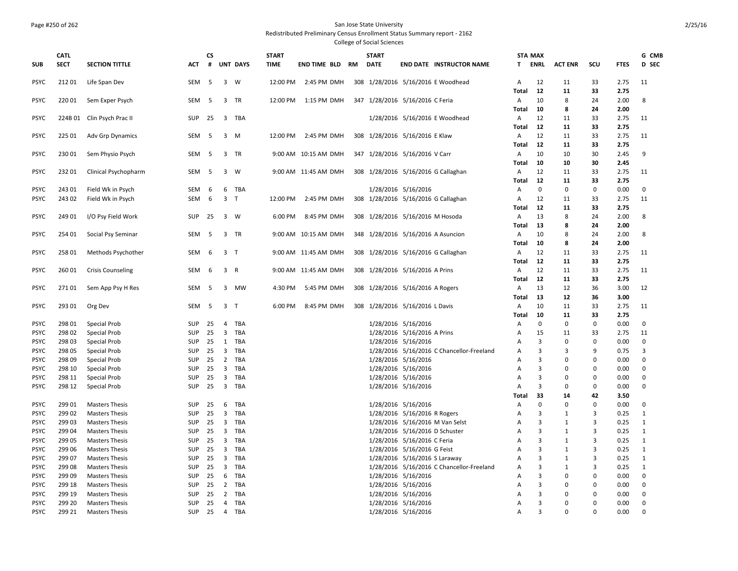#### Page #250 of 262 San Jose State University

#### Redistributed Preliminary Census Enrollment Status Summary report - 2162

|                            | CATL             |                                     |            | <b>CS</b> |                                |                 | <b>START</b> |                        | <b>START</b>                       |                                            |                                           |                       | <b>STA MAX</b>                   |                |                      |              | G CMB                   |
|----------------------------|------------------|-------------------------------------|------------|-----------|--------------------------------|-----------------|--------------|------------------------|------------------------------------|--------------------------------------------|-------------------------------------------|-----------------------|----------------------------------|----------------|----------------------|--------------|-------------------------|
| <b>SUB</b>                 | <b>SECT</b>      | <b>SECTION TITTLE</b>               | <b>ACT</b> | #         |                                | <b>UNT DAYS</b> | <b>TIME</b>  | <b>END TIME BLD RM</b> | <b>DATE</b>                        |                                            | <b>END DATE INSTRUCTOR NAME</b>           | T.                    | ENRL                             | <b>ACT ENR</b> | scu                  | <b>FTES</b>  | <b>D</b> SEC            |
| <b>PSYC</b>                | 212 01           | Life Span Dev                       | SEM        | - 5       |                                | 3 W             |              | 12:00 PM 2:45 PM DMH   |                                    |                                            | 308 1/28/2016 5/16/2016 E Woodhead        | $\mathsf{A}$          | 12                               | 11             | 33                   | 2.75         | 11                      |
|                            |                  |                                     |            |           |                                |                 |              |                        |                                    |                                            |                                           | Total                 | 12                               | 11             | 33                   | 2.75         |                         |
| <b>PSYC</b>                | 220 01           | Sem Exper Psych                     | <b>SEM</b> | - 5       |                                | 3 TR            | 12:00 PM     | 1:15 PM DMH            | 347 1/28/2016 5/16/2016 C Feria    |                                            |                                           | $\overline{A}$        | 10                               | 8              | 24                   | 2.00         | 8                       |
| <b>PSYC</b>                | 224B 01          | Clin Psych Prac II                  | SUP        | 25        |                                | 3 TBA           |              |                        |                                    |                                            | 1/28/2016 5/16/2016 E Woodhead            | Total<br>$\mathsf{A}$ | 10<br>12                         | 8<br>11        | 24<br>33             | 2.00<br>2.75 | 11                      |
|                            |                  |                                     |            |           |                                |                 |              |                        |                                    |                                            |                                           | <b>Total</b>          | 12                               | 11             | 33                   | 2.75         |                         |
| <b>PSYC</b>                | 225 01           | Adv Grp Dynamics                    | SEM        | -5        | 3                              | M               | 12:00 PM     | 2:45 PM DMH            | 308 1/28/2016 5/16/2016 E Klaw     |                                            |                                           | Α                     | 12                               | 11             | 33                   | 2.75         | 11                      |
|                            |                  |                                     |            |           |                                |                 |              |                        |                                    |                                            |                                           | Total                 | 12                               | 11             | 33                   | 2.75         |                         |
| <b>PSYC</b>                | 230 01           | Sem Physio Psych                    | SEM        | - 5       |                                | 3 TR            |              | 9:00 AM 10:15 AM DMH   | 347 1/28/2016 5/16/2016 V Carr     |                                            |                                           | Α                     | 10                               | 10             | 30                   | 2.45         | 9                       |
|                            |                  |                                     |            |           |                                |                 |              |                        |                                    |                                            |                                           | <b>Total</b>          | 10                               | 10             | 30                   | 2.45         |                         |
| <b>PSYC</b>                | 232 01           | Clinical Psychopharm                | SEM        | -5        |                                | $3 \quad W$     |              | 9:00 AM 11:45 AM DMH   |                                    |                                            | 308 1/28/2016 5/16/2016 G Callaghan       | $\overline{A}$        | 12                               | 11             | 33                   | 2.75         | 11                      |
|                            |                  |                                     |            |           |                                |                 |              |                        |                                    |                                            |                                           | Total                 | 12                               | 11             | 33                   | 2.75         |                         |
| <b>PSYC</b>                | 243 01           | Field Wk in Psych                   | <b>SEM</b> | 6         |                                | 6 TBA           |              |                        |                                    | 1/28/2016 5/16/2016                        |                                           | Α                     | $\Omega$                         | 0              | $\mathbf 0$          | 0.00         | $\mathbf 0$             |
| <b>PSYC</b>                | 243 02           | Field Wk in Psych                   | <b>SEM</b> | 6         | 3 <sub>T</sub>                 |                 | 12:00 PM     | 2:45 PM DMH            |                                    |                                            | 308 1/28/2016 5/16/2016 G Callaghan       | A                     | 12                               | 11             | 33                   | 2.75         | 11                      |
|                            |                  |                                     |            |           |                                |                 |              |                        |                                    |                                            |                                           | Total                 | 12                               | 11             | 33                   | 2.75         |                         |
| <b>PSYC</b>                | 249 01           | I/O Psy Field Work                  | SUP        | 25        |                                | 3 W             | 6:00 PM      | 8:45 PM DMH            | 308 1/28/2016 5/16/2016 M Hosoda   |                                            |                                           | $\overline{A}$        | 13                               | 8              | 24                   | 2.00         | 8                       |
|                            |                  |                                     |            |           |                                |                 |              |                        |                                    |                                            |                                           | Total                 | 13                               | 8              | 24                   | 2.00         |                         |
| <b>PSYC</b>                | 254 01           | Social Psy Seminar                  | SEM        | 5         |                                | 3 TR            |              | 9:00 AM 10:15 AM DMH   | 348 1/28/2016 5/16/2016 A Asuncion |                                            |                                           | Α<br>Total            | 10<br>10                         | 8<br>8         | 24<br>24             | 2.00<br>2.00 | 8                       |
| <b>PSYC</b>                | 258 01           | Methods Psychother                  | SEM        | 6         | 3 <sub>T</sub>                 |                 |              | 9:00 AM 11:45 AM DMH   |                                    |                                            | 308 1/28/2016 5/16/2016 G Callaghan       | A                     | 12                               | 11             | 33                   | 2.75         | 11                      |
|                            |                  |                                     |            |           |                                |                 |              |                        |                                    |                                            |                                           | Total                 | 12                               | 11             | 33                   | 2.75         |                         |
| <b>PSYC</b>                | 260 01           | <b>Crisis Counseling</b>            | SEM        | -6        | 3 R                            |                 |              | 9:00 AM 11:45 AM DMH   | 308 1/28/2016 5/16/2016 A Prins    |                                            |                                           | $\overline{A}$        | 12                               | 11             | 33                   | 2.75         | 11                      |
|                            |                  |                                     |            |           |                                |                 |              |                        |                                    |                                            |                                           | Total                 | 12                               | 11             | 33                   | 2.75         |                         |
| <b>PSYC</b>                | 27101            | Sem App Psy H Res                   | SEM        | - 5       | 3                              | <b>MW</b>       | 4:30 PM      | 5:45 PM DMH            | 308 1/28/2016 5/16/2016 A Rogers   |                                            |                                           | A                     | 13                               | 12             | 36                   | 3.00         | 12                      |
|                            |                  |                                     |            |           |                                |                 |              |                        |                                    |                                            |                                           | Total                 | 13                               | 12             | 36                   | 3.00         |                         |
| <b>PSYC</b>                | 293 01           | Org Dev                             | SEM        | - 5       | 3 <sub>T</sub>                 |                 | 6:00 PM      | 8:45 PM DMH            | 308 1/28/2016 5/16/2016 L Davis    |                                            |                                           | $\mathsf{A}$          | 10                               | 11             | 33                   | 2.75         | 11                      |
|                            |                  |                                     |            |           |                                |                 |              |                        |                                    |                                            |                                           | Total                 | 10                               | 11             | 33                   | 2.75         |                         |
| <b>PSYC</b>                | 298 01           | Special Prob                        | SUP        | 25        | 4                              | TBA             |              |                        |                                    | 1/28/2016 5/16/2016                        |                                           | A                     | $\mathbf 0$                      | $\mathbf 0$    | 0                    | 0.00         | $\mathbf 0$             |
| <b>PSYC</b>                | 298 02           | <b>Special Prob</b>                 | SUP        | 25        |                                | 3 TBA           |              |                        |                                    | 1/28/2016 5/16/2016 A Prins                |                                           | Α                     | 15                               | 11             | 33                   | 2.75         | 11                      |
| <b>PSYC</b>                | 298 03           | <b>Special Prob</b>                 | <b>SUP</b> | 25        | 1                              | TBA             |              |                        |                                    | 1/28/2016 5/16/2016                        |                                           | А                     | 3                                | $\Omega$       | $\Omega$             | 0.00         | 0                       |
| <b>PSYC</b>                | 298 05           | <b>Special Prob</b>                 | SUP        | 25        | $\overline{3}$                 | TBA             |              |                        |                                    |                                            | 1/28/2016 5/16/2016 C Chancellor-Freeland | Α                     | 3                                | 3              | 9                    | 0.75         | $\overline{3}$          |
| <b>PSYC</b>                | 298 09           | <b>Special Prob</b>                 | SUP        | 25        | $\overline{2}$                 | TBA             |              |                        |                                    | 1/28/2016 5/16/2016                        |                                           | А                     | $\overline{3}$                   | 0              | $\Omega$             | 0.00         | $\mathbf 0$             |
| <b>PSYC</b>                | 298 10           | <b>Special Prob</b>                 | SUP        | 25        |                                | 3 TBA           |              |                        |                                    | 1/28/2016 5/16/2016                        |                                           | A                     | $\overline{3}$                   | 0              | $\Omega$<br>$\Omega$ | 0.00         | 0                       |
| <b>PSYC</b><br><b>PSYC</b> | 298 11<br>298 12 | <b>Special Prob</b><br>Special Prob | SUP<br>SUP | 25<br>25  | $\mathbf{3}$<br>$\overline{3}$ | TBA<br>TBA      |              |                        |                                    | 1/28/2016 5/16/2016<br>1/28/2016 5/16/2016 |                                           | A<br>A                | $\overline{3}$<br>$\overline{3}$ | 0<br>0         | $\Omega$             | 0.00<br>0.00 | $\mathbf 0$<br>$\Omega$ |
|                            |                  |                                     |            |           |                                |                 |              |                        |                                    |                                            |                                           | Total                 | 33                               | 14             | 42                   | 3.50         |                         |
| <b>PSYC</b>                | 299 01           | <b>Masters Thesis</b>               | <b>SUP</b> | 25        | 6                              | TBA             |              |                        |                                    | 1/28/2016 5/16/2016                        |                                           | A                     | $\Omega$                         | $\Omega$       | $\Omega$             | 0.00         | $\Omega$                |
| <b>PSYC</b>                | 299 02           | <b>Masters Thesis</b>               | <b>SUP</b> | 25        | $\overline{3}$                 | TBA             |              |                        |                                    | 1/28/2016 5/16/2016 R Rogers               |                                           | A                     | $\overline{3}$                   | 1              | 3                    | 0.25         | 1                       |
| <b>PSYC</b>                | 299 03           | <b>Masters Thesis</b>               | SUP        | 25        | $\overline{3}$                 | TBA             |              |                        |                                    |                                            | 1/28/2016 5/16/2016 M Van Selst           | Α                     | $\overline{3}$                   | 1              | $\overline{3}$       | 0.25         | 1                       |
| <b>PSYC</b>                | 299 04           | <b>Masters Thesis</b>               | SUP        | 25        | 3                              | TBA             |              |                        |                                    | 1/28/2016 5/16/2016 D Schuster             |                                           | Α                     | $\overline{3}$                   | $\mathbf{1}$   | 3                    | 0.25         | 1                       |
| <b>PSYC</b>                | 299 05           | <b>Masters Thesis</b>               | SUP        | 25        | $\mathbf{3}$                   | TBA             |              |                        |                                    | 1/28/2016 5/16/2016 C Feria                |                                           | Α                     | $\overline{3}$                   | $\mathbf{1}$   | 3                    | 0.25         | 1                       |
| <b>PSYC</b>                | 299 06           | <b>Masters Thesis</b>               | SUP        | 25        | 3                              | TBA             |              |                        |                                    | 1/28/2016 5/16/2016 G Feist                |                                           | Α                     | 3                                | $\mathbf{1}$   | 3                    | 0.25         | 1                       |
| <b>PSYC</b>                | 299 07           | <b>Masters Thesis</b>               | SUP        | 25        | $\overline{3}$                 | TBA             |              |                        |                                    | 1/28/2016 5/16/2016 S Laraway              |                                           | A                     | 3                                | $\mathbf{1}$   | 3                    | 0.25         | 1                       |
| <b>PSYC</b>                | 299 08           | <b>Masters Thesis</b>               | SUP        | 25        | $\overline{3}$                 | TBA             |              |                        |                                    |                                            | 1/28/2016 5/16/2016 C Chancellor-Freeland | A                     | 3                                | 1              | $\overline{3}$       | 0.25         | 1                       |
| <b>PSYC</b>                | 299 09           | <b>Masters Thesis</b>               | SUP        | 25        | 6                              | TBA             |              |                        |                                    | 1/28/2016 5/16/2016                        |                                           | А                     | 3                                | 0              | $\Omega$             | 0.00         | 0                       |
| <b>PSYC</b>                | 299 18           | <b>Masters Thesis</b>               | <b>SUP</b> | 25        | $\overline{2}$                 | TBA             |              |                        |                                    | 1/28/2016 5/16/2016                        |                                           | A                     | 3                                | $\Omega$       | $\Omega$             | 0.00         | $\Omega$                |
| <b>PSYC</b>                | 299 19           | <b>Masters Thesis</b>               | SUP        | 25        | $\overline{2}$                 | TBA             |              |                        |                                    | 1/28/2016 5/16/2016                        |                                           | A                     | $\overline{3}$                   | 0              | $\mathbf 0$          | 0.00         | $\mathbf 0$             |
| <b>PSYC</b>                | 299 20           | <b>Masters Thesis</b>               | SUP        | 25        | $\overline{4}$                 | TBA             |              |                        |                                    | 1/28/2016 5/16/2016                        |                                           | А                     | $\overline{3}$                   | $\mathbf 0$    | $\Omega$             | 0.00         | $\Omega$                |
| <b>PSYC</b>                | 299 21           | <b>Masters Thesis</b>               | <b>SUP</b> | 25        |                                | 4 TBA           |              |                        |                                    | 1/28/2016 5/16/2016                        |                                           | A                     | $\overline{3}$                   | $\Omega$       | $\Omega$             | 0.00         | $\Omega$                |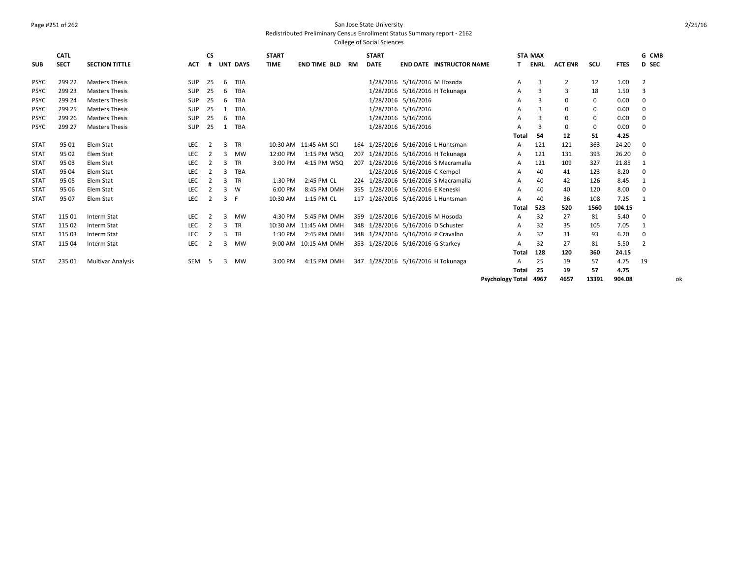## Page #251 of 262 San Jose State University

## Redistributed Preliminary Census Enrollment Status Summary report - 2162

College of Social Sciences

|             | CATL        |                          |            | <b>CS</b>     |              |             | <b>START</b> |                       |     | <b>START</b> |                                      |       | <b>STA MAX</b> |                |      |             | G CMB          |
|-------------|-------------|--------------------------|------------|---------------|--------------|-------------|--------------|-----------------------|-----|--------------|--------------------------------------|-------|----------------|----------------|------|-------------|----------------|
| <b>SUB</b>  | <b>SECT</b> | <b>SECTION TITTLE</b>    | <b>ACT</b> | #             | <b>UNT</b>   | <b>DAYS</b> | <b>TIME</b>  | <b>END TIME BLD</b>   | RM  | <b>DATE</b>  | <b>END DATE INSTRUCTOR NAME</b>      |       | <b>ENRL</b>    | <b>ACT ENR</b> | scu  | <b>FTES</b> | D SEC          |
| <b>PSYC</b> | 299 22      | <b>Masters Thesis</b>    | <b>SUP</b> | 25            | 6            | TBA         |              |                       |     |              | 1/28/2016 5/16/2016 M Hosoda         | A     | 3              | $\overline{2}$ | 12   | 1.00        | $\overline{2}$ |
| <b>PSYC</b> | 299 23      | <b>Masters Thesis</b>    | <b>SUP</b> | 25            | 6            | TBA         |              |                       |     |              | 1/28/2016 5/16/2016 H Tokunaga       | A     | 3              | 3              | 18   | 1.50        | 3              |
| <b>PSYC</b> | 299 24      | <b>Masters Thesis</b>    | <b>SUP</b> | 25            | 6            | TBA         |              |                       |     | 1/28/2016    | 5/16/2016                            | A     | з              | $\Omega$       | 0    | 0.00        | 0              |
| <b>PSYC</b> | 299 25      | <b>Masters Thesis</b>    | <b>SUP</b> | 25            |              | TBA         |              |                       |     |              | 1/28/2016 5/16/2016                  | A     | 3              | $\Omega$       | 0    | 0.00        | 0              |
| <b>PSYC</b> | 299 26      | <b>Masters Thesis</b>    | <b>SUP</b> | 25            | 6            | TBA         |              |                       |     |              | 1/28/2016 5/16/2016                  | A     | з              |                | 0    | 0.00        | 0              |
| <b>PSYC</b> | 299 27      | <b>Masters Thesis</b>    | <b>SUP</b> | 25            | 1            | TBA         |              |                       |     |              | 1/28/2016 5/16/2016                  | A     | з              | $\Omega$       | 0    | 0.00        | 0              |
|             |             |                          |            |               |              |             |              |                       |     |              |                                      | Total | 54             | 12             | 51   | 4.25        |                |
| <b>STAT</b> | 95 01       | Elem Stat                | <b>LEC</b> |               | 3            | TR          |              | 10:30 AM 11:45 AM SCI |     |              | 164 1/28/2016 5/16/2016 L Huntsman   | A     | 121            | 121            | 363  | 24.20       | $\mathbf{0}$   |
| <b>STAT</b> | 95 02       | Elem Stat                | <b>LEC</b> |               | 3            | <b>MW</b>   | 12:00 PM     | 1:15 PM WSQ           | 207 | 1/28/2016    | 5/16/2016 H Tokunaga                 | A     | 121            | 131            | 393  | 26.20       | $\mathbf{0}$   |
| <b>STAT</b> | 95 03       | Elem Stat                | LEC        |               | 3            | TR          | 3:00 PM      | 4:15 PM WSQ           | 207 |              | 1/28/2016 5/16/2016 S Macramalla     | A     | 121            | 109            | 327  | 21.85       |                |
| <b>STAT</b> | 95 04       | Elem Stat                | LEC        |               | $\mathbf{R}$ | TBA         |              |                       |     |              | 1/28/2016 5/16/2016 C Kempel         | A     | 40             | 41             | 123  | 8.20        | $\mathbf 0$    |
| <b>STAT</b> | 95 05       | Elem Stat                | <b>LEC</b> |               | 3            | TR          | 1:30 PM      | 2:45 PM CL            |     |              | 224 1/28/2016 5/16/2016 S Macramalla | A     | 40             | 42             | 126  | 8.45        |                |
| <b>STAT</b> | 95 06       | Elem Stat                | LEC        |               | 3            | W           | 6:00 PM      | 8:45 PM DMH           |     |              | 355 1/28/2016 5/16/2016 E Keneski    | A     | 40             | 40             | 120  | 8.00        | 0              |
| <b>STAT</b> | 95 07       | Elem Stat                | LEC        | 2             | 3            | .F          | 10:30 AM     | 1:15 PM CL            |     |              | 117 1/28/2016 5/16/2016 L Huntsman   | A     | 40             | 36             | 108  | 7.25        |                |
|             |             |                          |            |               |              |             |              |                       |     |              |                                      | Total | 523            | 520            | 1560 | 104.15      |                |
| <b>STAT</b> | 115 01      | Interm Stat              | <b>LEC</b> | $\mathcal{L}$ | 3            | <b>MW</b>   | 4:30 PM      | 5:45 PM DMH           |     |              | 359 1/28/2016 5/16/2016 M Hosoda     | A     | 32             | 27             | 81   | 5.40        | 0              |
| <b>STAT</b> | 115 02      | Interm Stat              | <b>LEC</b> | 2             | 3            | TR          |              | 10:30 AM 11:45 AM DMH |     |              | 348 1/28/2016 5/16/2016 D Schuster   | A     | 32             | 35             | 105  | 7.05        | 1              |
| <b>STAT</b> | 115 03      | Interm Stat              | <b>LEC</b> |               | 3            | <b>TR</b>   | 1:30 PM      | 2:45 PM DMH           |     |              | 348 1/28/2016 5/16/2016 P Cravalho   | A     | 32             | 31             | 93   | 6.20        | $\mathbf{0}$   |
| <b>STAT</b> | 115 04      | Interm Stat              | <b>LEC</b> |               | 3            | <b>MW</b>   |              | 9:00 AM 10:15 AM DMH  |     |              | 353 1/28/2016 5/16/2016 G Starkey    | A     | 32             | 27             | 81   | 5.50        | $\overline{2}$ |
|             |             |                          |            |               |              |             |              |                       |     |              |                                      | Total | 128            | 120            | 360  | 24.15       |                |
| STAT        | 235 01      | <b>Multivar Analysis</b> | SEM        | -5            | 3            | <b>MW</b>   | 3:00 PM      | 4:15 PM DMH           |     |              | 347 1/28/2016 5/16/2016 H Tokunaga   | A     | 25             | 19             | 57   | 4.75        | 19             |
|             |             |                          |            |               |              |             |              |                       |     |              |                                      | Total | 25             | 19             | 57   | 4.75        |                |

**Psychology Total 4967 4657 13391 904.08** ok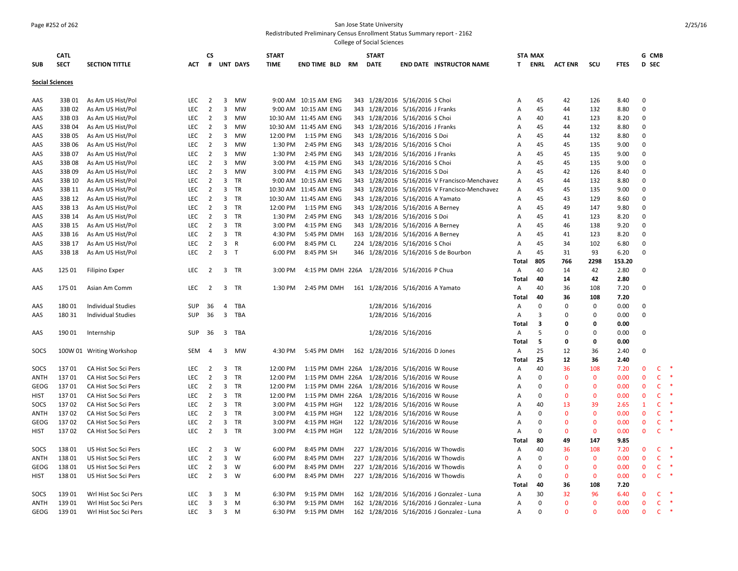# Page #252 of 262 San Jose State University

Redistributed Preliminary Census Enrollment Status Summary report - 2162

| <b>SUB</b>             | <b>CATL</b><br><b>SECT</b> | <b>SECTION TITTLE</b>     | <b>ACT</b> | <b>CS</b><br>#          |                         | <b>UNT DAYS</b> | <b>START</b><br>TIME | END TIME BLD RM                              | <b>START</b><br><b>DATE</b>      |                             | <b>END DATE INSTRUCTOR NAME</b>               | T.           | <b>STA MAX</b><br><b>ENRL</b> | <b>ACT ENR</b> | scu          | <b>FTES</b> | G CMB<br>D SEC |              |           |
|------------------------|----------------------------|---------------------------|------------|-------------------------|-------------------------|-----------------|----------------------|----------------------------------------------|----------------------------------|-----------------------------|-----------------------------------------------|--------------|-------------------------------|----------------|--------------|-------------|----------------|--------------|-----------|
| <b>Social Sciences</b> |                            |                           |            |                         |                         |                 |                      |                                              |                                  |                             |                                               |              |                               |                |              |             |                |              |           |
| AAS                    | 33B 01                     | As Am US Hist/Pol         | LEC        | $\overline{2}$          |                         | 3 MW            |                      | 9:00 AM 10:15 AM ENG                         | 343 1/28/2016 5/16/2016 S Choi   |                             |                                               | Α            | 45                            | 42             | 126          | 8.40        | $\mathbf 0$    |              |           |
| AAS                    | 33B02                      | As Am US Hist/Pol         | <b>LEC</b> | $\overline{2}$          | 3                       | <b>MW</b>       |                      | 9:00 AM 10:15 AM ENG                         | 343 1/28/2016 5/16/2016 J Franks |                             |                                               | A            | 45                            | 44             | 132          | 8.80        | $\Omega$       |              |           |
| AAS                    | 33B03                      | As Am US Hist/Pol         | LEC        | $\overline{2}$          | 3                       | <b>MW</b>       |                      | 10:30 AM 11:45 AM ENG                        | 343 1/28/2016 5/16/2016 S Choi   |                             |                                               | Α            | 40                            | 41             | 123          | 8.20        | $\mathbf{0}$   |              |           |
| AAS                    | 33B 04                     | As Am US Hist/Pol         | LEC        | $\overline{2}$          | 3                       | MW              |                      | 10:30 AM 11:45 AM ENG                        | 343 1/28/2016 5/16/2016 J Franks |                             |                                               | A            | 45                            | 44             | 132          | 8.80        | $\mathbf 0$    |              |           |
| AAS                    | 33B 05                     | As Am US Hist/Pol         | LEC        | $\overline{2}$          | 3                       | MW              | 12:00 PM             | 1:15 PM ENG                                  | 343 1/28/2016 5/16/2016 S Doi    |                             |                                               | A            | 45                            | 44             | 132          | 8.80        | $\Omega$       |              |           |
| AAS                    | 33B 06                     | As Am US Hist/Pol         | <b>LEC</b> | $\overline{2}$          | 3                       | <b>MW</b>       | 1:30 PM              | 2:45 PM ENG                                  | 343 1/28/2016 5/16/2016 S Choi   |                             |                                               | А            | 45                            | 45             | 135          | 9.00        | $\Omega$       |              |           |
| AAS                    | 33B 07                     | As Am US Hist/Pol         | LEC        | $\overline{2}$          | 3                       | MW              | 1:30 PM              | 2:45 PM ENG                                  | 343 1/28/2016 5/16/2016 J Franks |                             |                                               | Α            | 45                            | 45             | 135          | 9.00        | $\mathbf 0$    |              |           |
| AAS                    | 33B08                      | As Am US Hist/Pol         | LEC        | $\overline{2}$          | $\mathbf{3}$            | MW              | 3:00 PM              | 4:15 PM ENG                                  | 343 1/28/2016 5/16/2016 S Choi   |                             |                                               | Α            | 45                            | 45             | 135          | 9.00        | $\mathbf 0$    |              |           |
| AAS                    | 33B 09                     | As Am US Hist/Pol         | <b>LEC</b> | $\overline{2}$          | 3                       | <b>MW</b>       | 3:00 PM              | 4:15 PM ENG                                  | 343 1/28/2016 5/16/2016 S Doi    |                             |                                               | A            | 45                            | 42             | 126          | 8.40        | $\Omega$       |              |           |
| AAS                    | 33B 10                     | As Am US Hist/Pol         | LEC        | $\overline{2}$          | 3                       | TR              |                      | 9:00 AM 10:15 AM ENG                         |                                  |                             | 343 1/28/2016 5/16/2016 V Francisco-Menchavez | А            | 45                            | 44             | 132          | 8.80        | $\mathbf{0}$   |              |           |
| AAS                    | 33B 11                     | As Am US Hist/Pol         | LEC        | $\overline{2}$          | 3                       | TR              |                      | 10:30 AM 11:45 AM ENG                        |                                  |                             | 343 1/28/2016 5/16/2016 V Francisco-Menchavez | А            | 45                            | 45             | 135          | 9.00        | $\mathbf 0$    |              |           |
| AAS                    | 33B 12                     | As Am US Hist/Pol         | LEC        | $\overline{2}$          | 3                       | TR              |                      | 10:30 AM 11:45 AM ENG                        | 343 1/28/2016 5/16/2016 A Yamato |                             |                                               | Α            | 45                            | 43             | 129          | 8.60        | $\mathbf 0$    |              |           |
| AAS                    | 33B 13                     | As Am US Hist/Pol         | <b>LEC</b> | $\overline{2}$          | 3                       | TR              | 12:00 PM             | 1:15 PM ENG                                  | 343 1/28/2016 5/16/2016 A Berney |                             |                                               | А            | 45                            | 49             | 147          | 9.80        | $\Omega$       |              |           |
| AAS                    | 33B 14                     | As Am US Hist/Pol         | <b>LEC</b> | $\overline{2}$          | 3                       | TR              | 1:30 PM              | 2:45 PM ENG                                  | 343 1/28/2016 5/16/2016 S Doi    |                             |                                               | Α            | 45                            | 41             | 123          | 8.20        | $\mathbf 0$    |              |           |
| AAS                    | 33B 15                     | As Am US Hist/Pol         | LEC        | $\overline{2}$          | 3                       | TR              | 3:00 PM              | 4:15 PM ENG                                  | 343 1/28/2016 5/16/2016 A Berney |                             |                                               | Α            | 45                            | 46             | 138          | 9.20        | $\mathbf 0$    |              |           |
| AAS                    | 33B 16                     | As Am US Hist/Pol         | LEC        | $\overline{2}$          | 3                       | <b>TR</b>       | 4:30 PM              | 5:45 PM DMH                                  | 163 1/28/2016 5/16/2016 A Berney |                             |                                               | Α            | 45                            | 41             | 123          | 8.20        | $\Omega$       |              |           |
| AAS                    | 33B 17                     | As Am US Hist/Pol         | <b>LEC</b> | $\overline{2}$          | 3                       | $\mathsf{R}$    | 6:00 PM              | 8:45 PM CL                                   | 224 1/28/2016 5/16/2016 S Choi   |                             |                                               | A            | 45                            | 34             | 102          | 6.80        | $\Omega$       |              |           |
| AAS                    | 33B 18                     | As Am US Hist/Pol         | LEC        | $\overline{2}$          | 3 <sub>T</sub>          |                 | 6:00 PM              | 8:45 PM SH                                   |                                  |                             | 346 1/28/2016 5/16/2016 S de Bourbon          | А            | 45                            | 31             | 93           | 6.20        | $\mathbf 0$    |              |           |
|                        |                            |                           |            |                         |                         |                 |                      |                                              |                                  |                             |                                               | Total        | 805                           | 766            | 2298         | 153.20      |                |              |           |
| AAS                    | 125 01                     | <b>Filipino Exper</b>     | <b>LEC</b> | $\overline{2}$          |                         | 3 TR            | 3:00 PM              | 4:15 PM DMH 226A 1/28/2016 5/16/2016 P Chua  |                                  |                             |                                               | А            | 40                            | 14             | 42           | 2.80        | $\mathbf 0$    |              |           |
|                        |                            |                           |            |                         |                         |                 |                      |                                              |                                  |                             |                                               | Total        | 40                            | 14             | 42           | 2.80        |                |              |           |
| AAS                    | 175 01                     | Asian Am Comm             | LEC        | $\overline{2}$          |                         | 3 TR            | 1:30 PM              | 2:45 PM DMH                                  | 161 1/28/2016 5/16/2016 A Yamato |                             |                                               | А            | 40                            | 36             | 108          | 7.20        | $\mathbf 0$    |              |           |
|                        |                            |                           |            |                         |                         |                 |                      |                                              |                                  |                             |                                               | Total        | 40                            | 36             | 108          | 7.20        |                |              |           |
| AAS                    | 18001                      | <b>Individual Studies</b> | <b>SUP</b> | 36                      | $\overline{4}$          | TBA             |                      |                                              |                                  | 1/28/2016 5/16/2016         |                                               | A            | $\Omega$                      | $\Omega$       | $\Omega$     | 0.00        | $\Omega$       |              |           |
| AAS                    | 180 31                     | Individual Studies        | SUP        | 36                      | $\overline{\mathbf{3}}$ | TBA             |                      |                                              |                                  | 1/28/2016 5/16/2016         |                                               | А            | $\overline{3}$                | $\Omega$       | $\Omega$     | 0.00        | $\mathbf 0$    |              |           |
|                        |                            |                           |            |                         |                         |                 |                      |                                              |                                  |                             |                                               | Total        | 3                             | 0              | $\mathbf 0$  | 0.00        |                |              |           |
| AAS                    | 190 01                     | Internship                | SUP        | 36                      | $\overline{\mathbf{3}}$ | TBA             |                      |                                              |                                  | 1/28/2016 5/16/2016         |                                               | Α            | 5                             | $\Omega$       | $\Omega$     | 0.00        | 0              |              |           |
|                        |                            |                           |            |                         |                         |                 |                      |                                              |                                  |                             |                                               | Total        | -5                            | 0              | 0            | 0.00        |                |              |           |
| SOCS                   |                            | 100W 01 Writing Workshop  | SEM        | 4                       |                         | 3 MW            | 4:30 PM              | 5:45 PM DMH                                  | 162 1/28/2016 5/16/2016 D Jones  |                             |                                               | Α            | 25                            | 12             | 36           | 2.40        | $\mathbf 0$    |              |           |
|                        |                            |                           |            |                         |                         |                 |                      |                                              |                                  |                             |                                               | <b>Total</b> | 25                            | 12             | 36           | 2.40        |                |              |           |
| SOCS                   | 13701                      | CA Hist Soc Sci Pers      | LEC        | 2                       | 3                       | TR              | 12:00 PM             | 1:15 PM DMH 226A                             |                                  | 1/28/2016 5/16/2016 W Rouse |                                               | A            | 40                            | 36             | 108          | 7.20        | $\Omega$       | $\mathsf{C}$ | $\ast$    |
| ANTH                   | 13701                      | CA Hist Soc Sci Pers      | <b>LEC</b> | $\overline{2}$          | 3                       | <b>TR</b>       | 12:00 PM             | 1:15 PM DMH 226A                             |                                  | 1/28/2016 5/16/2016 W Rouse |                                               | Α            | 0                             | $\Omega$       | $\Omega$     | 0.00        | $\Omega$       | $\mathsf{C}$ |           |
| GEOG                   | 13701                      | CA Hist Soc Sci Pers      | LEC        | $\overline{2}$          | 3                       | TR              | 12:00 PM             | 1:15 PM DMH 226A 1/28/2016 5/16/2016 W Rouse |                                  |                             |                                               | A            | $\mathbf 0$                   | $\Omega$       | $\mathbf{0}$ | 0.00        | $\mathbf{0}$   | $\mathsf{C}$ |           |
| <b>HIST</b>            | 13701                      | CA Hist Soc Sci Pers      | LEC        | $\overline{2}$          | 3                       | TR              | 12:00 PM             | 1:15 PM DMH 226A 1/28/2016 5/16/2016 W Rouse |                                  |                             |                                               | Α            | $\Omega$                      | $\Omega$       | $\Omega$     | 0.00        | $\mathbf{0}$   | $\mathsf C$  | $\ast$    |
| SOCS                   | 13702                      | CA Hist Soc Sci Pers      | LEC        | $\overline{2}$          | 3                       | <b>TR</b>       | 3:00 PM              | 4:15 PM HGH                                  | 122 1/28/2016 5/16/2016 W Rouse  |                             |                                               | Α            | 40                            | 13             | 39           | 2.65        | 1              | C            |           |
| <b>ANTH</b>            | 13702                      | CA Hist Soc Sci Pers      | LEC        | $\overline{2}$          | $\overline{3}$          | TR              | 3:00 PM              | 4:15 PM HGH                                  | 122 1/28/2016 5/16/2016 W Rouse  |                             |                                               | A            | $\Omega$                      | $\Omega$       | $\mathbf{0}$ | 0.00        | $\Omega$       | $\mathsf{C}$ | $\ast$    |
| GEOG                   | 13702                      | CA Hist Soc Sci Pers      | LEC        | $\overline{2}$          | 3                       | <b>TR</b>       | 3:00 PM              | 4:15 PM HGH                                  | 122 1/28/2016 5/16/2016 W Rouse  |                             |                                               | Α            | $\Omega$                      | $\Omega$       | $\mathbf{0}$ | 0.00        | $\mathbf{0}$   | $\mathsf{C}$ |           |
| <b>HIST</b>            | 13702                      | CA Hist Soc Sci Pers      | <b>LEC</b> | $\overline{2}$          |                         | 3 TR            | 3:00 PM              | 4:15 PM HGH                                  | 122 1/28/2016 5/16/2016 W Rouse  |                             |                                               | A            | $\Omega$                      | $\Omega$       | $\mathbf{0}$ | 0.00        | $\mathbf{0}$   | $\mathsf{C}$ | $\ast$    |
|                        |                            |                           |            |                         |                         |                 |                      |                                              |                                  |                             |                                               | Total        | 80                            | 49             | 147          | 9.85        |                |              |           |
| SOCS                   | 13801                      | US Hist Soc Sci Pers      | LEC        | $\overline{2}$          | 3                       | W               | 6:00 PM              | 8:45 PM DMH                                  |                                  |                             | 227 1/28/2016 5/16/2016 W Thowdis             | Α            | 40                            | 36             | 108          | 7.20        | $\Omega$       | $\mathsf{C}$ | $\ast$    |
| ANTH                   | 13801                      | US Hist Soc Sci Pers      | <b>LEC</b> | $\overline{2}$          | $\overline{\mathbf{3}}$ | W               | 6:00 PM              | 8:45 PM DMH                                  |                                  |                             | 227 1/28/2016 5/16/2016 W Thowdis             | Α            | $\Omega$                      | $\mathbf{0}$   | $\Omega$     | 0.00        | $\Omega$       | $\mathsf{C}$ | $\ast$    |
| <b>GEOG</b>            | 13801                      | US Hist Soc Sci Pers      | <b>LEC</b> | $\overline{2}$          | 3                       | W               | 6:00 PM              | 8:45 PM DMH                                  |                                  |                             | 227 1/28/2016 5/16/2016 W Thowdis             | A            | $\Omega$                      | $\mathbf{0}$   | $\Omega$     | 0.00        | $\mathbf{0}$   | $\mathsf{C}$ | $\ast$    |
| <b>HIST</b>            | 13801                      | US Hist Soc Sci Pers      | <b>LEC</b> | $\overline{2}$          |                         | $3 \quad W$     | 6:00 PM              | 8:45 PM DMH                                  |                                  |                             | 227 1/28/2016 5/16/2016 W Thowdis             | Α            | 0                             | $\mathbf{0}$   | $\mathbf{0}$ | 0.00        | $\mathbf{0}$   | $\mathsf{C}$ | $\;$ $\;$ |
|                        |                            |                           |            |                         |                         |                 |                      |                                              |                                  |                             |                                               | Total        | 40                            | 36             | 108          | 7.20        |                |              |           |
| SOCS                   | 13901                      | Wrl Hist Soc Sci Pers     | LEC        | 3                       | 3                       | M               | 6:30 PM              | 9:15 PM DMH                                  |                                  |                             | 162 1/28/2016 5/16/2016 J Gonzalez - Luna     | Α            | 30                            | 32             | 96           | 6.40        | $\Omega$       | $\mathsf{C}$ | $\ast$    |
| ANTH                   | 139 01                     | Wrl Hist Soc Sci Pers     | <b>LEC</b> | $\overline{\mathbf{3}}$ | 3                       | M               | 6:30 PM              | 9:15 PM DMH                                  |                                  |                             | 162 1/28/2016 5/16/2016 J Gonzalez - Luna     | Α            | $\mathbf 0$                   | $\mathbf{0}$   | $\Omega$     | 0.00        | $\mathbf{0}$   | $\mathsf{C}$ | $\ast$    |
| GEOG                   | 139 01                     | Wrl Hist Soc Sci Pers     | <b>LEC</b> | $\overline{\mathbf{3}}$ |                         | $3 \, M$        | 6:30 PM              | 9:15 PM DMH                                  |                                  |                             | 162 1/28/2016 5/16/2016 J Gonzalez - Luna     | A            | $\Omega$                      | $\Omega$       | $\Omega$     | 0.00        | $\Omega$       | $\mathsf{C}$ | $\ast$    |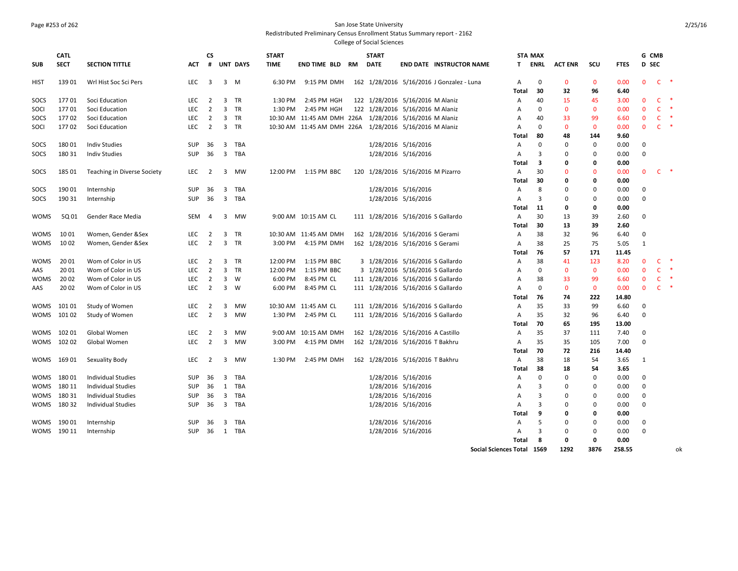#### Page #253 of 262 San Jose State University

Redistributed Preliminary Census Enrollment Status Summary report - 2162

College of Social Sciences

|             | <b>CATL</b> |                             |            | <b>CS</b>               |                         |                 | <b>START</b> |                                                         |    | <b>START</b> |                                    |                                           |                | <b>STA MAX</b> |                   |                   |              |              | G CMB        |               |
|-------------|-------------|-----------------------------|------------|-------------------------|-------------------------|-----------------|--------------|---------------------------------------------------------|----|--------------|------------------------------------|-------------------------------------------|----------------|----------------|-------------------|-------------------|--------------|--------------|--------------|---------------|
| <b>SUB</b>  | <b>SECT</b> | <b>SECTION TITTLE</b>       | <b>ACT</b> | #                       |                         | <b>UNT DAYS</b> | <b>TIME</b>  | END TIME BLD                                            | RM | <b>DATE</b>  |                                    | <b>END DATE INSTRUCTOR NAME</b>           | T.             | ENRL           | <b>ACT ENR</b>    | scu               | <b>FTES</b>  |              | D SEC        |               |
|             |             |                             |            |                         |                         |                 |              |                                                         |    |              |                                    |                                           |                |                |                   |                   |              | $\mathbf 0$  | $\mathsf{C}$ | $\ast$        |
| <b>HIST</b> | 139 01      | Wrl Hist Soc Sci Pers       | LEC        | $\overline{\mathbf{3}}$ |                         | $3 \quad M$     | 6:30 PM      | 9:15 PM DMH                                             |    |              |                                    | 162 1/28/2016 5/16/2016 J Gonzalez - Luna | Α<br>Total     | 0<br>30        | $\mathbf 0$<br>32 | $\mathbf 0$<br>96 | 0.00<br>6.40 |              |              |               |
| SOCS        | 17701       | Soci Education              | LEC        | $\overline{2}$          |                         | 3 TR            | 1:30 PM      | 2:45 PM HGH                                             |    |              | 122 1/28/2016 5/16/2016 M Alaniz   |                                           | Α              | 40             | 15                | 45                | 3.00         | $\mathbf{0}$ | $\mathsf{C}$ | $\ast$        |
| SOCI        | 17701       | Soci Education              | <b>LEC</b> | $\overline{2}$          | $\overline{3}$          | <b>TR</b>       | 1:30 PM      | 2:45 PM HGH                                             |    |              | 122 1/28/2016 5/16/2016 M Alaniz   |                                           |                | $\mathbf 0$    | $\mathbf{0}$      | $\mathbf{0}$      | 0.00         | $\Omega$     | $\mathsf{C}$ | $\ast$        |
| SOCS        | 17702       | Soci Education              | LEC        | $\overline{2}$          |                         | 3 TR            |              | 10:30 AM 11:45 AM DMH 226A 1/28/2016 5/16/2016 M Alaniz |    |              |                                    |                                           | Α<br>Α         | 40             | 33                | 99                | 6.60         | $\mathbf{0}$ | $\mathsf{C}$ | $\;$ $\;$     |
| SOCI        | 17702       | Soci Education              | <b>LEC</b> | $\overline{2}$          |                         | 3 TR            |              | 10:30 AM 11:45 AM DMH 226A 1/28/2016 5/16/2016 M Alaniz |    |              |                                    |                                           | A              | $\Omega$       | $\mathbf{0}$      | $\mathbf{0}$      | 0.00         | $\mathbf{0}$ | $\mathsf{C}$ | $\ast$        |
|             |             |                             |            |                         |                         |                 |              |                                                         |    |              |                                    |                                           | Total          | 80             | 48                | 144               | 9.60         |              |              |               |
| SOCS        | 18001       | <b>Indiv Studies</b>        | SUP        | 36                      | $\overline{\mathbf{3}}$ | TBA             |              |                                                         |    |              | 1/28/2016 5/16/2016                |                                           |                | $\Omega$       | 0                 | 0                 | 0.00         | $\mathbf 0$  |              |               |
|             |             |                             |            |                         |                         |                 |              |                                                         |    |              |                                    |                                           | Α              | 3              | $\mathbf 0$       | $\Omega$          |              |              |              |               |
| SOCS        | 180 31      | <b>Indiv Studies</b>        | SUP        | 36                      |                         | 3 TBA           |              |                                                         |    |              | 1/28/2016 5/16/2016                |                                           | Α              | 3              | 0                 |                   | 0.00         | $\mathbf 0$  |              |               |
|             |             |                             |            |                         |                         |                 |              |                                                         |    |              |                                    |                                           | Total          |                |                   | 0                 | 0.00         |              |              |               |
| SOCS        | 185 01      | Teaching in Diverse Society | LEC        | $\overline{2}$          |                         | 3 MW            | 12:00 PM     | 1:15 PM BBC                                             |    |              | 120 1/28/2016 5/16/2016 M Pizarro  |                                           | $\overline{A}$ | 30             | $\Omega$          | $\Omega$          | 0.00         | $\mathbf{0}$ | $C$ *        |               |
|             |             |                             |            |                         |                         |                 |              |                                                         |    |              |                                    |                                           | Total          | 30             | 0                 | Ω                 | 0.00         |              |              |               |
| SOCS        | 190 01      | Internship                  | SUP        | 36                      | 3                       | TBA             |              |                                                         |    |              | 1/28/2016 5/16/2016                |                                           | Α              | 8              | 0                 | $\Omega$          | 0.00         | $\Omega$     |              |               |
| SOCS        | 190 31      | Internship                  | SUP        | - 36                    |                         | 3 TBA           |              |                                                         |    |              | 1/28/2016 5/16/2016                |                                           | Α              | 3              | 0                 | 0                 | 0.00         | $\Omega$     |              |               |
|             |             |                             |            |                         |                         |                 |              |                                                         |    |              |                                    |                                           | Total          | 11             | 0                 | 0                 | 0.00         |              |              |               |
| <b>WOMS</b> | 5Q 01       | Gender Race Media           | <b>SEM</b> | 4                       |                         | 3 MW            |              | 9:00 AM 10:15 AM CL                                     |    |              | 111 1/28/2016 5/16/2016 S Gallardo |                                           | A              | 30             | 13                | 39                | 2.60         | $\mathbf 0$  |              |               |
|             |             |                             |            |                         |                         |                 |              |                                                         |    |              |                                    |                                           | Total          | 30             | 13                | 39                | 2.60         |              |              |               |
| <b>WOMS</b> | 1001        | Women, Gender & Sex         | LEC        | $\overline{2}$          | 3                       | <b>TR</b>       |              | 10:30 AM 11:45 AM DMH                                   |    |              | 162 1/28/2016 5/16/2016 S Gerami   |                                           | Α              | 38             | 32                | 96                | 6.40         | $\Omega$     |              |               |
| <b>WOMS</b> | 1002        | Women, Gender & Sex         | LEC        | $\overline{2}$          |                         | 3 TR            | 3:00 PM      | 4:15 PM DMH                                             |    |              | 162 1/28/2016 5/16/2016 S Gerami   |                                           | Α              | 38             | 25                | 75                | 5.05         | 1            |              |               |
|             |             |                             |            |                         |                         |                 |              |                                                         |    |              |                                    |                                           | Total          | 76             | 57                | 171               | 11.45        |              |              |               |
| <b>WOMS</b> | 20 01       | Wom of Color in US          | LEC        | $\overline{2}$          | 3                       | <b>TR</b>       | 12:00 PM     | 1:15 PM BBC                                             |    |              | 3 1/28/2016 5/16/2016 S Gallardo   |                                           | Α              | 38             | 41                | 123               | 8.20         | 0            | C.           | $\ast$        |
| AAS         | 20 01       | Wom of Color in US          | LEC        | $\overline{2}$          | 3                       | TR              | 12:00 PM     | 1:15 PM BBC                                             |    |              | 3 1/28/2016 5/16/2016 S Gallardo   |                                           | Α              | $\mathbf 0$    | $\mathbf{0}$      | $\mathbf{0}$      | 0.00         | $\mathbf{0}$ | $\mathsf{C}$ | $\ast$        |
| <b>WOMS</b> | 20 02       | Wom of Color in US          | LEC        | $\overline{2}$          |                         | 3 W             | 6:00 PM      | 8:45 PM CL                                              |    |              | 111 1/28/2016 5/16/2016 S Gallardo |                                           | Α              | 38             | 33                | 99                | 6.60         | $\mathbf{0}$ | C            | $\ast$        |
| AAS         | 20 02       | Wom of Color in US          | <b>LEC</b> | $\overline{2}$          |                         | 3 W             | 6:00 PM      | 8:45 PM CL                                              |    |              | 111 1/28/2016 5/16/2016 S Gallardo |                                           | A              | $\Omega$       | $\mathbf{0}$      | $\mathbf{0}$      | 0.00         | $\mathbf{0}$ | $\mathsf{C}$ | $\rightarrow$ |
|             |             |                             |            |                         |                         |                 |              |                                                         |    |              |                                    |                                           | Total          | 76             | 74                | 222               | 14.80        |              |              |               |
| <b>WOMS</b> | 101 01      | Study of Women              | LEC        | $\overline{2}$          | 3                       | MW              |              | 10:30 AM 11:45 AM CL                                    |    |              | 111 1/28/2016 5/16/2016 S Gallardo |                                           | Α              | 35             | 33                | 99                | 6.60         | $\Omega$     |              |               |
| WOMS        | 101 02      | Study of Women              | LEC        | $\overline{2}$          |                         | 3 MW            |              | 1:30 PM 2:45 PM CL                                      |    |              | 111 1/28/2016 5/16/2016 S Gallardo |                                           | Α              | 35             | 32                | 96                | 6.40         | $\mathbf 0$  |              |               |
|             |             |                             |            |                         |                         |                 |              |                                                         |    |              |                                    |                                           | Total          | 70             | 65                | 195               | 13.00        |              |              |               |
| <b>WOMS</b> | 102 01      | Global Women                | <b>LEC</b> | $\overline{2}$          | 3                       | MW              |              | 9:00 AM 10:15 AM DMH                                    |    |              | 162 1/28/2016 5/16/2016 A Castillo |                                           | Α              | 35             | 37                | 111               | 7.40         | $\Omega$     |              |               |
| <b>WOMS</b> | 102 02      | Global Women                | <b>LEC</b> | $\overline{2}$          |                         | 3 MW            | 3:00 PM      | 4:15 PM DMH                                             |    |              | 162 1/28/2016 5/16/2016 T Bakhru   |                                           | $\overline{A}$ | 35             | 35                | 105               | 7.00         | $\Omega$     |              |               |
|             |             |                             |            |                         |                         |                 |              |                                                         |    |              |                                    |                                           | Total          | 70             | 72                | 216               | 14.40        |              |              |               |
| <b>WOMS</b> | 169 01      | Sexuality Body              | LEC        | $\overline{2}$          |                         | 3 MW            | 1:30 PM      | 2:45 PM DMH                                             |    |              | 162 1/28/2016 5/16/2016 T Bakhru   |                                           | A              | 38             | 18                | 54                | 3.65         | 1            |              |               |
|             |             |                             |            |                         |                         |                 |              |                                                         |    |              |                                    |                                           | Total          | 38             | 18                | 54                | 3.65         |              |              |               |
| <b>WOMS</b> | 18001       | <b>Individual Studies</b>   | <b>SUP</b> | 36                      | $\overline{\mathbf{3}}$ | TBA             |              |                                                         |    |              | 1/28/2016 5/16/2016                |                                           | $\overline{A}$ | 0              | $\mathbf 0$       | 0                 | 0.00         | $\Omega$     |              |               |
| <b>WOMS</b> | 180 11      | <b>Individual Studies</b>   | SUP        | 36                      | 1                       | TBA             |              |                                                         |    |              | 1/28/2016 5/16/2016                |                                           | Α              | 3              | $\mathbf 0$       | $\Omega$          | 0.00         | $\mathbf 0$  |              |               |
| <b>WOMS</b> | 18031       | <b>Individual Studies</b>   | <b>SUP</b> | 36                      |                         | 3 TBA           |              |                                                         |    |              | 1/28/2016 5/16/2016                |                                           | A              | 3              | $\Omega$          | $\Omega$          | 0.00         | $\Omega$     |              |               |
| WOMS        | 18032       | <b>Individual Studies</b>   | SUP        | 36                      |                         | 3 TBA           |              |                                                         |    |              | 1/28/2016 5/16/2016                |                                           | A              | 3              | $\Omega$          | 0                 | 0.00         | $\mathbf 0$  |              |               |
|             |             |                             |            |                         |                         |                 |              |                                                         |    |              |                                    |                                           | Total          | 9              | $\mathbf 0$       | 0                 | 0.00         |              |              |               |
| <b>WOMS</b> | 190 01      | Internship                  | SUP        | 36                      | 3                       | TBA             |              |                                                         |    |              | 1/28/2016 5/16/2016                |                                           | Α              | 5              | $\Omega$          | $\Omega$          | 0.00         | 0            |              |               |
| <b>WOMS</b> | 190 11      | Internship                  | <b>SUP</b> | 36                      |                         | 1 TBA           |              |                                                         |    |              | 1/28/2016 5/16/2016                |                                           | A              | 3              | $\Omega$          | $\Omega$          | 0.00         | $\mathbf 0$  |              |               |
|             |             |                             |            |                         |                         |                 |              |                                                         |    |              |                                    |                                           | Total          | 8              | $\Omega$          | 0                 | 0.00         |              |              |               |
|             |             |                             |            |                         |                         |                 |              |                                                         |    |              |                                    |                                           |                |                |                   |                   |              |              |              |               |

**Social Sciences Total 1569 1292 3876 258.55** ok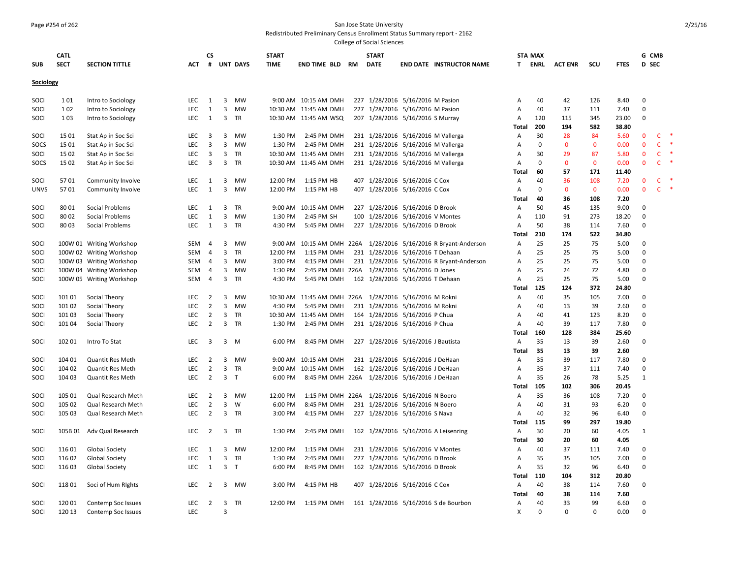#### Page #254 of 262 San Jose State University

Redistributed Preliminary Census Enrollment Status Summary report - 2162

|             | <b>CATL</b> |                          |            | <b>CS</b>               |                |                 | <b>START</b><br><b>TIME</b> |                                              |      | <b>START</b>                       |                              |                                                                 |                | <b>STA MAX</b> |                |              |             | G CMB        |              |   |
|-------------|-------------|--------------------------|------------|-------------------------|----------------|-----------------|-----------------------------|----------------------------------------------|------|------------------------------------|------------------------------|-----------------------------------------------------------------|----------------|----------------|----------------|--------------|-------------|--------------|--------------|---|
| <b>SUB</b>  | <b>SECT</b> | <b>SECTION TITTLE</b>    | <b>ACT</b> | #                       |                | <b>UNT DAYS</b> |                             | <b>END TIME BLD</b>                          | RM   | <b>DATE</b>                        |                              | <b>END DATE INSTRUCTOR NAME</b>                                 | T.             | <b>ENRL</b>    | <b>ACT ENR</b> | scu          | <b>FTES</b> | D SEC        |              |   |
| Sociology   |             |                          |            |                         |                |                 |                             |                                              |      |                                    |                              |                                                                 |                |                |                |              |             |              |              |   |
| SOCI        | 1 0 1       | Intro to Sociology       | LEC        | 1                       | 3              | <b>MW</b>       |                             | 9:00 AM 10:15 AM DMH                         |      | 227 1/28/2016 5/16/2016 M Pasion   |                              |                                                                 | A              | 40             | 42             | 126          | 8.40        | 0            |              |   |
| SOCI        | 1 0 2       | Intro to Sociology       | LEC        | $\mathbf{1}$            | 3              | MW              |                             | 10:30 AM 11:45 AM DMH                        |      | 227 1/28/2016 5/16/2016 M Pasion   |                              |                                                                 | Α              | 40             | 37             | 111          | 7.40        | 0            |              |   |
| SOCI        | 1 0 3       | Intro to Sociology       | LEC        | 1                       |                | 3 TR            |                             | 10:30 AM 11:45 AM WSQ                        |      | 207 1/28/2016 5/16/2016 S Murray   |                              |                                                                 | Α              | 120            | 115            | 345          | 23.00       | $\mathbf 0$  |              |   |
|             |             |                          |            |                         |                |                 |                             |                                              |      |                                    |                              |                                                                 | Total          | 200            | 194            | 582          | 38.80       |              |              |   |
| SOCI        | 15 01       | Stat Ap in Soc Sci       | LEC        | 3                       | 3              | MW              | 1:30 PM                     | 2:45 PM DMH                                  |      | 231 1/28/2016 5/16/2016 M Vallerga |                              |                                                                 | Α              | 30             | 28             | 84           | 5.60        | $\mathbf 0$  | C            |   |
| SOCS        | 15 01       | Stat Ap in Soc Sci       | LEC        | $\overline{3}$          | 3              | MW              | 1:30 PM                     | 2:45 PM DMH                                  |      | 231 1/28/2016 5/16/2016 M Vallerga |                              |                                                                 | Α              | $\mathbf 0$    | $\mathbf 0$    | $\mathbf 0$  | 0.00        | $\mathbf 0$  | C            |   |
| SOCI        | 15 02       | Stat Ap in Soc Sci       | LEC        | $\overline{3}$          | 3              | TR              |                             | 10:30 AM 11:45 AM DMH                        |      | 231 1/28/2016 5/16/2016 M Vallerga |                              |                                                                 | A              | 30             | 29             | 87           | 5.80        | $\mathbf{0}$ | $\mathsf{C}$ |   |
| SOCS        | 15 02       | Stat Ap in Soc Sci       | LEC        | $\overline{\mathbf{3}}$ | 3              | <b>TR</b>       |                             | 10:30 AM 11:45 AM DMH                        |      | 231 1/28/2016 5/16/2016 M Vallerga |                              |                                                                 | A              | 0              | $\mathbf{0}$   | $\mathbf{0}$ | 0.00        | $\mathbf{0}$ | <b>C</b>     |   |
|             |             |                          |            |                         |                |                 |                             |                                              |      |                                    |                              |                                                                 | Total          | 60             | 57             | 171          | 11.40       |              |              |   |
| SOCI        | 5701        | Community Involve        | LEC        | 1                       | 3              | <b>MW</b>       | 12:00 PM                    | 1:15 PM HB                                   |      | 407 1/28/2016 5/16/2016 C Cox      |                              |                                                                 | Α              | 40             | 36             | 108          | 7.20        | $\bf{0}$     | C            |   |
| <b>UNVS</b> | 5701        | Community Involve        | <b>LEC</b> | 1                       | 3              | <b>MW</b>       | 12:00 PM                    | 1:15 PM HB                                   |      | 407 1/28/2016 5/16/2016 C Cox      |                              |                                                                 | Α              | 0              | $\mathbf{0}$   | $\mathbf{0}$ | 0.00        | $\mathbf{0}$ | C            | ∗ |
|             |             |                          |            |                         |                |                 |                             |                                              |      |                                    |                              |                                                                 | <b>Total</b>   | 40             | 36             | 108          | 7.20        |              |              |   |
| SOCI        | 8001        | Social Problems          | <b>LEC</b> | 1                       | 3              | <b>TR</b>       |                             | 9:00 AM 10:15 AM DMH                         |      | 227 1/28/2016 5/16/2016 D Brook    |                              |                                                                 | A              | 50             | 45             | 135          | 9.00        | $\mathbf 0$  |              |   |
| SOCI        | 8002        | Social Problems          | <b>LEC</b> | 1                       | 3              | <b>MW</b>       | 1:30 PM                     | 2:45 PM SH                                   |      | 100 1/28/2016 5/16/2016 V Montes   |                              |                                                                 | Α              | 110            | 91             | 273          | 18.20       | $\mathbf 0$  |              |   |
| SOCI        | 8003        | Social Problems          | LEC        | 1                       | 3              | <b>TR</b>       | 4:30 PM                     | 5:45 PM DMH                                  |      | 227 1/28/2016 5/16/2016 D Brook    |                              |                                                                 | A              | 50             | 38             | 114          | 7.60        | $\mathbf 0$  |              |   |
|             |             |                          |            |                         |                |                 |                             |                                              |      |                                    |                              |                                                                 | Total          | 210            | 174            | 522          | 34.80       |              |              |   |
| SOCI        |             | 100W 01 Writing Workshop | SEM        | $\overline{4}$          | 3              | <b>MW</b>       |                             |                                              |      |                                    |                              | 9:00 AM 10:15 AM DMH 226A 1/28/2016 5/16/2016 R Bryant-Anderson | A              | 25             | 25             | 75           | 5.00        | 0            |              |   |
| SOCI        |             | 100W 02 Writing Workshop | SEM        | 4                       | 3              | TR              | 12:00 PM                    | 1:15 PM DMH                                  |      | 231 1/28/2016 5/16/2016 T Dehaan   |                              |                                                                 | Α              | 25             | 25             | 75           | 5.00        | $\mathbf 0$  |              |   |
| SOCI        |             | 100W 03 Writing Workshop | SEM        | $\overline{4}$          | 3              | <b>MW</b>       | 3:00 PM                     | 4:15 PM DMH                                  |      |                                    |                              | 231 1/28/2016 5/16/2016 R Bryant-Anderson                       | Α              | 25             | 25             | 75           | 5.00        | $\mathbf 0$  |              |   |
| SOCI        |             | 100W 04 Writing Workshop | SEM        | 4                       | 3              | <b>MW</b>       | 1:30 PM                     | 2:45 PM DMH 226A 1/28/2016 5/16/2016 D Jones |      |                                    |                              |                                                                 | Α              | 25             | 24             | 72           | 4.80        | $\mathbf 0$  |              |   |
| SOCI        |             | 100W 05 Writing Workshop | SEM        | -4                      | 3              | TR              | 4:30 PM                     | 5:45 PM DMH                                  |      | 162 1/28/2016 5/16/2016 T Dehaan   |                              |                                                                 | Α              | 25             | 25             | 75           | 5.00        | $\mathbf 0$  |              |   |
|             |             |                          |            |                         |                |                 |                             |                                              |      |                                    |                              |                                                                 | Total          | 125            | 124            | 372          | 24.80       |              |              |   |
| SOCI        | 101 01      | Social Theory            | <b>LEC</b> | $\overline{2}$          | 3              | <b>MW</b>       | 10:30 AM                    | 11:45 AM DMH                                 | 226A |                                    | 1/28/2016 5/16/2016 M Rokni  |                                                                 | A              | 40             | 35             | 105          | 7.00        | 0            |              |   |
| SOCI        | 101 02      | Social Theory            | LEC        | $\overline{2}$          | 3              | MW              | 4:30 PM                     | 5:45 PM DMH                                  |      | 231 1/28/2016 5/16/2016 M Rokni    |                              |                                                                 | Α              | 40             | 13             | 39           | 2.60        | $\mathbf 0$  |              |   |
| SOCI        | 101 03      | Social Theory            | LEC        | $\overline{2}$          | 3              | TR              |                             | 10:30 AM 11:45 AM DMH                        |      | 164 1/28/2016 5/16/2016 P Chua     |                              |                                                                 | Α              | 40             | 41             | 123          | 8.20        | $\mathbf 0$  |              |   |
| SOCI        | 101 04      | Social Theory            | LEC        | $\overline{2}$          | 3              | TR              | 1:30 PM                     | 2:45 PM DMH                                  |      | 231 1/28/2016 5/16/2016 P Chua     |                              |                                                                 | Α              | 40             | 39             | 117          | 7.80        | 0            |              |   |
|             |             |                          |            |                         |                |                 |                             |                                              |      |                                    |                              |                                                                 | Total          | 160            | 128            | 384          | 25.60       |              |              |   |
| SOCI        | 102 01      | Intro To Stat            | LEC        | 3                       | 3              | M               | 6:00 PM                     | 8:45 PM DMH                                  |      | 227 1/28/2016 5/16/2016 J Bautista |                              |                                                                 | A              | 35             | 13             | 39           | 2.60        | $\mathbf 0$  |              |   |
|             |             |                          |            |                         |                |                 |                             |                                              |      |                                    |                              |                                                                 | Total          | 35             | 13             | 39           | 2.60        |              |              |   |
| SOCI        | 104 01      | <b>Quantit Res Meth</b>  | <b>LEC</b> | $\overline{2}$          | 3              | <b>MW</b>       | 9:00 AM                     | 10:15 AM DMH                                 |      | 231 1/28/2016 5/16/2016 J DeHaan   |                              |                                                                 | $\overline{A}$ | 35             | 39             | 117          | 7.80        | 0            |              |   |
| SOCI        | 104 02      | <b>Quantit Res Meth</b>  | LEC        | $\overline{2}$          | 3              | TR              | 9:00 AM                     | 10:15 AM DMH                                 |      | 162 1/28/2016 5/16/2016 J DeHaan   |                              |                                                                 | А              | 35             | 37             | 111          | 7.40        | 0            |              |   |
| SOCI        | 104 03      | <b>Quantit Res Meth</b>  | LEC        | $\overline{2}$          | 3              | $\mathsf{T}$    | 6:00 PM                     | 8:45 PM DMH 226A                             |      |                                    | 1/28/2016 5/16/2016 J DeHaan |                                                                 | Α              | 35             | 26             | 78           | 5.25        | 1            |              |   |
|             |             |                          |            |                         |                |                 |                             |                                              |      |                                    |                              |                                                                 | Total          | 105            | 102            | 306          | 20.45       |              |              |   |
| SOCI        | 105 01      | Qual Research Meth       | LEC        | 2                       | 3              | <b>MW</b>       | 12:00 PM                    | 1:15 PM DMH 226A                             |      |                                    | 1/28/2016 5/16/2016 N Boero  |                                                                 | A              | 35             | 36             | 108          | 7.20        | 0            |              |   |
| SOCI        | 105 02      | Qual Research Meth       | LEC        | $\overline{2}$          | 3              | W               | 6:00 PM                     | 8:45 PM DMH                                  |      | 231 1/28/2016 5/16/2016 N Boero    |                              |                                                                 | А              | 40             | 31             | 93           | 6.20        | $\mathbf 0$  |              |   |
| SOCI        | 105 03      | Qual Research Meth       | <b>LEC</b> | $\overline{2}$          |                | 3 TR            | 3:00 PM                     | 4:15 PM DMH                                  |      | 227 1/28/2016 5/16/2016 S Nava     |                              |                                                                 | Α              | 40             | 32             | 96           | 6.40        | $\mathbf 0$  |              |   |
|             |             |                          |            |                         |                |                 |                             |                                              |      |                                    |                              |                                                                 | Total          | 115            | 99             | 297          | 19.80       |              |              |   |
| SOCI        | 105B 01     | Adv Qual Research        | LEC        | $\overline{2}$          |                | 3 TR            | 1:30 PM                     | 2:45 PM DMH                                  |      |                                    |                              | 162 1/28/2016 5/16/2016 A Leisenring                            | Α              | 30             | 20             | 60           | 4.05        | 1            |              |   |
|             |             |                          |            |                         |                |                 |                             |                                              |      |                                    |                              |                                                                 | Total          | 30             | 20             | 60           | 4.05        |              |              |   |
| SOCI        | 116 01      | <b>Global Society</b>    | <b>LEC</b> | 1                       | 3              | <b>MW</b>       | 12:00 PM                    | 1:15 PM DMH                                  |      | 231 1/28/2016 5/16/2016 V Montes   |                              |                                                                 | Α              | 40             | 37             | 111          | 7.40        | 0            |              |   |
| SOCI        | 116 02      | <b>Global Society</b>    | LEC        | 1                       | 3              | <b>TR</b>       | 1:30 PM                     | 2:45 PM DMH                                  |      | 227 1/28/2016 5/16/2016 D Brook    |                              |                                                                 | A              | 35             | 35             | 105          | 7.00        | $\mathbf 0$  |              |   |
| SOCI        | 116 03      | <b>Global Society</b>    | LEC        | 1                       | 3 <sub>7</sub> |                 | 6:00 PM                     | 8:45 PM DMH                                  |      | 162 1/28/2016 5/16/2016 D Brook    |                              |                                                                 | Α              | 35             | 32             | 96           | 6.40        | 0            |              |   |
|             |             |                          |            |                         |                |                 |                             |                                              |      |                                    |                              |                                                                 | Total          | 110            | 104            | 312          | 20.80       |              |              |   |
| SOCI        | 118 01      | Soci of Hum Rights       | LEC        | $\overline{2}$          | 3              | MW              | 3:00 PM                     | 4:15 PM HB                                   |      | 407 1/28/2016 5/16/2016 C Cox      |                              |                                                                 | A              | 40             | 38             | 114          | 7.60        | 0            |              |   |
|             |             |                          |            |                         |                |                 |                             |                                              |      |                                    |                              |                                                                 | Total          | 40             | 38             | 114          | 7.60        |              |              |   |
| SOCI        | 120 01      | Contemp Soc Issues       | <b>LEC</b> | 2                       | 3              | <b>TR</b>       | 12:00 PM                    | 1:15 PM DMH                                  |      |                                    |                              | 161 1/28/2016 5/16/2016 S de Bourbon                            | Α              | 40             | 33             | 99           | 6.60        | 0            |              |   |
| SOCI        | 120 13      | Contemp Soc Issues       | <b>LEC</b> |                         | 3              |                 |                             |                                              |      |                                    |                              |                                                                 | X              | $\Omega$       | $\Omega$       | $\Omega$     | 0.00        | $\Omega$     |              |   |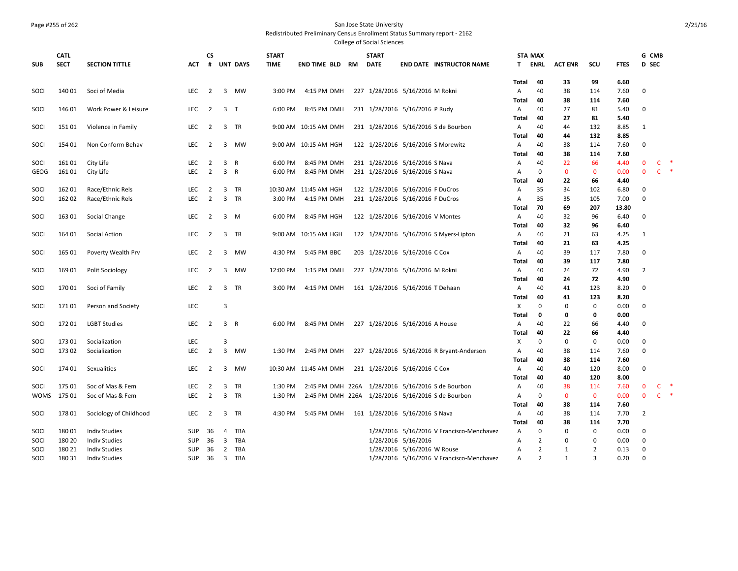#### Page #255 of 262 San Jose State University

Redistributed Preliminary Census Enrollment Status Summary report - 2162

|             | <b>CATL</b> |                        |            | <b>CS</b>      |                |                 | <b>START</b> |                                                   | <b>START</b>                       |                             |                                           | <b>STA MAX</b> |                   |                |                    |              | G CMB          |              |               |
|-------------|-------------|------------------------|------------|----------------|----------------|-----------------|--------------|---------------------------------------------------|------------------------------------|-----------------------------|-------------------------------------------|----------------|-------------------|----------------|--------------------|--------------|----------------|--------------|---------------|
| <b>SUB</b>  | <b>SECT</b> | <b>SECTION TITTLE</b>  | <b>ACT</b> | #              |                | <b>UNT DAYS</b> | <b>TIME</b>  | <b>END TIME BLD RM</b>                            | <b>DATE</b>                        |                             | <b>END DATE INSTRUCTOR NAME</b>           | T.             | ENRL              | <b>ACT ENR</b> | SCU                | <b>FTES</b>  | D SEC          |              |               |
|             |             |                        |            |                |                |                 |              |                                                   |                                    |                             |                                           | Total          | 40                | 33             | 99                 | 6.60         |                |              |               |
| SOCI        | 140 01      | Soci of Media          | <b>LEC</b> | $\overline{2}$ |                | 3 MW            | 3:00 PM      | 4:15 PM DMH                                       | 227 1/28/2016 5/16/2016 M Rokni    |                             |                                           | $\mathsf{A}$   | 40                | 38             | 114                | 7.60         | $\mathbf 0$    |              |               |
| SOCI        | 146 01      | Work Power & Leisure   | LEC        | $\overline{2}$ | 3 <sub>T</sub> |                 | 6:00 PM      | 8:45 PM DMH                                       | 231 1/28/2016 5/16/2016 P Rudy     |                             |                                           | Total<br>A     | 40<br>40          | 38<br>27       | 114<br>81          | 7.60<br>5.40 | $\mathbf 0$    |              |               |
|             |             |                        |            |                |                |                 |              |                                                   |                                    |                             |                                           | Total          | 40                | 27             | 81                 | 5.40         |                |              |               |
| SOCI        | 151 01      | Violence in Family     | LEC        | $\overline{2}$ |                | 3 TR            |              | 9:00 AM 10:15 AM DMH                              |                                    |                             | 231 1/28/2016 5/16/2016 S de Bourbon      | A              | 40                | 44             | 132                | 8.85         | 1              |              |               |
|             |             |                        |            |                |                |                 |              |                                                   |                                    |                             |                                           | Total          | 40                | 44             | 132                | 8.85         |                |              |               |
| SOCI        | 154 01      | Non Conform Behav      | LEC        | $\overline{2}$ |                | 3 MW            |              | 9:00 AM 10:15 AM HGH                              | 122 1/28/2016 5/16/2016 S Morewitz |                             |                                           | A              | 40<br>40          | 38             | 114                | 7.60         | $\mathbf 0$    |              |               |
| SOCI        | 161 01      | City Life              | LEC        | $\overline{2}$ | 3 <sup>7</sup> | R               | 6:00 PM      | 8:45 PM DMH                                       | 231 1/28/2016 5/16/2016 S Nava     |                             |                                           | Total<br>Α     | 40                | 38<br>22       | 114<br>66          | 7.60<br>4.40 | $\mathbf{0}$   | C            | $\ast$        |
| GEOG        | 161 01      | City Life              | <b>LEC</b> | $\overline{2}$ | 3 R            |                 | 6:00 PM      | 8:45 PM DMH                                       | 231 1/28/2016 5/16/2016 S Nava     |                             |                                           | A              | $\mathbf 0$       | $\mathbf 0$    | $\mathbf 0$        | 0.00         | $\mathbf{0}$   | $\mathsf{C}$ | $\ast$        |
|             |             |                        |            |                |                |                 |              |                                                   |                                    |                             |                                           | Total          | 40                | 22             | 66                 | 4.40         |                |              |               |
| SOCI        | 162 01      | Race/Ethnic Rels       | <b>LEC</b> | $\overline{2}$ |                | 3 TR            |              | 10:30 AM 11:45 AM HGH                             | 122 1/28/2016 5/16/2016 F DuCros   |                             |                                           | A              | 35                | 34             | 102                | 6.80         | $\mathbf 0$    |              |               |
| SOCI        | 162 02      | Race/Ethnic Rels       | <b>LEC</b> | $\overline{2}$ |                | 3 TR            | 3:00 PM      | 4:15 PM DMH                                       | 231 1/28/2016 5/16/2016 F DuCros   |                             |                                           | Α              | 35                | 35             | 105                | 7.00         | $\mathbf 0$    |              |               |
|             |             |                        |            |                |                |                 |              |                                                   |                                    |                             |                                           | Total          | 70                | 69             | 207                | 13.80        |                |              |               |
| SOCI        | 163 01      | Social Change          | LEC        | $\overline{2}$ | $3 \quad M$    |                 | 6:00 PM      | 8:45 PM HGH                                       | 122 1/28/2016 5/16/2016 V Montes   |                             |                                           | A<br>Total     | 40<br>40          | 32<br>32       | 96<br>96           | 6.40<br>6.40 | 0              |              |               |
| SOCI        | 164 01      | Social Action          | <b>LEC</b> | $\overline{2}$ |                | 3 TR            |              | 9:00 AM 10:15 AM HGH                              |                                    |                             | 122 1/28/2016 5/16/2016 S Myers-Lipton    | A              | 40                | 21             | 63                 | 4.25         | 1              |              |               |
|             |             |                        |            |                |                |                 |              |                                                   |                                    |                             |                                           | Total          | 40                | 21             | 63                 | 4.25         |                |              |               |
| SOCI        | 165 01      | Poverty Wealth Prv     | LEC        | $\overline{2}$ |                | 3 MW            | 4:30 PM      | 5:45 PM BBC                                       | 203 1/28/2016 5/16/2016 C Cox      |                             |                                           | A              | 40                | 39             | 117                | 7.80         | 0              |              |               |
|             |             |                        |            |                |                |                 |              |                                                   |                                    |                             |                                           | Total          | 40                | 39             | 117                | 7.80         |                |              |               |
| SOCI        | 16901       | Polit Sociology        | LEC        | $\overline{2}$ |                | 3 MW            | 12:00 PM     | 1:15 PM DMH                                       | 227 1/28/2016 5/16/2016 M Rokni    |                             |                                           | A              | 40                | 24             | 72                 | 4.90         | 2              |              |               |
|             |             |                        |            |                |                |                 |              |                                                   |                                    |                             |                                           | Total          | 40                | 24             | 72                 | 4.90         |                |              |               |
| SOCI        | 17001       | Soci of Family         | <b>LEC</b> | $\overline{2}$ |                | 3 TR            | 3:00 PM      | 4:15 PM DMH                                       | 161 1/28/2016 5/16/2016 T Dehaan   |                             |                                           | A<br>Total     | 40<br>40          | 41<br>41       | 123<br>123         | 8.20<br>8.20 | 0              |              |               |
| SOCI        | 171 01      | Person and Society     | LEC        |                | 3              |                 |              |                                                   |                                    |                             |                                           | X              | $\Omega$          | 0              | $\mathbf 0$        | 0.00         | 0              |              |               |
|             |             |                        |            |                |                |                 |              |                                                   |                                    |                             |                                           | Total          | 0                 | 0              | 0                  | 0.00         |                |              |               |
| <b>SOCI</b> | 17201       | <b>LGBT Studies</b>    | <b>LEC</b> | $\overline{2}$ | 3 R            |                 | 6:00 PM      | 8:45 PM DMH                                       | 227 1/28/2016 5/16/2016 A House    |                             |                                           | A              | 40                | 22             | 66                 | 4.40         | 0              |              |               |
|             |             |                        |            |                |                |                 |              |                                                   |                                    |                             |                                           | Total          | 40                | 22             | 66                 | 4.40         |                |              |               |
| SOCI        | 173 01      | Socialization          | LEC        |                | 3              |                 |              |                                                   |                                    |                             |                                           | Χ              | $\mathbf 0$       | $\mathbf 0$    | 0                  | 0.00         | $\mathbf 0$    |              |               |
| SOCI        | 17302       | Socialization          | LEC        | $\overline{2}$ |                | 3 MW            | 1:30 PM      | 2:45 PM DMH                                       |                                    |                             | 227 1/28/2016 5/16/2016 R Bryant-Anderson | A<br>Total     | 40<br>40          | 38<br>38       | 114<br>114         | 7.60<br>7.60 | 0              |              |               |
| SOCI        | 174 01      | <b>Sexualities</b>     | <b>LEC</b> | $\overline{2}$ | 3              | MW              |              | 10:30 AM 11:45 AM DMH                             | 231 1/28/2016 5/16/2016 C Cox      |                             |                                           | A              | 40                | 40             | 120                | 8.00         | $\mathbf 0$    |              |               |
|             |             |                        |            |                |                |                 |              |                                                   |                                    |                             |                                           | Total          | 40                | 40             | 120                | 8.00         |                |              |               |
| SOCI        | 175 01      | Soc of Mas & Fem       | LEC        | $\overline{2}$ |                | 3 TR            | 1:30 PM      | 2:45 PM DMH 226A 1/28/2016 5/16/2016 S de Bourbon |                                    |                             |                                           | A              | 40                | 38             | 114                | 7.60         | $\mathbf 0$    | C            | $\rightarrow$ |
| <b>WOMS</b> | 175 01      | Soc of Mas & Fem       | <b>LEC</b> | 2              |                | 3 TR            | 1:30 PM      | 2:45 PM DMH 226A 1/28/2016 5/16/2016 S de Bourbon |                                    |                             |                                           | $\overline{A}$ | $\mathbf 0$       | $\mathbf{0}$   | $\mathbf{0}$       | 0.00         | $\Omega$       | $\mathsf{C}$ | $\rightarrow$ |
|             |             |                        |            |                |                |                 |              |                                                   |                                    |                             |                                           | Total          | 40                | 38             | 114                | 7.60         |                |              |               |
| SOCI        | 17801       | Sociology of Childhood | LEC        | $\overline{2}$ |                | 3 TR            | 4:30 PM      | 5:45 PM DMH                                       | 161 1/28/2016 5/16/2016 S Nava     |                             |                                           | A              | 40                | 38             | 114                | 7.70         | $\overline{2}$ |              |               |
| SOCI        | 18001       | <b>Indiv Studies</b>   | <b>SUP</b> | 36             |                | 4 TBA           |              |                                                   |                                    |                             | 1/28/2016 5/16/2016 V Francisco-Menchavez | Total<br>A     | 40<br>$\mathbf 0$ | 38<br>0        | 114<br>$\mathbf 0$ | 7.70<br>0.00 | 0              |              |               |
| SOCI        | 180 20      | <b>Indiv Studies</b>   | <b>SUP</b> | 36             | $\mathbf{3}$   | TBA             |              |                                                   |                                    | 1/28/2016 5/16/2016         |                                           | A              | $\overline{2}$    | $\Omega$       | $\mathbf 0$        | 0.00         | 0              |              |               |
| SOCI        | 180 21      | <b>Indiv Studies</b>   | <b>SUP</b> | 36             |                | 2 TBA           |              |                                                   |                                    | 1/28/2016 5/16/2016 W Rouse |                                           | Α              | $\overline{2}$    | 1              | $\overline{2}$     | 0.13         | 0              |              |               |
| SOCI        | 180 31      | <b>Indiv Studies</b>   | SUP        | 36             |                | 3 TBA           |              |                                                   |                                    |                             | 1/28/2016 5/16/2016 V Francisco-Menchavez | $\overline{A}$ | $\overline{2}$    | 1              | $\overline{3}$     | 0.20         | $\mathbf 0$    |              |               |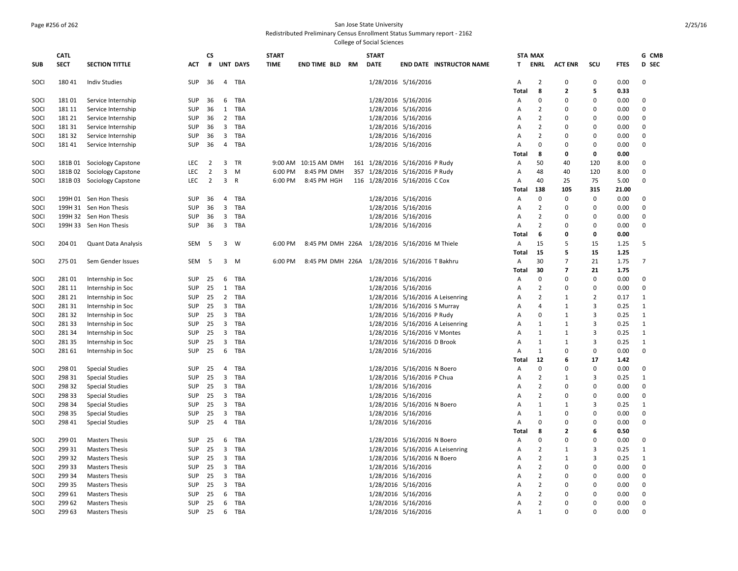# Page #256 of 262 San Jose State University

Redistributed Preliminary Census Enrollment Status Summary report - 2162

|              | <b>CATL</b>     |                            |            | <b>CS</b>      |                         |                 | <b>START</b> |                      |  | <b>START</b> |                                               |                                  |                | <b>STA MAX</b> |                          |                |              | G CMB          |
|--------------|-----------------|----------------------------|------------|----------------|-------------------------|-----------------|--------------|----------------------|--|--------------|-----------------------------------------------|----------------------------------|----------------|----------------|--------------------------|----------------|--------------|----------------|
| <b>SUB</b>   | <b>SECT</b>     | <b>SECTION TITTLE</b>      | <b>ACT</b> | #              |                         | <b>UNT DAYS</b> | <b>TIME</b>  | END TIME BLD RM      |  | <b>DATE</b>  |                                               | <b>END DATE INSTRUCTOR NAME</b>  | T.             | ENRL           | <b>ACT ENR</b>           | scu            | <b>FTES</b>  | <b>D</b> SEC   |
| SOCI         | 180 41          | <b>Indiv Studies</b>       | SUP        | 36             |                         | 4 TBA           |              |                      |  |              | 1/28/2016 5/16/2016                           |                                  | A              | $\overline{2}$ | $\Omega$                 | $\mathbf 0$    | 0.00         | $\Omega$       |
|              |                 |                            |            |                |                         |                 |              |                      |  |              |                                               |                                  | Total          | 8              | $\overline{2}$           | 5              | 0.33         |                |
| SOCI         | 18101           | Service Internship         | SUP        | 36             | 6                       | TBA             |              |                      |  |              | 1/28/2016 5/16/2016                           |                                  | Α              | $\Omega$       | $\Omega$                 | 0              | 0.00         | $\Omega$       |
| SOCI         | 181 11          | Service Internship         | <b>SUP</b> | 36             | 1                       | TBA             |              |                      |  |              | 1/28/2016 5/16/2016                           |                                  | A              | $\overline{2}$ | $\Omega$                 | $\Omega$       | 0.00         | $\Omega$       |
| SOCI         | 181 21          | Service Internship         | SUP        | 36             | $\overline{2}$          | TBA             |              |                      |  |              | 1/28/2016 5/16/2016                           |                                  | Α              | $\overline{2}$ | 0                        | $\mathbf 0$    | 0.00         | 0              |
| SOCI         | 181 31          | Service Internship         | SUP        | 36             | $\overline{3}$          | TBA             |              |                      |  |              | 1/28/2016 5/16/2016                           |                                  | Α              | $\overline{2}$ | $\Omega$                 | $\Omega$       | 0.00         | 0              |
| SOCI         | 18132           | Service Internship         | <b>SUP</b> | 36             | 3                       | TBA             |              |                      |  |              | 1/28/2016 5/16/2016                           |                                  | A              | $\overline{2}$ | $\Omega$                 | $\Omega$       | 0.00         | $\Omega$       |
| SOCI         | 18141           | Service Internship         | SUP        | 36             | $\overline{4}$          | TBA             |              |                      |  |              | 1/28/2016 5/16/2016                           |                                  | A              | $\Omega$       | 0                        | $\mathbf 0$    | 0.00         | $\Omega$       |
|              |                 |                            |            |                |                         |                 |              |                      |  |              |                                               |                                  | Total          | 8              | 0                        | 0              | 0.00         |                |
| SOCI         | 181B 01         | Sociology Capstone         | <b>LEC</b> | $\overline{2}$ | 3                       | <b>TR</b>       |              | 9:00 AM 10:15 AM DMH |  |              | 161 1/28/2016 5/16/2016 P Rudy                |                                  | Α              | 50             | 40                       | 120            | 8.00         | 0              |
| SOCI         |                 | 181B 02 Sociology Capstone | <b>LEC</b> | $\overline{2}$ | 3                       | M               | 6:00 PM      | 8:45 PM DMH          |  |              | 357 1/28/2016 5/16/2016 P Rudy                |                                  | A              | 48             | 40                       | 120            | 8.00         | $\Omega$       |
| SOCI         |                 | 181B 03 Sociology Capstone | LEC        | $\overline{2}$ | $\mathbf{3}$            | $\mathsf{R}$    | 6:00 PM      | 8:45 PM HGH          |  |              | 116 1/28/2016 5/16/2016 C Cox                 |                                  | Α              | 40             | 25                       | 75             | 5.00         | $\mathbf 0$    |
|              |                 |                            |            |                |                         |                 |              |                      |  |              |                                               |                                  | Total          | 138            | 105                      | 315            | 21.00        |                |
| SOCI         |                 | 199H 01 Sen Hon Thesis     | <b>SUP</b> | 36             | $\overline{4}$          | TBA             |              |                      |  |              | 1/28/2016 5/16/2016                           |                                  | $\overline{A}$ | $\mathbf 0$    | $\Omega$                 | $\mathbf 0$    | 0.00         | $\Omega$       |
| SOCI         |                 | 199H 31 Sen Hon Thesis     | SUP        | 36             | $\mathbf{3}$            | TBA             |              |                      |  |              | 1/28/2016 5/16/2016                           |                                  | Α              | $\overline{2}$ | $\Omega$                 | $\pmb{0}$      | 0.00         | 0              |
| SOCI         |                 | 199H 32 Sen Hon Thesis     | SUP        | 36             | $\overline{\mathbf{3}}$ | TBA             |              |                      |  |              | 1/28/2016 5/16/2016                           |                                  | $\overline{A}$ | $\overline{2}$ | $\Omega$                 | $\Omega$       | 0.00         | $\mathbf 0$    |
| SOCI         |                 | 199H 33 Sen Hon Thesis     | <b>SUP</b> | 36             | $\mathbf{3}$            | TBA             |              |                      |  |              | 1/28/2016 5/16/2016                           |                                  | Α              | $\overline{2}$ | O                        | $\mathbf 0$    | 0.00         | $\Omega$       |
|              |                 |                            |            |                |                         |                 |              |                      |  |              |                                               |                                  | Total          | 6              | 0                        | 0              | 0.00         |                |
| SOCI         | 204 01          | Quant Data Analysis        | SEM        | - 5            |                         | $3 \quad W$     | 6:00 PM      |                      |  |              | 8:45 PM DMH 226A 1/28/2016 5/16/2016 M Thiele |                                  | Α              | 15             | 5                        | 15             | 1.25         | .5             |
|              |                 |                            |            |                |                         |                 |              |                      |  |              |                                               |                                  | Total          | 15             | 5                        | 15             | 1.25         |                |
| SOCI         | 275 01          | Sem Gender Issues          | <b>SEM</b> | -5             |                         | $3 \quad M$     | 6:00 PM      |                      |  |              | 8:45 PM DMH 226A 1/28/2016 5/16/2016 T Bakhru |                                  | A              | 30             | $\overline{7}$           | 21             | 1.75         | $\overline{7}$ |
|              |                 |                            |            |                |                         |                 |              |                      |  |              |                                               |                                  | <b>Total</b>   | 30             | $\overline{\phantom{a}}$ | 21             | 1.75         |                |
| SOCI         | 28101           | Internship in Soc          | SUP        | 25             | 6                       | TBA             |              |                      |  |              | 1/28/2016 5/16/2016                           |                                  | A              | $\Omega$       | $\Omega$                 | $\mathbf 0$    | 0.00         | $\Omega$       |
| SOCI         | 281 11          | Internship in Soc          | SUP        | 25             | 1                       | TBA             |              |                      |  |              | 1/28/2016 5/16/2016                           |                                  | A              | $\overline{2}$ | $\Omega$                 | $\pmb{0}$      | 0.00         | 0              |
| SOCI         | 281 21          | Internship in Soc          | SUP        | 25             | $\overline{2}$          | TBA             |              |                      |  |              |                                               | 1/28/2016 5/16/2016 A Leisenring | Α              | $\overline{2}$ | 1                        | $\overline{2}$ | 0.17         | 1              |
|              |                 |                            | <b>SUP</b> |                | 3                       |                 |              |                      |  |              |                                               |                                  |                | 4              | 1                        | 3              |              | 1              |
| SOCI<br>SOCI | 281 31<br>28132 | Internship in Soc          | SUP        | 25<br>25       | $\overline{\mathbf{3}}$ | TBA<br>TBA      |              |                      |  |              | 1/28/2016 5/16/2016 S Murray                  |                                  | A              | $\Omega$       | 1                        | 3              | 0.25<br>0.25 |                |
|              |                 | Internship in Soc          |            |                |                         |                 |              |                      |  |              | 1/28/2016 5/16/2016 P Rudy                    |                                  | Α              |                |                          | 3              |              | 1              |
| SOCI         | 281 33          | Internship in Soc          | SUP        | 25             | $\overline{3}$          | TBA             |              |                      |  |              |                                               | 1/28/2016 5/16/2016 A Leisenring | Α              | $\mathbf{1}$   | $\mathbf{1}$             |                | 0.25         | 1              |
| SOCI         | 281 34          | Internship in Soc          | SUP        | 25             | $\mathbf{3}$            | TBA             |              |                      |  |              | 1/28/2016 5/16/2016 V Montes                  |                                  | A              | $\mathbf{1}$   | 1                        | 3              | 0.25         | 1              |
| SOCI         | 281 35          | Internship in Soc          | SUP        | 25             | 3                       | TBA             |              |                      |  |              | 1/28/2016 5/16/2016 D Brook                   |                                  | A              | $\mathbf{1}$   | 1                        | 3              | 0.25         | 1              |
| SOCI         | 281 61          | Internship in Soc          | SUP        | 25             | 6                       | TBA             |              |                      |  |              | 1/28/2016 5/16/2016                           |                                  | Α              | $\mathbf{1}$   | $\mathbf 0$              | $\pmb{0}$      | 0.00         | $\mathbf 0$    |
|              |                 |                            |            |                |                         |                 |              |                      |  |              |                                               |                                  | Total          | 12             | 6                        | 17             | 1.42         |                |
| SOCI         | 298 01          | <b>Special Studies</b>     | SUP        | 25             | $\overline{4}$          | TBA             |              |                      |  |              | 1/28/2016 5/16/2016 N Boero                   |                                  | A              | $\mathbf 0$    | 0                        | $\mathbf 0$    | 0.00         | $\mathbf 0$    |
| SOCI         | 298 31          | <b>Special Studies</b>     | SUP        | 25             | 3                       | TBA             |              |                      |  |              | 1/28/2016 5/16/2016 P Chua                    |                                  | Α              | $\overline{2}$ | $\mathbf{1}$             | 3              | 0.25         | 1              |
| SOCI         | 298 32          | <b>Special Studies</b>     | SUP        | 25             | $\overline{3}$          | TBA             |              |                      |  |              | 1/28/2016 5/16/2016                           |                                  | Α              | $\overline{2}$ | $\Omega$                 | $\Omega$       | 0.00         | 0              |
| SOCI         | 298 33          | <b>Special Studies</b>     | SUP        | 25             |                         | 3 TBA           |              |                      |  |              | 1/28/2016 5/16/2016                           |                                  | A              | $\overline{2}$ | 0                        | $\mathbf 0$    | 0.00         | 0              |
| SOCI         | 298 34          | <b>Special Studies</b>     | SUP        | 25             | 3                       | TBA             |              |                      |  |              | 1/28/2016 5/16/2016 N Boero                   |                                  | Α              | $\mathbf{1}$   | 1                        | 3              | 0.25         | 1              |
| SOCI         | 298 35          | <b>Special Studies</b>     | SUP        | 25             | $\overline{3}$          | TBA             |              |                      |  |              | 1/28/2016 5/16/2016                           |                                  | A              | $\mathbf{1}$   | $\Omega$                 | 0              | 0.00         | 0              |
| SOCI         | 298 41          | <b>Special Studies</b>     | SUP        | 25             | $\overline{4}$          | TBA             |              |                      |  |              | 1/28/2016 5/16/2016                           |                                  | A              | $\Omega$       | $\Omega$                 | $\mathbf 0$    | 0.00         | 0              |
|              |                 |                            |            |                |                         |                 |              |                      |  |              |                                               |                                  | Total          | 8              | $\mathbf{2}$             | 6              | 0.50         |                |
| SOCI         | 299 01          | <b>Masters Thesis</b>      | <b>SUP</b> | 25             | 6                       | TBA             |              |                      |  |              | 1/28/2016 5/16/2016 N Boero                   |                                  | A              | $\Omega$       | $\Omega$                 | $\Omega$       | 0.00         | 0              |
| SOCI         | 299 31          | <b>Masters Thesis</b>      | SUP        | 25             | $\overline{3}$          | TBA             |              |                      |  |              |                                               | 1/28/2016 5/16/2016 A Leisenring | Α              | $\overline{2}$ | -1                       | 3              | 0.25         | 1              |
| SOCI         | 299 32          | <b>Masters Thesis</b>      | SUP        | 25             | $\overline{\mathbf{3}}$ | TBA             |              |                      |  |              | 1/28/2016 5/16/2016 N Boero                   |                                  | Α              | $\overline{2}$ | 1                        | 3              | 0.25         | 1              |
| SOCI         | 299 33          | <b>Masters Thesis</b>      | SUP        | 25             | 3                       | <b>TBA</b>      |              |                      |  |              | 1/28/2016 5/16/2016                           |                                  | A              | $\overline{2}$ | $\Omega$                 | $\Omega$       | 0.00         | $\mathbf 0$    |
| SOCI         | 299 34          | <b>Masters Thesis</b>      | SUP        | 25             | $\overline{3}$          | TBA             |              |                      |  |              | 1/28/2016 5/16/2016                           |                                  | A              | $\overline{2}$ | 0                        | $\mathbf 0$    | 0.00         | 0              |
| SOCI         | 299 35          | <b>Masters Thesis</b>      | SUP        | 25             | $\overline{\mathbf{3}}$ | TBA             |              |                      |  |              | 1/28/2016 5/16/2016                           |                                  | $\overline{A}$ | $\overline{2}$ | $\Omega$                 | $\mathbf 0$    | 0.00         | 0              |
| SOCI         | 299 61          | <b>Masters Thesis</b>      | <b>SUP</b> | 25             | 6                       | TBA             |              |                      |  |              | 1/28/2016 5/16/2016                           |                                  | A              | $\overline{2}$ | $\Omega$                 | $\mathbf 0$    | 0.00         | 0              |
| SOCI         | 299 62          | <b>Masters Thesis</b>      | <b>SUP</b> | 25             | 6                       | TBA             |              |                      |  |              | 1/28/2016 5/16/2016                           |                                  | A              | $\overline{2}$ | $\Omega$                 | $\Omega$       | 0.00         | $\Omega$       |
| SOCI         | 299 63          | <b>Masters Thesis</b>      | SUP        | 25             | 6                       | TBA             |              |                      |  |              | 1/28/2016 5/16/2016                           |                                  | $\overline{A}$ | $\mathbf{1}$   | $\Omega$                 | $\Omega$       | 0.00         | $\Omega$       |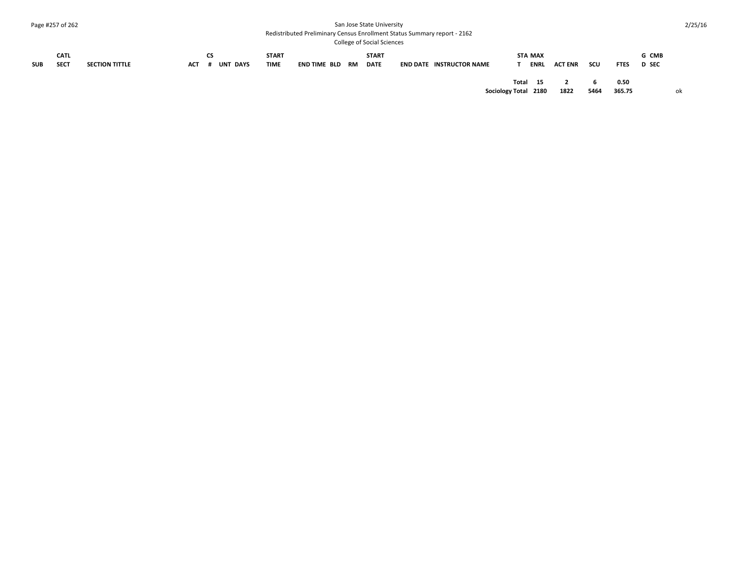#### Page #257 of 262 San Jose State University

Redistributed Preliminary Census Enrollment Status Summary report - 2162

College of Social Sciences

|            | CATL        |                       |     | ີ                  | <b>START</b> |              |           | <b>START</b> |                                 |       | <b>STA MAX</b> |                |     |             | G CMB        |
|------------|-------------|-----------------------|-----|--------------------|--------------|--------------|-----------|--------------|---------------------------------|-------|----------------|----------------|-----|-------------|--------------|
| <b>SUB</b> | <b>SECT</b> | <b>SECTION TITTLE</b> | ACT | UNT<br><b>DAYS</b> | <b>TIME</b>  | END TIME BLD | <b>RM</b> | <b>DATE</b>  | <b>END DATE INSTRUCTOR NAME</b> |       | <b>ENRL</b>    | <b>ACT ENR</b> | scu | <b>FTES</b> | <b>D</b> SEC |
|            |             |                       |     |                    |              |              |           |              |                                 | Total | 15             |                |     | 0.50        |              |

**Sociology Total 2180 1822 5464 365.75** ok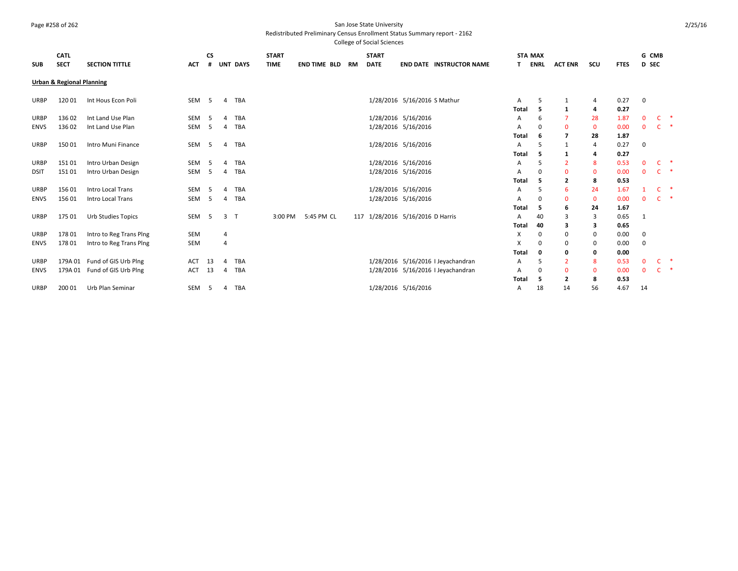## Page #258 of 262 San Jose State University

## Redistributed Preliminary Census Enrollment Status Summary report - 2162

| <b>SUB</b>  | <b>CATL</b><br><b>SECT</b>           | <b>SECTION TITTLE</b>     | <b>ACT</b>       | <b>CS</b> |                | <b>UNT DAYS</b> | <b>START</b><br><b>TIME</b> | <b>END TIME BLD</b> | <b>RM</b> | <b>START</b><br><b>DATE</b> | <b>END DATE INSTRUCTOR NAME</b>    | <b>STA MAX</b> | <b>ENRL</b>  | <b>ACT ENR</b>          | scu          | <b>FTES</b>  | G CMB<br><b>D</b> SEC |              |               |
|-------------|--------------------------------------|---------------------------|------------------|-----------|----------------|-----------------|-----------------------------|---------------------|-----------|-----------------------------|------------------------------------|----------------|--------------|-------------------------|--------------|--------------|-----------------------|--------------|---------------|
|             | <b>Urban &amp; Regional Planning</b> |                           |                  |           |                |                 |                             |                     |           |                             |                                    |                |              |                         |              |              |                       |              |               |
| <b>URBP</b> | 120 01                               | Int Hous Econ Poli        | SEM              | -5        | $\overline{4}$ | TBA             |                             |                     |           |                             | 1/28/2016 5/16/2016 S Mathur       | A              | 5            | 1                       | 4            | 0.27         | $\mathbf 0$           |              |               |
| <b>URBP</b> | 136 02                               | Int Land Use Plan         | SEM              | -5        | Δ              | TBA             |                             |                     |           |                             | 1/28/2016 5/16/2016                | Total<br>Α     | -5<br>6      | 1                       | 4<br>28      | 0.27<br>1.87 | $\mathbf 0$           | $C$ *        |               |
| <b>ENVS</b> | 136 02                               | Int Land Use Plan         | SEM              | -5        | 4              | TBA             |                             |                     |           |                             | 1/28/2016 5/16/2016                | A              | 0            | $\Omega$                | $\mathbf{0}$ | 0.00         | $\mathbf{0}$          | C.           | $\rightarrow$ |
|             |                                      |                           |                  |           |                |                 |                             |                     |           |                             |                                    | <b>Total</b>   | 6            | 7                       | 28           | 1.87         |                       |              |               |
| <b>URBP</b> | 15001                                | Intro Muni Finance        | SEM              | $-5$      | 4              | TBA             |                             |                     |           |                             | 1/28/2016 5/16/2016                | Α              | 5            | 1                       | 4            | 0.27         | 0                     |              |               |
|             |                                      |                           |                  |           |                |                 |                             |                     |           |                             |                                    | Total          | -5           | -1                      | 4            | 0.27         |                       |              |               |
| <b>URBP</b> | 15101                                | Intro Urban Design        | SEM              | - 5       | $\Lambda$      | TBA             |                             |                     |           |                             | 1/28/2016 5/16/2016                | Α              | .5           | $\overline{2}$          | 8            | 0.53         | $\mathbf{0}$          | C.           | - *           |
| <b>DSIT</b> | 15101                                | Intro Urban Design        | SEM              | - 5       | 4              | TBA             |                             |                     |           |                             | 1/28/2016 5/16/2016                | A              | 0            | $\Omega$                | $\mathbf{0}$ | 0.00         | $\mathbf{0}$          | C.           | $\rightarrow$ |
|             |                                      |                           |                  |           |                |                 |                             |                     |           |                             |                                    | Total          | 5            | $\overline{2}$          | 8            | 0.53         |                       |              |               |
| <b>URBP</b> | 156 01                               | <b>Intro Local Trans</b>  | SEM              | -5        | $\Delta$       | TBA             |                             |                     |           |                             | 1/28/2016 5/16/2016                | Α              | 5            | 6                       | 24           | 1.67         |                       | C.           | $\rightarrow$ |
| <b>ENVS</b> | 156 01                               | Intro Local Trans         | SEM              | $-5$      | $\overline{4}$ | TBA             |                             |                     |           |                             | 1/28/2016 5/16/2016                | A              | 0            | $\Omega$                | $\mathbf{0}$ | 0.00         | $\mathbf{0}$          | $\mathsf{C}$ | $\rightarrow$ |
|             |                                      |                           |                  |           |                |                 |                             |                     |           |                             |                                    | Total          | -5           | 6                       | 24           | 1.67         |                       |              |               |
| <b>URBP</b> | 175 01                               | <b>Urb Studies Topics</b> | SEM <sub>5</sub> |           | 3 <sub>T</sub> |                 | 3:00 PM                     | 5:45 PM CL          |           |                             | 117 1/28/2016 5/16/2016 D Harris   | Α              | 40           | 3                       | 3            | 0.65         | 1                     |              |               |
|             |                                      |                           |                  |           |                |                 |                             |                     |           |                             |                                    | Total          | 40           | 3                       | 3            | 0.65         |                       |              |               |
| <b>URBP</b> | 178 01                               | Intro to Reg Trans Ping   | <b>SEM</b>       |           | 4              |                 |                             |                     |           |                             |                                    | х              | 0            | 0                       | 0            | 0.00         | 0                     |              |               |
| <b>ENVS</b> | 17801                                | Intro to Reg Trans Ping   | SEM              |           | $\overline{4}$ |                 |                             |                     |           |                             |                                    | X              | $\Omega$     | 0                       | 0            | 0.00         | $\mathbf 0$           |              |               |
|             |                                      |                           |                  |           |                |                 |                             |                     |           |                             |                                    | Total          | $\mathbf{0}$ | 0                       | 0            | 0.00         |                       |              |               |
| <b>URBP</b> | 179A 01                              | Fund of GIS Urb Plng      | <b>ACT</b>       | 13        | Δ              | TBA             |                             |                     |           |                             | 1/28/2016 5/16/2016   Jeyachandran | A              | 5            | $\overline{2}$          | 8            | 0.53         | $\mathbf 0$           | C            | $\rightarrow$ |
| <b>ENVS</b> | 179A 01                              | Fund of GIS Urb Plng      | <b>ACT</b>       | 13        | 4              | TBA             |                             |                     |           |                             | 1/28/2016 5/16/2016   Jeyachandran | A              | 0            | $\Omega$                | $\mathbf{0}$ | 0.00         | $\mathbf{0}$          | C            | $\rightarrow$ |
|             |                                      |                           |                  |           |                |                 |                             |                     |           |                             |                                    | Total          | -5           | $\overline{\mathbf{2}}$ | 8            | 0.53         |                       |              |               |
| <b>URBP</b> | 200 01                               | Urb Plan Seminar          | SEM              | $-5$      | $\overline{4}$ | TBA             |                             |                     |           |                             | 1/28/2016 5/16/2016                | Α              | 18           | 14                      | 56           | 4.67         | 14                    |              |               |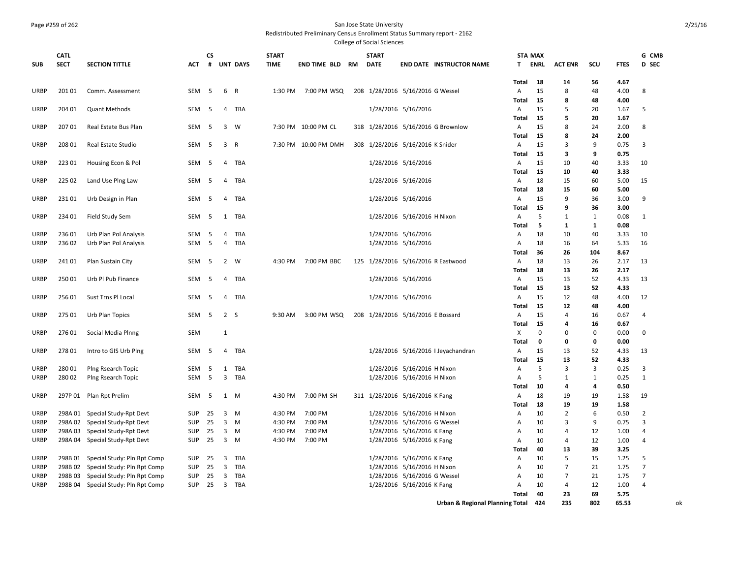## Page #259 of 262 San Jose State University

Redistributed Preliminary Census Enrollment Status Summary report - 2162

College of Social Sciences

|             | <b>CATL</b> |                                     |            | CS  |                         |                 | <b>START</b> |                      |           | <b>START</b> |                                    | <b>STA MAX</b> |             |                |             |             | G CMB          |
|-------------|-------------|-------------------------------------|------------|-----|-------------------------|-----------------|--------------|----------------------|-----------|--------------|------------------------------------|----------------|-------------|----------------|-------------|-------------|----------------|
| <b>SUB</b>  | <b>SECT</b> | <b>SECTION TITTLE</b>               | <b>ACT</b> | #   |                         | <b>UNT DAYS</b> | <b>TIME</b>  | <b>END TIME BLD</b>  | <b>RM</b> | <b>DATE</b>  | <b>END DATE INSTRUCTOR NAME</b>    | T.             | <b>ENRL</b> | <b>ACT ENR</b> | SCU         | <b>FTES</b> | D SEC          |
|             |             |                                     |            |     |                         |                 |              |                      |           |              |                                    | Total          | 18          | 14             | 56          | 4.67        |                |
| URBP        | 201 01      | Comm. Assessment                    | SEM        | 5   | 6                       | R               | 1:30 PM      | 7:00 PM WSQ          |           |              | 208 1/28/2016 5/16/2016 G Wessel   | A              | 15          | 8              | 48          | 4.00        | 8              |
|             |             |                                     |            |     |                         |                 |              |                      |           |              |                                    | Total          | 15          | 8              | 48          | 4.00        |                |
| URBP        | 204 01      | <b>Quant Methods</b>                | <b>SEM</b> | -5  | 4                       | TBA             |              |                      |           |              | 1/28/2016 5/16/2016                | $\overline{A}$ | 15          | 5              | 20          | 1.67        | -5             |
|             |             |                                     |            |     |                         |                 |              |                      |           |              |                                    | Total          | 15          | 5              | 20          | 1.67        |                |
| <b>URBP</b> | 207 01      | Real Estate Bus Plan                | SEM        | - 5 | $\overline{\mathbf{3}}$ | W               |              | 7:30 PM 10:00 PM CL  |           |              | 318 1/28/2016 5/16/2016 G Brownlow | A              | 15          | 8              | 24          | 2.00        | 8              |
|             |             |                                     |            |     |                         |                 |              |                      |           |              |                                    | Total          | 15          | 8              | 24          | 2.00        |                |
| <b>URBP</b> | 208 01      | Real Estate Studio                  | SEM        | 5   | 3                       | R               |              | 7:30 PM 10:00 PM DMH |           |              | 308 1/28/2016 5/16/2016 K Snider   | A              | 15          | 3              | 9           | 0.75        | 3              |
|             |             |                                     |            |     |                         |                 |              |                      |           |              |                                    | Total          | 15          | з              | 9           | 0.75        |                |
| <b>URBP</b> | 223 01      | Housing Econ & Pol                  | SEM        | - 5 | $\overline{4}$          | TBA             |              |                      |           |              | 1/28/2016 5/16/2016                | $\overline{A}$ | 15          | 10             | 40          | 3.33        | 10             |
|             |             |                                     |            |     |                         |                 |              |                      |           |              |                                    | Total          | 15          | 10             | 40          | 3.33        |                |
| <b>URBP</b> | 225 02      | Land Use Plng Law                   | SEM        | 5   | $\overline{4}$          | TBA             |              |                      |           |              | 1/28/2016 5/16/2016                | Α              | 18          | 15             | 60          | 5.00        | 15             |
|             |             |                                     |            |     |                         |                 |              |                      |           |              |                                    | Total          | 18          | 15             | 60          | 5.00        |                |
| URBP        | 23101       | Urb Design in Plan                  | SEM        | -5  | 4                       | TBA             |              |                      |           |              | 1/28/2016 5/16/2016                | $\mathsf{A}$   | 15          | $\mathbf{q}$   | 36          | 3.00        | 9              |
|             |             |                                     |            |     |                         |                 |              |                      |           |              |                                    | Total          | 15          | q              | 36          | 3.00        |                |
| <b>URBP</b> | 234 01      | Field Study Sem                     | SEM        | 5   | 1                       | TBA             |              |                      |           |              | 1/28/2016 5/16/2016 H Nixon        | $\overline{A}$ | 5           | 1              | 1           | 0.08        | 1              |
|             |             |                                     |            |     |                         |                 |              |                      |           |              |                                    | Total          | 5           | 1              | 1           | 0.08        |                |
| <b>URBP</b> | 236 01      | Urb Plan Pol Analysis               | SEM        | 5   | 4                       | TBA             |              |                      |           |              | 1/28/2016 5/16/2016                | $\mathsf{A}$   | 18          | 10             | 40          | 3.33        | 10             |
| URBP        | 236 02      | Urb Plan Pol Analysis               | SEM        | -5  | $\overline{4}$          | TBA             |              |                      |           |              | 1/28/2016 5/16/2016                | A              | 18          | 16             | 64          | 5.33        | 16             |
|             |             |                                     |            |     |                         |                 |              |                      |           |              |                                    | Total          | 36          | 26             | 104         | 8.67        |                |
| <b>URBP</b> | 24101       | Plan Sustain City                   | SEM        | - 5 |                         | 2 W             | 4:30 PM      | 7:00 PM BBC          |           |              | 125 1/28/2016 5/16/2016 R Eastwood | A              | 18          | 13             | 26          | 2.17        | 13             |
|             |             |                                     |            |     |                         |                 |              |                      |           |              |                                    | Total          | 18          | 13             | 26          | 2.17        |                |
| <b>URBP</b> | 250 01      | Urb Pl Pub Finance                  | SEM        | - 5 | 4                       | TBA             |              |                      |           |              | 1/28/2016 5/16/2016                | A              | 15          | 13             | 52          | 4.33        | 13             |
|             |             |                                     |            |     |                         |                 |              |                      |           |              |                                    | Total          | 15          | 13             | 52          | 4.33        |                |
| <b>URBP</b> | 256 01      | Sust Trns Pl Local                  | SEM        | - 5 | $\overline{4}$          | TBA             |              |                      |           |              | 1/28/2016 5/16/2016                | A              | 15          | 12             | 48          | 4.00        | 12             |
|             |             |                                     |            |     |                         |                 |              |                      |           |              |                                    | Total          | 15          | 12             | 48          | 4.00        |                |
| <b>URBP</b> | 275 01      | Urb Plan Topics                     | SEM        | - 5 | 2 S                     |                 | 9:30 AM      | 3:00 PM WSQ          |           |              | 208 1/28/2016 5/16/2016 E Bossard  | A              | 15          | 4              | 16          | 0.67        | 4              |
|             |             |                                     |            |     |                         |                 |              |                      |           |              |                                    | Total          | 15          | Δ              | 16          | 0.67        |                |
| <b>URBP</b> | 276 01      | Social Media Plnng                  | SEM        |     | $\overline{1}$          |                 |              |                      |           |              |                                    | Х              | 0           | O              | $\mathbf 0$ | 0.00        | 0              |
|             |             |                                     |            |     |                         |                 |              |                      |           |              |                                    | <b>Total</b>   | $\mathbf 0$ | o              | $\mathbf 0$ | 0.00        |                |
| <b>URBP</b> | 278 01      | Intro to GIS Urb Plng               | SEM        | -5  | 4                       | TBA             |              |                      |           |              | 1/28/2016 5/16/2016   Jeyachandran | A              | 15          | 13             | 52          | 4.33        | 13             |
|             |             |                                     |            |     |                         |                 |              |                      |           |              |                                    | Total          | 15          | 13             | 52          | 4.33        |                |
| <b>URBP</b> | 280 01      | Plng Rsearch Topic                  | SEM        | -5  | 1                       | TBA             |              |                      |           |              | 1/28/2016 5/16/2016 H Nixon        | A              | 5           | 3              | 3           | 0.25        | 3              |
| <b>URBP</b> | 28002       | Plng Rsearch Topic                  | SEM        | 5   | 3                       | TBA             |              |                      |           |              | 1/28/2016 5/16/2016 H Nixon        | A              | 5           | 1              | 1           | 0.25        | $\mathbf{1}$   |
|             |             |                                     |            |     |                         |                 |              |                      |           |              |                                    | Total          | 10          | 4              | 4           | 0.50        |                |
| <b>URBP</b> | 297P 01     | Plan Rpt Prelim                     | SEM        | 5   | 1                       | M               | 4:30 PM      | 7:00 PM SH           |           |              | 311 1/28/2016 5/16/2016 K Fang     | A              | 18          | 19             | 19          | 1.58        | 19             |
|             |             |                                     |            |     |                         |                 |              |                      |           |              |                                    | <b>Total</b>   | 18          | 19             | 19          | 1.58        |                |
| <b>URBP</b> | 298A 01     | Special Study-Rpt Devt              | <b>SUP</b> | 25  | 3                       | M               | 4:30 PM      | 7:00 PM              |           |              | 1/28/2016 5/16/2016 H Nixon        | A              | 10          | $\overline{2}$ | 6           | 0.50        | 2              |
| URBP        | 298A 02     | Special Study-Rpt Devt              | <b>SUP</b> | 25  | 3                       | M               | 4:30 PM      | 7:00 PM              |           |              | 1/28/2016 5/16/2016 G Wessel       | Α              | 10          | з              | 9           | 0.75        | 3              |
| <b>URBP</b> | 298A 03     | Special Study-Rpt Devt              | <b>SUP</b> | 25  | 3                       | M               | 4:30 PM      | 7:00 PM              |           |              | 1/28/2016 5/16/2016 K Fang         | $\overline{A}$ | 10          | 4              | 12          | 1.00        | 4              |
| <b>URBP</b> | 298A 04     | Special Study-Rpt Devt              | <b>SUP</b> | 25  |                         | $3 \quad M$     | 4:30 PM      | 7:00 PM              |           |              | 1/28/2016 5/16/2016 K Fang         | $\overline{A}$ | 10          | 4              | 12          | 1.00        | 4              |
|             |             |                                     |            |     |                         |                 |              |                      |           |              |                                    |                | 40          | 13             | 39          | 3.25        |                |
|             |             |                                     |            |     |                         |                 |              |                      |           |              |                                    | Total          |             |                |             |             |                |
| URBP        | 298B 01     | Special Study: Pln Rpt Comp         | SUP        | 25  | 3                       | TBA             |              |                      |           |              | 1/28/2016 5/16/2016 K Fang         | A              | 10          | 5              | 15          | 1.25        | 5              |
| URBP        | 298B 02     | Special Study: Pln Rpt Comp         | <b>SUP</b> | 25  | 3                       | TBA             |              |                      |           |              | 1/28/2016 5/16/2016 H Nixon        | A              | 10          | 7              | 21          | 1.75        | $\overline{7}$ |
| <b>URBP</b> | 298B03      | Special Study: Pln Rpt Comp         | SUP        | 25  | 3                       | TBA             |              |                      |           |              | 1/28/2016 5/16/2016 G Wessel       | A              | 10          | 7              | 21          | 1.75        | $\overline{7}$ |
| <b>URBP</b> |             | 298B 04 Special Study: Pln Rpt Comp | <b>SUP</b> | 25  | $\overline{3}$          | TBA             |              |                      |           |              | 1/28/2016 5/16/2016 K Fang         | A              | 10          | 4              | 12          | 1.00        | $\overline{4}$ |
|             |             |                                     |            |     |                         |                 |              |                      |           |              |                                    | Total          | 40          | 23             | 69          | 5.75        |                |

**Urban & Regional Planning Total 424 235 802 65.53** ok